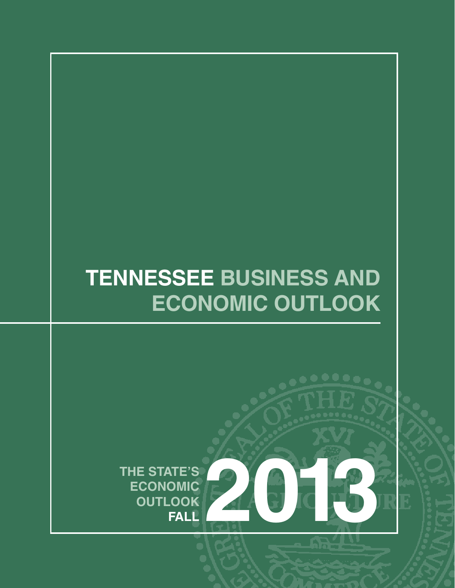# **TENNESSEE BUSINESS AND ECONOMIC OUTLOOK**

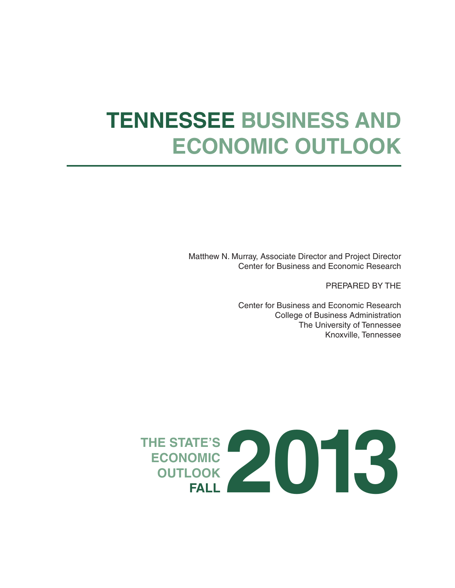# **TENNESSEE BUSINESS AND ECONOMIC OUTLOOK**

Matthew N. Murray, Associate Director and Project Director Center for Business and Economic Research

PREPARED BY THE

Center for Business and Economic Research College of Business Administration The University of Tennessee Knoxville, Tennessee

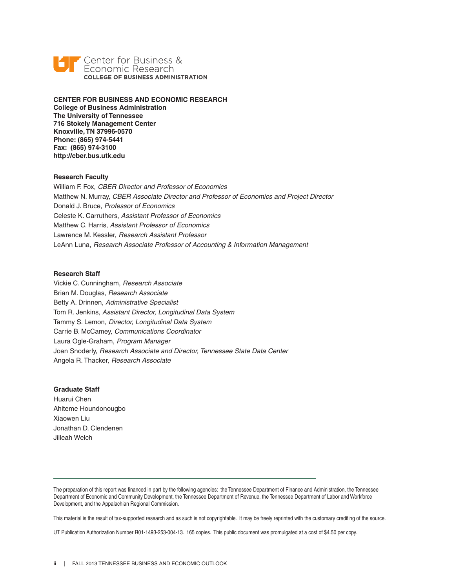

**CENTER FOR BUSINESS AND ECONOMIC RESEARCH College of Business Administration The University of Tennessee 716 Stokely Management Center Knoxville, TN 37996-0570 Phone: (865) 974-5441 Fax: (865) 974-3100 http://cber.bus.utk.edu**

### **Research Faculty**

William F. Fox, *CBER Director and Professor of Economics* Matthew N. Murray, *CBER Associate Director and Professor of Economics and Project Director* Donald J. Bruce, *Professor of Economics* Celeste K. Carruthers, *Assistant Professor of Economics* Matthew C. Harris, *Assistant Professor of Economics* Lawrence M. Kessler, *Research Assistant Professor* LeAnn Luna, *Research Associate Professor of Accounting & Information Management*

### **Research Staff**

Vickie C. Cunningham, *Research Associate* Brian M. Douglas, *Research Associate* Betty A. Drinnen, *Administrative Specialist* Tom R. Jenkins, *Assistant Director, Longitudinal Data System* Tammy S. Lemon, *Director, Longitudinal Data System* Carrie B. McCamey, *Communications Coordinator* Laura Ogle-Graham, *Program Manager* Joan Snoderly, *Research Associate and Director, Tennessee State Data Center* Angela R. Thacker, *Research Associate*

### **Graduate Staff**

Huarui Chen Ahiteme Houndonougbo Xiaowen Liu Jonathan D. Clendenen Jilleah Welch

The preparation of this report was financed in part by the following agencies: the Tennessee Department of Finance and Administration, the Tennessee Department of Economic and Community Development, the Tennessee Department of Revenue, the Tennessee Department of Labor and Workforce Development, and the Appalachian Regional Commission.

This material is the result of tax-supported research and as such is not copyrightable. It may be freely reprinted with the customary crediting of the source.

UT Publication Authorization Number R01-1493-253-004-13. 165 copies. This public document was promulgated at a cost of \$4.50 per copy.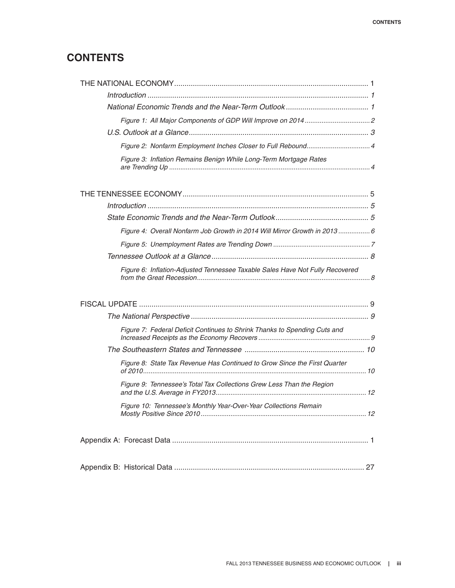# **CONTENTS**

| Figure 2: Nonfarm Employment Inches Closer to Full Rebound 4                  |  |
|-------------------------------------------------------------------------------|--|
| Figure 3: Inflation Remains Benign While Long-Term Mortgage Rates             |  |
|                                                                               |  |
|                                                                               |  |
|                                                                               |  |
| Figure 4: Overall Nonfarm Job Growth in 2014 Will Mirror Growth in 2013 6     |  |
|                                                                               |  |
|                                                                               |  |
| Figure 6: Inflation-Adjusted Tennessee Taxable Sales Have Not Fully Recovered |  |
|                                                                               |  |
|                                                                               |  |
| Figure 7: Federal Deficit Continues to Shrink Thanks to Spending Cuts and     |  |
|                                                                               |  |
| Figure 8: State Tax Revenue Has Continued to Grow Since the First Quarter     |  |
| Figure 9: Tennessee's Total Tax Collections Grew Less Than the Region         |  |
| Figure 10: Tennessee's Monthly Year-Over-Year Collections Remain              |  |
|                                                                               |  |
|                                                                               |  |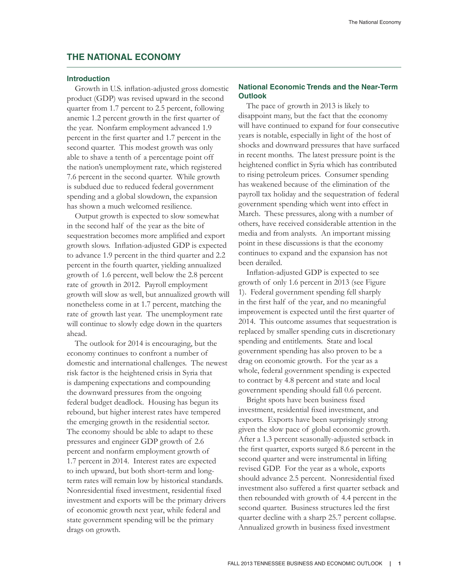# **THE NATIONAL ECONOMY**

### **Introduction**

Growth in U.S. inflation-adjusted gross domestic product (GDP) was revised upward in the second quarter from 1.7 percent to 2.5 percent, following anemic 1.2 percent growth in the first quarter of the year. Nonfarm employment advanced 1.9 percent in the first quarter and 1.7 percent in the second quarter. This modest growth was only able to shave a tenth of a percentage point off the nation's unemployment rate, which registered 7.6 percent in the second quarter. While growth is subdued due to reduced federal government spending and a global slowdown, the expansion has shown a much welcomed resilience.

Output growth is expected to slow somewhat in the second half of the year as the bite of sequestration becomes more amplified and export growth slows. Inflation-adjusted GDP is expected to advance 1.9 percent in the third quarter and 2.2 percent in the fourth quarter, yielding annualized growth of 1.6 percent, well below the 2.8 percent rate of growth in 2012. Payroll employment growth will slow as well, but annualized growth will nonetheless come in at 1.7 percent, matching the rate of growth last year. The unemployment rate will continue to slowly edge down in the quarters ahead.

The outlook for 2014 is encouraging, but the economy continues to confront a number of domestic and international challenges. The newest risk factor is the heightened crisis in Syria that is dampening expectations and compounding the downward pressures from the ongoing federal budget deadlock. Housing has begun its rebound, but higher interest rates have tempered the emerging growth in the residential sector. The economy should be able to adapt to these pressures and engineer GDP growth of 2.6 percent and nonfarm employment growth of 1.7 percent in 2014. Interest rates are expected to inch upward, but both short-term and longterm rates will remain low by historical standards. Nonresidential fixed investment, residential fixed investment and exports will be the primary drivers of economic growth next year, while federal and state government spending will be the primary drags on growth.

### **National Economic Trends and the Near-Term Outlook**

The pace of growth in 2013 is likely to disappoint many, but the fact that the economy will have continued to expand for four consecutive years is notable, especially in light of the host of shocks and downward pressures that have surfaced in recent months. The latest pressure point is the heightened conflict in Syria which has contributed to rising petroleum prices. Consumer spending has weakened because of the elimination of the payroll tax holiday and the sequestration of federal government spending which went into effect in March. These pressures, along with a number of others, have received considerable attention in the media and from analysts. An important missing point in these discussions is that the economy continues to expand and the expansion has not been derailed.

Inflation-adjusted GDP is expected to see growth of only 1.6 percent in 2013 (see Figure 1). Federal government spending fell sharply in the first half of the year, and no meaningful improvement is expected until the first quarter of 2014. This outcome assumes that sequestration is replaced by smaller spending cuts in discretionary spending and entitlements. State and local government spending has also proven to be a drag on economic growth. For the year as a whole, federal government spending is expected to contract by 4.8 percent and state and local government spending should fall 0.6 percent.

Bright spots have been business fixed investment, residential fixed investment, and exports. Exports have been surprisingly strong given the slow pace of global economic growth. After a 1.3 percent seasonally-adjusted setback in the first quarter, exports surged 8.6 percent in the second quarter and were instrumental in lifting revised GDP. For the year as a whole, exports should advance 2.5 percent. Nonresidential fixed investment also suffered a first quarter setback and then rebounded with growth of 4.4 percent in the second quarter. Business structures led the first quarter decline with a sharp 25.7 percent collapse. Annualized growth in business fixed investment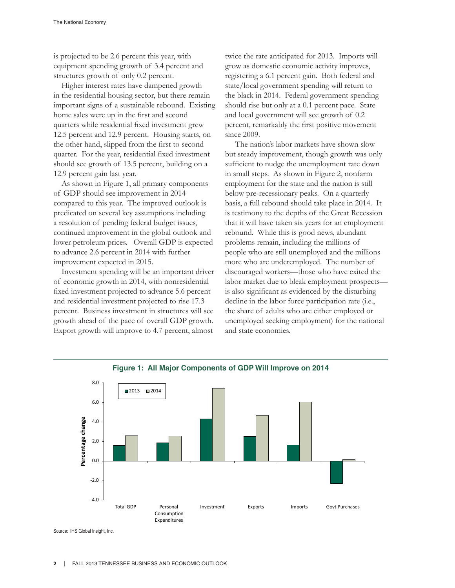is projected to be 2.6 percent this year, with equipment spending growth of 3.4 percent and structures growth of only 0.2 percent.

Higher interest rates have dampened growth in the residential housing sector, but there remain important signs of a sustainable rebound. Existing home sales were up in the first and second quarters while residential fixed investment grew 12.5 percent and 12.9 percent. Housing starts, on the other hand, slipped from the first to second quarter. For the year, residential fixed investment should see growth of 13.5 percent, building on a 12.9 percent gain last year.

As shown in Figure 1, all primary components of GDP should see improvement in 2014 compared to this year. The improved outlook is predicated on several key assumptions including a resolution of pending federal budget issues, continued improvement in the global outlook and lower petroleum prices. Overall GDP is expected to advance 2.6 percent in 2014 with further improvement expected in 2015.

Investment spending will be an important driver of economic growth in 2014, with nonresidential fixed investment projected to advance 5.6 percent and residential investment projected to rise 17.3 percent. Business investment in structures will see growth ahead of the pace of overall GDP growth. Export growth will improve to 4.7 percent, almost

twice the rate anticipated for 2013. Imports will grow as domestic economic activity improves, registering a 6.1 percent gain. Both federal and state/local government spending will return to the black in 2014. Federal government spending should rise but only at a 0.1 percent pace. State and local government will see growth of 0.2 percent, remarkably the first positive movement since 2009.

 The nation's labor markets have shown slow but steady improvement, though growth was only sufficient to nudge the unemployment rate down in small steps. As shown in Figure 2, nonfarm employment for the state and the nation is still below pre-recessionary peaks. On a quarterly basis, a full rebound should take place in 2014. It is testimony to the depths of the Great Recession that it will have taken six years for an employment rebound. While this is good news, abundant problems remain, including the millions of people who are still unemployed and the millions more who are underemployed. The number of discouraged workers—those who have exited the labor market due to bleak employment prospects is also significant as evidenced by the disturbing decline in the labor force participation rate (i.e., the share of adults who are either employed or unemployed seeking employment) for the national and state economies.



Source: IHS Global Insight, Inc.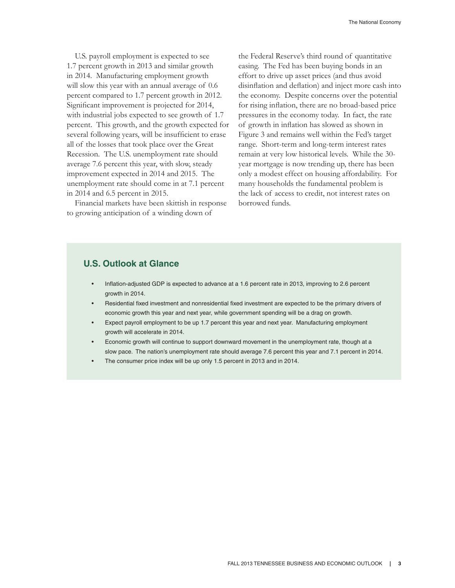U.S. payroll employment is expected to see 1.7 percent growth in 2013 and similar growth in 2014. Manufacturing employment growth will slow this year with an annual average of 0.6 percent compared to 1.7 percent growth in 2012. Significant improvement is projected for 2014, with industrial jobs expected to see growth of 1.7 percent. This growth, and the growth expected for several following years, will be insufficient to erase all of the losses that took place over the Great Recession. The U.S. unemployment rate should average 7.6 percent this year, with slow, steady improvement expected in 2014 and 2015. The unemployment rate should come in at 7.1 percent in 2014 and 6.5 percent in 2015.

Financial markets have been skittish in response to growing anticipation of a winding down of

the Federal Reserve's third round of quantitative easing. The Fed has been buying bonds in an effort to drive up asset prices (and thus avoid disinflation and deflation) and inject more cash into the economy. Despite concerns over the potential for rising inflation, there are no broad-based price pressures in the economy today. In fact, the rate of growth in inflation has slowed as shown in Figure 3 and remains well within the Fed's target range. Short-term and long-term interest rates remain at very low historical levels. While the 30 year mortgage is now trending up, there has been only a modest effect on housing affordability. For many households the fundamental problem is the lack of access to credit, not interest rates on borrowed funds.

### **U.S. Outlook at Glance**

- Inflation-adjusted GDP is expected to advance at a 1.6 percent rate in 2013, improving to 2.6 percent growth in 2014.
- Residential fixed investment and nonresidential fixed investment are expected to be the primary drivers of economic growth this year and next year, while government spending will be a drag on growth.
- Expect payroll employment to be up 1.7 percent this year and next year. Manufacturing employment growth will accelerate in 2014.
- Economic growth will continue to support downward movement in the unemployment rate, though at a slow pace. The nation's unemployment rate should average 7.6 percent this year and 7.1 percent in 2014.
- The consumer price index will be up only 1.5 percent in 2013 and in 2014.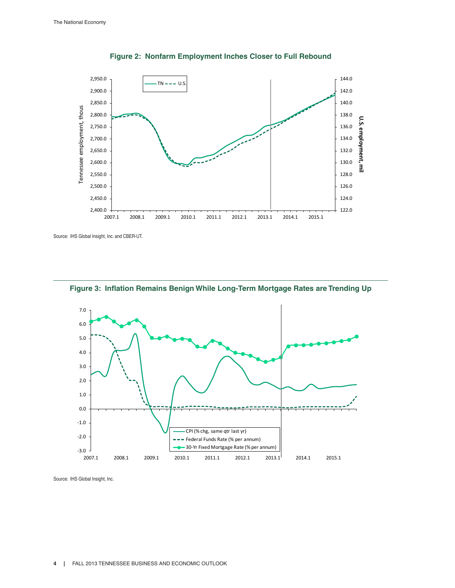

**Figure 2: Nonfarm Employment Inches Closer to Full Rebound**

Source: IHS Global Insight, Inc. and CBER-UT.



**Figure 3: Inflation Remains Benign While Long-Term Mortgage Rates are Trending Up**

Source: IHS Global Insight, Inc.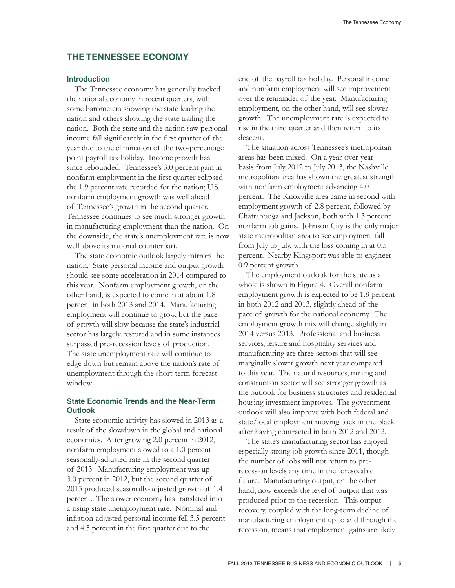### **THE TENNESSEE ECONOMY**

### **Introduction**

The Tennessee economy has generally tracked the national economy in recent quarters, with some barometers showing the state leading the nation and others showing the state trailing the nation. Both the state and the nation saw personal income fall significantly in the first quarter of the year due to the elimination of the two-percentage point payroll tax holiday. Income growth has since rebounded. Tennessee's 3.0 percent gain in nonfarm employment in the first quarter eclipsed the 1.9 percent rate recorded for the nation; U.S. nonfarm employment growth was well ahead of Tennessee's growth in the second quarter. Tennessee continues to see much stronger growth in manufacturing employment than the nation. On the downside, the state's unemployment rate is now well above its national counterpart.

The state economic outlook largely mirrors the nation. State personal income and output growth should see some acceleration in 2014 compared to this year. Nonfarm employment growth, on the other hand, is expected to come in at about 1.8 percent in both 2013 and 2014. Manufacturing employment will continue to grow, but the pace of growth will slow because the state's industrial sector has largely restored and in some instances surpassed pre-recession levels of production. The state unemployment rate will continue to edge down but remain above the nation's rate of unemployment through the short-term forecast window.

### **State Economic Trends and the Near-Term Outlook**

State economic activity has slowed in 2013 as a result of the slowdown in the global and national economies. After growing 2.0 percent in 2012, nonfarm employment slowed to a 1.0 percent seasonally-adjusted rate in the second quarter of 2013. Manufacturing employment was up 3.0 percent in 2012, but the second quarter of 2013 produced seasonally-adjusted growth of 1.4 percent. The slower economy has translated into a rising state unemployment rate. Nominal and inflation-adjusted personal income fell 3.5 percent and 4.5 percent in the first quarter due to the

end of the payroll tax holiday. Personal income and nonfarm employment will see improvement over the remainder of the year. Manufacturing employment, on the other hand, will see slower growth. The unemployment rate is expected to rise in the third quarter and then return to its descent.

The situation across Tennessee's metropolitan areas has been mixed. On a year-over-year basis from July 2012 to July 2013, the Nashville metropolitan area has shown the greatest strength with nonfarm employment advancing 4.0 percent. The Knoxville area came in second with employment growth of 2.8 percent, followed by Chattanooga and Jackson, both with 1.3 percent nonfarm job gains. Johnson City is the only major state metropolitan area to see employment fall from July to July, with the loss coming in at 0.5 percent. Nearby Kingsport was able to engineer 0.9 percent growth.

The employment outlook for the state as a whole is shown in Figure 4. Overall nonfarm employment growth is expected to be 1.8 percent in both 2012 and 2013, slightly ahead of the pace of growth for the national economy. The employment growth mix will change slightly in 2014 versus 2013. Professional and business services, leisure and hospitality services and manufacturing are three sectors that will see marginally slower growth next year compared to this year. The natural resources, mining and construction sector will see stronger growth as the outlook for business structures and residential housing investment improves. The government outlook will also improve with both federal and state/local employment moving back in the black after having contracted in both 2012 and 2013.

The state's manufacturing sector has enjoyed especially strong job growth since 2011, though the number of jobs will not return to prerecession levels any time in the foreseeable future. Manufacturing output, on the other hand, now exceeds the level of output that was produced prior to the recession. This output recovery, coupled with the long-term decline of manufacturing employment up to and through the recession, means that employment gains are likely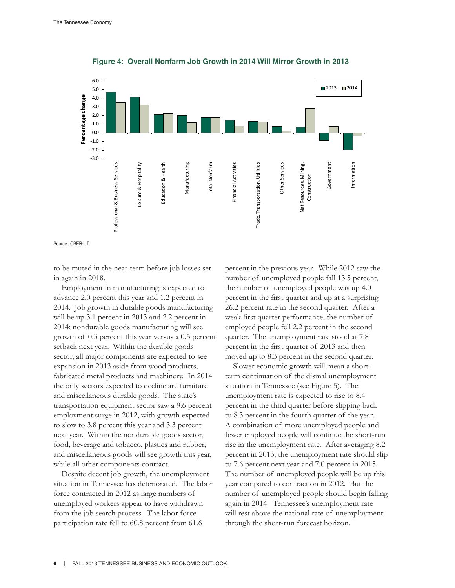

**Figure 4: Overall Nonfarm Job Growth in 2014 Will Mirror Growth in 2013**

Source: CBER-UT.

to be muted in the near-term before job losses set in again in 2018.

Employment in manufacturing is expected to advance 2.0 percent this year and 1.2 percent in 2014. Job growth in durable goods manufacturing will be up 3.1 percent in 2013 and 2.2 percent in 2014; nondurable goods manufacturing will see growth of 0.3 percent this year versus a 0.5 percent setback next year. Within the durable goods sector, all major components are expected to see expansion in 2013 aside from wood products, fabricated metal products and machinery. In 2014 the only sectors expected to decline are furniture and miscellaneous durable goods. The state's transportation equipment sector saw a 9.6 percent employment surge in 2012, with growth expected to slow to 3.8 percent this year and 3.3 percent next year. Within the nondurable goods sector, food, beverage and tobacco, plastics and rubber, and miscellaneous goods will see growth this year, while all other components contract.

Despite decent job growth, the unemployment situation in Tennessee has deteriorated. The labor force contracted in 2012 as large numbers of unemployed workers appear to have withdrawn from the job search process. The labor force participation rate fell to 60.8 percent from 61.6

percent in the previous year. While 2012 saw the number of unemployed people fall 13.5 percent, the number of unemployed people was up 4.0 percent in the first quarter and up at a surprising 26.2 percent rate in the second quarter. After a weak first quarter performance, the number of employed people fell 2.2 percent in the second quarter. The unemployment rate stood at 7.8 percent in the first quarter of 2013 and then moved up to 8.3 percent in the second quarter.

Slower economic growth will mean a shortterm continuation of the dismal unemployment situation in Tennessee (see Figure 5). The unemployment rate is expected to rise to 8.4 percent in the third quarter before slipping back to 8.3 percent in the fourth quarter of the year. A combination of more unemployed people and fewer employed people will continue the short-run rise in the unemployment rate. After averaging 8.2 percent in 2013, the unemployment rate should slip to 7.6 percent next year and 7.0 percent in 2015. The number of unemployed people will be up this year compared to contraction in 2012. But the number of unemployed people should begin falling again in 2014. Tennessee's unemployment rate will rest above the national rate of unemployment through the short-run forecast horizon.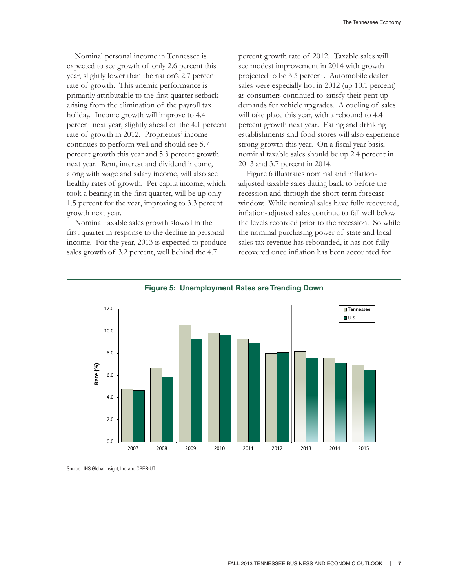Nominal personal income in Tennessee is expected to see growth of only 2.6 percent this year, slightly lower than the nation's 2.7 percent rate of growth. This anemic performance is primarily attributable to the first quarter setback arising from the elimination of the payroll tax holiday. Income growth will improve to 4.4 percent next year, slightly ahead of the 4.1 percent rate of growth in 2012. Proprietors' income continues to perform well and should see 5.7 percent growth this year and 5.3 percent growth next year. Rent, interest and dividend income, along with wage and salary income, will also see healthy rates of growth. Per capita income, which took a beating in the first quarter, will be up only 1.5 percent for the year, improving to 3.3 percent growth next year.

Nominal taxable sales growth slowed in the first quarter in response to the decline in personal income. For the year, 2013 is expected to produce sales growth of 3.2 percent, well behind the 4.7

percent growth rate of 2012. Taxable sales will see modest improvement in 2014 with growth projected to be 3.5 percent. Automobile dealer sales were especially hot in 2012 (up 10.1 percent) as consumers continued to satisfy their pent-up demands for vehicle upgrades. A cooling of sales will take place this year, with a rebound to 4.4 percent growth next year. Eating and drinking establishments and food stores will also experience strong growth this year. On a fiscal year basis, nominal taxable sales should be up 2.4 percent in 2013 and 3.7 percent in 2014.

Figure 6 illustrates nominal and inflationadjusted taxable sales dating back to before the recession and through the short-term forecast window. While nominal sales have fully recovered, inflation-adjusted sales continue to fall well below the levels recorded prior to the recession. So while the nominal purchasing power of state and local sales tax revenue has rebounded, it has not fullyrecovered once inflation has been accounted for.





Source: IHS Global Insight, Inc. and CBER-UT.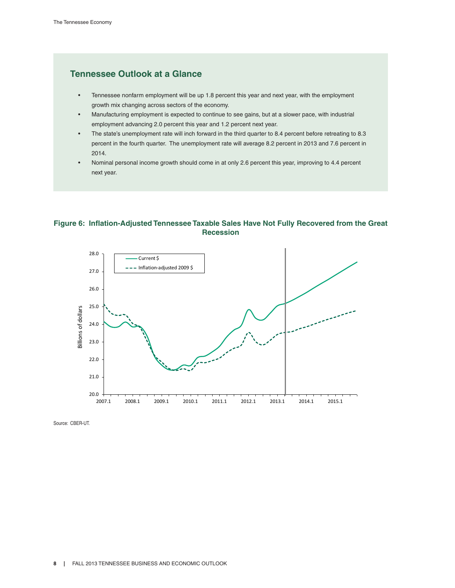# **Tennessee Outlook at a Glance**

- Tennessee nonfarm employment will be up 1.8 percent this year and next year, with the employment growth mix changing across sectors of the economy.
- Manufacturing employment is expected to continue to see gains, but at a slower pace, with industrial employment advancing 2.0 percent this year and 1.2 percent next year.
- The state's unemployment rate will inch forward in the third quarter to 8.4 percent before retreating to 8.3 percent in the fourth quarter. The unemployment rate will average 8.2 percent in 2013 and 7.6 percent in 2014.
- Nominal personal income growth should come in at only 2.6 percent this year, improving to 4.4 percent next year.

### **Figure 6: Inflation-Adjusted Tennessee Taxable Sales Have Not Fully Recovered from the Great Recession**



Source: CBER-UT.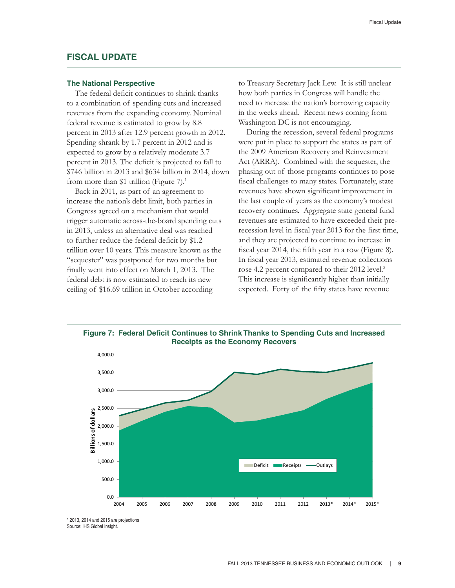### **FISCAL UPDATE**

### **The National Perspective**

The federal deficit continues to shrink thanks to a combination of spending cuts and increased revenues from the expanding economy. Nominal federal revenue is estimated to grow by 8.8 percent in 2013 after 12.9 percent growth in 2012. Spending shrank by 1.7 percent in 2012 and is expected to grow by a relatively moderate 3.7 percent in 2013. The deficit is projected to fall to \$746 billion in 2013 and \$634 billion in 2014, down from more than \$1 trillion (Figure  $7$ ).<sup>1</sup>

Back in 2011, as part of an agreement to increase the nation's debt limit, both parties in Congress agreed on a mechanism that would trigger automatic across-the-board spending cuts in 2013, unless an alternative deal was reached to further reduce the federal deficit by \$1.2 trillion over 10 years. This measure known as the "sequester" was postponed for two months but finally went into effect on March 1, 2013. The federal debt is now estimated to reach its new ceiling of \$16.69 trillion in October according

to Treasury Secretary Jack Lew. It is still unclear how both parties in Congress will handle the need to increase the nation's borrowing capacity in the weeks ahead. Recent news coming from Washington DC is not encouraging.

During the recession, several federal programs were put in place to support the states as part of the 2009 American Recovery and Reinvestment Act (ARRA). Combined with the sequester, the phasing out of those programs continues to pose fiscal challenges to many states. Fortunately, state revenues have shown significant improvement in the last couple of years as the economy's modest recovery continues. Aggregate state general fund revenues are estimated to have exceeded their prerecession level in fiscal year 2013 for the first time, and they are projected to continue to increase in fiscal year 2014, the fifth year in a row (Figure 8). In fiscal year 2013, estimated revenue collections rose 4.2 percent compared to their 2012 level.<sup>2</sup> This increase is significantly higher than initially expected. Forty of the fifty states have revenue



**Figure 7: Federal Deficit Continues to Shrink Thanks to Spending Cuts and Increased** 

\* 2013, 2014 and 2015 are projections Source: IHS Global Insight.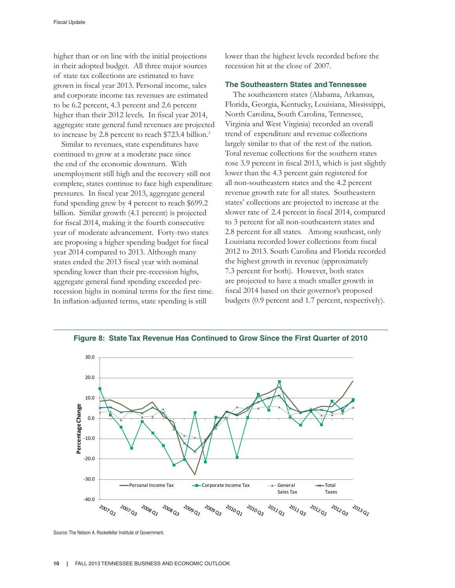higher than or on line with the initial projections in their adopted budget. All three major sources of state tax collections are estimated to have grown in fiscal year 2013. Personal income, sales and corporate income tax revenues are estimated to be 6.2 percent, 4.3 percent and 2.6 percent higher than their 2012 levels. In fiscal year 2014, aggregate state general fund revenues are projected to increase by 2.8 percent to reach \$723.4 billion.<sup>3</sup>

Similar to revenues, state expenditures have continued to grow at a moderate pace since the end of the economic downturn. With unemployment still high and the recovery still not complete, states continue to face high expenditure pressures. In fiscal year 2013, aggregate general fund spending grew by 4 percent to reach \$699.2 billion. Similar growth (4.1 percent) is projected for fiscal 2014, making it the fourth consecutive year of moderate advancement. Forty-two states are proposing a higher spending budget for fiscal year 2014 compared to 2013. Although many states ended the 2013 fiscal year with nominal spending lower than their pre-recession highs, aggregate general fund spending exceeded prerecession highs in nominal terms for the first time. In inflation-adjusted terms, state spending is still

lower than the highest levels recorded before the recession hit at the close of 2007.

### **The Southeastern States and Tennessee**

The southeastern states (Alabama, Arkansas, Florida, Georgia, Kentucky, Louisiana, Mississippi, North Carolina, South Carolina, Tennessee, Virginia and West Virginia) recorded an overall trend of expenditure and revenue collections largely similar to that of the rest of the nation. Total revenue collections for the southern states rose 3.9 percent in fiscal 2013, which is just slightly lower than the 4.3 percent gain registered for all non-southeastern states and the 4.2 percent revenue growth rate for all states. Southeastern states' collections are projected to increase at the slower rate of 2.4 percent in fiscal 2014, compared to 3 percent for all non-southeastern states and 2.8 percent for all states. Among southeast, only Louisiana recorded lower collections from fiscal 2012 to 2013. South Carolina and Florida recorded the highest growth in revenue (approximately 7.3 percent for both). However, both states are projected to have a much smaller growth in fiscal 2014 based on their governor's proposed budgets (0.9 percent and 1.7 percent, respectively).



**Figure 8: State Tax Revenue Has Continued to Grow Since the First Quarter of 2010**

Source: The Nelson A. Rockefeller Institute of Government.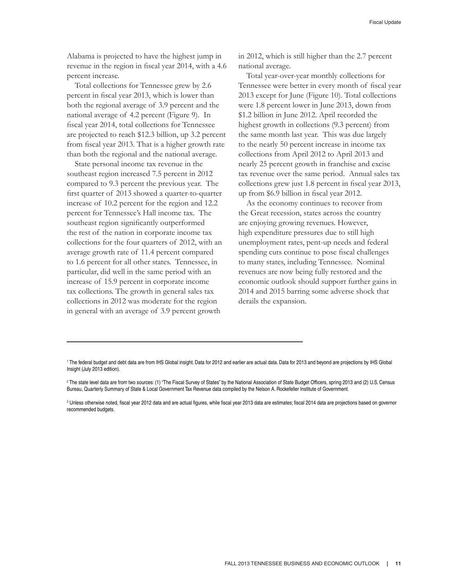Alabama is projected to have the highest jump in revenue in the region in fiscal year 2014, with a 4.6 percent increase.

Total collections for Tennessee grew by 2.6 percent in fiscal year 2013, which is lower than both the regional average of 3.9 percent and the national average of 4.2 percent (Figure 9). In fiscal year 2014, total collections for Tennessee are projected to reach \$12.3 billion, up 3.2 percent from fiscal year 2013. That is a higher growth rate than both the regional and the national average.

State personal income tax revenue in the southeast region increased 7.5 percent in 2012 compared to 9.3 percent the previous year. The first quarter of 2013 showed a quarter-to-quarter increase of 10.2 percent for the region and 12.2 percent for Tennessee's Hall income tax. The southeast region significantly outperformed the rest of the nation in corporate income tax collections for the four quarters of 2012, with an average growth rate of 11.4 percent compared to 1.6 percent for all other states. Tennessee, in particular, did well in the same period with an increase of 15.9 percent in corporate income tax collections. The growth in general sales tax collections in 2012 was moderate for the region in general with an average of 3.9 percent growth

in 2012, which is still higher than the 2.7 percent national average.

Total year-over-year monthly collections for Tennessee were better in every month of fiscal year 2013 except for June (Figure 10). Total collections were 1.8 percent lower in June 2013, down from \$1.2 billion in June 2012. April recorded the highest growth in collections (9.3 percent) from the same month last year. This was due largely to the nearly 50 percent increase in income tax collections from April 2012 to April 2013 and nearly 25 percent growth in franchise and excise tax revenue over the same period. Annual sales tax collections grew just 1.8 percent in fiscal year 2013, up from \$6.9 billion in fiscal year 2012.

As the economy continues to recover from the Great recession, states across the country are enjoying growing revenues. However, high expenditure pressures due to still high unemployment rates, pent-up needs and federal spending cuts continue to pose fiscal challenges to many states, including Tennessee. Nominal revenues are now being fully restored and the economic outlook should support further gains in 2014 and 2015 barring some adverse shock that derails the expansion.

<sup>1</sup> The federal budget and debt data are from IHS Global insight. Data for 2012 and earlier are actual data. Data for 2013 and beyond are projections by IHS Global Insight (July 2013 edition).

<sup>2</sup> The state level data are from two sources: (1) "The Fiscal Survey of States" by the National Association of State Budget Officers, spring 2013 and (2) U.S. Census Bureau, Quarterly Summary of State & Local Government Tax Revenue data compiled by the Nelson A. Rockefeller Institute of Government.

<sup>3</sup> Unless otherwise noted, fiscal year 2012 data and are actual figures, while fiscal year 2013 data are estimates; fiscal 2014 data are projections based on governor recommended budgets.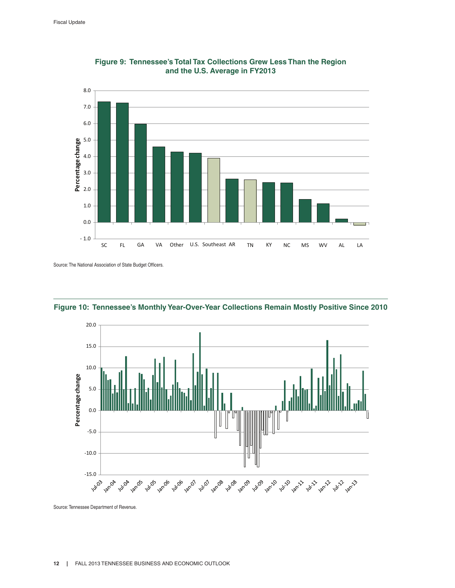



Source: The National Association of State Budget Officers.



**Figure 10: Tennessee's Monthly Year-Over-Year Collections Remain Mostly Positive Since 2010**

Source: Tennessee Department of Revenue.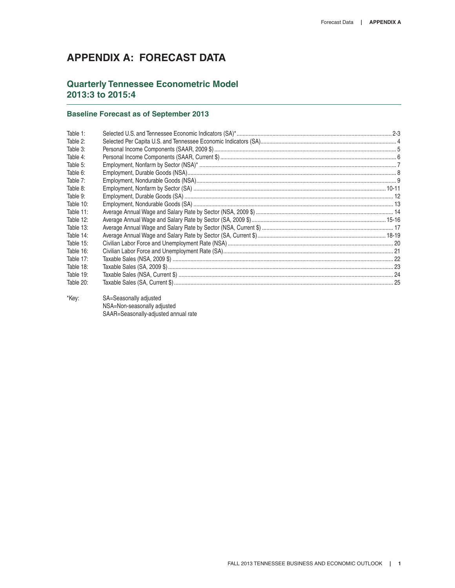# **APPENDIX A: FORECAST DATA**

# **Quarterly Tennessee Econometric Model 2013:3 to 2015:4**

### **Baseline Forecast as of September 2013**

| Table 1:  |  |
|-----------|--|
| Table 2:  |  |
| Table 3:  |  |
| Table 4:  |  |
| Table 5:  |  |
| Table 6:  |  |
| Table 7:  |  |
| Table 8:  |  |
| Table 9:  |  |
| Table 10: |  |
| Table 11: |  |
| Table 12: |  |
| Table 13: |  |
| Table 14: |  |
| Table 15: |  |
| Table 16: |  |
| Table 17: |  |
| Table 18: |  |
| Table 19: |  |
| Table 20: |  |
|           |  |

\*Key: SA=Seasonally adjusted NSA=Non-seasonally adjusted SAAR=Seasonally-adjusted annual rate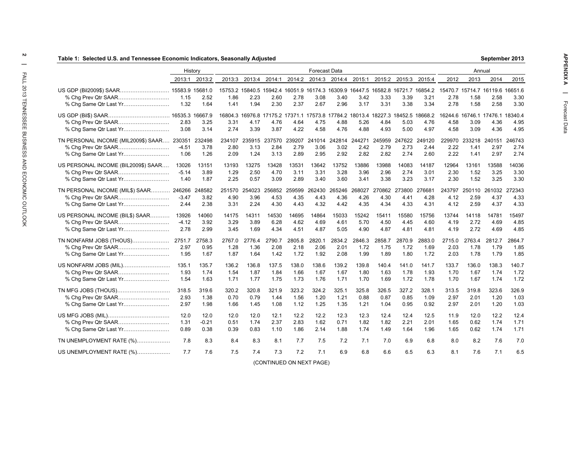|                                                           | History                   |                         |                        |                        |                               |                        | <b>Forecast Data</b>                                                                    |                        |                        |                        |                        |                                                                                                 |                        | Annual                                          |                        |                               |
|-----------------------------------------------------------|---------------------------|-------------------------|------------------------|------------------------|-------------------------------|------------------------|-----------------------------------------------------------------------------------------|------------------------|------------------------|------------------------|------------------------|-------------------------------------------------------------------------------------------------|------------------------|-------------------------------------------------|------------------------|-------------------------------|
|                                                           |                           | 2013:1 2013:2           |                        | 2013:3 2013:4          | 2014:1                        | 2014:2                 |                                                                                         |                        | 2014:3 2014:4 2015:1   |                        | 2015:2 2015:3 2015:4   |                                                                                                 | 2012                   | 2013                                            | 2014                   | 2015                          |
| US GDP (Bil2009\$) SAAR 15583.9 15681.0                   | 1.15<br>1.32              | 2.52<br>1.64            | 1.86<br>1.41           | 2.23<br>1.94           | 2.60<br>2.30                  | 2.78<br>2.37           | 3.08<br>2.67                                                                            | 3.40<br>2.96           | 3.42<br>3.17           | 3.33<br>3.31           | 3.39<br>3.38           | 15753.2 15840.5 15942.4 16051.9 16174.3 16309.9 16447.5 16582.8 16721.7 16854.2<br>3.21<br>3.34 | 2.78<br>2.78           | 15470.7 15714.7 16119.6 16651.6<br>1.58<br>1.58 | 2.58<br>2.58           | 3.30<br>3.30                  |
|                                                           | 2.83<br>3.08              | 3.25<br>3.14            | 3.31<br>2.74           | 4.17<br>3.39           | 4.76<br>3.87                  | 4.64<br>4.22           | 16804.3 16976.8 17175.2 17371.1 17573.8 17784.2 18013.4 18227.3 18452.5<br>4.75<br>4.58 | 4.88<br>4.76           | 5.26<br>4.88           | 4.84<br>4.93           | 5.03<br>5.00           | 18668.2<br>4.76<br>4.97                                                                         | 4.58<br>4.58           | 16244.6 16746.1 17476.1 18340.4<br>3.09<br>3.09 | 4.36<br>4.36           | 4.95<br>4.95                  |
| TN PERSONAL INCOME (MIL2009\$) SAAR 230351                | $-4.51$<br>1.06           | 232498<br>3.78<br>1.26  | 234107<br>2.80<br>2.09 | 3.13<br>1.24           | 235915 237570<br>2.84<br>3.13 | 239207<br>2.79<br>2.89 | 241014<br>3.06<br>2.95                                                                  | 242814<br>3.02<br>2.92 | 244271<br>2.42<br>2.82 | 245959<br>2.79<br>2.82 | 247622<br>2.73<br>2.74 | 249120<br>2.44<br>2.60                                                                          | 229970<br>2.22<br>2.22 | 233218<br>1.41<br>1.41                          | 240151<br>2.97<br>2.97 | 246743<br>2.74<br>2.74        |
| US PERSONAL INCOME (BIL2009\$) SAAR                       | 13026<br>$-5.14$<br>1.40  | 13151<br>3.89<br>1.87   | 13193<br>1.29<br>2.25  | 13275<br>2.50<br>0.57  | 13428<br>4.70<br>3.09         | 13531<br>3.11<br>2.89  | 13642<br>3.31<br>3.40                                                                   | 13752<br>3.28<br>3.60  | 13886<br>3.96<br>3.41  | 13988<br>2.96<br>3.38  | 14083<br>2.74<br>3.23  | 14187<br>3.01<br>3.17                                                                           | 12964<br>2.30<br>2.30  | 13161<br>1.52<br>1.52                           | 13588<br>3.25<br>3.25  | 14036<br>3.30<br>3.30         |
| TN PERSONAL INCOME (MIL\$) SAAR<br>% Chg Same Qtr Last Yr | 246266<br>$-3.47$<br>2.44 | 248582<br>3.82<br>2.38  | 251570<br>4.90<br>3.31 | 254023<br>3.96<br>2.24 | 256852<br>4.53<br>4.30        | 259599<br>4.35<br>4.43 | 262430<br>4.43<br>4.32                                                                  | 265246<br>4.36<br>4.42 | 268027<br>4.26<br>4.35 | 270862<br>4.30<br>4.34 | 273800<br>4.41<br>4.33 | 276681<br>4.28<br>4.31                                                                          | 243797<br>4.12<br>4.12 | 250110<br>2.59<br>2.59                          | 4.37<br>4.37           | 261032 272343<br>4.33<br>4.33 |
| US PERSONAL INCOME (BIL\$) SAAR                           | 13926<br>$-4.12$<br>2.78  | 14060<br>3.92<br>2.99   | 14175<br>3.29<br>3.45  | 14311<br>3.89<br>1.69  | 14530<br>6.28<br>4.34         | 14695<br>4.62<br>4.51  | 14864<br>4.69<br>4.87                                                                   | 15033<br>4.61<br>5.05  | 15242<br>5.70<br>4.90  | 15411<br>4.50<br>4.87  | 15580<br>4.45<br>4.81  | 15756<br>4.60<br>4.81                                                                           | 13744<br>4.19<br>4.19  | 14118<br>2.72<br>2.72                           | 14781<br>4.69<br>4.69  | 15497<br>4.85<br>4.85         |
| TN NONFARM JOBS (THOUS)                                   | 2751.7<br>2.97<br>1.95    | 2758.3<br>0.95<br>1.67  | 2767.0<br>1.28<br>1.87 | 2776.4<br>1.36<br>1.64 | 2790.7<br>2.08<br>1.42        | 2805.8<br>2.18<br>1.72 | 2820.1<br>2.06<br>1.92                                                                  | 2834.2<br>2.01<br>2.08 | 2846.3<br>1.72<br>1.99 | 2858.7<br>1.75<br>1.89 | 2870.9<br>1.72<br>1.80 | 2883.0<br>1.69<br>1.72                                                                          | 2715.0<br>2.03<br>2.03 | 2763.4<br>1.78<br>1.78                          | 2812.7<br>1.79<br>1.79 | 2864.7<br>1.85<br>1.85        |
| US NONFARM JOBS (MIL)                                     | 135.1<br>1.93<br>1.54     | 135.7<br>1.74<br>1.63   | 136.2<br>1.54<br>1.71  | 136.8<br>1.87<br>1.77  | 137.5<br>1.84<br>1.75         | 138.0<br>1.66<br>1.73  | 138.6<br>1.67<br>1.76                                                                   | 139.2<br>1.67<br>1.71  | 139.8<br>1.80<br>1.70  | 140.4<br>1.63<br>1.69  | 141.0<br>1.78<br>1.72  | 141.7<br>1.93<br>1.78                                                                           | 133.7<br>1.70<br>1.70  | 136.0<br>1.67<br>1.67                           | 138.3<br>1.74<br>1.74  | 140.7<br>1.72<br>1.72         |
| TN MFG JOBS (THOUS)<br>% Chg Same Qtr Last Yr             | 318.5<br>2.93<br>2.97     | 319.6<br>1.38<br>1.98   | 320.2<br>0.70<br>1.66  | 320.8<br>0.79<br>1.45  | 321.9<br>1.44<br>1.08         | 323.2<br>1.56<br>1.12  | 324.2<br>1.20<br>1.25                                                                   | 325.1<br>1.21<br>1.35  | 325.8<br>0.88<br>1.21  | 326.5<br>0.87<br>1.04  | 327.2<br>0.85<br>0.95  | 328.1<br>1.09<br>0.92                                                                           | 313.5<br>2.97<br>2.97  | 319.8<br>2.01<br>2.01                           | 323.6<br>1.20<br>1.20  | 326.9<br>1.03<br>1.03         |
|                                                           | 12.0<br>1.31<br>0.89      | 12.0<br>$-0.21$<br>0.38 | 12.0<br>0.51<br>0.39   | 12.0<br>1.74<br>0.83   | 12.1<br>2.37<br>1.10          | 12.2<br>2.83<br>1.86   | 12.2<br>1.62<br>2.14                                                                    | 12.3<br>0.71<br>1.88   | 12.3<br>1.82<br>1.74   | 12.4<br>1.82<br>1.49   | 12.4<br>2.21<br>1.64   | 12.5<br>2.01<br>1.96                                                                            | 11.9<br>1.65<br>1.65   | 12.0<br>0.62<br>0.62                            | 12.2<br>1.74<br>1.74   | 12.4<br>1.71<br>1.71          |
| TN UNEMPLOYMENT RATE (%)                                  | 7.8                       | 8.3                     | 8.4                    | 8.3                    | 8.1                           | 7.7                    | 7.5                                                                                     | 7.2                    | 7.1                    | 7.0                    | 6.9                    | 6.8                                                                                             | 8.0                    | 8.2                                             | 7.6                    | 7.0                           |
| US UNEMPLOYMENT RATE (%)                                  | 7.7                       | 7.6                     | 7.5                    | 7.4                    | 7.3                           | 7.2                    | 7.1<br>(CONTINUED ON NEXT PAGE)                                                         | 6.9                    | 6.8                    | 6.6                    | 6.5                    | 6.3                                                                                             | 8.1                    | 7.6                                             | 7.1                    | 6.5                           |

 $\,$   $\,$ 

**September 2013**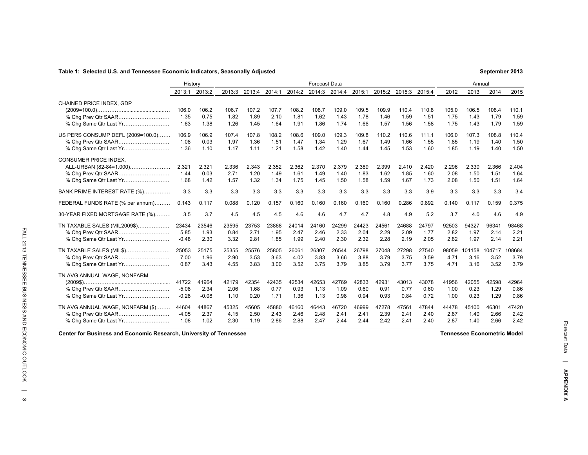### **Table 1: Selected U.S. and Tennessee Economic Indicators, Seasonally Adjusted**

|                                                                                   | History                     |                          |                       |                       |                       |                       | <b>Forecast Data</b>  |                       |                       |                       |                       |                       |                       | Annual                 |                        |                       |
|-----------------------------------------------------------------------------------|-----------------------------|--------------------------|-----------------------|-----------------------|-----------------------|-----------------------|-----------------------|-----------------------|-----------------------|-----------------------|-----------------------|-----------------------|-----------------------|------------------------|------------------------|-----------------------|
|                                                                                   | 2013:1                      | 2013:2                   | 2013:3                | 2013:4                | 2014:1                | 2014:2                | 2014:3                | 2014:4                | 2015:1                | 2015:2                | 2015:3                | 2015:4                | 2012                  | 2013                   | 2014                   | 2015                  |
| CHAINED PRICE INDEX, GDP                                                          | 106.0<br>1.35<br>1.63       | 106.2<br>0.75<br>1.38    | 106.7<br>1.82<br>1.26 | 107.2<br>1.89<br>1.45 | 107.7<br>2.10<br>1.64 | 108.2<br>1.81<br>1.91 | 108.7<br>1.62<br>1.86 | 109.0<br>1.43<br>1.74 | 109.5<br>1.78<br>1.66 | 109.9<br>1.46<br>1.57 | 110.4<br>1.59<br>1.56 | 110.8<br>1.51<br>1.58 | 105.0<br>1.75<br>1.75 | 106.5<br>1.43<br>1.43  | 108.4<br>1.79<br>1.79  | 110.1<br>1.59<br>1.59 |
| US PERS CONSUMP DEFL (2009=100.0)<br>% Chg Prev Qtr SAAR                          | 106.9<br>1.08<br>1.36       | 106.9<br>0.03<br>1.10    | 107.4<br>1.97<br>1.17 | 107.8<br>1.36<br>1.11 | 108.2<br>1.51<br>1.21 | 108.6<br>1.47<br>1.58 | 109.0<br>1.34<br>1.42 | 109.3<br>1.29<br>1.40 | 109.8<br>1.67<br>1.44 | 110.2<br>1.49<br>1.45 | 110.6<br>1.66<br>1.53 | 111.1<br>1.55<br>1.60 | 106.0<br>1.85<br>1.85 | 107.3<br>1.19<br>1.19  | 108.8<br>1.40<br>1.40  | 110.4<br>1.50<br>1.50 |
| <b>CONSUMER PRICE INDEX.</b><br>ALL-URBAN (82-84=1.000)<br>% Chg Same Qtr Last Yr | 2.321<br>1.44<br>1.68       | 2.321<br>$-0.03$<br>1.42 | 2.336<br>2.71<br>1.57 | 2.343<br>1.20<br>1.32 | 2.352<br>1.49<br>1.34 | 2.362<br>1.61<br>1.75 | 2.370<br>1.49<br>1.45 | 2.379<br>1.40<br>1.50 | 2.389<br>1.83<br>1.58 | 2.399<br>1.62<br>1.59 | 2.410<br>1.85<br>1.67 | 2.420<br>1.60<br>1.73 | 2.296<br>2.08<br>2.08 | 2.330<br>1.50<br>1.50  | 2.366<br>1.51<br>1.51  | 2.404<br>1.64<br>1.64 |
| BANK PRIME INTEREST RATE (%)                                                      | 3.3                         | 3.3                      | 3.3                   | 3.3                   | 3.3                   | 3.3                   | 3.3                   | 3.3                   | 3.3                   | 3.3                   | 3.3                   | 3.9                   | 3.3                   | 3.3                    | 3.3                    | 3.4                   |
| FEDERAL FUNDS RATE (% per annum)                                                  | 0.143                       | 0.117                    | 0.088                 | 0.120                 | 0.157                 | 0.160                 | 0.160                 | 0.160                 | 0.160                 | 0.160                 | 0.286                 | 0.892                 | 0.140                 | 0.117                  | 0.159                  | 0.375                 |
| 30-YEAR FIXED MORTGAGE RATE (%)                                                   | 3.5                         | 3.7                      | 4.5                   | 4.5                   | 4.5                   | 4.6                   | 4.6                   | 4.7                   | 4.7                   | 4.8                   | 4.9                   | 5.2                   | 3.7                   | 4.0                    | 4.6                    | 4.9                   |
| TN TAXABLE SALES (MIL2009\$)<br>% Chg Same Qtr Last Yr                            | 23434<br>5.85<br>$-0.48$    | 23546<br>1.93<br>2.30    | 23595<br>0.84<br>3.32 | 23753<br>2.71<br>2.81 | 23868<br>1.95<br>1.85 | 24014<br>2.47<br>1.99 | 24160<br>2.46<br>2.40 | 24299<br>2.33<br>2.30 | 24423<br>2.04<br>2.32 | 24561<br>2.29<br>2.28 | 24688<br>2.09<br>2.19 | 24797<br>1.77<br>2.05 | 92503<br>2.82<br>2.82 | 94327<br>1.97<br>1.97  | 96341<br>2.14<br>2.14  | 98468<br>2.21<br>2.21 |
| TN TAXABLE SALES (MIL\$)                                                          | 25053<br>7.00<br>0.87       | 25175<br>1.96<br>3.43    | 25355<br>2.90<br>4.55 | 25576<br>3.53<br>3.83 | 25805<br>3.63<br>3.00 | 26061<br>4.02<br>3.52 | 26307<br>3.83<br>3.75 | 26544<br>3.66<br>3.79 | 26798<br>3.88<br>3.85 | 27048<br>3.79<br>3.79 | 27298<br>3.75<br>3.77 | 27540<br>3.59<br>3.75 | 98059<br>4.71<br>4.71 | 101158<br>3.16<br>3.16 | 104717<br>3.52<br>3.52 | 08684<br>3.79<br>3.79 |
| TN AVG ANNUAL WAGE, NONFARM<br>% Cha Prev Qtr SAAR<br>% Chg Same Qtr Last Yr      | 41722<br>$-5.08$<br>$-0.28$ | 41964<br>2.34<br>$-0.08$ | 42179<br>2.06<br>1.10 | 42354<br>1.68<br>0.20 | 42435<br>0.77<br>1.71 | 42534<br>0.93<br>1.36 | 42653<br>1.13<br>1.13 | 42769<br>1.09<br>0.98 | 42833<br>0.60<br>0.94 | 42931<br>0.91<br>0.93 | 43013<br>0.77<br>0.84 | 43078<br>0.60<br>0.72 | 41956<br>1.00<br>1.00 | 42055<br>0.23<br>0.23  | 42598<br>1.29<br>1.29  | 42964<br>0.86<br>0.86 |
| TN AVG ANNUAL WAGE, NONFARM (\$)<br>% Chg Same Qtr Last Yr                        | 44604<br>$-4.05$<br>1.08    | 44867<br>2.37<br>1.02    | 45325<br>4.15<br>2.30 | 45605<br>2.50<br>1.19 | 45880<br>2.43<br>2.86 | 46160<br>2.46<br>2.88 | 46443<br>2.48<br>2.47 | 46720<br>2.41<br>2.44 | 46999<br>2.41<br>2.44 | 47278<br>2.39<br>2.42 | 47561<br>2.41<br>2.41 | 47844<br>2.40<br>2.40 | 44478<br>2.87<br>2.87 | 45100<br>1.40<br>1.40  | 46301<br>2.66<br>2.66  | 47420<br>2.42<br>2.42 |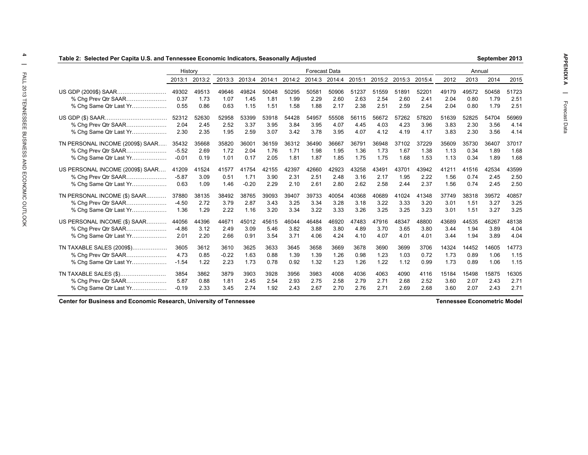| Table 2: Selected Per Capita U.S. and Tennessee Economic Indicators, Seasonally Adjusted |         |        |         |         |        |        |                      |        |        |       |               |        |       |        | September 2013 |       |
|------------------------------------------------------------------------------------------|---------|--------|---------|---------|--------|--------|----------------------|--------|--------|-------|---------------|--------|-------|--------|----------------|-------|
|                                                                                          | History |        |         |         |        |        | <b>Forecast Data</b> |        |        |       |               |        |       | Annual |                |       |
|                                                                                          | 2013:1  | 2013:2 | 2013:3  | 2013:4  | 2014:1 | 2014:2 | 2014:3               | 2014:4 | 2015:1 |       | 2015:2 2015:3 | 2015:4 | 2012  | 2013   | 2014           | 2015  |
| US GDP (2009\$) SAAR                                                                     | 49302   | 49513  | 49646   | 49824   | 50048  | 50295  | 50581                | 50906  | 51237  | 51559 | 51891         | 52201  | 49179 | 49572  | 50458          | 51723 |
| % Chg Prev Qtr SAAR                                                                      | 0.37    | 1.73   | 1.07    | 1.45    | 1.81   | 1.99   | 2.29                 | 2.60   | 2.63   | 2.54  | 2.60          | 2.41   | 2.04  | 0.80   | 1.79           | 2.51  |
| % Chg Same Qtr Last Yr                                                                   | 0.55    | 0.86   | 0.63    | 1.15    | 1.51   | 1.58   | 1.88                 | 2.17   | 2.38   | 2.51  | 2.59          | 2.54   | 2.04  | 0.80   | 1.79           | 2.51  |
|                                                                                          | 52312   | 52630  | 52958   | 53399   | 53918  | 54428  | 54957                | 55508  | 56115  | 56672 | 57262         | 57820  | 51639 | 52825  | 54704          | 56969 |
| % Chg Prev Qtr SAAR                                                                      | 2.04    | 2.45   | 2.52    | 3.37    | 3.95   | 3.84   | 3.95                 | 4.07   | 4.45   | 4.03  | 4.23          | 3.96   | 3.83  | 2.30   | 3.56           | 4.14  |
| % Cha Same Qtr Last Yr                                                                   | 2.30    | 2.35   | 1.95    | 2.59    | 3.07   | 3.42   | 3.78                 | 3.95   | 4.07   | 4.12  | 4.19          | 4.17   | 3.83  | 2.30   | 3.56           | 4.14  |
| TN PERSONAL INCOME (2009\$) SAAR                                                         | 35432   | 35668  | 35820   | 36001   | 36159  | 36312  | 36490                | 36667  | 36791  | 36948 | 37102         | 37229  | 35609 | 35730  | 36407          | 37017 |
| % Chg Prev Qtr SAAR                                                                      | $-5.52$ | 2.69   | 1.72    | 2.04    | 1.76   | 1.71   | 1.98                 | 1.95   | 1.36   | 1.73  | 1.67          | 1.38   | 1.13  | 0.34   | 1.89           | 1.68  |
| % Chg Same Qtr Last Yr                                                                   | $-0.01$ | 0.19   | 1.01    | 0.17    | 2.05   | 1.81   | 1.87                 | 1.85   | 1.75   | 1.75  | 1.68          | 1.53   | 1.13  | 0.34   | 1.89           | 1.68  |
| US PERSONAL INCOME (2009\$) SAAR                                                         | 41209   | 41524  | 41577   | 41754   | 42155  | 42397  | 42660                | 42923  | 43258  | 43491 | 43701         | 43942  | 41211 | 41516  | 42534          | 43599 |
| % Chg Prev Qtr SAAR                                                                      | $-5.87$ | 3.09   | 0.51    | 1.71    | 3.90   | 2.31   | 2.51                 | 2.48   | 3.16   | 2.17  | 1.95          | 2.22   | 1.56  | 0.74   | 2.45           | 2.50  |
| % Chg Same Qtr Last Yr                                                                   | 0.63    | 1.09   | 1.46    | $-0.20$ | 2.29   | 2.10   | 2.61                 | 2.80   | 2.62   | 2.58  | 2.44          | 2.37   | 1.56  | 0.74   | 2.45           | 2.50  |
| TN PERSONAL INCOME (\$) SAAR                                                             | 37880   | 38135  | 38492   | 38765   | 39093  | 39407  | 39733                | 40054  | 40368  | 40689 | 41024         | 41348  | 37749 | 38318  | 39572          | 40857 |
| % Chg Prev Qtr SAAR                                                                      | $-4.50$ | 2.72   | 3.79    | 2.87    | 3.43   | 3.25   | 3.34                 | 3.28   | 3.18   | 3.22  | 3.33          | 3.20   | 3.01  | 1.51   | 3.27           | 3.25  |
| % Chg Same Qtr Last Yr                                                                   | 1.36    | 1.29   | 2.22    | 1.16    | 3.20   | 3.34   | 3.22                 | 3.33   | 3.26   | 3.25  | 3.25          | 3.23   | 3.01  | 1.51   | 3.27           | 3.25  |
| US PERSONAL INCOME (\$) SAAR                                                             | 44056   | 44396  | 44671   | 45012   | 45615  | 46044  | 46484                | 46920  | 47483  | 47916 | 48347         | 48800  | 43689 | 44535  | 46267          | 48138 |
| % Chg Prev Qtr SAAR                                                                      | $-4.86$ | 3.12   | 2.49    | 3.09    | 5.46   | 3.82   | 3.88                 | 3.80   | 4.89   | 3.70  | 3.65          | 3.80   | 3.44  | 1.94   | 3.89           | 4.04  |
| % Chg Same Qtr Last Yr                                                                   | 2.01    | 2.20   | 2.66    | 0.91    | 3.54   | 3.71   | 4.06                 | 4.24   | 4.10   | 4.07  | 4.01          | 4.01   | 3.44  | 1.94   | 3.89           | 4.04  |
| TN TAXABLE SALES (2009\$)                                                                | 3605    | 3612   | 3610    | 3625    | 3633   | 3645   | 3658                 | 3669   | 3678   | 3690  | 3699          | 3706   | 14324 | 14452  | 14605          | 14773 |
| % Chg Prev Qtr SAAR                                                                      | 4.73    | 0.85   | $-0.22$ | 1.63    | 0.88   | 1.39   | 1.39                 | 1.26   | 0.98   | 1.23  | 1.03          | 0.72   | 1.73  | 0.89   | 1.06           | 1.15  |
| % Chg Same Qtr Last Yr                                                                   | $-1.54$ | 1.22   | 2.23    | 1.73    | 0.78   | 0.92   | 1.32                 | 1.23   | 1.26   | 1.22  | 1.12          | 0.99   | 1.73  | 0.89   | 1.06           | 1.15  |
| TN TAXABLE SALES (\$)                                                                    | 3854    | 3862   | 3879    | 3903    | 3928   | 3956   | 3983                 | 4008   | 4036   | 4063  | 4090          | 4116   | 15184 | 15498  | 15875          | 16305 |
| % Cha Prev Qtr SAAR                                                                      | 5.87    | 0.88   | 1.81    | 2.45    | 2.54   | 2.93   | 2.75                 | 2.58   | 2.79   | 2.71  | 2.68          | 2.52   | 3.60  | 2.07   | 2.43           | 2.71  |
| % Chg Same Qtr Last Yr                                                                   | $-0.19$ | 2.33   | 3.45    | 2.74    | 1.92   | 2.43   | 2.67                 | 2.70   | 2.76   | 2.71  | 2.69          | 2.68   | 3.60  | 2.07   | 2.43           | 2.71  |

**Center for Business and Economic Research, University of Tennessee Tennessee Econometric Model**

**September 2013**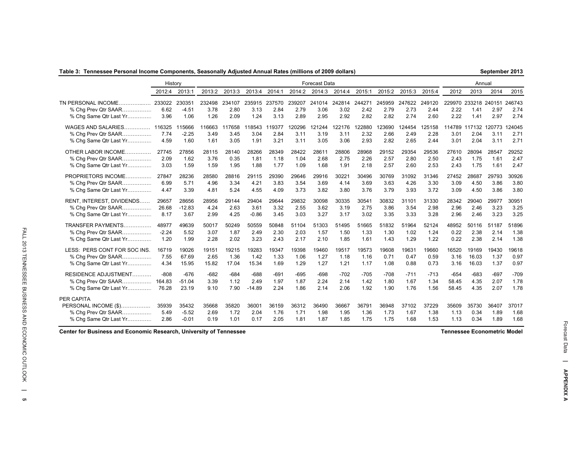|  |  | Table 3:  Tennessee Personal Income Components, Seasonally Adjusted Annual Rates (millions of 2009 dollars) |  |  |  |  |  |  |
|--|--|-------------------------------------------------------------------------------------------------------------|--|--|--|--|--|--|
|--|--|-------------------------------------------------------------------------------------------------------------|--|--|--|--|--|--|

|                                                                                     | History                |                             |                        |                        |                        |                        |                        | <b>Forecast Data</b>   |                        |                        |                        |                        |                        |                        | Annual                        |                       |                        |
|-------------------------------------------------------------------------------------|------------------------|-----------------------------|------------------------|------------------------|------------------------|------------------------|------------------------|------------------------|------------------------|------------------------|------------------------|------------------------|------------------------|------------------------|-------------------------------|-----------------------|------------------------|
|                                                                                     | 2012:4                 | 2013:1                      | 2013:2                 | 2013:3                 | 2013:4                 | 2014:1                 | 2014:2                 | 2014:3                 | 2014:4                 | 2015:1                 | 2015:2                 | 2015:3                 | 2015:4                 | 2012                   | 2013                          | 2014                  | 2015                   |
| TN PERSONAL INCOME.<br>.<br>% Chq Prev Qtr SAAR<br>% Chg Same Qtr Last Yr           | 233022<br>6.62<br>3.96 | 230351<br>$-4.51$<br>1.06   | 232498<br>3.78<br>1.26 | 234107<br>2.80<br>2.09 | 235915<br>3.13<br>1.24 | 237570<br>2.84<br>3.13 | 239207<br>2.79<br>2.89 | 241014<br>3.06<br>2.95 | 242814<br>3.02<br>2.92 | 244271<br>2.42<br>2.82 | 245959<br>2.79<br>2.82 | 247622<br>2.73<br>2.74 | 249120<br>2.44<br>2.60 | 229970<br>2.22<br>2.22 | 233218 240151<br>1.41<br>1.41 | 2.97<br>2.97          | 246743<br>2.74<br>2.74 |
| WAGES AND SALARIES                                                                  | 116325                 | 15666                       | 116663                 | 117658                 | 118543                 | 119377                 | 120296                 | 121244                 | 122176                 | 22880                  | 23690                  | 24454                  | 125158                 | 114789                 | 117132                        | 120773                | 124045                 |
| % Chg Prev Qtr SAAR                                                                 | 7.74                   | $-2.25$                     | 3.49                   | 3.45                   | 3.04                   | 2.84                   | 3.11                   | 3.19                   | 3.11                   | 2.32                   | 2.66                   | 2.49                   | 2.28                   | 3.01                   | 2.04                          | 3.11                  | 2.71                   |
| % Chq Same Qtr Last Yr                                                              | 4.59                   | 1.60                        | 1.61                   | 3.05                   | 1.91                   | 3.21                   | 3.11                   | 3.05                   | 3.06                   | 2.93                   | 2.82                   | 2.65                   | 2.44                   | 3.01                   | 2.04                          | 3.11                  | 2.71                   |
| OTHER LABOR INCOME                                                                  | 27745                  | 27856                       | 28115                  | 28140                  | 28266                  | 28349                  | 28422                  | 28611                  | 28806                  | 28968                  | 29152                  | 29354                  | 29536                  | 27610                  | 28094                         | 28547                 | 29252                  |
| % Chg Prev Qtr SAAR                                                                 | 2.09                   | 1.62                        | 3.76                   | 0.35                   | 1.81                   | 1.18                   | 1.04                   | 2.68                   | 2.75                   | 2.26                   | 2.57                   | 2.80                   | 2.50                   | 2.43                   | 1.75                          | 1.61                  | 2.47                   |
| % Chg Same Qtr Last Yr                                                              | 3.03                   | 1.59                        | 1.59                   | 1.95                   | 1.88                   | 1.77                   | 1.09                   | 1.68                   | 1.91                   | 2.18                   | 2.57                   | 2.60                   | 2.53                   | 2.43                   | 1.75                          | 1.61                  | 2.47                   |
| PROPRIETORS INCOME                                                                  | 27847                  | 28236                       | 28580                  | 28816                  | 29115                  | 29390                  | 29646                  | 29916                  | 30221                  | 30496                  | 30769                  | 31092                  | 31346                  | 27452                  | 28687                         | 29793                 | 30926                  |
| % Cha Prev Qtr SAAR                                                                 | 6.99                   | 5.71                        | 4.96                   | 3.34                   | 4.21                   | 3.83                   | 3.54                   | 3.69                   | 4.14                   | 3.69                   | 3.63                   | 4.26                   | 3.30                   | 3.09                   | 4.50                          | 3.86                  | 3.80                   |
| % Chg Same Qtr Last Yr                                                              | 4.47                   | 3.39                        | 4.81                   | 5.24                   | 4.55                   | 4.09                   | 3.73                   | 3.82                   | 3.80                   | 3.76                   | 3.79                   | 3.93                   | 3.72                   | 3.09                   | 4.50                          | 3.86                  | 3.80                   |
| RENT, INTEREST, DIVIDENDS                                                           | 29657                  | 28656                       | 28956                  | 29144                  | 29404                  | 29644                  | 29832                  | 30098                  | 30335                  | 30541                  | 30832                  | 31101                  | 31330                  | 28342                  | 29040                         | 29977                 | 30951                  |
| % Cha Prev Qtr SAAR                                                                 | 26.68                  | $-12.83$                    | 4.24                   | 2.63                   | 3.61                   | 3.32                   | 2.55                   | 3.62                   | 3.19                   | 2.75                   | 3.86                   | 3.54                   | 2.98                   | 2.96                   | 2.46                          | 3.23                  | 3.25                   |
| % Chq Same Qtr Last Yr                                                              | 8.17                   | 3.67                        | 2.99                   | 4.25                   | $-0.86$                | 3.45                   | 3.03                   | 3.27                   | 3.17                   | 3.02                   | 3.35                   | 3.33                   | 3.28                   | 2.96                   | 2.46                          | 3.23                  | 3.25                   |
| TRANSFER PAYMENTS                                                                   | 48977                  | 49639                       | 50017                  | 50249                  | 50559                  | 50848                  | 51104                  | 51303                  | 51495                  | 51665                  | 51832                  | 51964                  | 52124                  | 48952                  | 50116                         | 51187                 | 51896                  |
| % Chg Prev Qtr SAAR                                                                 | $-2.24$                | 5.52                        | 3.07                   | 1.87                   | 2.49                   | 2.30                   | 2.03                   | 1.57                   | 1.50                   | 1.33                   | 1.30                   | 1.02                   | 1.24                   | 0.22                   | 2.38                          | 2.14                  | 1.38                   |
| % Chq Same Qtr Last Yr                                                              | 1.20                   | 1.99                        | 2.28                   | 2.02                   | 3.23                   | 2.43                   | 2.17                   | 2.10                   | 1.85                   | 1.61                   | 1.43                   | 1.29                   | 1.22                   | 0.22                   | 2.38                          | 2.14                  | 1.38                   |
| LESS: PERS CONT FOR SOC INS.                                                        | 16719                  | 19026                       | 19151                  | 19215                  | 19283                  | 19347                  | 19398                  | 19460                  | 19517                  | 19573                  | 19608                  | 19631                  | 19660                  | 16520                  | 19169                         | 19430                 | 19618                  |
| % Chg Prev Qtr SAAR                                                                 | 7.55                   | 67.69                       | 2.65                   | 1.36                   | 1.42                   | 1.33                   | 1.06                   | 1.27                   | 1.18                   | 1.16                   | 0.71                   | 0.47                   | 0.59                   | 3.16                   | 16.03                         | 1.37                  | 0.97                   |
| % Chq Same Qtr Last Yr                                                              | 4.34                   | 15.95                       | 15.82                  | 17.04                  | 15.34                  | 1.69                   | 1.29                   | 1.27                   | 1.21                   | 1.17                   | 1.08                   | 0.88                   | 0.73                   | 3.16                   | 16.03                         | 1.37                  | 0.97                   |
| RESIDENCE ADJUSTMENT                                                                | $-808$                 | $-676$                      | $-682$                 | $-684$                 | $-688$                 | $-691$                 | $-695$                 | $-698$                 | $-702$                 | $-705$                 | $-708$                 | $-711$                 | $-713$                 | $-654$                 | $-683$                        | $-697$                | $-709$                 |
| % Chq Prev Qtr SAAR                                                                 | 164.83                 | $-51.04$                    | 3.39                   | 1.12                   | 2.49                   | 1.97                   | 1.87                   | 2.24                   | 2.14                   | 1.42                   | 1.80                   | 1.67                   | 1.34                   | 58.45                  | 4.35                          | 2.07                  | 1.78                   |
| % Chg Same Qtr Last Yr                                                              | 76.28                  | 23.19                       | 9.10                   | 7.90                   | $-14.89$               | 2.24                   | 1.86                   | 2.14                   | 2.06                   | 1.92                   | 1.90                   | 1.76                   | 1.56                   | 58.45                  | 4.35                          | 2.07                  | 1.78                   |
| PER CAPITA<br>PERSONAL INCOME (\$)<br>% Cha Prev Qtr SAAR<br>% Chg Same Qtr Last Yr | 35939<br>5.49<br>2.86  | 35432<br>$-5.52$<br>$-0.01$ | 35668<br>2.69<br>0.19  | 35820<br>1.72<br>1.01  | 36001<br>2.04<br>0.17  | 36159<br>1.76<br>2.05  | 36312<br>1.71<br>1.81  | 36490<br>1.98<br>1.87  | 36667<br>1.95<br>1.85  | 36791<br>1.36<br>1.75  | 36948<br>1.73<br>1.75  | 37102<br>1.67<br>1.68  | 37229<br>1.38<br>1.53  | 35609<br>1.13<br>1.13  | 35730<br>0.34<br>0.34         | 36407<br>1.89<br>1.89 | 37017<br>1.68<br>1.68  |

**Center for Business and Economic Research, University of Tennessee Tennessee Econometric Model**

**September 2013**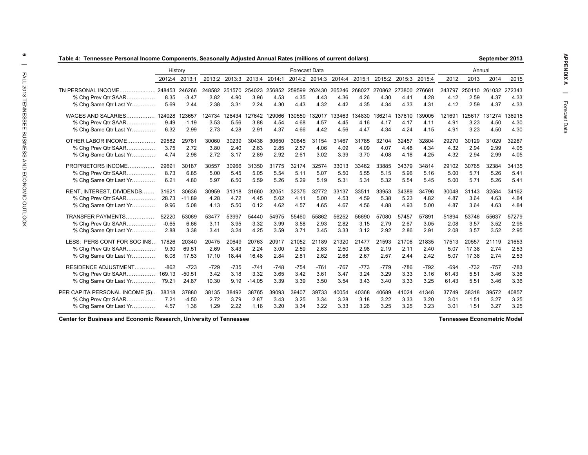|                                 | History |               |        |               |          |        | <b>Forecast Data</b> |                      |               |        |               |        |        |        | Annual |               |        |
|---------------------------------|---------|---------------|--------|---------------|----------|--------|----------------------|----------------------|---------------|--------|---------------|--------|--------|--------|--------|---------------|--------|
|                                 | 2012:4  | 2013:1        | 2013:2 | 2013:3        | 2013:4   | 2014:1 |                      | 2014:2 2014:3        | 2014:4        | 2015:1 | 2015:2        | 2015:3 | 2015:4 | 2012   | 2013   | 2014          | 2015   |
| TN PERSONAL INCOME.             |         | 248453 246266 |        | 248582 251570 | 254023   |        |                      | 256852 259599 262430 | 265246 268027 |        | 270862 273800 |        | 276681 | 243797 |        | 250110 261032 | 272343 |
| % Cha Prev Qtr SAAR             | 8.35    | $-3.47$       | 3.82   | 4.90          | 3.96     | 4.53   | 4.35                 | 4.43                 | 4.36          | 4.26   | 4.30          | 4.41   | 4.28   | 4.12   | 2.59   | 4.37          | 4.33   |
| % Chg Same Qtr Last Yr          | 5.69    | 2.44          | 2.38   | 3.31          | 2.24     | 4.30   | 4.43                 | 4.32                 | 4.42          | 4.35   | 4.34          | 4.33   | 4.31   | 4.12   | 2.59   | 4.37          | 4.33   |
| WAGES AND SALARIES              | 124028  | 123657        | 124734 | 126434        | 127642   | 129066 | 130550               | 32017                | 133463        | 34830  | 36214         | 137610 | 139005 | 121691 | 125617 | 31274         | 136915 |
| % Cha Prev Qtr SAAR             | 9.49    | $-1.19$       | 3.53   | 5.56          | 3.88     | 4.54   | 4.68                 | 4.57                 | 4.45          | 4.16   | 4.17          | 4.17   | 4.11   | 4.91   | 3.23   | 4.50          | 4.30   |
| % Chg Same Qtr Last Yr          | 6.32    | 2.99          | 2.73   | 4.28          | 2.91     | 4.37   | 4.66                 | 4.42                 | 4.56          | 4.47   | 4.34          | 4.24   | 4.15   | 4.91   | 3.23   | 4.50          | 4.30   |
| OTHER LABOR INCOME              | 29582   | 29781         | 30060  | 30239         | 30436    | 30650  | 30845                | 31154                | 31467         | 31785  | 32104         | 32457  | 32804  | 29270  | 30129  | 31029         | 32287  |
| % Chg Prev Qtr SAAR             | 3.75    | 2.72          | 3.80   | 2.40          | 2.63     | 2.85   | 2.57                 | 4.06                 | 4.09          | 4.09   | 4.07          | 4.48   | 4.34   | 4.32   | 2.94   | 2.99          | 4.05   |
| % Chg Same Qtr Last Yr          | 4.74    | 2.98          | 2.72   | 3.17          | 2.89     | 2.92   | 2.61                 | 3.02                 | 3.39          | 3.70   | 4.08          | 4.18   | 4.25   | 4.32   | 2.94   | 2.99          | 4.05   |
| PROPRIETORS INCOME              | 29691   | 30187         | 30557  | 30966         | 31350    | 31775  | 32174                | 32574                | 33013         | 33462  | 33885         | 34379  | 34814  | 29102  | 30765  | 32384         | 34135  |
| % Cha Prev Qtr SAAR             | 8.73    | 6.85          | 5.00   | 5.45          | 5.05     | 5.54   | 5.11                 | 5.07                 | 5.50          | 5.55   | 5.15          | 5.96   | 5.16   | 5.00   | 5.71   | 5.26          | 5.41   |
| % Chg Same Qtr Last Yr          | 6.21    | 4.80          | 5.97   | 6.50          | 5.59     | 5.26   | 5.29                 | 5.19                 | 5.31          | 5.31   | 5.32          | 5.54   | 5.45   | 5.00   | 5.71   | 5.26          | 5.41   |
| RENT, INTEREST, DIVIDENDS       | 31621   | 30636         | 30959  | 31318         | 31660    | 32051  | 32375                | 32772                | 33137         | 33511  | 33953         | 34389  | 34796  | 30048  | 31143  | 32584         | 34162  |
| % Cha Prev Qtr SAAR             | 28.73   | $-11.89$      | 4.28   | 4.72          | 4.45     | 5.02   | 4.11                 | 5.00                 | 4.53          | 4.59   | 5.38          | 5.23   | 4.82   | 4.87   | 3.64   | 4.63          | 4.84   |
| % Cha Same Qtr Last Yr          | 9.96    | 5.08          | 4.13   | 5.50          | 0.12     | 4.62   | 4.57                 | 4.65                 | 4.67          | 4.56   | 4.88          | 4.93   | 5.00   | 4.87   | 3.64   | 4.63          | 4.84   |
| TRANSFER PAYMENTS               | 52220   | 53069         | 53477  | 53997         | 54440    | 54975  | 55460                | 55862                | 56252         | 56690  | 57080         | 57457  | 57891  | 51894  | 53746  | 55637         | 57279  |
| % Cha Prev Qtr SAAR             | $-0.65$ | 6.66          | 3.11   | 3.95          | 3.32     | 3.99   | 3.58                 | 2.93                 | 2.82          | 3.15   | 2.79          | 2.67   | 3.05   | 2.08   | 3.57   | 3.52          | 2.95   |
| % Chg Same Qtr Last Yr          | 2.88    | 3.38          | 3.41   | 3.24          | 4.25     | 3.59   | 3.71                 | 3.45                 | 3.33          | 3.12   | 2.92          | 2.86   | 2.91   | 2.08   | 3.57   | 3.52          | 2.95   |
| LESS: PERS CONT FOR SOC INS     | 17826   | 20340         | 20475  | 20649         | 20763    | 20917  | 21052                | 21189                | 21320         | 21477  | 21593         | 21706  | 21835  | 17513  | 20557  | 21119         | 21653  |
| % Cha Prev Qtr SAAR             | 9.30    | 69.51         | 2.69   | 3.43          | 2.24     | 3.00   | 2.59                 | 2.63                 | 2.50          | 2.98   | 2.19          | 2.11   | 2.40   | 5.07   | 17.38  | 2.74          | 2.53   |
| % Chg Same Qtr Last Yr          | 6.08    | 17.53         | 17.10  | 18.44         | 16.48    | 2.84   | 2.81                 | 2.62                 | 2.68          | 2.67   | 2.57          | 2.44   | 2.42   | 5.07   | 17.38  | 2.74          | 2.53   |
| <b>RESIDENCE ADJUSTMENT</b>     | $-862$  | $-723$        | -729   | $-735$        | $-741$   | $-748$ | $-754$               | $-761$               | $-767$        | -773   | $-779$        | -786   | $-792$ | $-694$ | $-732$ | $-757$        | $-783$ |
| % Chg Prev Qtr SAAR 169.13      |         | $-50.51$      | 3.42   | 3.18          | 3.32     | 3.65   | 3.42                 | 3.61                 | 3.47          | 3.24   | 3.29          | 3.33   | 3.16   | 61.43  | 5.51   | 3.46          | 3.36   |
| % Chg Same Qtr Last Yr          | 79.21   | 24.87         | 10.30  | 9.19          | $-14.05$ | 3.39   | 3.39                 | 3.50                 | 3.54          | 3.43   | 3.40          | 3.33   | 3.25   | 61.43  | 5.51   | 3.46          | 3.36   |
| PER CAPITA PERSONAL INCOME (\$) | 38318   | 37880         | 38135  | 38492         | 38765    | 39093  | 39407                | 39733                | 40054         | 40368  | 40689         | 41024  | 41348  | 37749  | 38318  | 39572         | 40857  |
| % Cha Prev Qtr SAAR             | 7.21    | $-4.50$       | 2.72   | 3.79          | 2.87     | 3.43   | 3.25                 | 3.34                 | 3.28          | 3.18   | 3.22          | 3.33   | 3.20   | 3.01   | 1.51   | 3.27          | 3.25   |
| % Chg Same Qtr Last Yr          | 4.57    | 1.36          | 1.29   | 2.22          | 1.16     | 3.20   | 3.34                 | 3.22                 | 3.33          | 3.26   | 3.25          | 3.25   | 3.23   | 3.01   | 1.51   | 3.27          | 3.25   |

**Center for Business and Economic Research, University of Tennessee Tennessee Econometric Model**

ത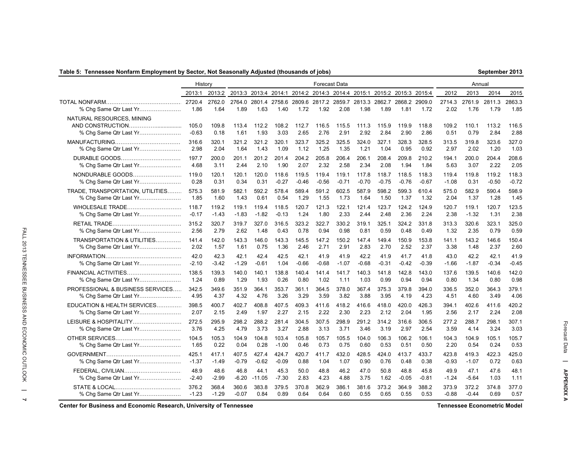### **Table 5: Tennessee Nonfarm Employment by Sector, Not Seasonally Adjusted (thousands of jobs)**

| 2013:1 2013:2 2013:3 2013:4 2014:1 2014:2 2014:3 2014:4 2015:1 2015:2 2015:3 2015:4   |       |      |        |      |                                                       |  |      |                                                             | 2012                 | 2013                | 2014      |
|---------------------------------------------------------------------------------------|-------|------|--------|------|-------------------------------------------------------|--|------|-------------------------------------------------------------|----------------------|---------------------|-----------|
| . 2720.4 2762.0 2764.0 2801.4 2758.6 2809.6 2817.2 2859.7 2813.3 2862.7 2868.2 2909.0 |       |      |        |      |                                                       |  |      |                                                             | 2714.3 2761.9 2811.3 |                     |           |
| . 1.86                                                                                | 1.64  | 1.89 | - 1.63 |      |                                                       |  |      |                                                             | 2.02                 |                     | 1.76 1.79 |
|                                                                                       |       |      |        |      |                                                       |  |      |                                                             |                      |                     |           |
| 105.0                                                                                 | 109.8 |      |        |      |                                                       |  |      | 113.4 112.2 108.2 112.7 116.5 115.5 111.3 115.9 119.9 118.8 |                      | 109.2  110.1  113.2 |           |
| -0.63                                                                                 | 0.18  | 1.61 | 1.93   |      | 3.03  2.65  2.76  2.91  2.92  2.84  2.90              |  |      | 2.86                                                        | 0.51                 | 0.79                | 2.84      |
| 316.6                                                                                 | 320.1 |      |        |      | 321.2 321.2 320.1 323.7 325.2 325.5 324.0 327.1 328.3 |  |      | 328.5                                                       | 313.5                | 319.8               | 323.6     |
| . 2.98                                                                                | 2 Q 4 | 164  | 1.43   | 1.09 | 1.12 1.25 1.35 1.21                                   |  | 1.04 | 0.95 0.92                                                   | 297                  | 2.02                | 1.20      |
|                                                                                       |       |      |        |      |                                                       |  |      |                                                             |                      |                     |           |

History **Forecast Data Forecast Data** Annual Annual Annual Annual Annual Annual Annual Annual Annual Annual Annual Annual Annual Annual Annual Annual Annual Annual Annual Annual Annual Annual Annual Annual Annual Annual

| % Chg Same Qtr Last Yr           | 2720.4<br>1.86   | 2762.0<br>1.64 | 2764.0<br>1.89 | 2801.4<br>1.63 | 1.40          | 1.72          | 1.92          | 2758.6 2809.6 2817.2 2859.7<br>2.08 | 1.98          | 1.89          | 2813.3 2862.7 2868.2 2909.0<br>1.81 | 1.72          | 2714.3<br>2.02 | 2761.9<br>1.76 | 2811.3<br>1.79 | 2863.3<br>1.85 |
|----------------------------------|------------------|----------------|----------------|----------------|---------------|---------------|---------------|-------------------------------------|---------------|---------------|-------------------------------------|---------------|----------------|----------------|----------------|----------------|
| NATURAL RESOURCES, MINING        | 105.0<br>$-0.63$ | 109.8<br>0.18  | 113.4<br>1.61  | 112.2<br>1.93  | 108.2<br>3.03 | 112.7<br>2.65 | 116.5<br>2.76 | 115.5<br>2.91                       | 111.3<br>2.92 | 115.9<br>2.84 | 119.9<br>2.90                       | 118.8<br>2.86 | 109.2<br>0.51  | 110.1<br>0.79  | 113.2<br>2.84  | 116.5<br>2.88  |
|                                  | 316.6            | 320.1          | 321.2          | 321.2          | 320.1         | 323.7         | 325.2         | 325.5                               | 324.0         | 327.1         | 328.3                               | 328.5         | 313.5          | 319.8          | 323.6          | 327.0          |
|                                  | 2.98             | 2.04           | 1.64           | 1.43           | 1.09          | 1.12          | 1.25          | 1.35                                | 1.21          | 1.04          | 0.95                                | 0.92          | 2.97           | 2.02           | 1.20           | 1.03           |
| DURABLE GOODS                    | 197.7            | 200.0          | 201.1          | 201.2          | 201.4         | 204.2         | 205.8         | 206.4                               | 206.1         | 208.4         | 209.8                               | 210.2         | 194.1          | 200.0          | 204.4          | 208.6          |
| % Chg Same Qtr Last Yr           | 4.68             | 3.11           | 2.44           | 2.10           | 1.90          | 2.07          | 2.32          | 2.58                                | 2.34          | 2.08          | 1.94                                | 1.84          | 5.63           | 3.07           | 2.22           | 2.05           |
| NONDURABLE GOODS                 | 119.0            | 120.1          | 120.1          | 120.0          | 118.6         | 119.5         | 119.4         | 119.1                               | 117.8         | 118.7         | 118.5                               | 118.3         | 119.4          | 119.8          | 119.2          | 118.3          |
|                                  | 0.28             | 0.31           | 0.34           | 0.31           | $-0.27$       | -0.46         | $-0.56$       | $-0.71$                             | $-0.70$       | $-0.75$       | $-0.76$                             | $-0.67$       | $-1.08$        | 0.31           | $-0.50$        | $-0.72$        |
| TRADE, TRANSPORTATION, UTILITIES | 575.3            | 581.9          | 582.1          | 592.2          | 578.4         | 589.4         | 591.2         | 602.5                               | 587.9         | 598.2         | 599.3                               | 610.4         | 575.0          | 582.9          | 590.4          | 598.9          |
| % Chg Same Qtr Last Yr           | 1.85             | 1.60           | 1.43           | 0.61           | 0.54          | 1.29          | 1.55          | 1.73                                | 1.64          | 1.50          | 1.37                                | 1.32          | 2.04           | 1.37           | 1.28           | 1.45           |
| WHOLESALE TRADE                  | 118.7            | 119.2          | 119.1          | 119.4          | 118.5         | 120.7         | 121.3         | 122.1                               | 121.4         | 123.7         | 124.2                               | 124.9         | 120.7          | 119.1          | 120.7          | 123.5          |
| % Chg Same Qtr Last Yr           | $-0.17$          | $-1.43$        | $-1.83$        | $-1.82$        | $-0.13$       | 1.24          | 1.80          | 2.33                                | 2.44          | 2.48          | 2.36                                | 2.24          | 2.38           | $-1.32$        | 1.31           | 2.38           |
|                                  | 315.2            | 320.7          | 319.7          | 327.0          | 316.5         | 323.2         | 322.7         | 330.2                               | 319.1         | 325.1         | 324.2                               | 331.8         | 313.3          | 320.6          | 323.1          | 325.0          |
| % Chq Same Qtr Last Yr           | 2.56             | 2.79           | 2.62           | 1.48           | 0.43          | 0.78          | 0.94          | 0.98                                | 0.81          | 0.59          | 0.48                                | 0.49          | 1.32           | 2.35           | 0.79           | 0.59           |
| TRANSPORTATION & UTILITIES       | 141.4            | 142.0          | 143.3          | 146.0          | 143.3         | 145.5         | 147.2         | 150.2                               | 147.4         | 149.4         | 150.9                               | 153.8         | 141.1          | 143.2          | 146.6          | 150.4          |
|                                  | 2.02             | 1.57           | 1.61           | 0.75           | 1.36          | 2.46          | 2.71          | 2.91                                | 2.83          | 2.70          | 2.52                                | 2.37          | 3.38           | 1.48           | 2.37           | 2.60           |
|                                  | 42.0             | 42.3           | 42.1           | 42.4           | 42.5          | 42.1          | 41.9          | 41.9                                | 42.2          | 41.9          | 41.7                                | 41.8          | 43.0           | 42.2           | 42.1           | 41.9           |
| % Chg Same Qtr Last Yr           | $-2.10$          | -3.42          | $-1.29$        | $-0.61$        | 1.04          | $-0.66$       | $-0.68$       | $-1.07$                             | -0.68         | $-0.31$       | $-0.42$                             | $-0.39$       | $-1.66$        | $-1.87$        | $-0.34$        | $-0.45$        |
| FINANCIAL ACTIVITIES             | 138.5            | 139.3          | 140.0          | 140.1          | 138.8         | 140.4         | 141.4         | 141.7                               | 140.3         | 141.8         | 142.8                               | 143.0         | 137.6          | 139.5          | 140.6          | 142.0          |
|                                  | 1.24             | 0.89           | 1.29           | 1.93           | 0.26          | 0.80          | 1.02          | 1.11                                | 1.03          | 0.99          | 0.94                                | 0.94          | 0.80           | 1.34           | 0.80           | 0.98           |
| PROFESSIONAL & BUSINESS SERVICES | 342.5            | 349.6          | 351.9          | 364.1          | 353.7         | 361.1         | 364.5         | 378.0                               | 367.4         | 375.3         | 379.8                               | 394.0         | 336.5          | 352.0          | 364.3          | 379.1          |
|                                  | 4.95             | 4.37           | 4.32           | 4.76           | 3.26          | 3.29          | 3.59          | 3.82                                | 3.88          | 3.95          | 4.19                                | 4.23          | 4.51           | 4.60           | 3.49           | 4.06           |
| EDUCATION & HEALTH SERVICES      | 398.5            | 400.7          | 402.7          | 408.8          | 407.5         | 409.3         | 411.6         | 418.2                               | 416.6         | 418.0         | 420.0                               | 426.3         | 394.1          | 402.6          | 411.6          | 420.2          |
| % Chg Same Qtr Last Yr           | 2.07             | 2.15           | 2.49           | 1.97           | 2.27          | 2.15          | 2.22          | 2.30                                | 2.23          | 2.12          | 2.04                                | 1.95          | 2.56           | 2.17           | 2.24           | 2.08           |
| LEISURE & HOSPITALITY            | 272.5            | 295.9          | 298.2          | 288.2          | 281.4         | 304.5         | 307.5         | 298.9                               | 291.2         | 314.2         | 316.6                               | 306.5         | 277.2          | 288.7          | 298.1          | 307.1          |
| % Chg Same Qtr Last Yr           | 3.76             | 4.25           | 4.79           | 3.73           | 3.27          | 2.88          | 3.13          | 3.71                                | 3.46          | 3.19          | 2.97                                | 2.54          | 3.59           | 4.14           | 3.24           | 3.03           |
|                                  | 104.5            | 105.3          | 104.9          | 104.8          | 103.4         | 105.8         | 105.7         | 105.5                               | 104.0         | 106.3         | 106.2                               | 106.1         | 104.3          | 104.9          | 105.1          | 105.7          |
|                                  | 1.65             | 0.22           | 0.04           | 0.28           | $-1.00$       | 0.46          | 0.73          | 0.75                                | 0.60          | 0.53          | 0.51                                | 0.50          | 2.20           | 0.54           | 0.24           | 0.53           |
|                                  | 425.1            | 417.1          | 407.5          | 427.4          | 424.7         | 420.7         | 411.7         | 432.0                               | 428.5         | 424.0         | 413.7                               | 433.7         | 423.8          | 419.3          | 422.3          | 425.0          |
|                                  | $-1.37$          | $-1.49$        | $-0.79$        | $-0.62$        | $-0.09$       | 0.88          | 1.04          | 1.07                                | 0.90          | 0.76          | 0.48                                | 0.38          | $-0.93$        | $-1.07$        | 0.72           | 0.63           |
| FEDERAL, CIVILIAN                | 48.9             | 48.6           | 46.8           | 44.1           | 45.3          | 50.0          | 48.8          | 46.2                                | 47.0          | 50.8          | 48.8                                | 45.8          | 49.9           | 47.1           | 47.6           | 48.1           |
|                                  | $-2.40$          | $-2.99$        | $-6.20$        | $-11.05$       | $-7.30$       | 2.83          | 4.23          | 4.88                                | 3.75          | 1.62          | $-0.05$                             | $-0.81$       | $-1.24$        | $-5.64$        | 1.03           | 1.11           |
|                                  | 376.2            | 368.4          | 360.6          | 383.8          | 379.5         | 370.8         | 362.9         | 386.1                               | 381.6         | 373.2         | 364.9                               | 388.2         | 373.9          | 372.2          | 374.8          | 377.0          |
|                                  | $-1.23$          | $-1.29$        | $-0.07$        | 0.84           | 0.89          | 0.64          | 0.64          | 0.60                                | 0.55          | 0.65          | 0.55                                | 0.53          | $-0.88$        | $-0.44$        | 0.69           | 0.57           |

**Center for Business and Economic Research, University of Tennessee Tennessee Econometric Model**

FALL 2013 TENNESSEE BUSINESS AND ECONOMIC OUTLOOK

 $\equiv$  $\blacktriangleleft$ 

FALL 2013 TENNESSEE BUSINESS AND ECONOMIC OUTLOOK **| 7 6 |** FALL 2013 TENNESSEE BUSINESS AND ECONOMIC OUTLOOK

2015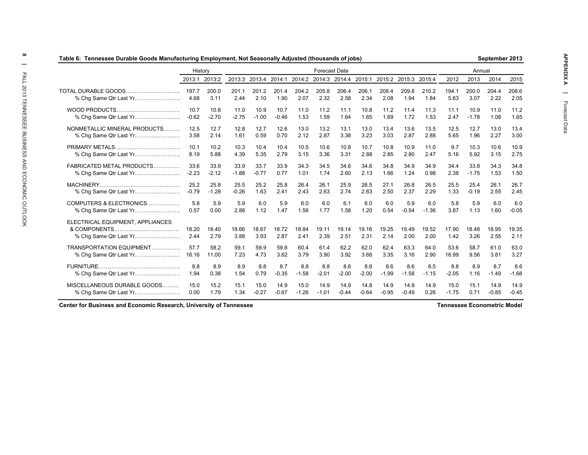| Table 6:  Tennessee Durable Goods Manufacturing Employment, Not Seasonally Adjusted (thousands of jobs) |                 |               |                                                  |               |               |               |                      |               |               |               |                      |               |               |               | September 2013 |               |
|---------------------------------------------------------------------------------------------------------|-----------------|---------------|--------------------------------------------------|---------------|---------------|---------------|----------------------|---------------|---------------|---------------|----------------------|---------------|---------------|---------------|----------------|---------------|
|                                                                                                         | History         |               |                                                  |               |               |               | <b>Forecast Data</b> |               |               |               |                      |               |               | Annual        |                |               |
|                                                                                                         |                 | 2013:1 2013:2 | 2013:3 2013:4 2014:1 2014:2 2014:3 2014:4 2015:1 |               |               |               |                      |               |               |               | 2015:2 2015:3 2015:4 |               | 2012          | 2013          | 2014           | 2015          |
| TOTAL DURABLE GOODS                                                                                     | 197.7<br>4.68   | 200.0<br>3.11 | 201.1<br>2.44                                    | 201.2<br>2.10 | 201.4<br>1.90 | 204.2<br>2.07 | 205.8<br>2.32        | 206.4<br>2.58 | 206.1<br>2.34 | 208.4<br>2.08 | 209.8<br>1.94        | 210.2<br>1.84 | 194.1<br>5.63 | 200.0<br>3.07 | 204.4<br>2.22  | 208.6<br>2.05 |
|                                                                                                         | 10.7            | 10.8          | 11.0                                             | 10.9          | 10.7          | 11.0          | 11.2                 | 11.1          | 10.8          | 11.2          | 11.4                 | 11.3          | 11.1          | 10.9          | 11.0           | 11.2          |
|                                                                                                         | $-0.62$         | $-2.70$       | $-2.75$                                          | $-1.00$       | $-0.46$       | 1.53          | 1.59                 | 1.64          | 1.65          | 1.69          | 1.72                 | 1.53          | 2.47          | $-1.78$       | 1.08           | 1.65          |
| NONMETALLIC MINERAL PRODUCTS                                                                            | 12.5            | 12.7          | 12.8                                             | 12.7          | 12.6          | 13.0          | 13.2                 | 13.1          | 13.0          | 13.4          | 13.6                 | 13.5          | 12.5          | 12.7          | 13.0           | 13.4          |
|                                                                                                         | 3.58            | 2.14          | 1.61                                             | 0.59          | 0.70          | 2.12          | 2.87                 | 3.38          | 3.23          | 3.03          | 2.87                 | 2.88          | 5.65          | 1.96          | 2.27           | 3.00          |
|                                                                                                         | 10 <sub>1</sub> | 10.2          | 10.3                                             | 10.4          | 10.4          | 10.5          | 10.6                 | 10.8          | 10.7          | 10.8          | 10.9                 | 11.0          | 9.7           | 10.3          | 10.6           | 10.9          |
| % Chg Same Qtr Last Yr                                                                                  | 8.19            | 5.88          | 4.39                                             | 5.35          | 2.79          | 3.15          | 3.36                 | 3.31          | 2.88          | 2.85          | 2.80                 | 2.47          | 5.16          | 5.92          | 3.15           | 2.75          |
| FABRICATED METAL PRODUCTS                                                                               | 33.6            | 33.9          | 33.9                                             | 33.7          | 33.9          | 34.3          | 34.5                 | 34.6          | 34.6          | 34.8          | 34.9                 | 34.9          | 34.4          | 33.8          | 34.3           | 34.8          |
| % Chg Same Qtr Last Yr                                                                                  | $-2.23$         | $-2.12$       | $-1.88$                                          | $-0.77$       | 0.77          | 1.01          | 1.74                 | 2.60          | 2.13          | 1.66          | 1.24                 | 0.98          | 2.38          | $-1.75$       | 1.53           | 1.50          |
|                                                                                                         | 25.2            | 25.8          | 25.5                                             | 25.2          | 25.8          | 26.4          | 26.1                 | 25.9          | 26.5          | 27.1          | 26.8                 | 26.5          | 25.5          | 25.4          | 26.1           | 26.7          |
| % Chg Same Qtr Last Yr                                                                                  | $-0.79$         | $-1.28$       | $-0.26$                                          | 1.63          | 2.41          | 2.43          | 2.63                 | 2.74          | 2.63          | 2.50          | 2.37                 | 2.29          | 1.33          | $-0.19$       | 2.55           | 2.45          |
| COMPUTERS & ELECTRONICS                                                                                 | 5.8             | 5.9           | 5.9                                              | 6.0           | 5.9           | 6.0           | 6.0                  | 6.1           | 6.0           | 6.0           | 5.9                  | 6.0           | 5.8           | 5.9           | 6.0            | 6.0           |
| % Chg Same Qtr Last Yr                                                                                  | 0.57            | 0.00          | 2.88                                             | 1.12          | 1.47          | 1.56          | 1.77                 | 1.58          | 1.20          | 0.54          | $-0.54$              | $-1.36$       | 3.87          | 1.13          | 1.60           | $-0.05$       |
| ELECTRICAL EQUIPMENT, APPLIANCES                                                                        | 18.20<br>2.44   | 18.40<br>2.79 | 18.66<br>3.88                                    | 18.67<br>3.93 | 18.72<br>2.87 | 18.84<br>2.41 | 19.11<br>2.39        | 19.14<br>2.51 | 19.16<br>2.31 | 19.25<br>2.14 | 19.49<br>2.00        | 19.52<br>2.00 | 17.90<br>1.42 | 18.48<br>3.26 | 18.95<br>2.55  | 19.35<br>2.11 |
| TRANSPORTATION EQUIPMENT                                                                                | 57.7            | 58.2          | 59.1                                             | 59.9          | 59.8          | 60.4          | 61.4                 | 62.2          | 62.0          | 62.4          | 63.3                 | 64.0          | 53.6          | 58.7          | 61.0           | 63.0          |
| % Chg Same Qtr Last Yr                                                                                  | 16.16           | 11.00         | 7.23                                             | 4.73          | 3.62          | 3.79          | 3.90                 | 3.92          | 3.68          | 3.35          | 3.16                 | 2.90          | 16.99         | 9.56          | 3.81           | 3.27          |
|                                                                                                         | 8.8             | 8.9           | 8.9                                              | 8.8           | 8.7           | 8.8           | 8.8                  | 8.6           | 8.6           | 8.6           | 8.6                  | 8.5           | 8.8           | 8.9           | 8.7            | 8.6           |
| % Chg Same Qtr Last Yr                                                                                  | 1.94            | 0.38          | 1.54                                             | 0.79          | $-0.35$       | $-1.58$       | $-2.01$              | $-2.00$       | $-2.00$       | $-1.99$       | $-1.58$              | $-1.15$       | $-2.05$       | 1.16          | $-1.49$        | $-1.68$       |
| MISCELLANEOUS DURABLE GOODS                                                                             | 15.0            | 15.2          | 15.1                                             | 15.0          | 14.9          | 15.0          | 14.9                 | 14.9          | 14.8          | 14.9          | 14.9                 | 14.9          | 15.0          | 15.1          | 14.9           | 14.9          |
|                                                                                                         | 0.00            | 1.79          | 1.34                                             | $-0.27$       | $-0.67$       | $-1.26$       | $-1.01$              | $-0.44$       | $-0.64$       | $-0.95$       | $-0.49$              | 0.26          | $-1.75$       | 0.71          | $-0.85$        | $-0.45$       |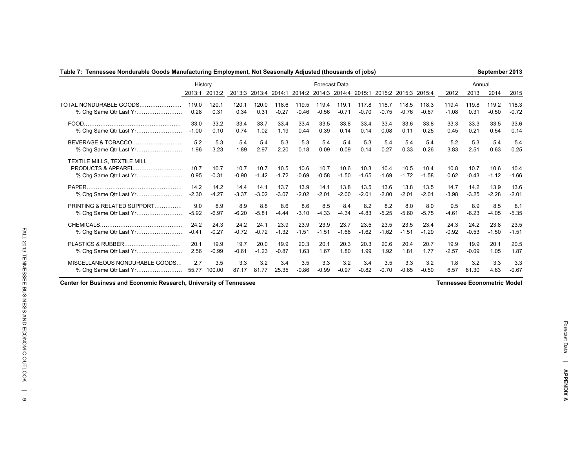### **Table 7: Tennessee Nondurable Goods Manufacturing Employment, Not Seasonally Adjusted (thousands of jobs)**

**September 2013**

|                                                                                        | History         |                 |                 |                 |                 |                 | <b>Forecast Data</b> |                 |                 |                      |                 |                 |                 | Annual          |                 |                 |
|----------------------------------------------------------------------------------------|-----------------|-----------------|-----------------|-----------------|-----------------|-----------------|----------------------|-----------------|-----------------|----------------------|-----------------|-----------------|-----------------|-----------------|-----------------|-----------------|
|                                                                                        | 2013:1          | 2013:2          | 2013:3          | 2013:4          | 2014:1          |                 | 2014:2 2014:3        | 2014:4          | 2015:1          | 2015:2 2015:3 2015:4 |                 |                 | 2012            | 2013            | 2014            | 2015            |
| TOTAL NONDURABLE GOODS.                                                                | 119.0           | 120.1           | 120.1           | 120.0           | 118.6           | 119.5           | 119.4                | 119.1           | 117.8           | 118.7                | 118.5           | 118.3           | 119.4           | 119.8           | 119.2           | 118.3           |
| % Chg Same Qtr Last Yr                                                                 | 0.28            | 0.31            | 0.34            | 0.31            | $-0.27$         | $-0.46$         | $-0.56$              | $-0.71$         | $-0.70$         | $-0.75$              | $-0.76$         | $-0.67$         | $-1.08$         | 0.31            | $-0.50$         | $-0.72$         |
|                                                                                        | 33.0            | 33.2            | 33.4            | 33.7            | 33.4            | 33.4            | 33.5                 | 33.8            | 33.4            | 33.4                 | 33.6            | 33.8            | 33.3            | 33.3            | 33.5            | 33.6            |
| % Chg Same Qtr Last Yr                                                                 | $-1.00$         | 0.10            | 0.74            | 1.02            | 1.19            | 0.44            | 0.39                 | 0.14            | 0.14            | 0.08                 | 0.11            | 0.25            | 0.45            | 0.21            | 0.54            | 0.14            |
| <b>BEVERAGE &amp; TOBACCO</b>                                                          | 5.2             | 5.3             | 5.4             | 5.4             | 5.3             | 5.3             | 5.4                  | 5.4             | 5.3             | 5.4                  | 5.4             | 5.4             | 5.2             | 5.3             | 5.4             | 5.4             |
|                                                                                        | 1.96            | 3.23            | 1.89            | 2.97            | 2.20            | 0.18            | 0.09                 | 0.09            | 0.14            | 0.27                 | 0.33            | 0.26            | 3.83            | 2.51            | 0.63            | 0.25            |
| TEXTILE MILLS, TEXTILE MILL<br><b>PRODUCTS &amp; APPAREL</b><br>% Chg Same Qtr Last Yr | 10.7<br>0.95    | 10.7<br>$-0.31$ | 10.7<br>$-0.90$ | 10.7<br>$-1.42$ | 10.5<br>$-1.72$ | 10.6<br>$-0.69$ | 10.7<br>$-0.58$      | 10.6<br>$-1.50$ | 10.3<br>$-1.65$ | 10.4<br>$-1.69$      | 10.5<br>$-1.72$ | 10.4<br>$-1.58$ | 10.8<br>0.62    | 10.7<br>$-0.43$ | 10.6<br>$-1.12$ | 10.4<br>$-1.66$ |
|                                                                                        | 14.2            | 14.2            | 14.4            | 14.1            | 13.7            | 13.9            | 14.1                 | 13.8            | 13.5            | 13.6                 | 13.8            | 13.5            | 14.7            | 14.2            | 13.9            | 13.6            |
| % Chg Same Qtr Last Yr                                                                 | $-2.30$         | $-4.27$         | $-3.37$         | $-3.02$         | $-3.07$         | $-2.02$         | $-2.01$              | $-2.00$         | $-2.01$         | $-2.00$              | $-2.01$         | $-2.01$         | $-3.98$         | $-3.25$         | $-2.28$         | $-2.01$         |
| PRINTING & RELATED SUPPORT                                                             | 9.0             | 8.9             | 8.9             | 8.8             | 8.6             | 8.6             | 8.5                  | 8.4             | 8.2             | 8.2                  | 8.0             | 8.0             | 9.5             | 8.9             | 8.5             | 8.1             |
| % Chg Same Qtr Last Yr                                                                 | $-5.92$         | $-6.97$         | $-6.20$         | $-5.81$         | $-4.44$         | $-3.10$         | $-4.33$              | $-4.34$         | $-4.83$         | $-5.25$              | $-5.60$         | $-5.75$         | $-4.61$         | $-6.23$         | $-4.05$         | $-5.35$         |
| CHEMICALS<br>% Chg Same Qtr Last Yr                                                    | 24.2<br>$-0.41$ | 24.3<br>$-0.27$ | 24.2<br>$-0.72$ | 24.1<br>$-0.72$ | 23.9<br>$-1.32$ | 23.9<br>$-1.51$ | 23.9<br>$-1.51$      | 23.7<br>$-1.68$ | 23.5<br>$-1.62$ | 23.5<br>$-1.62$      | 23.5<br>$-1.51$ | 23.4<br>$-1.29$ | 24.3<br>$-0.92$ | 24.2<br>$-0.53$ | 23.8<br>$-1.50$ | 23.5<br>$-1.51$ |
|                                                                                        | 20.1            | 19.9            | 19.7            | 20.0            | 19.9            | 20.3            | 20.1                 | 20.3            | 20.3            | 20.6                 | 20.4            | 20.7            | 19.9            | 19.9            | 20.1            | 20.5            |
|                                                                                        | 2.56            | $-0.99$         | $-0.61$         | $-1.23$         | $-0.87$         | 1.63            | 1.67                 | 1.80            | 1.99            | 1.92                 | 1.81            | 1.77            | $-2.57$         | $-0.09$         | 1.05            | 1.87            |
| MISCELLANEOUS NONDURABLE GOODS                                                         | 2.7             | 3.5             | 3.3             | 3.2             | 3.4             | 3.5             | 3.3                  | 3.2             | 3.4             | 3.5                  | 3.3             | 3.2             | 1.8             | 3.2             | 3.3             | 3.3             |
|                                                                                        | 55.77           | 100.00          | 87.17           | 81.77           | 25.35           | $-0.86$         | $-0.99$              | $-0.97$         | $-0.82$         | $-0.70$              | $-0.65$         | $-0.50$         | 6.57            | 81.30           | 4.63            | $-0.67$         |

**Center for Business and Economic Research, University of Tennessee**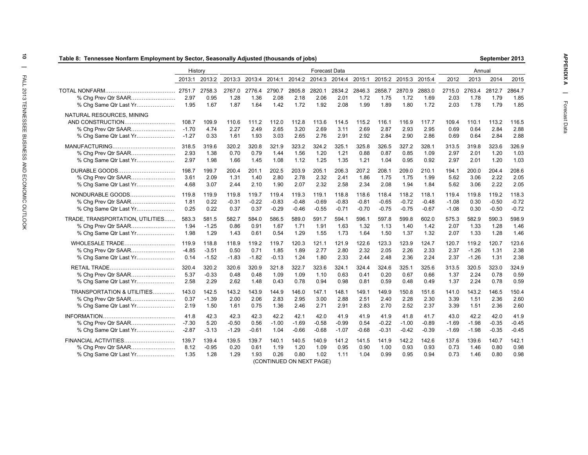| Table 8: Tennessee Nonfarm Employment by Sector, Seasonally Adjusted (thousands of jobs) |                |                |                |                |                |                |                                                  |                |                |                |                |                |                |                | September 2013 |                |
|------------------------------------------------------------------------------------------|----------------|----------------|----------------|----------------|----------------|----------------|--------------------------------------------------|----------------|----------------|----------------|----------------|----------------|----------------|----------------|----------------|----------------|
|                                                                                          | History        |                |                |                |                |                | <b>Forecast Data</b>                             |                |                |                |                |                |                | Annual         |                |                |
|                                                                                          | 2013:1         | 2013:2         |                |                |                |                | 2013:3 2013:4 2014:1 2014:2 2014:3 2014:4 2015:1 |                |                | 2015:2 2015:3  |                | 2015:4         | 2012           | 2013           | 2014           | 2015           |
| % Chg Prev Qtr SAAR                                                                      | 2751.7<br>2.97 | 2758.3<br>0.95 | 2767.0<br>1.28 | 2776.4<br>1.36 | 2790.7<br>2.08 | 2805.8<br>2.18 | 2820.1<br>2.06                                   | 2834.2<br>2.01 | 2846.3<br>1.72 | 2858.7<br>1.75 | 2870.9<br>1.72 | 2883.0<br>1.69 | 2715.0<br>2.03 | 2763.4<br>1.78 | 2812.7<br>1.79 | 2864.7<br>1.85 |
| % Chg Same Qtr Last Yr                                                                   | 1.95           | 1.67           | 1.87           | 1.64           | 1.42           | 1.72           | 1.92                                             | 2.08           | 1.99           | 1.89           | 1.80           | 1.72           | 2.03           | 1.78           | 1.79           | 1.85           |
| NATURAL RESOURCES, MINING                                                                |                |                |                |                |                |                |                                                  |                |                |                |                |                |                |                |                |                |
| AND CONSTRUCTION                                                                         | 108.7          | 109.9          | 110.6          | 111.2          | 112.0          | 112.8          | 113.6                                            | 114.5          | 115.2          | 116.1          | 116.9          | 117.7          | 109.4          | 110.1          | 113.2          | 116.5          |
|                                                                                          | $-1.70$        | 4.74           | 2.27           | 2.49           | 2.65           | 3.20           | 2.69                                             | 3.11           | 2.69           | 2.87           | 2.93           | 2.95           | 0.69           | 0.64           | 2.84           | 2.88           |
| % Chg Same Qtr Last Yr                                                                   | $-1.27$        | 0.33           | 1.61           | 1.93           | 3.03           | 2.65           | 2.76                                             | 2.91           | 2.92           | 2.84           | 2.90           | 2.86           | 0.69           | 0.64           | 2.84           | 2.88           |
|                                                                                          | 318.5          | 319.6          | 320.2          | 320.8          | 321.9          | 323.2          | 324.2                                            | 325.1          | 325.8          | 326.5          | 327.2          | 328.1          | 313.5          | 319.8          | 323.6          | 326.9          |
| % Chg Prev Qtr SAAR                                                                      | 2.93           | 1.38           | 0.70           | 0.79           | 1.44           | 1.56           | 1.20                                             | 1.21           | 0.88           | 0.87           | 0.85           | 1.09           | 2.97           | 2.01           | 1.20           | 1.03           |
| % Chg Same Qtr Last Yr                                                                   | 2.97           | 1.98           | 1.66           | 1.45           | 1.08           | 1.12           | 1.25                                             | 1.35           | 1.21           | 1.04           | 0.95           | 0.92           | 2.97           | 2.01           | 1.20           | 1.03           |
| DURABLE GOODS                                                                            | 198.7          | 199.7          | 200.4          | 201.1          | 202.5          | 203.9          | 205.1                                            | 206.3          | 207.2          | 208.1          | 209.0          | 210.1          | 194.1          | 200.0          | 204.4          | 208.6          |
| % Chg Prev Qtr SAAR                                                                      | 3.61           | 2.09           | 1.31           | 1.40           | 2.80           | 2.78           | 2.32                                             | 2.41           | 1.86           | 1.75           | 1.75           | 1.99           | 5.62           | 3.06           | 2.22           | 2.05           |
| % Chg Same Qtr Last Yr                                                                   | 4.68           | 3.07           | 2.44           | 2.10           | 1.90           | 2.07           | 2.32                                             | 2.58           | 2.34           | 2.08           | 1.94           | 1.84           | 5.62           | 3.06           | 2.22           | 2.05           |
| NONDURABLE GOODS                                                                         | 119.8          | 119.9          | 119.8          | 119.7          | 119.4          | 119.3          | 119.1                                            | 118.8          | 118.6          | 118.4          | 118.2          | 118.1          | 119.4          | 119.8          | 119.2          | 118.3          |
| % Chg Prev Qtr SAAR                                                                      | 1.81           | 0.22           | $-0.31$        | $-0.22$        | $-0.83$        | $-0.48$        | $-0.69$                                          | $-0.83$        | $-0.81$        | $-0.65$        | $-0.72$        | $-0.48$        | $-1.08$        | 0.30           | $-0.50$        | $-0.72$        |
| % Chg Same Qtr Last Yr                                                                   | 0.25           | 0.22           | 0.37           | 0.37           | $-0.29$        | $-0.46$        | $-0.55$                                          | $-0.71$        | $-0.70$        | $-0.75$        | $-0.75$        | $-0.67$        | $-1.08$        | 0.30           | $-0.50$        | $-0.72$        |
| TRADE, TRANSPORTATION, UTILITIES                                                         | 583.3          | 581.5          | 582.7          | 584.0          | 586.5          | 589.0          | 591.7                                            | 594.1          | 596.1          | 597.8          | 599.8          | 602.0          | 575.3          | 582.9          | 590.3          | 598.9          |
|                                                                                          | 1.94           | $-1.25$        | 0.86           | 0.91           | 1.67           | 1.71           | 1.91                                             | 1.63           | 1.32           | 1.13           | 1.40           | 1.42           | 2.07           | 1.33           | 1.28           | 1.46           |
| % Chg Same Qtr Last Yr                                                                   | 1.98           | 1.29           | 1.43           | 0.61           | 0.54           | 1.29           | 1.55                                             | 1.73           | 1.64           | 1.50           | 1.37           | 1.32           | 2.07           | 1.33           | 1.28           | 1.46           |
| WHOLESALE TRADE                                                                          | 119.9          | 118.8          | 118.9          | 119.2          | 119.7          | 120.3          | 121.1                                            | 121.9          | 122.6          | 123.3          | 123.9          | 124.7          | 120.7          | 119.2          | 120.7          | 123.6          |
|                                                                                          | $-4.85$        | $-3.51$        | 0.50           | 0.71           | 1.85           | 1.89           | 2.77                                             | 2.80           | 2.32           | 2.05           | 2.26           | 2.33           | 2.37           | $-1.26$        | 1.31           | 2.38           |
| % Chg Same Qtr Last Yr                                                                   | 0.14           | $-1.52$        | $-1.83$        | $-1.82$        | $-0.13$        | 1.24           | 1.80                                             | 2.33           | 2.44           | 2.48           | 2.36           | 2.24           | 2.37           | $-1.26$        | 1.31           | 2.38           |
|                                                                                          | 320.4          | 320.2          | 320.6          | 320.9          | 321.8          | 322.7          | 323.6                                            | 324.1          | 324.4          | 324.6          | 325.1          | 325.6          | 313.5          | 320.5          | 323.0          | 324.9          |
| % Chg Prev Qtr SAAR                                                                      | 5.37           | -0.33          | 0.48           | 0.48           | 1.09           | 1.09           | 1.10                                             | 0.63           | 0.41           | 0.20           | 0.67           | 0.66           | 1.37           | 2.24           | 0.78           | 0.59           |
| % Chg Same Qtr Last Yr                                                                   | 2.58           | 2.29           | 2.62           | 1.48           | 0.43           | 0.78           | 0.94                                             | 0.98           | 0.81           | 0.59           | 0.48           | 0.49           | 1.37           | 2.24           | 0.78           | 0.59           |
| TRANSPORTATION & UTILITIES                                                               | 143.0          | 142.5          | 143.2          | 143.9          | 144.9          | 146.0          | 147.1                                            | 148.1          | 149.1          | 149.9          | 150.8          | 151.6          | 141.0          | 143.2          | 146.5          | 150.4          |
| % Chg Prev Qtr SAAR                                                                      | 0.37           | $-1.39$        | 2.00           | 2.06           | 2.83           | 2.95           | 3.00                                             | 2.88           | 2.51           | 2.40           | 2.28           | 2.30           | 3.39           | 1.51           | 2.36           | 2.60           |
| % Chg Same Qtr Last Yr                                                                   | 2.19           | 1.50           | 1.61           | 0.75           | 1.36           | 2.46           | 2.71                                             | 2.91           | 2.83           | 2.70           | 2.52           | 2.37           | 3.39           | 1.51           | 2.36           | 2.60           |
|                                                                                          | 41.8           | 42.3           | 42.3           | 42.3           | 42.2           | 42.1           | 42.0                                             | 41.9           | 41.9           | 41.9           | 41.8           | 41.7           | 43.0           | 42.2           | 42.0           | 41.9           |
| % Chg Prev Qtr SAAR                                                                      | $-7.30$        | 5.20           | $-0.50$        | 0.56           | $-1.00$        | $-1.69$        | $-0.58$                                          | $-0.99$        | 0.54           | $-0.22$        | $-1.00$        | $-0.89$        | $-1.69$        | $-1.98$        | $-0.35$        | $-0.45$        |
| % Chg Same Qtr Last Yr                                                                   | $-2.87$        | $-3.13$        | $-1.29$        | $-0.61$        | 1.04           | $-0.66$        | $-0.68$                                          | $-1.07$        | $-0.68$        | $-0.31$        | $-0.42$        | $-0.39$        | $-1.69$        | $-1.98$        | $-0.35$        | $-0.45$        |
| FINANCIAL ACTIVITIES                                                                     | 139.7          | 139.4          | 139.5          | 139.7          | 140.1          | 140.5          | 140.9                                            | 141.2          | 141.5          | 141.9          | 142.2          | 142.6          | 137.6          | 139.6          | 140.7          | 142.1          |
|                                                                                          | 8.12           | $-0.95$        | 0.20           | 0.61           | 1.19           | 1.20           | 1.09                                             | 0.95           | 0.90           | 1.00           | 0.93           | 0.93           | 0.73           | 1.46           | 0.80           | 0.98           |
| % Chg Same Qtr Last Yr                                                                   | 1.35           | 1.28           | 1.29           | 1.93           | 0.26           | 0.80           | 1.02                                             | 1.11           | 1.04           | 0.99           | 0.95           | 0.94           | 0.73           | 1.46           | 0.80           | 0.98           |
|                                                                                          |                |                |                |                |                |                | (CONTINUED ON NEXT PAGE)                         |                |                |                |                |                |                |                |                |                |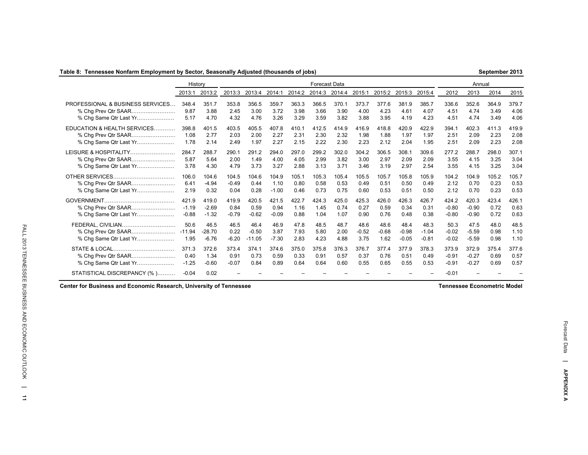|  |  |  |  | Table 8:  Tennessee Nonfarm Employment by Sector, Seasonally Adjusted (thousands of jobs) |  |
|--|--|--|--|-------------------------------------------------------------------------------------------|--|
|  |  |  |  |                                                                                           |  |

| able 8: Tennessee Nonfarm Employment by Sector, Seasonally Adjusted (thousands of jobs) |          |          |         |          |         |        |                      |        |         |         |         |         |         |         | September 2013 |       |
|-----------------------------------------------------------------------------------------|----------|----------|---------|----------|---------|--------|----------------------|--------|---------|---------|---------|---------|---------|---------|----------------|-------|
|                                                                                         | History  |          |         |          |         |        | <b>Forecast Data</b> |        |         |         |         |         |         | Annual  |                |       |
|                                                                                         | 2013:1   | 2013:2   | 2013:3  | 2013:4   | 2014:1  | 2014:2 | 2014:3               | 2014:4 | 2015:1  | 2015:2  | 2015:3  | 2015:4  | 2012    | 2013    | 2014           | 2015  |
| PROFESSIONAL & BUSINESS SERVICES                                                        | 348.4    | 351.7    | 353.8   | 356.5    | 359.7   | 363.3  | 366.5                | 370.1  | 373.7   | 377.6   | 381.9   | 385.7   | 336.6   | 352.6   | 364.9          | 379.7 |
| % Chg Prev Qtr SAAR                                                                     | 9.87     | 3.88     | 2.45    | 3.00     | 3.72    | 3.98   | 3.66                 | 3.90   | 4.00    | 4.23    | 4.61    | 4.07    | 4.51    | 4.74    | 3.49           | 4.06  |
| % Chq Same Qtr Last Yr                                                                  | 5.17     | 4.70     | 4.32    | 4.76     | 3.26    | 3.29   | 3.59                 | 3.82   | 3.88    | 3.95    | 4.19    | 4.23    | 4.51    | 4.74    | 3.49           | 4.06  |
| EDUCATION & HEALTH SERVICES                                                             | 398.8    | 401.5    | 403.5   | 405.5    | 407.8   | 410.1  | 412.5                | 414.9  | 416.9   | 418.8   | 420.9   | 422.9   | 394.1   | 402.3   | 411.3          | 419.9 |
| % Chg Prev Qtr SAAR                                                                     | 1.08     | 2.77     | 2.03    | 2.00     | 2.27    | 2.31   | 2.30                 | 2.32   | 1.98    | 1.88    | 1.97    | 1.97    | 2.51    | 2.09    | 2.23           | 2.08  |
| % Chg Same Qtr Last Yr                                                                  | 1.78     | 2.14     | 2.49    | 1.97     | 2.27    | 2.15   | 2.22                 | 2.30   | 2.23    | 2.12    | 2.04    | 1.95    | 2.51    | 2.09    | 2.23           | 2.08  |
| LEISURE & HOSPITALITY                                                                   | 284.7    | 288.7    | 290.1   | 291.2    | 294.0   | 297.0  | 299.2                | 302.0  | 304.2   | 306.5   | 308.1   | 309.6   | 277.2   | 288.7   | 298.0          | 307.1 |
| % Cha Prev Qtr SAAR                                                                     | 5.87     | 5.64     | 2.00    | 1.49     | 4.00    | 4.05   | 2.99                 | 3.82   | 3.00    | 2.97    | 2.09    | 2.09    | 3.55    | 4.15    | 3.25           | 3.04  |
| % Chq Same Qtr Last Yr                                                                  | 3.78     | 4.30     | 4.79    | 3.73     | 3.27    | 2.88   | 3.13                 | 3.71   | 3.46    | 3.19    | 2.97    | 2.54    | 3.55    | 4.15    | 3.25           | 3.04  |
|                                                                                         | 106.0    | 104.6    | 104.5   | 104.6    | 104.9   | 105.1  | 105.3                | 105.4  | 105.5   | 105.7   | 105.8   | 105.9   | 104.2   | 104.9   | 105.2          | 105.7 |
| % Cha Prev Qtr SAAR                                                                     | 6.41     | $-4.94$  | $-0.49$ | 0.44     | 1.10    | 0.80   | 0.58                 | 0.53   | 0.49    | 0.51    | 0.50    | 0.49    | 2.12    | 0.70    | 0.23           | 0.53  |
| % Chq Same Qtr Last Yr                                                                  | 2.19     | 0.32     | 0.04    | 0.28     | $-1.00$ | 0.46   | 0.73                 | 0.75   | 0.60    | 0.53    | 0.51    | 0.50    | 2.12    | 0.70    | 0.23           | 0.53  |
|                                                                                         | 421.9    | 419.0    | 419.9   | 420.5    | 421.5   | 422.7  | 424.3                | 425.0  | 425.3   | 426.0   | 426.3   | 426.7   | 424.2   | 420.3   | 423.4          | 426.1 |
| % Chg Prev Qtr SAAR                                                                     | $-1.19$  | $-2.69$  | 0.84    | 0.59     | 0.94    | 1.16   | 1.45                 | 0.74   | 0.27    | 0.59    | 0.34    | 0.31    | $-0.80$ | $-0.90$ | 0.72           | 0.63  |
| % Chg Same Qtr Last Yr                                                                  | $-0.88$  | $-1.32$  | $-0.79$ | $-0.62$  | $-0.09$ | 0.88   | 1.04                 | 1.07   | 0.90    | 0.76    | 0.48    | 0.38    | $-0.80$ | $-0.90$ | 0.72           | 0.63  |
| FEDERAL, CIVILIAN                                                                       | 50.6     | 46.5     | 46.5    | 46.4     | 46.9    | 47.8   | 48.5                 | 48.7   | 48.6    | 48.6    | 48.4    | 48.3    | 50.3    | 47.5    | 48.0           | 48.5  |
| % Chg Prev Qtr SAAR                                                                     | $-11.94$ | $-28.70$ | 0.22    | $-0.50$  | 3.87    | 7.93   | 5.80                 | 2.00   | $-0.52$ | $-0.68$ | $-0.98$ | $-1.04$ | $-0.02$ | $-5.59$ | 0.98           | 1.10  |
| % Chg Same Qtr Last Yr                                                                  | 1.95     | $-6.76$  | $-6.20$ | $-11.05$ | $-7.30$ | 2.83   | 4.23                 | 4.88   | 3.75    | 1.62    | $-0.05$ | $-0.81$ | $-0.02$ | $-5.59$ | 0.98           | 1.10  |
|                                                                                         | 371.3    | 372.6    | 373.4   | 374.1    | 374.6   | 375.0  | 375.8                | 376.3  | 376.7   | 377.4   | 377.9   | 378.3   | 373.9   | 372.9   | 375.4          | 377.6 |
| % Chg Prev Qtr SAAR                                                                     | 0.40     | 1.34     | 0.91    | 0.73     | 0.59    | 0.33   | 0.91                 | 0.57   | 0.37    | 0.76    | 0.51    | 0.49    | $-0.91$ | $-0.27$ | 0.69           | 0.57  |
| % Chg Same Qtr Last Yr                                                                  | $-1.25$  | $-0.60$  | $-0.07$ | 0.84     | 0.89    | 0.64   | 0.64                 | 0.60   | 0.55    | 0.65    | 0.55    | 0.53    | $-0.91$ | $-0.27$ | 0.69           | 0.57  |
| STATISTICAL DISCREPANCY (%)                                                             | $-0.04$  | 0.02     |         |          |         |        |                      |        |         |         |         |         | $-0.01$ |         |                |       |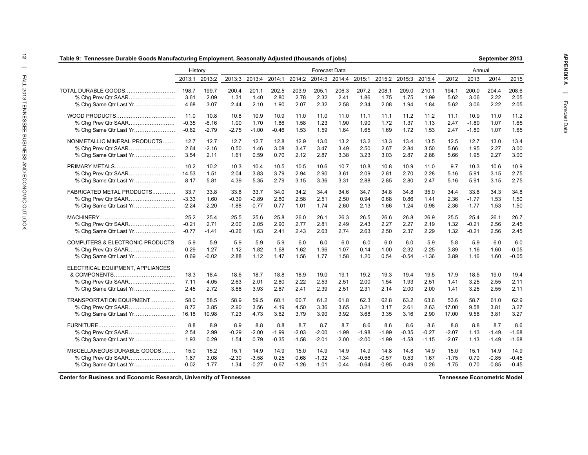| (toods Tennessee Durable Goods Manufacturing Employment, Seasonally Adjusted (thousands of jobs |         |               |         |                      |         |         |                      |         |         |         |               |         |         |         | September 2013 |         |
|-------------------------------------------------------------------------------------------------|---------|---------------|---------|----------------------|---------|---------|----------------------|---------|---------|---------|---------------|---------|---------|---------|----------------|---------|
|                                                                                                 | History |               |         |                      |         |         | Forecast Data        |         |         |         |               |         |         | Annual  |                |         |
|                                                                                                 |         | 2013:1 2013:2 |         | 2013:3 2013:4 2014:1 |         |         | 2014:2 2014:3 2014:4 |         | 2015:1  |         | 2015:2 2015:3 | 2015:4  | 2012    | 2013    | 2014           | 2015    |
| TOTAL DURABLE GOODS                                                                             | 198.7   | 199.7         | 200.4   | 201.1                | 202.5   | 203.9   | 205.1                | 206.3   | 207.2   | 208.1   | 209.0         | 210.1   | 194.1   | 200.0   | 204.4          | 208.6   |
| % Chg Prev Qtr SAAR                                                                             | 3.61    | 2.09          | 1.31    | 1.40                 | 2.80    | 2.78    | 2.32                 | 2.41    | 1.86    | 1.75    | 1.75          | 1.99    | 5.62    | 3.06    | 2.22           | 2.05    |
| % Chg Same Qtr Last Yr                                                                          | 4.68    | 3.07          | 2.44    | 2.10                 | 1.90    | 2.07    | 2.32                 | 2.58    | 2.34    | 2.08    | 1.94          | 1.84    | 5.62    | 3.06    | 2.22           | 2.05    |
| WOOD PRODUCTS                                                                                   | 11.0    | 10.8          | 10.8    | 10.9                 | 10.9    | 11.0    | 11.0                 | 11.0    | 11.1    | 11.1    | 11.2          | 11.2    | 11.1    | 10.9    | 11.0           | 11.2    |
| % Chg Prev Qtr SAAR                                                                             | $-0.35$ | $-6.16$       | 1.00    | 1.70                 | 1.86    | 1.58    | 1.23                 | 1.90    | 1.90    | 1.72    | 1.37          | 1.13    | 2.47    | $-1.80$ | 1.07           | 1.65    |
| % Chg Same Qtr Last Yr                                                                          | $-0.62$ | $-2.79$       | $-2.75$ | $-1.00$              | $-0.46$ | 1.53    | 1.59                 | 1.64    | 1.65    | 1.69    | 1.72          | 1.53    | 2.47    | $-1.80$ | 1.07           | 1.65    |
| NONMETALLIC MINERAL PRODUCTS                                                                    | 12.7    | 12.7          | 12.7    | 12.7                 | 12.8    | 12.9    | 13.0                 | 13.2    | 13.2    | 13.3    | 13.4          | 13.5    | 12.5    | 12.7    | 13.0           | 13.4    |
|                                                                                                 | 2.64    | $-2.16$       | 0.50    | 1.46                 | 3.08    | 3.47    | 3.47                 | 3.49    | 2.50    | 2.67    | 2.84          | 3.50    | 5.66    | 1.95    | 2.27           | 3.00    |
| % Chg Same Qtr Last Yr                                                                          | 3.54    | 2.11          | 1.61    | 0.59                 | 0.70    | 2.12    | 2.87                 | 3.38    | 3.23    | 3.03    | 2.87          | 2.88    | 5.66    | 1.95    | 2.27           | 3.00    |
| PRIMARY METALS                                                                                  | 10.2    | 10.2          | 10.3    | 10.4                 | 10.5    | 10.5    | 10.6                 | 10.7    | 10.8    | 10.8    | 10.9          | 11.0    | 9.7     | 10.3    | 10.6           | 10.9    |
| % Chg Prev Qtr SAAR                                                                             | 14.53   | 1.51          | 2.04    | 3.83                 | 3.79    | 2.94    | 2.90                 | 3.61    | 2.09    | 2.81    | 2.70          | 2.28    | 5.16    | 5.91    | 3.15           | 2.75    |
| % Chg Same Qtr Last Yr                                                                          | 8.17    | 5.81          | 4.39    | 5.35                 | 2.79    | 3.15    | 3.36                 | 3.31    | 2.88    | 2.85    | 2.80          | 2.47    | 5.16    | 5.91    | 3.15           | 2.75    |
| FABRICATED METAL PRODUCTS                                                                       | 33.7    | 33.8          | 33.8    | 33.7                 | 34.0    | 34.2    | 34.4                 | 34.6    | 34.7    | 34.8    | 34.8          | 35.0    | 34.4    | 33.8    | 34.3           | 34.8    |
| % Chg Prev Qtr SAAR                                                                             | $-3.33$ | 1.60          | $-0.39$ | $-0.89$              | 2.80    | 2.58    | 2.51                 | 2.50    | 0.94    | 0.68    | 0.86          | 1.41    | 2.36    | $-1.77$ | 1.53           | 1.50    |
| % Chg Same Qtr Last Yr                                                                          | $-2.24$ | $-2.20$       | $-1.88$ | $-0.77$              | 0.77    | 1.01    | 1.74                 | 2.60    | 2.13    | 1.66    | 1.24          | 0.98    | 2.36    | $-1.77$ | 1.53           | 1.50    |
|                                                                                                 | 25.2    | 25.4          | 25.5    | 25.6                 | 25.8    | 26.0    | 26.1                 | 26.3    | 26.5    | 26.6    | 26.8          | 26.9    | 25.5    | 25.4    | 26.1           | 26.7    |
| % Chg Prev Qtr SAAR                                                                             | $-0.21$ | 2.71          | 2.00    | 2.05                 | 2.90    | 2.77    | 2.81                 | 2.49    | 2.43    | 2.27    | 2.27          | 2.19    | 1.32    | $-0.21$ | 2.56           | 2.45    |
| % Chg Same Qtr Last Yr                                                                          | $-0.77$ | $-1.41$       | $-0.26$ | 1.63                 | 2.41    | 2.43    | 2.63                 | 2.74    | 2.63    | 2.50    | 2.37          | 2.29    | 1.32    | $-0.21$ | 2.56           | 2.45    |
|                                                                                                 |         |               |         |                      |         |         |                      |         |         |         |               |         |         |         |                |         |
| <b>COMPUTERS &amp; ELECTRONIC PRODUCTS.</b>                                                     | 5.9     | 5.9           | 5.9     | 5.9                  | 5.9     | 6.0     | 6.0                  | 6.0     | 6.0     | 6.0     | 6.0           | 5.9     | 5.8     | 5.9     | 6.0            | 6.0     |
|                                                                                                 | 0.29    | 1.27          | 1.12    | 1.82                 | 1.68    | 1.62    | 1.96                 | 1.07    | 0.14    | $-1.00$ | $-2.32$       | $-2.25$ | 3.89    | 1.16    | 1.60           | $-0.05$ |
| % Chg Same Qtr Last Yr                                                                          | 0.69    | $-0.02$       | 2.88    | 1.12                 | 1.47    | 1.56    | 1.77                 | 1.58    | 1.20    | 0.54    | $-0.54$       | $-1.36$ | 3.89    | 1.16    | 1.60           | $-0.05$ |
| ELECTRICAL EQUIPMENT, APPLIANCES                                                                |         |               |         |                      |         |         |                      |         |         |         |               |         |         |         |                |         |
|                                                                                                 | 18.3    | 18.4          | 18.6    | 18.7                 | 18.8    | 18.9    | 19.0                 | 19.1    | 19.2    | 19.3    | 19.4          | 19.5    | 17.9    | 18.5    | 19.0           | 19.4    |
| % Chg Prev Qtr SAAR                                                                             | 7.11    | 4.05          | 2.63    | 2.01                 | 2.80    | 2.22    | 2.53                 | 2.51    | 2.00    | 1.54    | 1.93          | 2.51    | 1.41    | 3.25    | 2.55           | 2.11    |
| % Chg Same Qtr Last Yr                                                                          | 2.45    | 2.72          | 3.88    | 3.93                 | 2.87    | 2.41    | 2.39                 | 2.51    | 2.31    | 2.14    | 2.00          | 2.00    | 1.41    | 3.25    | 2.55           | 2.11    |
| TRANSPORTATION EQUIPMENT                                                                        | 58.0    | 58.5          | 58.9    | 59.5                 | 60.1    | 60.7    | 61.2                 | 61.8    | 62.3    | 62.8    | 63.2          | 63.6    | 53.6    | 58.7    | 61.0           | 62.9    |
| % Chg Prev Qtr SAAR                                                                             | 8.72    | 3.85          | 2.90    | 3.56                 | 4.19    | 4.50    | 3.36                 | 3.65    | 3.21    | 3.17    | 2.61          | 2.63    | 17.00   | 9.58    | 3.81           | 3.27    |
| % Chg Same Qtr Last Yr                                                                          | 16.18   | 10.98         | 7.23    | 4.73                 | 3.62    | 3.79    | 3.90                 | 3.92    | 3.68    | 3.35    | 3.16          | 2.90    | 17.00   | 9.58    | 3.81           | 3.27    |
|                                                                                                 | 8.8     | 8.9           | 8.9     | 8.8                  | 8.8     | 8.7     | 8.7                  | 8.7     | 8.6     | 8.6     | 8.6           | 8.6     | 8.8     | 8.8     | 8.7            | 8.6     |
|                                                                                                 | 2.54    | 2.99          | $-0.29$ | $-2.00$              | $-1.99$ | $-2.03$ | $-2.00$              | $-1.99$ | $-1.98$ | $-1.99$ | $-0.35$       | $-0.27$ | $-2.07$ | 1.13    | $-1.49$        | $-1.68$ |
| % Chg Same Qtr Last Yr                                                                          | 1.93    | 0.29          | 1.54    | 0.79                 | $-0.35$ | $-1.58$ | $-2.01$              | $-2.00$ | $-2.00$ | $-1.99$ | $-1.58$       | $-1.15$ | $-2.07$ | 1.13    | $-1.49$        | $-1.68$ |
| MISCELLANEOUS DURABLE GOODS                                                                     | 15.0    | 15.2          | 15.1    | 14.9                 | 14.9    | 15.0    | 14.9                 | 14.9    | 14.9    | 14.8    | 14.8          | 14.9    | 15.0    | 15.1    | 14.9           | 14.9    |
| % Chg Prev Qtr SAAR                                                                             | 1.87    | 3.08          | $-2.30$ | $-3.58$              | 0.25    | 0.68    | $-1.32$              | $-1.34$ | $-0.56$ | $-0.57$ | 0.53          | 1.67    | $-1.75$ | 0.70    | $-0.85$        | $-0.45$ |
| % Chg Same Qtr Last Yr                                                                          | $-0.02$ | 1.77          | 1.34    | $-0.27$              | $-0.67$ | $-1.26$ | $-1.01$              | $-0.44$ | $-0.64$ | $-0.95$ | $-0.49$       | 0.26    | $-1.75$ | 0.70    | $-0.85$        | $-0.45$ |
|                                                                                                 |         |               |         |                      |         |         |                      |         |         |         |               |         |         |         |                |         |

**September 2013**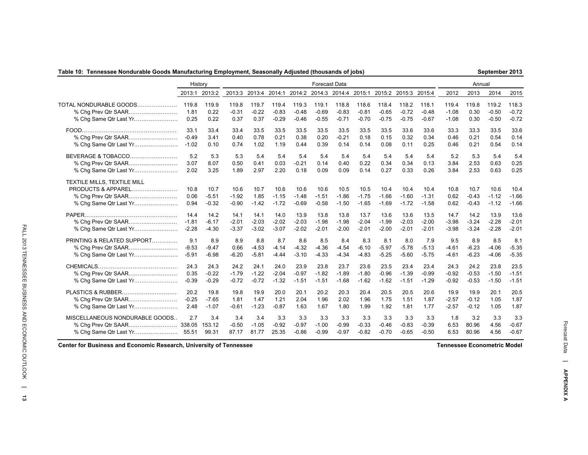### **Table 10: Tennessee Nondurable Goods Manufacturing Employment, Seasonally Adjusted (thousands of jobs)**

**September 2013**

|                                                                             | History              |                            |                            |                         |                            |                            | <b>Forecast Data</b>        |                            |                            |                            |                            |                            |                      | Annual                     |                            |                            |
|-----------------------------------------------------------------------------|----------------------|----------------------------|----------------------------|-------------------------|----------------------------|----------------------------|-----------------------------|----------------------------|----------------------------|----------------------------|----------------------------|----------------------------|----------------------|----------------------------|----------------------------|----------------------------|
|                                                                             |                      | 2013:1 2013:2              | 2013:3                     |                         | 2013:4 2014:1              |                            | 2014:2 2014:3 2014:4 2015:1 |                            |                            | 2015:2 2015:3 2015:4       |                            |                            | 2012                 | 2013                       | 2014                       | 2015                       |
| TOTAL NONDURABLE GOODS                                                      | 119.8                | 119.9                      | 119.8                      | 119.7                   | 119.4                      | 119.3                      | 119.1                       | 118.8                      | 118.6                      | 118.4                      | 118.2                      | 118.1                      | 119.4                | 119.8                      | 119.2                      | 118.3                      |
| % Chg Prev Qtr SAAR                                                         | 1.81                 | 0.22                       | $-0.31$                    | $-0.22$                 | $-0.83$                    | $-0.48$                    | $-0.69$                     | $-0.83$                    | $-0.81$                    | $-0.65$                    | $-0.72$                    | $-0.48$                    | $-1.08$              | 0.30                       | $-0.50$                    | $-0.72$                    |
|                                                                             | 0.25                 | 0.22                       | 0.37                       | 0.37                    | $-0.29$                    | $-0.46$                    | $-0.55$                     | $-0.71$                    | $-0.70$                    | $-0.75$                    | $-0.75$                    | $-0.67$                    | $-1.08$              | 0.30                       | $-0.50$                    | $-0.72$                    |
|                                                                             | 33.1                 | 33.4                       | 33.4                       | 33.5                    | 33.5                       | 33.5                       | 33.5                        | 33.5                       | 33.5                       | 33.5                       | 33.6                       | 33.6                       | 33.3                 | 33.3                       | 33.5                       | 33.6                       |
|                                                                             | $-0.49$              | 3.41                       | 0.40                       | 0.78                    | 0.21                       | 0.38                       | 0.20                        | $-0.21$                    | 0.18                       | 0.15                       | 0.32                       | 0.34                       | 0.46                 | 0.21                       | 0.54                       | 0.14                       |
| % Chg Same Qtr Last Yr                                                      | $-1.02$              | 0.10                       | 0.74                       | 1.02                    | 1.19                       | 0.44                       | 0.39                        | 0.14                       | 0.14                       | 0.08                       | 0.11                       | 0.25                       | 0.46                 | 0.21                       | 0.54                       | 0.14                       |
| BEVERAGE & TOBACCO                                                          | 5.2                  | 5.3                        | 5.3                        | 5.4                     | 5.4                        | 5.4                        | 5.4                         | 5.4                        | 5.4                        | 5.4                        | 5.4                        | 5.4                        | 5.2                  | 5.3                        | 5.4                        | 5.4                        |
|                                                                             | 3.07                 | 8.07                       | 0.50                       | 0.41                    | 0.03                       | $-0.21$                    | 0.14                        | 0.40                       | 0.22                       | 0.34                       | 0.34                       | 0.13                       | 3.84                 | 2.53                       | 0.63                       | 0.25                       |
|                                                                             | 2.02                 | 3.25                       | 1.89                       | 2.97                    | 2.20                       | 0.18                       | 0.09                        | 0.09                       | 0.14                       | 0.27                       | 0.33                       | 0.26                       | 3.84                 | 2.53                       | 0.63                       | 0.25                       |
| TEXTILE MILLS, TEXTILE MILL<br>PRODUCTS & APPAREL<br>% Chq Same Qtr Last Yr | 10.8<br>0.06<br>0.94 | 10.7<br>$-5.51$<br>$-0.32$ | 10.6<br>$-1.92$<br>$-0.90$ | 10.7<br>1.85<br>$-1.42$ | 10.6<br>$-1.15$<br>$-1.72$ | 10.6<br>$-1.48$<br>$-0.69$ | 10.6<br>$-1.51$<br>$-0.58$  | 10.5<br>$-1.86$<br>$-1.50$ | 10.5<br>$-1.75$<br>$-1.65$ | 10.4<br>$-1.66$<br>$-1.69$ | 10.4<br>$-1.60$<br>$-1.72$ | 10.4<br>$-1.31$<br>$-1.58$ | 10.8<br>0.62<br>0.62 | 10.7<br>$-0.43$<br>$-0.43$ | 10.6<br>$-1.12$<br>$-1.12$ | 10.4<br>$-1.66$<br>$-1.66$ |
|                                                                             | 14.4                 | 14.2                       | 14.1                       | 14.1                    | 14.0                       | 13.9                       | 13.8                        | 13.8                       | 13.7                       | 13.6                       | 13.6                       | 13.5                       | 14.7                 | 14.2                       | 13.9                       | 13.6                       |
| % Chg Prev Qtr SAAR                                                         | $-1.81$              | $-6.17$                    | $-2.01$                    | $-2.03$                 | $-2.02$                    | $-2.03$                    | $-1.98$                     | $-1.98$                    | $-2.04$                    | $-1.99$                    | $-2.03$                    | $-2.00$                    | $-3.98$              | $-3.24$                    | $-2.28$                    | $-2.01$                    |
|                                                                             | $-2.28$              | $-4.30$                    | $-3.37$                    | $-3.02$                 | $-3.07$                    | $-2.02$                    | $-2.01$                     | $-2.00$                    | $-2.01$                    | $-2.00$                    | $-2.01$                    | $-2.01$                    | $-3.98$              | $-3.24$                    | $-2.28$                    | $-2.01$                    |
| PRINTING & RELATED SUPPORT                                                  | 9.1                  | 8.9                        | 8.9                        | 8.8                     | 8.7                        | 8.6                        | 8.5                         | 8.4                        | 8.3                        | 8.1                        | 8.0                        | 7.9                        | 9.5                  | 8.9                        | 8.5                        | 8.1                        |
|                                                                             | $-9.53$              | $-9.47$                    | 0.66                       | $-4.53$                 | $-4.14$                    | $-4.32$                    | $-4.36$                     | $-4.54$                    | $-6.10$                    | $-5.97$                    | $-5.78$                    | $-5.13$                    | $-4.61$              | $-6.23$                    | $-4.06$                    | $-5.35$                    |
|                                                                             | $-5.91$              | $-6.98$                    | $-6.20$                    | $-5.81$                 | $-4.44$                    | $-3.10$                    | $-4.33$                     | $-4.34$                    | $-4.83$                    | $-5.25$                    | $-5.60$                    | $-5.75$                    | $-4.61$              | $-6.23$                    | $-4.06$                    | $-5.35$                    |
|                                                                             | 24.3                 | 24.3                       | 24.2                       | 24.1                    | 24.0                       | 23.9                       | 23.8                        | 23.7                       | 23.6                       | 23.5                       | 23.4                       | 23.4                       | 24.3                 | 24.2                       | 23.8                       | 23.5                       |
|                                                                             | 0.35                 | $-0.22$                    | $-1.79$                    | $-1.22$                 | $-2.04$                    | $-0.97$                    | $-1.82$                     | $-1.89$                    | $-1.80$                    | $-0.96$                    | $-1.39$                    | $-0.99$                    | $-0.92$              | $-0.53$                    | $-1.50$                    | $-1.51$                    |
|                                                                             | $-0.39$              | $-0.29$                    | $-0.72$                    | $-0.72$                 | $-1.32$                    | $-1.51$                    | $-1.51$                     | $-1.68$                    | $-1.62$                    | $-1.62$                    | $-1.51$                    | $-1.29$                    | $-0.92$              | $-0.53$                    | $-1.50$                    | $-1.51$                    |
|                                                                             | 20.2                 | 19.8                       | 19.8                       | 19.9                    | 20.0                       | 20.1                       | 20.2                        | 20.3                       | 20.4                       | 20.5                       | 20.5                       | 20.6                       | 19.9                 | 19.9                       | 20.1                       | 20.5                       |
| % Chg Prev Qtr SAAR                                                         | $-0.25$              | $-7.65$                    | 1.81                       | 1.47                    | 1.21                       | 2.04                       | 1.96                        | 2.02                       | 1.96                       | 1.75                       | 1.51                       | 1.87                       | $-2.57$              | $-0.12$                    | 1.05                       | 1.87                       |
|                                                                             | 2.48                 | $-1.07$                    | $-0.61$                    | $-1.23$                 | $-0.87$                    | 1.63                       | 1.67                        | 1.80                       | 1.99                       | 1.92                       | 1.81                       | 1.77                       | $-2.57$              | $-0.12$                    | 1.05                       | 1.87                       |
| MISCELLANEOUS NONDURABLE GOODS                                              | 2.7<br>55.51         | 3.4<br>153.12<br>99.31     | 3.4<br>$-0.50$<br>87.17    | 3.4<br>$-1.05$<br>81.77 | 3.3<br>$-0.92$<br>25.35    | 3.3<br>$-0.97$<br>$-0.86$  | 3.3<br>$-1.00$<br>$-0.99$   | 3.3<br>$-0.99$<br>$-0.97$  | 3.3<br>$-0.33$<br>$-0.82$  | 3.3<br>$-0.46$<br>$-0.70$  | 3.3<br>$-0.83$<br>$-0.65$  | 3.3<br>$-0.39$<br>$-0.50$  | 1.8<br>6.53<br>6.53  | 3.2<br>80.96<br>80.96      | 3.3<br>4.56<br>4.56        | 3.3<br>$-0.67$<br>$-0.67$  |

**Center for Business and Economic Research, University of Tennessee**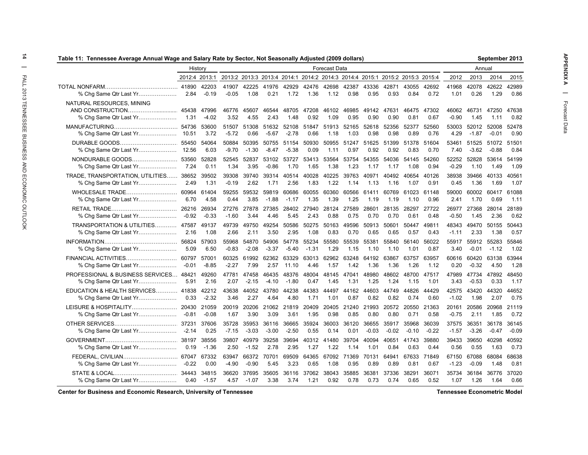| Table 11: Tennessee Average Annual Wage and Salary Rate by Sector, Not Seasonally Adjusted (2009 dollars) |                  |                     |                  |                     |                  |                           |                     |                           |               |                  |                                                                              |                           |                     |                  | September 2013<br>Annual<br>2013<br>2014<br>42078<br>42622<br>0.26<br>1.29<br>46731<br>47250<br>1.45<br>1.11<br>52012 52008<br>$-1.87$<br>$-0.01$<br>51525<br>51072<br>$-3.62$<br>-0.88<br>52828<br>53614<br>1.10<br>1.49<br>39466<br>40133<br>1.36<br>1.69<br>60002 60417<br>1.70<br>0.69<br>27368<br>28014<br>1.45<br>2.36<br>49470<br>50155<br>2.33<br>1.38<br>55912<br>55283<br>$-0.01$<br>$-1.12$<br>60420<br>63138 |                |                  |
|-----------------------------------------------------------------------------------------------------------|------------------|---------------------|------------------|---------------------|------------------|---------------------------|---------------------|---------------------------|---------------|------------------|------------------------------------------------------------------------------|---------------------------|---------------------|------------------|--------------------------------------------------------------------------------------------------------------------------------------------------------------------------------------------------------------------------------------------------------------------------------------------------------------------------------------------------------------------------------------------------------------------------|----------------|------------------|
|                                                                                                           |                  | History             |                  |                     |                  |                           |                     | Forecast Data             |               |                  |                                                                              |                           |                     |                  |                                                                                                                                                                                                                                                                                                                                                                                                                          |                |                  |
|                                                                                                           |                  | 2012:4 2013:1       |                  |                     |                  |                           |                     |                           |               |                  | 2013:2 2013:3 2013:4 2014:1 2014:2 2014:3 2014:4 2015:1 2015:2 2015:3 2015:4 |                           |                     | 2012             |                                                                                                                                                                                                                                                                                                                                                                                                                          |                | 2015             |
|                                                                                                           |                  | $-0.19$             | 41907<br>$-0.05$ | 42225<br>1.08       | 41976<br>0.21    | 42929<br>1.72             | 1.36                | 42476 42698 42387<br>1.12 | 0.98          | 43336<br>0.95    | 42871<br>0.93                                                                | 43055<br>0.84             | 42692<br>0.72       | 41968<br>1.01    |                                                                                                                                                                                                                                                                                                                                                                                                                          |                | 42989<br>0.86    |
| NATURAL RESOURCES, MINING<br>% Chg Same Qtr Last Yr                                                       | 1.31             | 47996<br>$-4.02$    | 46776<br>3.52    | 45607<br>4.55       | 46544<br>2.43    | 48705<br>1.48             | 47208<br>0.92       | 46102<br>1.09             | 46985<br>0.95 | 49142<br>0.90    | 47631<br>0.90                                                                | 46475<br>0.81             | 47302<br>0.67       | 46062<br>$-0.90$ |                                                                                                                                                                                                                                                                                                                                                                                                                          |                | 47638<br>0.82    |
| % Chg Same Qtr Last Yr                                                                                    | 10.51            | 54736 53600<br>3.72 | 51507<br>$-5.72$ | 51308<br>0.66       | 51632<br>$-5.67$ | $-2.78$                   | 52108 51847<br>0.66 | 51913<br>1.18             | 52165<br>1.03 | 52618<br>0.98    | 52356<br>0.98                                                                | 52377<br>0.89             | 52560<br>0.76       | 53003<br>4.29    |                                                                                                                                                                                                                                                                                                                                                                                                                          |                | 52478<br>0.90    |
| DURABLE GOODS<br>% Chg Same Qtr Last Yr                                                                   | 55450<br>12.56   | 54064<br>6.03       | 50884<br>$-9.70$ | 50395<br>$-1.30$    | 50755<br>-8.47   | 51154<br>$-5.38$          | 50930<br>0.09       | 50955<br>1.11             | 51247<br>0.97 | 51625<br>0.92    | 51399<br>0.92                                                                | 51378<br>0.83             | 51604<br>0.70       | 53461<br>7.40    |                                                                                                                                                                                                                                                                                                                                                                                                                          |                | 51501<br>0.84    |
| NONDURABLE GOODS<br>% Chg Same Qtr Last Yr                                                                | 53560<br>7.24    | 52828<br>0.11       | 52545<br>1.34    | 52837<br>3.95       | 53102<br>$-0.86$ | 53727<br>1.70             | 53413<br>1.65       | 53564<br>1.38             | 53754<br>1.23 | 54355<br>1.17    | 54036<br>1.17                                                                | 54145<br>1.08             | 54260<br>0.94       | 52252<br>$-0.29$ |                                                                                                                                                                                                                                                                                                                                                                                                                          |                | 54199<br>1.09    |
| TRADE, TRANSPORTATION, UTILITIES 38652<br>% Chg Same Qtr Last Yr                                          | 2.49             | 39502<br>1.31       | 39308<br>$-0.19$ | 39740<br>2.62       | 1.71             | 39314 40514 40028<br>2.56 | 1.83                | 40225<br>1.22             | 39763<br>1.14 | 40971<br>1.13    | 40492<br>1.16                                                                | 1.07                      | 40654 40126<br>0.91 | 38938<br>0.45    |                                                                                                                                                                                                                                                                                                                                                                                                                          |                | 40561<br>1.07    |
| % Chg Same Qtr Last Yr                                                                                    | 6.70             | 61404<br>4.58       | 0.44             | 59255 59532<br>3.85 | 59819<br>$-1.88$ | 60686<br>$-1.17$          | 60055<br>1.35       | 60360<br>1.39             | 60566<br>1.25 | 61411<br>1.19    | 1.19                                                                         | 60769 61023 61148<br>1.10 | 0.96                | 59000<br>2.41    |                                                                                                                                                                                                                                                                                                                                                                                                                          |                | 61088<br>1.11    |
| % Chg Same Qtr Last Yr                                                                                    | 26216<br>-0.92   | 26934<br>$-0.33$    | 27276<br>$-1.60$ | 27878<br>3.44       | 27385<br>4.46    | 28402<br>5.45             | 27940<br>2.43       | 28124<br>0.88             | 27589<br>0.75 | 28601<br>0.70    | 28135<br>0.70                                                                | 28297<br>0.61             | 27722<br>0.48       | 26977<br>$-0.50$ |                                                                                                                                                                                                                                                                                                                                                                                                                          |                | 28189<br>0.62    |
| TRANSPORTATION & UTILITIES 47587<br>% Chg Same Qtr Last Yr                                                | 2.16             | 49137<br>1.08       | 49739<br>2.66    | 49750<br>2.11       | 49254<br>3.50    | 50586<br>2.95             | 50275<br>1.08       | 50163<br>0.83             | 49596<br>0.70 | 50913<br>0.65    | 50601<br>0.65                                                                | 50447<br>0.57             | 49811<br>0.43       | 48343<br>$-1.11$ |                                                                                                                                                                                                                                                                                                                                                                                                                          |                | 50443<br>0.57    |
| % Chg Same Qtr Last Yr                                                                                    | 56824<br>5.09    | 57903<br>6.50       | 55968<br>$-0.83$ | 54870<br>$-2.08$    | 54906<br>$-3.37$ | 54778<br>$-5.40$          | 55234<br>$-1.31$    | 55580<br>1.29             | 55539<br>1.15 | 55381<br>1.10    | 55840<br>1.10                                                                | 56140<br>1.01             | 56022<br>0.87       | 55917<br>3.40    |                                                                                                                                                                                                                                                                                                                                                                                                                          |                | 55846<br>1.02    |
| FINANCIAL ACTIVITIES<br>% Chg Same Qtr Last Yr                                                            | 60797<br>$-0.01$ | 57001<br>$-8.85$    | 60325<br>$-2.27$ | 61992<br>7.99       | 62362<br>2.57    | 63329<br>11.10            | 63013<br>4.46       | 62962<br>1.57             | 63248<br>1.42 | 64192<br>1.36    | 63867<br>1.36                                                                | 63757<br>1.26             | 63957<br>1.12       | 60616<br>0.20    | $-0.32$                                                                                                                                                                                                                                                                                                                                                                                                                  | 4.50           | 63944<br>1.28    |
| PROFESSIONAL & BUSINESS SERVICES 48421<br>% Chg Same Qtr Last Yr                                          | 5.91             | 49260<br>2.16       | 47781<br>2.07    | 47458<br>$-2.15$    | 46435<br>-4.10   | 48376<br>$-1.80$          | 48004<br>0.47       | 48145<br>1.45             | 47041<br>1.31 | 48980<br>1.25    | 48602<br>1.24                                                                | 48700<br>1.15             | 47517<br>1.01       | 47989<br>3.43    | 47734<br>$-0.53$                                                                                                                                                                                                                                                                                                                                                                                                         | 47892<br>0.33  | 48450<br>1.17    |
| EDUCATION & HEALTH SERVICES 41838<br>% Chg Same Qtr Last Yr                                               | 0.33             | 42212<br>$-2.32$    | 43638<br>3.46    | 44052<br>2.27       | 43780<br>4.64    | 44238<br>4.80             | 44383<br>1.71       | 44497<br>1.01             | 44162<br>0.87 | 44603<br>0.82    | 44749<br>0.82                                                                | 44826<br>0.74             | 44429<br>0.60       | 42575<br>$-1.02$ | 43420<br>1.98                                                                                                                                                                                                                                                                                                                                                                                                            | 44320<br>2.07  | 44652<br>0.75    |
| % Chg Same Qtr Last Yr                                                                                    | -0.81            | $-0.08$             | 1.67             | 20019 20206<br>3.90 | 3.09             | 21062 21819<br>3.61       | 20409<br>1.95       | 20405<br>0.98             | 21240<br>0.85 | 21993<br>0.80    | 0.80                                                                         | 20572 20550 21363<br>0.71 | 0.58                | 20161<br>$-0.75$ | 20586<br>2.11                                                                                                                                                                                                                                                                                                                                                                                                            | 20968<br>1.85  | 21119<br>0.72    |
| % Chg Same Qtr Last Yr                                                                                    | $-2.14$          | 37606<br>0.25       | 35728<br>$-7.15$ | 35953<br>$-3.03$    | 36116<br>$-3.00$ | 36665<br>$-2.50$          | 35924<br>0.55       | 36003<br>0.14             | 36120<br>0.01 | 36655<br>$-0.03$ | 35917<br>$-0.02$                                                             | 35968<br>$-0.10$          | 36039<br>$-0.22$    | 37575<br>-1.57   | 36351<br>-3.26                                                                                                                                                                                                                                                                                                                                                                                                           | 36178<br>-0.47 | 36145<br>$-0.09$ |
| % Chg Same Qtr Last Yr                                                                                    | 38197<br>0.19    | 38556<br>-1.36      | 39807<br>2.50    | 40979<br>$-1.52$    | 39258<br>2.78    | 39694<br>2.95             | 40312<br>1.27       | 41480<br>1.22             | 39704<br>1.14 | 40094<br>1.01    | 40651<br>0.84                                                                | 41743<br>0.63             | 39880<br>0.44       | 39433<br>0.56    | 39650<br>0.55                                                                                                                                                                                                                                                                                                                                                                                                            | 40298<br>1.63  | 40592<br>0.73    |
| % Chg Same Qtr Last Yr                                                                                    | $-0.22$          | 67332<br>0.00       | 63947<br>$-4.90$ | 66372<br>$-0.90$    | 70701<br>5.45    | 69509<br>3.23             | 64365<br>0.65       | 67092 71369<br>1.08       | 0.95          | 70131<br>0.89    | 64941<br>0.89                                                                | 67633<br>0.81             | 71849<br>0.67       | 67150<br>$-1.23$ | 67088<br>$-0.09$                                                                                                                                                                                                                                                                                                                                                                                                         | 68084<br>1.48  | 68638<br>0.81    |
| % Chg Same Qtr Last Yr                                                                                    | 34443<br>0.40    | 34815<br>-1.57      | 36620<br>4.57    | 37695<br>$-1.07$    | 35605<br>3.38    | 36116<br>3.74             | 37062<br>1.21       | 38043<br>0.92             | 35885<br>0.78 | 36381<br>0.73    | 37336<br>0.74                                                                | 38291<br>0.65             | 36071<br>0.52       | 35734<br>1.07    | 36184<br>1.26                                                                                                                                                                                                                                                                                                                                                                                                            | 36776<br>1.64  | 37020<br>0.66    |

**Center for Business and Economic Research, University of Tennessee**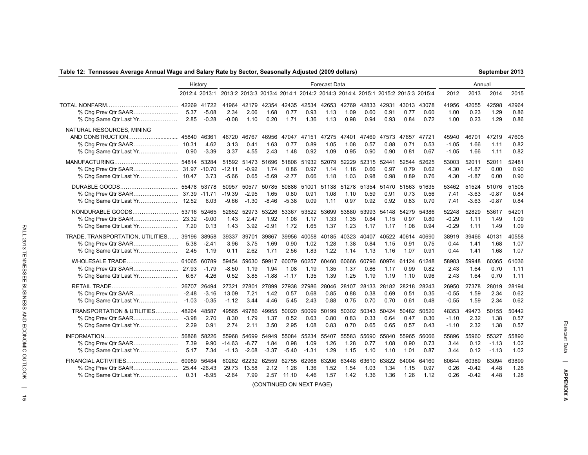### **Table 12: Tennessee Average Annual Wage and Salary Rate by Sector, Seasonally Adjusted (2009 dollars)**

**September 2013**

|                                                                  | History                              |                                         |                                                                              |                             |                          |                             |                          | Forecast Data         |                       |                       |                       |                       |                       |                             | Annual                      |                             |                       |
|------------------------------------------------------------------|--------------------------------------|-----------------------------------------|------------------------------------------------------------------------------|-----------------------------|--------------------------|-----------------------------|--------------------------|-----------------------|-----------------------|-----------------------|-----------------------|-----------------------|-----------------------|-----------------------------|-----------------------------|-----------------------------|-----------------------|
|                                                                  | 2012:4 2013:1                        |                                         | 2013:2 2013:3 2013:4 2014:1 2014:2 2014:3 2014:4 2015:1 2015:2 2015:3 2015:4 |                             |                          |                             |                          |                       |                       |                       |                       |                       |                       | 2012                        | 2013                        | 2014                        | 2015                  |
| % Chg Prev Qtr SAAR<br>% Chg Same Qtr Last Yr                    | 5.37<br>2.85                         | 42269 41722<br>$-5.08$<br>$-0.28$       | 41964<br>2.34<br>$-0.08$                                                     | 42179<br>2.06<br>1.10       | 42354<br>1.68<br>0.20    | 42435<br>0.77<br>1.71       | 42534<br>0.93<br>1.36    | 42653<br>1.13<br>1.13 | 42769<br>1.09<br>0.98 | 42833<br>0.60<br>0.94 | 42931<br>0.91<br>0.93 | 43013<br>0.77<br>0.84 | 43078<br>0.60<br>0.72 | 41956<br>1.00<br>1.00       | 42055<br>0.23<br>0.23       | 42598<br>1.29<br>1.29       | 42964<br>0.86<br>0.86 |
| NATURAL RESOURCES, MINING<br>% Chg Same Qtr Last Yr              | 45840<br>0.90                        | 46361<br>4.62<br>$-3.39$                | 46720<br>3.13<br>3.37                                                        | 46767<br>0.41<br>4.55       | 46956<br>1.63<br>2.43    | 47047<br>0.77<br>1.48       | 47151<br>0.89<br>0.92    | 47275<br>1.05<br>1.09 | 47401<br>1.08<br>0.95 | 47469<br>0.57<br>0.90 | 47573<br>0.88<br>0.90 | 47657<br>0.71<br>0.81 | 47721<br>0.53<br>0.67 | 45940<br>$-1.05$<br>$-1.05$ | 46701<br>1.66<br>1.66       | 47219<br>1.11<br>1.11       | 47605<br>0.82<br>0.82 |
| % Chg Same Qtr Last Yr                                           | 54814<br>10.47                       | 53284<br>3.73                           | 51592<br>$-12.11$<br>$-5.66$                                                 | 51473<br>$-0.92$<br>0.65    | 51696<br>1.74<br>$-5.69$ | 51806<br>0.86<br>$-2.77$    | 51932<br>0.97<br>0.66    | 52079<br>1.14<br>1.18 | 52229<br>1.16<br>1.03 | 52315<br>0.66<br>0.98 | 52441<br>0.97<br>0.98 | 52544<br>0.79<br>0.89 | 52625<br>0.62<br>0.76 | 53003<br>4.30<br>4.30       | 52011<br>$-1.87$<br>$-1.87$ | 52011<br>0.00<br>0.00       | 52481<br>0.90<br>0.90 |
| DURABLE GOODS<br>% Chg Same Qtr Last Yr                          | 55478 53778<br>37.39 -11.71<br>12.52 | 6.03                                    | 50957<br>$-19.39$<br>$-9.66$                                                 | 50577<br>$-2.95$<br>$-1.30$ | 50785<br>1.65<br>$-8.46$ | 50886<br>0.80<br>$-5.38$    | 51001<br>0.91<br>0.09    | 51138<br>1.08<br>1.11 | 51278<br>1.10<br>0.97 | 51354<br>0.59<br>0.92 | 51470<br>0.91<br>0.92 | 51563<br>0.73<br>0.83 | 51635<br>0.56<br>0.70 | 53462<br>7.41<br>7.41       | 51524<br>$-3.63$<br>$-3.63$ | 51076<br>$-0.87$<br>$-0.87$ | 51505<br>0.84<br>0.84 |
| NONDURABLE GOODS<br>% Chg Same Qtr Last Yr                       | 53716<br>7.20                        | 52465<br>$-9.00$<br>0.13                | 1.43<br>1.43                                                                 | 52652 52973<br>2.47<br>3.92 | 53226<br>1.92<br>$-0.91$ | 53367<br>1.06<br>1.72       | 53522<br>1.17<br>1.65    | 53699<br>1.33<br>1.37 | 53880<br>1.35<br>1.23 | 53993<br>0.84<br>1.17 | 54148<br>1.15<br>1.17 | 54279<br>0.97<br>1.08 | 54386<br>0.80<br>0.94 | 52248<br>$-0.29$<br>$-0.29$ | 52829<br>1.11<br>1.11       | 53617<br>1.49<br>1.49       | 54201<br>1.09<br>1.09 |
| TRADE, TRANSPORTATION, UTILITIES 39196<br>% Chg Same Qtr Last Yr | 5.38<br>2.45                         | 38958<br>$-2.41$<br>1.19                | 39337<br>3.96<br>0.11                                                        | 39701<br>3.75<br>2.62       | 39867<br>1.69<br>1.71    | 39956<br>0.90<br>2.56       | 40058<br>1.02<br>1.83    | 40185<br>1.28<br>1.22 | 40323<br>1.38<br>1.14 | 40407<br>0.84<br>1.13 | 40522<br>1.15<br>1.16 | 40614<br>0.91<br>1.07 | 40690<br>0.75<br>0.91 | 38919<br>0.44<br>0.44       | 39466<br>1.41<br>1.41       | 40131<br>1.68<br>1.68       | 40558<br>1.07<br>1.07 |
| WHOLESALE TRADE<br>% Chg Prev Qtr SAAR<br>% Chg Same Qtr Last Yr | 61065<br>27.93<br>6.67               | 60789<br>$-1.79$<br>4.26                | 59454<br>-8.50<br>0.52                                                       | 59630<br>1.19<br>3.85       | 59917<br>1.94<br>$-1.88$ | 60079<br>1.08<br>$-1.17$    | 60257<br>1.19<br>1.35    | 60460<br>1.35<br>1.39 | 60666<br>1.37<br>1.25 | 60796<br>0.86<br>1.19 | 60974<br>1.17<br>1.19 | 61124<br>0.99<br>1.10 | 61248<br>0.82<br>0.96 | 58983<br>2.43<br>2.43       | 59948<br>1.64<br>1.64       | 60365<br>0.70<br>0.70       | 61036<br>1.11<br>1.11 |
| % Chg Prev Qtr SAAR<br>% Chg Same Qtr Last Yr                    | 26707<br>$-2.48$<br>$-1.03$          | 26494<br>$-3.16$<br>$-0.35$             | 27321<br>13.09<br>$-1.12$                                                    | 27801<br>7.21<br>3.44       | 27899<br>1.42<br>4.46    | 27938<br>0.57<br>5.45       | 27986<br>0.68<br>2.43    | 28046<br>0.85<br>0.88 | 28107<br>0.88<br>0.75 | 28133<br>0.38<br>0.70 | 28182<br>0.69<br>0.70 | 28218<br>0.51<br>0.61 | 28243<br>0.35<br>0.48 | 26950<br>$-0.55$<br>$-0.55$ | 27378<br>1.59<br>1.59       | 28019<br>2.34<br>2.34       | 28194<br>0.62<br>0.62 |
| TRANSPORTATION & UTILITIES<br>% Chg Same Qtr Last Yr             | 48264<br>$-3.98$<br>2.29             | 48587<br>2.70<br>0.91                   | 49565<br>8.30<br>2.74                                                        | 49786<br>1.79<br>2.11       | 49955<br>1.37<br>3.50    | 50020<br>0.52<br>2.95       | 50099<br>0.63<br>1.08    | 50199<br>0.80<br>0.83 | 50302<br>0.83<br>0.70 | 50343<br>0.33<br>0.65 | 50424<br>0.64<br>0.65 | 50482<br>0.47<br>0.57 | 50520<br>0.30<br>0.43 | 48353<br>$-1.10$<br>$-1.10$ | 49473<br>2.32<br>2.32       | 50155<br>1.38<br>1.38       | 50442<br>0.57<br>0.57 |
| % Chg Same Qtr Last Yr                                           | 56868<br>7.39<br>5.17                | 58226<br>9.90<br>7.34                   | 55968<br>$-14.63$<br>$-1.13$                                                 | 54699<br>$-8.77$<br>$-2.08$ | 54949<br>1.84<br>$-3.37$ | 55084<br>0.98<br>$-5.40$    | 55234<br>1.09<br>$-1.31$ | 55407<br>1.26<br>1.29 | 55583<br>1.28<br>1.15 | 55690<br>0.77<br>1.10 | 55840<br>1.08<br>1.10 | 55965<br>0.90<br>1.01 | 56066<br>0.73<br>0.87 | 55896<br>3.44<br>3.44       | 55960<br>0.12<br>0.12       | 55327<br>$-1.13$<br>$-1.13$ | 55890<br>1.02<br>1.02 |
| FINANCIAL ACTIVITIES<br>% Chg Same Qtr Last Yr                   | 60989                                | 56484<br>25.44 - 26.43<br>$0.31 - 8.95$ | 60282<br>29.73<br>$-2.64$                                                    | 62232<br>13.58<br>7.99      | 62559<br>2.12            | 62755<br>1.26<br>2.57 11.10 | 62968<br>1.36<br>4.46    | 63206<br>1.52<br>1.57 | 63448<br>1.54<br>1.42 | 63610<br>1.03<br>1.36 | 63822<br>1.34<br>1.36 | 64004<br>1.15<br>1.26 | 64160<br>0.97<br>1.12 | 60644<br>0.26<br>0.26       | 60389<br>$-0.42$<br>$-0.42$ | 63094<br>4.48<br>4.48       | 63899<br>1.28<br>1.28 |

(CONTINUED ON NEXT PAGE)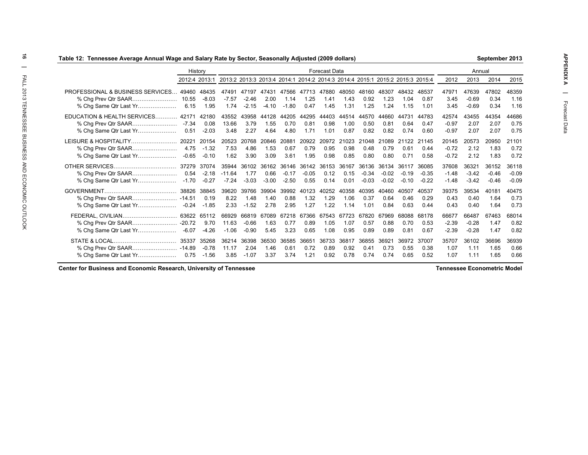| Table 12:  Tennessee Average Annual Wage and Salary Rate by Sector, Seasonally Adjusted (2009 dollars) |               |                             |                                                                              |                             |                             |                             |                          |                             |                       |                             |                             |                             |                             |                             |                                        | September 2013              |                             |  |  |  |
|--------------------------------------------------------------------------------------------------------|---------------|-----------------------------|------------------------------------------------------------------------------|-----------------------------|-----------------------------|-----------------------------|--------------------------|-----------------------------|-----------------------|-----------------------------|-----------------------------|-----------------------------|-----------------------------|-----------------------------|----------------------------------------|-----------------------------|-----------------------------|--|--|--|
|                                                                                                        | History       |                             |                                                                              |                             |                             |                             |                          | <b>Forecast Data</b>        |                       |                             |                             |                             |                             |                             | Annual<br>2013<br>2014<br>2012<br>2015 |                             |                             |  |  |  |
|                                                                                                        |               | 2012:4 2013:1               | 2013:2 2013:3 2013:4 2014:1 2014:2 2014:3 2014:4 2015:1 2015:2 2015:3 2015:4 |                             |                             |                             |                          |                             |                       |                             |                             |                             |                             |                             |                                        |                             |                             |  |  |  |
| PROFESSIONAL & BUSINESS SERVICES 49460<br>% Cha Prev Qtr SAAR<br>% Chg Same Qtr Last Yr                | 10.55<br>6.15 | 48435<br>$-8.03$<br>1.95    | 47491<br>$-7.57$<br>1.74                                                     | 47197<br>$-2.46$<br>$-2.15$ | 47431<br>2.00<br>$-4.10$    | 47566<br>1.14<br>$-1.80$    | 47713<br>1.25<br>0.47    | 47880<br>1.41<br>1.45       | 48050<br>1.43<br>1.31 | 48160<br>0.92<br>1.25       | 48307<br>1.23<br>1.24       | 48432<br>1.04<br>1.15       | 48537<br>0.87<br>1.01       | 47971<br>3.45<br>3.45       | 47639<br>$-0.69$<br>$-0.69$            | 47802<br>0.34<br>0.34       | 48359<br>1.16<br>1.16       |  |  |  |
| EDUCATION & HEALTH SERVICES 42171<br>% Chg Same Qtr Last Yr                                            | -7.34<br>0.51 | 42180<br>0.08<br>$-2.03$    | 43552<br>13.66<br>3.48                                                       | 3.79<br>2.27                | 43958 44128<br>1.55<br>4.64 | 44205<br>0.70<br>4.80       | 44295<br>0.81<br>1.71    | 44403<br>0.98<br>1.01       | 44514<br>1.00<br>0.87 | 44570<br>0.50<br>0.82       | 44660<br>0.81<br>0.82       | 44731<br>0.64<br>0.74       | 44783<br>0.47<br>0.60       | 42574<br>$-0.97$<br>$-0.97$ | 43455<br>2.07<br>2.07                  | 44354<br>2.07<br>2.07       | 44686<br>0.75<br>0.75       |  |  |  |
| LEISURE & HOSPITALITY                                                                                  | 20221<br>4.75 | 20154<br>$-1.32$<br>$-0.10$ | 20523<br>7.53<br>1.62                                                        | 20768<br>4.86<br>3.90       | 20846<br>1.53<br>3.09       | 20881<br>0.67<br>3.61       | 20922<br>0.79<br>1.95    | 20972<br>0.95<br>0.98       | 21023<br>0.98<br>0.85 | 21048<br>0.48<br>0.80       | 21089<br>0.79<br>0.80       | 21122<br>0.61<br>0.71       | 21145<br>0.44<br>0.58       | 20145<br>$-0.72$<br>$-0.72$ | 20573<br>2.12<br>2.12                  | 20950<br>1.83<br>1.83       | 21101<br>0.72<br>0.72       |  |  |  |
|                                                                                                        | 37279         | 37074<br>-2.18<br>$-0.27$   | 35944<br>-11.64<br>$-7.24$                                                   | 36102<br>1.77<br>$-3.03$    | 36162<br>0.66<br>$-3.00$    | 36146<br>$-0.17$<br>$-2.50$ | 36142<br>$-0.05$<br>0.55 | 36153<br>0.12<br>0.14       | 36167<br>0.15<br>0.01 | 36136<br>$-0.34$<br>$-0.03$ | 36134<br>$-0.02$<br>$-0.02$ | 36117<br>$-0.19$<br>$-0.10$ | 36085<br>$-0.35$<br>$-0.22$ | 37608<br>$-1.48$<br>$-1.48$ | 36321<br>$-3.42$<br>$-3.42$            | 36152<br>$-0.46$<br>$-0.46$ | 36118<br>$-0.09$<br>$-0.09$ |  |  |  |
|                                                                                                        | 38826         | 38845<br>0.19<br>$-1.85$    | 39620<br>8.22<br>2.33                                                        | 39766<br>1.48<br>$-1.52$    | 39904<br>1.40<br>2.78       | 39992<br>0.88<br>2.95       | 40123<br>1.32<br>1.27    | 40252<br>1.29<br>1.22       | 40358<br>1.06<br>1.14 | 40395<br>0.37<br>1.01       | 40460<br>0.64<br>0.84       | 40507<br>0.46<br>0.63       | 40537<br>0.29<br>0.44       | 39375<br>0.43<br>0.43       | 39534<br>0.40<br>0.40                  | 40181<br>1.64<br>1.64       | 40475<br>0.73<br>0.73       |  |  |  |
| FEDERAL, CIVILIAN 63622 65112                                                                          |               | 9.70<br>-4.26               | 66929<br>11.63<br>$-1.06$                                                    | 66819<br>$-0.66$<br>$-0.90$ | 67089<br>1.63<br>5.45       | 67218<br>0.77<br>3.23       | 0.89<br>0.65             | 67366 67543<br>1.05<br>1.08 | 67723<br>1.07<br>0.95 | 67820<br>0.57<br>0.89       | 67969<br>0.88<br>0.89       | 68088<br>0.70<br>0.81       | 68178<br>0.53<br>0.67       | 66677<br>$-2.39$<br>$-2.39$ | 66487<br>$-0.28$<br>$-0.28$            | 67463<br>1.47<br>1.47       | 68014<br>0.82<br>0.82       |  |  |  |
|                                                                                                        | 35337         | 35268<br>-0.78<br>$-1.56$   | 36214<br>11.17<br>3.85                                                       | 36398<br>2.04<br>$-1.07$    | 36530<br>1.46<br>3.37       | 36585<br>0.61<br>3.74       | 36651<br>0.72<br>1.21    | 36733<br>0.89<br>0.92       | 36817<br>0.92<br>0.78 | 36855<br>0.41<br>0.74       | 36921<br>0.73<br>0.74       | 36972<br>0.55<br>0.65       | 37007<br>0.38<br>0.52       | 35707<br>1.07<br>1.07       | 36102<br>1.11<br>1.11                  | 36696<br>1.65<br>1.65       | 36939<br>0.66<br>0.66       |  |  |  |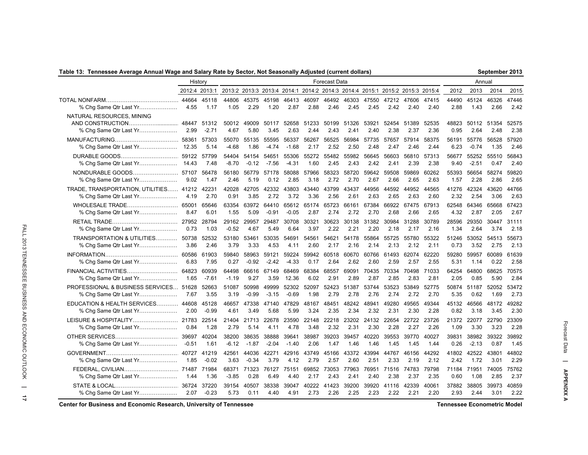# **Table 13: Tennessee Average Annual Wage and Salary Rate by Sector, Not Seasonally Adjusted (current dollars)**

| Table 13: Tennessee Average Annual Wage and Salary Rate by Sector, Not Seasonally Adjusted (current dollars) |               |                  |                  |               |                  |               |                     |                                                                              |                     |               |               |               |               |               |               | September 2013      |               |
|--------------------------------------------------------------------------------------------------------------|---------------|------------------|------------------|---------------|------------------|---------------|---------------------|------------------------------------------------------------------------------|---------------------|---------------|---------------|---------------|---------------|---------------|---------------|---------------------|---------------|
|                                                                                                              | History       |                  |                  |               |                  |               |                     | Forecast Data                                                                |                     |               |               |               |               |               | Annual        |                     |               |
|                                                                                                              | 2012:4 2013:1 |                  |                  |               |                  |               |                     | 2013:2 2013:3 2013:4 2014:1 2014:2 2014:3 2014:4 2015:1 2015:2 2015:3 2015:4 |                     |               |               |               |               | 2012          | 2013          | 2014                | 2015          |
|                                                                                                              |               | 44664 45118      |                  | 44806 45375   |                  |               |                     | 45198 46413 46097 46492 46303 47550 47212 47606 47415                        |                     |               |               |               |               | 44490         | 45124         | 46326               | 47446         |
| % Chg Same Qtr Last Yr                                                                                       | 4.55          | 1.17             | 1.05             | 2.29          | 1.20             | 2.87          | 2.88                | 2.46                                                                         | 2.45                | 2.45          | 2.42          | 2.40          | 2.40          | 2.88          | 1.43          | 2.66                | 2.42          |
| NATURAL RESOURCES, MINING<br>% Chg Same Qtr Last Yr                                                          | 48447<br>2.99 | 51312<br>$-2.71$ | 50012<br>4.67    | 49009<br>5.80 | 50117<br>3.45    | 52658<br>2.63 | 51233<br>2.44       | 50199<br>2.43                                                                | 51326<br>2.41       | 53921<br>2.40 | 52454<br>2.38 | 51389<br>2.37 | 52535<br>2.36 | 48823<br>0.95 | 2.64          | 50112 51354<br>2.48 | 52575<br>2.38 |
|                                                                                                              | 58361         | 57303            | 55070            | 55135         | 55595            | 56337         | 56267               | 56525                                                                        | 56984               | 57735         | 57657         | 57914         | 58375         | 56191         | 55776         | 56528               | 57920         |
| % Chg Same Qtr Last Yr                                                                                       | 12.35         | 5.14             | $-4.68$          | 1.86          | $-4.74$          | $-1.68$       | 2.17                | 2.52                                                                         | 2.50                | 2.48          | 2.47          | 2.46          | 2.44          | 6.23          | $-0.74$       | 1.35                | 2.46          |
| DURABLE GOODS                                                                                                | 59122         | 57799            | 54404            | 54154         | 54651            | 55306         | 1.60                | 55272 55482                                                                  | 55982               | 56645         | 56603         | 56810         | 57313         | 56677         | 55252         | 55510               | 56843         |
| % Chg Same Qtr Last Yr                                                                                       | 14.43         | 7.48             | $-8.70$          | $-0.12$       | $-7.56$          | $-4.31$       |                     | 2.45                                                                         | 2.43                | 2.42          | 2.41          | 2.39          | 2.38          | 9.40          | $-2.51$       | 0.47                | 2.40          |
| NONDURABLE GOODS                                                                                             | 57107         | 56478            | 56180            | 56779         | 57178            | 58088         | 57966               | 58323                                                                        | 58720               | 59642         | 59508         | 59869         | 60262         | 55393         | 56654         | 58274               | 59820         |
| % Chg Same Qtr Last Yr                                                                                       | 9.02          | 1.47             | 2.46             | 5.19          | 0.12             | 2.85          | 3.18                | 2.72                                                                         | 2.70                | 2.67          | 2.66          | 2.65          | 2.63          | 1.57          | 2.28          | 2.86                | 2.65          |
| TRADE, TRANSPORTATION, UTILITIES 41212                                                                       | 4.19          | 42231            | 42028            | 42705         | 42332            | 43803         | 43440               | 43799                                                                        | 43437               | 44956         | 44592         | 44952         | 44565         | 41276         | 42324         | 43620               | 44766         |
| % Chg Same Qtr Last Yr                                                                                       |               | 2.70             | 0.91             | 3.85          | 2.72             | 3.72          | 3.36                | 2.56                                                                         | 2.61                | 2.63          | 2.65          | 2.63          | 2.60          | 2.32          | 2.54          | 3.06                | 2.63          |
| % Chg Same Qtr Last Yr                                                                                       | 8.47          | 65646<br>6.01    | 63354<br>1.55    | 63972<br>5.09 | 64410<br>$-0.91$ | $-0.05$       | 65612 65174<br>2.87 | 65723<br>2.74                                                                | 66161<br>2.72       | 67384<br>2.70 | 66922<br>2.68 | 67475<br>2.66 | 67913<br>2.65 | 62548<br>4.32 | 64346<br>2.87 | 65668<br>2.05       | 67423<br>2.67 |
|                                                                                                              | 0.73          | 28794            | 29162            | 29957         | 29487            | 30708         | 30321               | 30623                                                                        | 30138               | 31382         | 30984         | 31288         | 30789         | 28596         | 29350         | 30447               | 31111         |
| % Chg Same Qtr Last Yr                                                                                       |               | 1.03             | $-0.52$          | 4.67          | 5.49             | 6.64          | 3.97                | 2.22                                                                         | 2.21                | 2.20          | 2.18          | 2.17          | 2.16          | 1.34          | 2.64          | 3.74                | 2.18          |
| TRANSPORTATION & UTILITIES                                                                                   | 50738         | 52532            | 53180            | 53461         | 53035            | 54691         | 54561               | 54621                                                                        | 54178               | 55864         | 55725         | 55780         | 55322         | 51246         | 3.52          | 53052 54513         | 55673         |
| % Chg Same Qtr Last Yr                                                                                       | 3.86          | 2.46             | 3.79             | 3.33          | 4.53             | 4.11          | 2.60                | 2.17                                                                         | 2.16                | 2.14          | 2.13          | 2.12          | 2.11          | 0.73          |               | 2.75                | 2.13          |
|                                                                                                              | 60586         | 61903            | 59840            | 58963         | 59121            | 59224         | 59942               | 60518                                                                        | 60670               | 60766         | 61493         | 62074         | 62220         | 59280         | 59957         | 60089               | 61639         |
| % Chg Same Qtr Last Yr                                                                                       | 6.83          | 7.95             | 0.27             | $-0.92$       | $-2.42$          | $-4.33$       | 0.17                | 2.64                                                                         | 2.62                | 2.60          | 2.59          | 2.57          | 2.55          | 5.31          | 1.14          | 0.22                | 2.58          |
| FINANCIAL ACTIVITIES                                                                                         | 64823         | 60939            | 64498            | 66616         | 67149            | 68469         | 68384               | 68557                                                                        | 69091               | 70435         | 70334         | 70498         | 71033         | 64254         | 64800         | 68625               | 70575         |
| % Chg Same Qtr Last Yr                                                                                       | 1.65          | $-7.61$          | $-1.19$          | 9.27          | 3.59             | 12.36         | 6.02                | 2.91                                                                         | 2.89                | 2.87          | 2.85          | 2.83          | 2.81          | 2.05          | 0.85          | 5.90                | 2.84          |
| PROFESSIONAL & BUSINESS SERVICES 51628                                                                       | 7.67          | 52663            | 51087            | 50998         | 49999            | 52302         | 52097               | 52423                                                                        | 51387               | 53744         | 53523         | 53849         | 52775         | 50874         | 51187         | 52052               | 53472         |
| % Chg Same Qtr Last Yr                                                                                       |               | 3.55             | 3.19             | $-0.99$       | $-3.15$          | $-0.69$       | 1.98                | 2.79                                                                         | 2.78                | 2.76          | 2.74          | 2.72          | 2.70          | 5.35          | 0.62          | 1.69                | 2.73          |
| EDUCATION & HEALTH SERVICES                                                                                  | 44608         | 45128            | 46657            | 47338         | 47140            | 47829         | 48167               | 48451                                                                        | 48242               | 48941         | 49280         | 49565         | 49344         | 45132         | 46566         | 48172               | 49282         |
| % Chg Same Qtr Last Yr                                                                                       | 2.00          | $-0.99$          | 4.61             | 3.49          | 5.68             | 5.99          | 3.24                | 2.35                                                                         | 2.34                | 2.32          | 2.31          | 2.30          | 2.28          | 0.82          | 3.18          | 3.45                | 2.30          |
| % Chg Same Qtr Last Yr                                                                                       | 0.84          | 22514<br>1.28    | 21404<br>2.79    | 21713<br>5.14 | 22678<br>4.11    | 23590<br>4.78 | 22148<br>3.48       | 2.32                                                                         | 22218 23202<br>2.31 | 24132<br>2.30 | 22654<br>2.28 | 22722<br>2.27 | 23726<br>2.26 | 21372<br>1.09 | 22077<br>3.30 | 22790<br>3.23       | 23309<br>2.28 |
|                                                                                                              | 39697         | 40204            | 38200            | 38635         | 38888            | 39641         | 38987               | 39203                                                                        | 39457               | 40220         | 39553         | 39770         | 40027         | 39831         | 38982         | 39322               | 39892         |
| % Chg Same Qtr Last Yr                                                                                       | $-0.51$       | 1.61             | $-6.12$          | $-1.87$       | $-2.04$          | $-1.40$       | 2.06                | 1.47                                                                         | 1.46                | 1.46          | 1.45          | 1.45          | 1.44          | 0.26          | $-2.13$       | 0.87                | 1.45          |
|                                                                                                              | 40727         | 41219            | 42561            | 44036         | 42271            | 42916         | 43749               | 45166                                                                        | 43372               | 43994         | 44767         | 46156         | 44292         | 41802         | 42522         | 43801               | 44802         |
| % Chg Same Qtr Last Yr                                                                                       | 1.85          | $-0.02$          | 3.63             | $-0.34$       | 3.79             | 4.12          | 2.79                | 2.57                                                                         | 2.60                | 2.51          | 2.33          | 2.19          | 2.12          | 2.42          | 1.72          | 3.01                | 2.29          |
| FEDERAL, CIVILIAN<br>% Chg Same Qtr Last Yr                                                                  | 71487<br>1.44 | 71984<br>1.36    | 68371<br>$-3.85$ | 71323<br>0.28 | 76127<br>6.49    | 75151<br>4.40 | 2.17                | 69852 73053 77963<br>2.43                                                    | 2.41                | 76951<br>2.40 | 71516<br>2.38 | 74783<br>2.37 | 79798<br>2.35 | 71184<br>0.60 | 71951<br>1.08 | 74005<br>2.85       | 75762<br>2.37 |
|                                                                                                              | 36724         | 37220            | 39154            | 40507         | 38338            | 39047         | 40222               | 41423                                                                        | 39200               | 39920         | 41116         | 42339         | 40061         | 37882         | 38805         | 39973               | 40859         |
| % Chg Same Qtr Last Yr                                                                                       | 2.07          | $-0.23$          | 5.73             | 0.11          | 4.40             | 4.91          | 2.73                | 2.26                                                                         | 2.25                | 2.23          | 2.22          | 2.21          | 2.20          | 2.93          | 2.44          | 3.01                | 2.22          |

**Center for Business and Economic Research, University of Tennessee**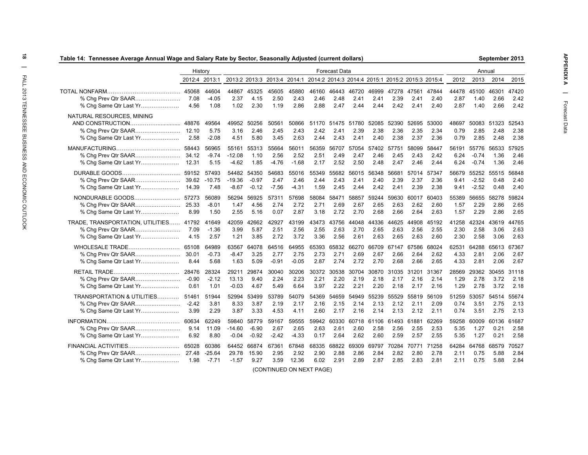| Table 14: Tennessee Average Annual Wage and Salary Rate by Sector, Seasonally Adjusted (current dollars) |                          |                               |                              |                              |                          |                          |                                                                              |                             |                       |                       |                             |                       |                       |                       |                             | September 2013              |                             |
|----------------------------------------------------------------------------------------------------------|--------------------------|-------------------------------|------------------------------|------------------------------|--------------------------|--------------------------|------------------------------------------------------------------------------|-----------------------------|-----------------------|-----------------------|-----------------------------|-----------------------|-----------------------|-----------------------|-----------------------------|-----------------------------|-----------------------------|
|                                                                                                          | History                  |                               |                              |                              |                          |                          |                                                                              | <b>Forecast Data</b>        |                       |                       |                             |                       |                       |                       | Annual                      |                             |                             |
|                                                                                                          | 2012:4 2013:1            |                               |                              |                              |                          |                          | 2013:2 2013:3 2013:4 2014:1 2014:2 2014:3 2014:4 2015:1 2015:2 2015:3 2015:4 |                             |                       |                       |                             |                       |                       | 2012                  | 2013                        | 2014                        | 2015                        |
| % Chg Prev Qtr SAAR<br>% Chg Same Qtr Last Yr                                                            | 45068<br>7.08<br>4.56    | 44604<br>$-4.05$<br>1.08      | 44867<br>2.37<br>1.02        | 45325<br>4.15<br>2.30        | 45605<br>2.50<br>1.19    | 45880<br>2.43<br>2.86    | 46160<br>2.46<br>2.88                                                        | 46443<br>2.48<br>2.47       | 46720<br>2.41<br>2.44 | 46999<br>2.41<br>2.44 | 47278<br>2.39<br>2.42       | 47561<br>2.41<br>2.41 | 47844<br>2.40<br>2.40 | 44478<br>2.87<br>2.87 | 45100<br>1.40<br>1.40       | 46301<br>2.66<br>2.66       | 47420<br>2.42<br>2.42       |
| NATURAL RESOURCES, MINING<br>% Chg Same Qtr Last Yr                                                      | 48876<br>2.58            | 49564<br>5.75<br>$-2.08$      | 49952<br>3.16<br>4.51        | 50256<br>2.46<br>5.80        | 50561<br>2.45<br>3.45    | 50866<br>2.43<br>2.63    | 2.42<br>2.44                                                                 | 51170 51475<br>2.41<br>2.43 | 51780<br>2.39<br>2.41 | 52085<br>2.38<br>2.40 | 52390<br>2.36<br>2.38       | 52695<br>2.35<br>2.37 | 53000<br>2.34<br>2.36 | 48697<br>0.79<br>0.79 | 50083<br>2.85<br>2.85       | 51323<br>2.48<br>2.48       | 52543<br>2.38<br>2.38       |
| % Chg Same Qtr Last Yr                                                                                   | 58443<br>34.12<br>12.31  | 56965<br>$-9.74$<br>5.15      | 55161<br>$-12.08$<br>-4.62   | 55313<br>1.10<br>1.85        | 55664<br>2.56<br>-4.76   | 56011<br>2.52<br>$-1.68$ | 56359<br>2.51<br>2.17                                                        | 56707<br>2.49<br>2.52       | 57054<br>2.47<br>2.50 | 2.46<br>2.48          | 57402 57751<br>2.45<br>2.47 | 58099<br>2.43<br>2.46 | 58447<br>2.42<br>2.44 | 56191<br>6.24<br>6.24 | 55776<br>$-0.74$<br>$-0.74$ | 56533 57925<br>1.36<br>1.36 | 2.46<br>2.46                |
| DURABLE GOODS<br>% Chg Prev Qtr SAAR<br>% Chg Same Qtr Last Yr                                           | 59152<br>14.39           | 57493<br>39.62 -10.75<br>7.48 | 54482<br>$-19.36$<br>$-8.67$ | 54350<br>$-0.97$<br>$-0.12$  | 54683<br>2.47<br>$-7.56$ | 55016<br>2.46<br>$-4.31$ | 55349<br>2.44<br>1.59                                                        | 55682<br>2.43<br>2.45       | 56015<br>2.41<br>2.44 | 56348<br>2.40<br>2.42 | 56681<br>2.39<br>2.41       | 57014<br>2.37<br>2.39 | 57347<br>2.36<br>2.38 | 56679<br>9.41<br>9.41 | 55252<br>$-2.52$<br>$-2.52$ | 55515 56848<br>0.48<br>0.48 | 2.40<br>2.40                |
| NONDURABLE GOODS<br>% Chg Prev Qtr SAAR<br>% Chg Same Qtr Last Yr                                        | 57273<br>25.33<br>8.99   | 56089<br>$-8.01$<br>1.50      | 56294<br>1.47<br>2.55        | 56925<br>4.56<br>5.16        | 57311<br>2.74<br>0.07    | 57698<br>2.72<br>2.87    | 58084<br>2.71<br>3.18                                                        | 58471<br>2.69<br>2.72       | 58857<br>2.67<br>2.70 | 59244<br>2.65<br>2.68 | 59630<br>2.63<br>2.66       | 60017<br>2.62<br>2.64 | 60403<br>2.60<br>2.63 | 55389<br>1.57<br>1.57 | 56655<br>2.29<br>2.29       | 58278<br>2.86<br>2.86       | 59824<br>2.65<br>2.65       |
| TRADE, TRANSPORTATION, UTILITIES 41792<br>% Chg Prev Qtr SAAR<br>% Chg Same Qtr Last Yr                  | 7.09<br>4.15             | 41649<br>$-1.36$<br>2.57      | 42059<br>3.99<br>1.21        | 42662<br>5.87<br>3.85        | 42927<br>2.51<br>2.72    | 43199<br>2.56<br>3.72    | 43473<br>2.55<br>3.36                                                        | 43756<br>2.63<br>2.56       | 44048<br>2.70<br>2.61 | 44336<br>2.65<br>2.63 | 44625<br>2.63<br>2.65       | 44908<br>2.56<br>2.63 | 45192<br>2.55<br>2.60 | 41258<br>2.30<br>2.30 | 42324<br>2.58<br>2.58       | 43619 44765<br>3.06<br>3.06 | 2.63<br>2.63                |
| WHOLESALE TRADE<br>% Chg Prev Qtr SAAR<br>% Chg Same Qtr Last Yr                                         | 65108<br>30.01<br>8.44   | 64989<br>$-0.73$<br>5.68      | 63567<br>$-8.47$<br>1.63     | 64078<br>3.25<br>5.09        | 64516<br>2.77<br>$-0.91$ | 64955<br>2.75<br>$-0.05$ | 65393<br>2.73<br>2.87                                                        | 65832<br>2.71<br>2.74       | 66270<br>2.69<br>2.72 | 66709<br>2.67<br>2.70 | 67147<br>2.66<br>2.68       | 67586<br>2.64<br>2.66 | 68024<br>2.62<br>2.65 | 62531<br>4.33<br>4.33 | 64288<br>2.81<br>2.81       | 2.06<br>2.06                | 65613 67367<br>2.67<br>2.67 |
| % Chg Same Qtr Last Yr                                                                                   | 28476<br>-0.90<br>0.61   | 28324<br>$-2.12$<br>1.01      | 29211<br>13.13<br>$-0.03$    | 29874<br>9.40<br>4.67        | 30040<br>2.24<br>5.49    | 30206<br>2.23<br>6.64    | 30372<br>2.21<br>3.97                                                        | 30538<br>2.20<br>2.22       | 30704<br>2.19<br>2.21 | 30870<br>2.18<br>2.20 | 31035<br>2.17<br>2.18       | 31201<br>2.16<br>2.17 | 31367<br>2.14<br>2.16 | 28569<br>1.29<br>1.29 | 29362<br>2.78<br>2.78       | 3.72<br>3.72                | 30455 31118<br>2.18<br>2.18 |
| TRANSPORTATION & UTILITIES<br>% Chg Prev Qtr SAAR<br>% Chg Same Qtr Last Yr                              | 51461<br>$-2.42$<br>3.99 | 51944<br>3.81<br>2.29         | 52994<br>8.33<br>3.87        | 53499<br>3.87<br>3.33        | 53789<br>2.19<br>4.53    | 54079<br>2.17<br>4.11    | 54369<br>2.16<br>2.60                                                        | 54659<br>2.15<br>2.17       | 54949<br>2.14<br>2.16 | 55239<br>2.13<br>2.14 | 55529<br>2.12<br>2.13       | 55819<br>2.11<br>2.12 | 56109<br>2.09<br>2.11 | 51259<br>0.74<br>0.74 | 53057<br>3.51<br>3.51       | 2.75<br>2.75                | 54514 55674<br>2.13<br>2.13 |
| % Chg Prev Qtr SAAR<br>% Chg Same Qtr Last Yr                                                            | 60634<br>9.14<br>6.92    | 62249<br>11.09<br>8.80        | 59840<br>$-14.60$<br>$-0.04$ | 58779<br>$-6.90$<br>$-0.92$  | 59167<br>2.67<br>$-2.42$ | 59555<br>2.65<br>$-4.33$ | 59942<br>2.63<br>0.17                                                        | 60330<br>2.61<br>2.64       | 60718<br>2.60<br>2.62 | 61106<br>2.58<br>2.60 | 61493<br>2.56<br>2.59       | 61881<br>2.55<br>2.57 | 62269<br>2.53<br>2.55 | 59258<br>5.35<br>5.35 | 60009<br>1.27<br>1.27       | 60136<br>0.21<br>0.21       | 61687<br>2.58<br>2.58       |
| FINANCIAL ACTIVITIES<br>% Chg Same Qtr Last Yr                                                           | 65028<br>27.48<br>1.98   | 60386<br>$-25.64$<br>$-7.71$  | 29.78<br>$-1.57$             | 64452 66874<br>15.90<br>9.27 | 67361<br>2.95<br>3.59    | 67848<br>2.92<br>12.36   | 68335<br>2.90<br>6.02                                                        | 68822<br>2.88<br>2.91       | 69309<br>2.86<br>2.89 | 69797<br>2.84<br>2.87 | 70284<br>2.82<br>2.85       | 70771<br>2.80<br>2.83 | 71258<br>2.78<br>2.81 | 64284<br>2.11<br>2.11 | 64768<br>0.75<br>0.75       | 68579<br>5.88<br>5.88       | 70527<br>2.84<br>2.84       |

 $\vec{\circ}$ 

(CONTINUED ON NEXT PAGE)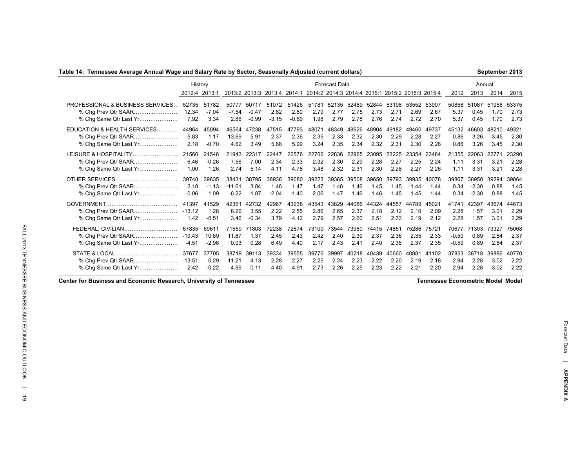### **Table 14: Tennessee Average Annual Wage and Salary Rate by Sector, Seasonally Adjusted (current dollars)**

**September 2013**

|                                                                                   | History                  |                           |                              |                             |                          |                                                                              |                       | <b>Forecast Data</b>  |                       |                       |                       |                       |                       |                             | Annual                      |                       |                       |
|-----------------------------------------------------------------------------------|--------------------------|---------------------------|------------------------------|-----------------------------|--------------------------|------------------------------------------------------------------------------|-----------------------|-----------------------|-----------------------|-----------------------|-----------------------|-----------------------|-----------------------|-----------------------------|-----------------------------|-----------------------|-----------------------|
|                                                                                   | 2012:4 2013:1            |                           |                              |                             |                          | 2013:2 2013:3 2013:4 2014:1 2014:2 2014:3 2014:4 2015:1 2015:2 2015:3 2015:4 |                       |                       |                       |                       |                       |                       |                       | 2012                        | 2013                        | 2014                  | 2015                  |
| PROFESSIONAL & BUSINESS SERVICES<br>% Chg Prev Qtr SAAR<br>% Chg Same Qtr Last Yr | 52735<br>12.34<br>7.92   | 51782<br>$-7.04$<br>3.34  | 50777<br>$-7.54$<br>2.86     | 50717<br>$-0.47$<br>$-0.99$ | 51072<br>2.82<br>$-3.15$ | 51426<br>2.80<br>$-0.69$                                                     | 51781<br>2.79<br>1.98 | 52135<br>2.77<br>2.79 | 52489<br>2.75<br>2.78 | 52844<br>2.73<br>2.76 | 53198<br>2.71<br>2.74 | 53552<br>2.69<br>2.72 | 53907<br>2.67<br>2.70 | 50858<br>5.37<br>5.37       | 51087<br>0.45<br>0.45       | 51958<br>1.70<br>1.70 | 53375<br>2.73<br>2.73 |
| EDUCATION & HEALTH SERVICES<br>% Chg Prev Qtr SAAR<br>% Chg Same Qtr Last Yr      | 44964<br>$-5.83$<br>2.18 | 45094<br>1.17<br>$-0.70$  | 46564<br>13.69<br>4.62       | 47238<br>5.91<br>3.49       | 47515<br>2.37<br>5.68    | 47793<br>2.36<br>5.99                                                        | 48071<br>2.35<br>3.24 | 48349<br>2.33<br>2.35 | 48626<br>2.32<br>2.34 | 48904<br>2.30<br>2.32 | 49182<br>2.29<br>2.31 | 49460<br>2.28<br>2.30 | 49737<br>2.27<br>2.28 | 45132<br>0.86<br>0.86       | 46603<br>3.26<br>3.26       | 48210<br>3.45<br>3.45 | 49321<br>2.30<br>2.30 |
| LEISURE & HOSPITALITY<br>% Chg Prev Qtr SAAR<br>% Chg Same Qtr Last Yr            | 21560<br>6.46<br>1.00    | 21546<br>$-0.26$<br>1.26  | 21943<br>7.56<br>2.74        | 22317<br>7.00<br>5.14       | 22447<br>2.34<br>4.11    | 22576<br>2.33<br>4.78                                                        | 22706<br>2.32<br>3.48 | 22836<br>2.30<br>2.32 | 22965<br>2.29<br>2.31 | 23095<br>2.28<br>2.30 | 23225<br>2.27<br>2.28 | 23354<br>2.25<br>2.27 | 23484<br>2.24<br>2.26 | 21355<br>1.11<br>1.11       | 22063<br>3.31<br>3.31       | 22771<br>3.21<br>3.21 | 23290<br>2.28<br>2.28 |
| % Chg Same Qtr Last Yr                                                            | 39748<br>2.18<br>$-0.06$ | 39635<br>$-1.13$<br>1.09  | 38431<br>$-11.61$<br>$-6.22$ | 38795<br>3.84<br>$-1.87$    | 38938<br>1.48<br>$-2.04$ | 39080<br>1.47<br>$-1.40$                                                     | 39223<br>1.47<br>2.06 | 39365<br>1.46<br>1.47 | 39508<br>1.46<br>1.46 | 39650<br>1.45<br>1.46 | 39793<br>1.45<br>1.45 | 39935<br>1.44<br>1.45 | 40078<br>1.44<br>1.44 | 39867<br>0.34<br>0.34       | 38950<br>$-2.30$<br>$-2.30$ | 39294<br>0.88<br>0.88 | 39864<br>1.45<br>1.45 |
| % Chg Same Qtr Last Yr                                                            | 41397<br>1.42            | 41529<br>1.28<br>$-0.51$  | 42361<br>8.26<br>3.46        | 42732<br>3.55<br>$-0.34$    | 42967<br>2.22<br>3.79    | 43238<br>2.55<br>4.12                                                        | 43543<br>2.86<br>2.79 | 43829<br>2.65<br>2.57 | 44086<br>2.37<br>2.60 | 44324<br>2.18<br>2.51 | 44557<br>2.12<br>2.33 | 44789<br>2.10<br>2.19 | 45021<br>2.09<br>2.12 | 41741<br>2.28<br>2.28       | 42397<br>1.57<br>1.57       | 43674<br>3.01<br>3.01 | 44673<br>2.29<br>2.29 |
| FEDERAL, CIVILIAN<br>% Chg Same Qtr Last Yr                                       | 67835<br>$-4.51$         | 69611<br>10.89<br>$-2.96$ | 71559<br>11.67<br>0.03       | 71803<br>1.37<br>0.28       | 72238<br>2.45<br>6.49    | 72674<br>2.43<br>4.40                                                        | 73109<br>2.42<br>2.17 | 73544<br>2.40<br>2.43 | 73980<br>2.39<br>2.41 | 74415<br>2.37<br>2.40 | 74851<br>2.36<br>2.38 | 75286<br>2.35<br>2.37 | 75721<br>2.33<br>2.35 | 70677<br>$-0.59$<br>$-0.59$ | 71303<br>0.89<br>0.89       | 73327<br>2.84<br>2.84 | 75068<br>2.37<br>2.37 |
| % Chg Same Qtr Last Yr                                                            | 37677<br>2.42            | 37705<br>0.29<br>$-0.22$  | 38719<br>11.21<br>4.99       | 39113<br>4.13<br>0.11       | 39334<br>2.28<br>4.40    | 39555<br>2.27<br>4.91                                                        | 39776<br>2.25<br>2.73 | 39997<br>2.24<br>2.26 | 40218<br>2.23<br>2.25 | 40439<br>2.22<br>2.23 | 40660<br>2.20<br>2.22 | 40881<br>2.19<br>2.21 | 41102<br>2.18<br>2.20 | 37853<br>2.94<br>2.94       | 38718<br>2.28<br>2.28       | 39886<br>3.02<br>3.02 | 40770<br>2.22<br>2.22 |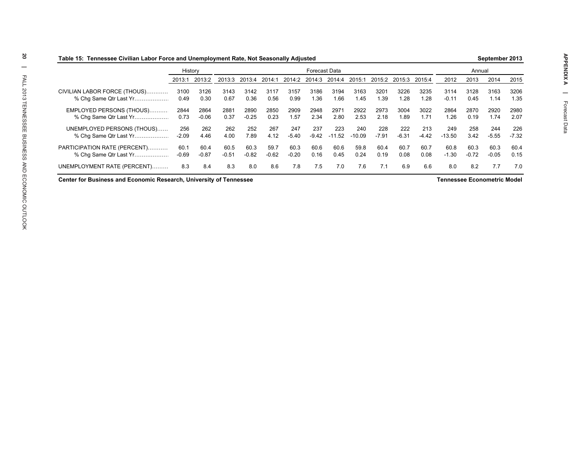|                              |         | History |         |         |         |         | Forecast Data |          |          |         |         |         |          | Annual  |         |         |
|------------------------------|---------|---------|---------|---------|---------|---------|---------------|----------|----------|---------|---------|---------|----------|---------|---------|---------|
|                              | 2013:1  | 2013:2  | 2013:3  | 2013:4  | 2014:1  | 2014:2  | 2014:3        | 2014:4   | 2015:1   | 2015:2  | 2015:3  | 2015:4  | 2012     | 2013    | 2014    | 2015    |
| CIVILIAN LABOR FORCE (THOUS) | 3100    | 3126    | 3143    | 3142    | 3117    | 3157    | 3186          | 3194     | 3163     | 3201    | 3226    | 3235    | 3114     | 3128    | 3163    | 3206    |
| % Cha Same Qtr Last Yr       | 0.49    | 0.30    | 0.67    | 0.36    | 0.56    | 0.99    | 1.36          | 1.66     | 1.45     | 1.39    | 1.28    | 1.28    | $-0.11$  | 0.45    | 1.14    | 1.35    |
| EMPLOYED PERSONS (THOUS)     | 2844    | 2864    | 2881    | 2890    | 2850    | 2909    | 2948          | 2971     | 2922     | 2973    | 3004    | 3022    | 2864     | 2870    | 2920    | 2980    |
| % Cha Same Qtr Last Yr       | 0.73    | $-0.06$ | 0.37    | $-0.25$ | 0.23    | 1.57    | 2.34          | 2.80     | 2.53     | 2.18    | .89     | 1.71    | 1.26     | 0.19    | 1.74    | 2.07    |
| UNEMPLOYED PERSONS (THOUS)   | 256     | 262     | 262     | 252     | 267     | 247     | 237           | 223      | 240      | 228     | 222     | 213     | 249      | 258     | 244     | 226     |
| % Cha Same Qtr Last Yr       | $-2.09$ | 4.46    | 4.00    | 7.89    | 4.12    | $-5.40$ | $-9.42$       | $-11.52$ | $-10.09$ | $-7.91$ | $-6.31$ | $-4.42$ | $-13.50$ | 3.42    | $-5.55$ | $-7.32$ |
| PARTICIPATION RATE (PERCENT) | 60.1    | 60.4    | 60.5    | 60.3    | 59.7    | 60.3    | 60.6          | 60.6     | 59.8     | 60.4    | 60.7    | 60.7    | 60.8     | 60.3    | 60.3    | 60.4    |
| % Cha Same Qtr Last Yr       | -0.69   | $-0.87$ | $-0.51$ | $-0.82$ | $-0.62$ | $-0.20$ | 0.16          | 0.45     | 0.24     | 0.19    | 0.08    | 0.08    | $-1.30$  | $-0.72$ | $-0.05$ | 0.15    |
| UNEMPLOYMENT RATE (PERCENT)  | 8.3     | 8.4     | 8.3     | 8.0     | 8.6     | 7.8     | 7.5           | 7.0      | 7.6      | 7.1     | 6.9     | 6.6     | 8.0      | 8.2     | 7.7     | 7.0     |

**Center for Business and Economic Research, University of Tennessee**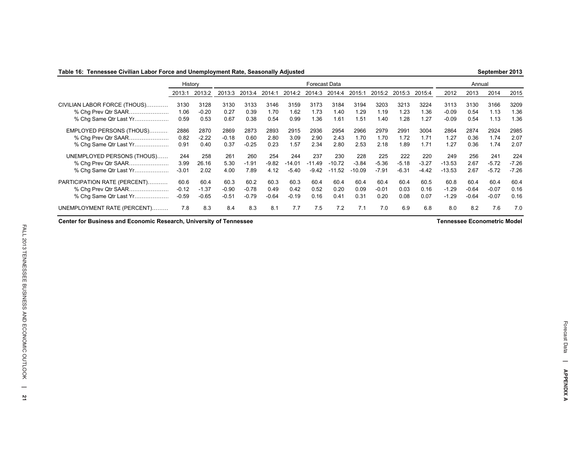### **Table 16: Tennessee Civilian Labor Force and Unemployment Rate, Seasonally Adjusted**

|                              | History |         | Forecast Data |         |         |          |          |              |          |         |         |         |          | Annual  |         |         |
|------------------------------|---------|---------|---------------|---------|---------|----------|----------|--------------|----------|---------|---------|---------|----------|---------|---------|---------|
|                              | 2013:1  | 2013:2  | 2013:3        | 2013:4  | 2014:1  | 2014:2   | 2014:3   | 2014:4       | 2015:1   | 2015:2  | 2015:3  | 2015:4  | 2012     | 2013    | 2014    | 2015    |
| CIVILIAN LABOR FORCE (THOUS) | 3130    | 3128    | 3130          | 3133    | 3146    | 3159     | 3173     | 3184         | 3194     | 3203    | 3213    | 3224    | 3113     | 3130    | 3166    | 3209    |
| % Chg Prev Qtr SAAR          | 1.06    | $-0.20$ | 0.27          | 0.39    | 1.70    | 1.62     | 1.73     | 1.40         | 1.29     | 1.19    | 1.23    | .36     | $-0.09$  | 0.54    | 1.13    | 1.36    |
| % Chg Same Qtr Last Yr       | 0.59    | 0.53    | 0.67          | 0.38    | 0.54    | 0.99     | 1.36     | 1.61         | 1.51     | .40     | .28     | .27     | $-0.09$  | 0.54    | 1.13    | 1.36    |
| EMPLOYED PERSONS (THOUS)     | 2886    | 2870    | 2869          | 2873    | 2893    | 2915     | 2936     | 2954         | 2966     | 2979    | 2991    | 3004    | 2864     | 2874    | 2924    | 2985    |
| % Chg Prev Qtr SAAR          | 0.82    | $-2.22$ | $-0.18$       | 0.60    | 2.80    | 3.09     | 2.90     | 2.43         | 1.70     | 1.70    | 1.72    | 1.71    | 1.27     | 0.36    | 1.74    | 2.07    |
| % Chg Same Qtr Last Yr       | 0.91    | 0.40    | 0.37          | $-0.25$ | 0.23    | .57      | 2.34     | 2.80         | 2.53     | 2.18    | 1.89    | 1.71    | .27      | 0.36    | 1.74    | 2.07    |
| UNEMPLOYED PERSONS (THOUS)   | 244     | 258     | 261           | 260     | 254     | 244      | 237      | 230          | 228      | 225     | 222     | 220     | 249      | 256     | 241     | 224     |
| % Chg Prev Qtr SAAR          | 3.99    | 26.16   | 5.30          | $-1.91$ | $-9.82$ | $-14.01$ | $-11.49$ | $-10.72$     | $-3.84$  | $-5.36$ | $-5.18$ | $-3.27$ | $-13.53$ | 2.67    | $-5.72$ | $-7.26$ |
| % Chg Same Qtr Last Yr       | $-3.01$ | 2.02    | 4.00          | 7.89    | 4.12    | $-5.40$  | $-9.42$  | .52<br>$-11$ | $-10.09$ | $-7.91$ | $-6.31$ | $-4.42$ | $-13.53$ | 2.67    | $-5.72$ | $-7.26$ |
| PARTICIPATION RATE (PERCENT) | 60.6    | 60.4    | 60.3          | 60.2    | 60.3    | 60.3     | 60.4     | 60.4         | 60.4     | 60.4    | 60.4    | 60.5    | 60.8     | 60.4    | 60.4    | 60.4    |
| % Chg Prev Qtr SAAR          | $-0.12$ | $-1.37$ | $-0.90$       | $-0.78$ | 0.49    | 0.42     | 0.52     | 0.20         | 0.09     | $-0.01$ | 0.03    | 0.16    | $-1.29$  | $-0.64$ | $-0.07$ | 0.16    |
| % Chg Same Qtr Last Yr       | $-0.59$ | $-0.65$ | $-0.51$       | $-0.79$ | $-0.64$ | $-0.19$  | 0.16     | 0.41         | 0.31     | 0.20    | 0.08    | 0.07    | $-1.29$  | $-0.64$ | $-0.07$ | 0.16    |
| UNEMPLOYMENT RATE (PERCENT)  | 7.8     | 8.3     | 8.4           | 8.3     | 8.1     | 7.7      | 7.5      | 7.2          | 7.1      | 7.0     | 6.9     | 6.8     | 8.0      | 8.2     | 7.6     | 7.0     |

**Center for Business and Economic Research, University of Tennessee Tennessee Econometric Model**

**September 2013**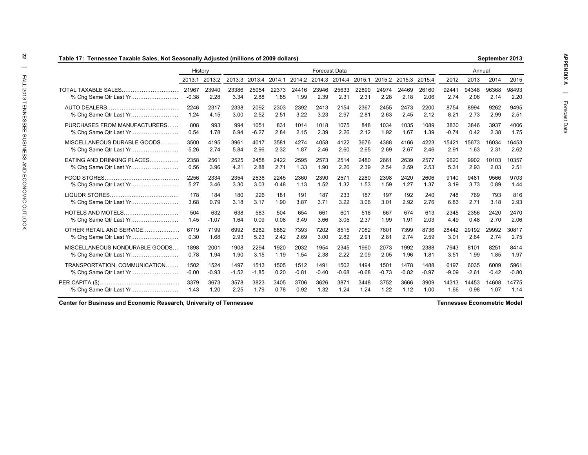| Table 17:  Tennessee Taxable Sales, Not Seasonally Adjusted (millions of 2009 dollars) |                  |               |               |                      |               |               |                      |               |               |               |               |               |               |               | September 2013 |               |
|----------------------------------------------------------------------------------------|------------------|---------------|---------------|----------------------|---------------|---------------|----------------------|---------------|---------------|---------------|---------------|---------------|---------------|---------------|----------------|---------------|
|                                                                                        | History          |               |               |                      |               |               | <b>Forecast Data</b> |               |               |               |               |               |               | Annual        |                |               |
|                                                                                        | 2013:1           | 2013:2        |               | 2013:3 2013:4 2014:1 |               |               | 2014:2 2014:3 2014:4 |               | 2015:1        |               | 2015:2 2015:3 | 2015:4        | 2012          | 2013          | 2014           | 2015          |
| TOTAL TAXABLE SALES.                                                                   | 21967<br>$-0.38$ | 23940<br>2.28 | 23386<br>3.34 | 25054<br>2.88        | 22373<br>1.85 | 24416<br>1.99 | 23946<br>2.39        | 25633<br>2.31 | 22890<br>2.31 | 24974<br>2.28 | 24469<br>2.18 | 26160<br>2.06 | 92441<br>2.74 | 94348<br>2.06 | 96368<br>2.14  | 98493<br>2.20 |
|                                                                                        | 2246             | 2317          | 2338          | 2092                 | 2303          | 2392          | 2413                 | 2154          | 2367          | 2455          | 2473          | 2200          | 8754          | 8994          | 9262           | 9495          |
|                                                                                        | 1.24             | 4.15          | 3.00          | 2.52                 | 2.51          | 3.22          | 3.23                 | 2.97          | 2.81          | 2.63          | 2.45          | 2.12          | 8.21          | 2.73          | 2.99           | 2.51          |
| PURCHASES FROM MANUFACTURERS                                                           | 808              | 993           | 994           | 1051                 | 831           | 1014          | 1018                 | 1075          | 848           | 1034          | 1035          | 1089          | 3830          | 3846          | 3937           | 4006          |
| % Chg Same Qtr Last Yr                                                                 | 0.54             | 1.78          | 6.94          | $-6.27$              | 2.84          | 2.15          | 2.39                 | 2.26          | 2.12          | 1.92          | 1.67          | 1.39          | $-0.74$       | 0.42          | 2.38           | 1.75          |
| MISCELLANEOUS DURABLE GOODS                                                            | 3500             | 4195          | 3961          | 4017                 | 3581          | 4274          | 4058                 | 4122          | 3676          | 4388          | 4166          | 4223          | 15421         | 15673         | 16034          | 16453         |
|                                                                                        | $-5.26$          | 2.74          | 5.84          | 2.96                 | 2.32          | 1.87          | 2.46                 | 2.60          | 2.65          | 2.69          | 2.67          | 2.46          | 2.91          | 1.63          | 2.31           | 2.62          |
| EATING AND DRINKING PLACES                                                             | 2358             | 2561          | 2525          | 2458                 | 2422          | 2595          | 2573                 | 2514          | 2480          | 2661          | 2639          | 2577          | 9620          | 9902          | 10103          | 10357         |
| % Chg Same Qtr Last Yr                                                                 | 0.56             | 3.96          | 4.21          | 2.88                 | 2.71          | 1.33          | 1.90                 | 2.26          | 2.39          | 2.54          | 2.59          | 2.53          | 5.31          | 2.93          | 2.03           | 2.51          |
|                                                                                        | 2256             | 2334          | 2354          | 2538                 | 2245          | 2360          | 2390                 | 2571          | 2280          | 2398          | 2420          | 2606          | 9140          | 9481          | 9566           | 9703          |
|                                                                                        | 5.27             | 3.46          | 3.30          | 3.03                 | $-0.48$       | 1.13          | 1.52                 | 1.32          | 1.53          | 1.59          | 1.27          | 1.37          | 3.19          | 3.73          | 0.89           | 1.44          |
|                                                                                        | 178              | 184           | 180           | 226                  | 181           | 191           | 187                  | 233           | 187           | 197           | 192           | 240           | 748           | 769           | 793            | 816           |
|                                                                                        | 3.68             | 0.79          | 3.18          | 3.17                 | 1.90          | 3.87          | 3.71                 | 3.22          | 3.06          | 3.01          | 2.92          | 2.76          | 6.83          | 2.71          | 3.18           | 2.93          |
| <b>HOTELS AND MOTELS</b>                                                               | 504              | 632           | 638           | 583                  | 504           | 654           | 661                  | 601           | 516           | 667           | 674           | 613           | 2345          | 2356          | 2420           | 2470          |
|                                                                                        | 1.45             | $-1.07$       | 1.64          | 0.09                 | 0.08          | 3.49          | 3.66                 | 3.05          | 2.37          | 1.99          | 1.91          | 2.03          | 4.49          | 0.48          | 2.70           | 2.06          |
| OTHER RETAIL AND SERVICE                                                               | 6719             | 7199          | 6992          | 8282                 | 6882          | 7393          | 7202                 | 8515          | 7082          | 7601          | 7399          | 8736          | 28442         | 29192         | 29992          | 30817         |
| % Chg Same Qtr Last Yr                                                                 | 0.30             | 1.68          | 2.93          | 5.23                 | 2.42          | 2.69          | 3.00                 | 2.82          | 2.91          | 2.81          | 2.74          | 2.59          | 3.01          | 2.64          | 2.74           | 2.75          |
| MISCELLANEOUS NONDURABLE GOODS                                                         | 1898             | 2001          | 1908          | 2294                 | 1920          | 2032          | 1954                 | 2345          | 1960          | 2073          | 1992          | 2388          | 7943          | 8101          | 8251           | 8414          |
|                                                                                        | 0.78             | 1.94          | 1.90          | 3.15                 | 1.19          | 1.54          | 2.38                 | 2.22          | 2.09          | 2.05          | 1.96          | 1.81          | 3.51          | 1.99          | 1.85           | 1.97          |
| TRANSPORTATION, COMMUNICATION                                                          | 1502             | 1524          | 1497          | 1513                 | 1505          | 1512          | 1491                 | 1502          | 1494          | 1501          | 1478          | 1488          | 6197          | 6035          | 6009           | 5961          |
|                                                                                        | $-6.00$          | $-0.93$       | $-1.52$       | $-1.85$              | 0.20          | $-0.81$       | $-0.40$              | $-0.68$       | $-0.68$       | $-0.73$       | $-0.82$       | $-0.97$       | $-9.09$       | $-2.61$       | $-0.42$        | $-0.80$       |
|                                                                                        | 3379             | 3673          | 3578          | 3823                 | 3405          | 3706          | 3626                 | 3871          | 3448          | 3752          | 3666          | 3909          | 14313         | 14453         | 14608          | 14775         |
| % Chg Same Qtr Last Yr                                                                 | $-1.43$          | 1.20          | 2.25          | 1.79                 | 0.78          | 0.92          | 1.32                 | 1.24          | 1.24          | 1.22          | 1.12          | 1.00          | 1.66          | 0.98          | 1.07           | 1.14          |

**September 2013**

**APPENDIX A |** 

**Tennessee Econometric Model**

**Center for Business and Economic Research, University of Tennessee**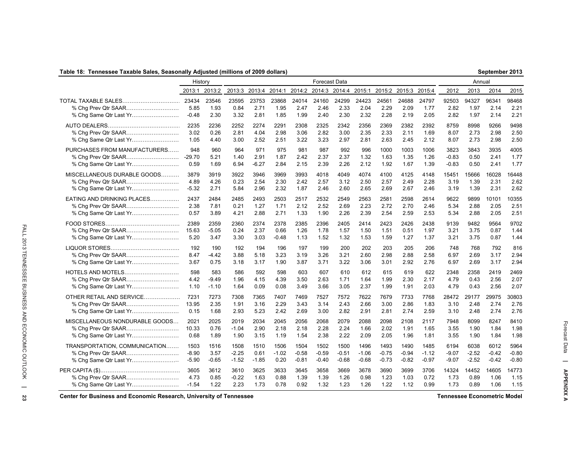### **Table 18: Tennessee Taxable Sales, Seasonally Adjusted (millions of 2009 dollars)**

|                                                                     | History               |                         |                      |                      |                         |                      | <b>Forecast Data</b> |                      |                      |                      |                      |                      |                      | Annual               |                      |                      |
|---------------------------------------------------------------------|-----------------------|-------------------------|----------------------|----------------------|-------------------------|----------------------|----------------------|----------------------|----------------------|----------------------|----------------------|----------------------|----------------------|----------------------|----------------------|----------------------|
|                                                                     |                       | 2013:1 2013:2           |                      |                      | 2013:3 2013:4 2014:1    | 2014:2               |                      | 2014:3 2014:4        | 2015:1               |                      | 2015:2 2015:3 2015:4 |                      | 2012                 | 2013                 | 2014                 | 2015                 |
| TOTAL TAXABLE SALES                                                 | 23434                 | 23546                   | 23595                | 23753                | 23868                   | 24014                | 24160                | 24299                | 24423                | 24561                | 24688                | 24797                | 92503                | 94327                | 96341                | 98468                |
| % Chg Prev Qtr SAAR                                                 | 5.85                  | 1.93                    | 0.84                 | 2.71                 | 1.95                    | 2.47                 | 2.46                 | 2.33                 | 2.04                 | 2.29                 | 2.09                 | 1.77                 | 2.82                 | 1.97                 | 2.14                 | 2.21                 |
| % Chg Same Qtr Last Yr                                              | $-0.48$               | 2.30                    | 3.32                 | 2.81                 | 1.85                    | 1.99                 | 2.40                 | 2.30                 | 2.32                 | 2.28                 | 2.19                 | 2.05                 | 2.82                 | 1.97                 | 2.14                 | 2.21                 |
|                                                                     | 2235                  | 2236                    | 2252                 | 2274                 | 2291                    | 2308                 | 2325                 | 2342                 | 2356                 | 2369                 | 2382                 | 2392                 | 8759                 | 8998                 | 9266                 | 9498                 |
| % Chg Prev Qtr SAAR                                                 | 3.02                  | 0.26                    | 2.81                 | 4.04                 | 2.98                    | 3.06                 | 2.82                 | 3.00                 | 2.35                 | 2.33                 | 2.11                 | 1.69                 | 8.07                 | 2.73                 | 2.98                 | 2.50                 |
| % Chg Same Qtr Last Yr                                              | 1.05                  | 4.40                    | 3.00                 | 2.52                 | 2.51                    | 3.22                 | 3.23                 | 2.97                 | 2.81                 | 2.63                 | 2.45                 | 2.12                 | 8.07                 | 2.73                 | 2.98                 | 2.50                 |
| PURCHASES FROM MANUFACTURERS                                        | 948                   | 960                     | 964                  | 971                  | 975                     | 981                  | 987                  | 992                  | 996                  | 1000                 | 1003                 | 1006                 | 3823                 | 3843                 | 3935                 | 4005                 |
| % Chg Prev Qtr SAAR                                                 | $-29.70$              | 5.21                    | 1.40                 | 2.91                 | 1.87                    | 2.42                 | 2.37                 | 2.37                 | 1.32                 | 1.63                 | 1.35                 | 1.26                 | $-0.83$              | 0.50                 | 2.41                 | 1.77                 |
|                                                                     | 0.59                  | 1.69                    | 6.94                 | $-6.27$              | 2.84                    | 2.15                 | 2.39                 | 2.26                 | 2.12                 | 1.92                 | 1.67                 | 1.39                 | $-0.83$              | 0.50                 | 2.41                 | 1.77                 |
| MISCELLANEOUS DURABLE GOODS                                         | 3879                  | 3919                    | 3922                 | 3946                 | 3969                    | 3993                 | 4018                 | 4049                 | 4074                 | 4100                 | 4125                 | 4148                 | 15451                | 15666                | 16028                | 16448                |
|                                                                     | 4.89                  | 4.26                    | 0.23                 | 2.54                 | 2.30                    | 2.42                 | 2.57                 | 3.12                 | 2.50                 | 2.57                 | 2.49                 | 2.28                 | 3.19                 | 1.39                 | 2.31                 | 2.62                 |
| % Chg Same Qtr Last Yr                                              | $-5.32$               | 2.71                    | 5.84                 | 2.96                 | 2.32                    | 1.87                 | 2.46                 | 2.60                 | 2.65                 | 2.69                 | 2.67                 | 2.46                 | 3.19                 | 1.39                 | 2.31                 | 2.62                 |
| EATING AND DRINKING PLACES                                          | 2437                  | 2484                    | 2485                 | 2493                 | 2503                    | 2517                 | 2532                 | 2549                 | 2563                 | 2581                 | 2598                 | 2614                 | 9622                 | 9899                 | 10101                | 10355                |
|                                                                     | 2.38                  | 7.81                    | 0.21                 | 1.27                 | 1.71                    | 2.12                 | 2.52                 | 2.69                 | 2.23                 | 2.72                 | 2.70                 | 2.46                 | 5.34                 | 2.88                 | 2.05                 | 2.51                 |
|                                                                     | 0.57                  | 3.89                    | 4.21                 | 2.88                 | 2.71                    | 1.33                 | 1.90                 | 2.26                 | 2.39                 | 2.54                 | 2.59                 | 2.53                 | 5.34                 | 2.88                 | 2.05                 | 2.51                 |
| <b>FOOD STORES</b><br>% Chg Prev Qtr SAAR<br>% Chg Same Qtr Last Yr | 2389<br>15.63<br>5.20 | 2359<br>$-5.05$<br>3.47 | 2360<br>0.24<br>3.30 | 2374<br>2.37<br>3.03 | 2378<br>0.66<br>$-0.48$ | 2385<br>1.26<br>1.13 | 2396<br>1.78<br>1.52 | 2405<br>1.57<br>1.32 | 2414<br>1.50<br>1.53 | 2423<br>1.51<br>1.59 | 2426<br>0.51<br>1.27 | 2438<br>1.97<br>1.37 | 9139<br>3.21<br>3.21 | 9482<br>3.75<br>3.75 | 9564<br>0.87<br>0.87 | 9702<br>1.44<br>1.44 |
|                                                                     | 192                   | 190                     | 192                  | 194                  | 196                     | 197                  | 199                  | 200                  | 202                  | 203                  | 205                  | 206                  | 748                  | 768                  | 792                  | 816                  |
| % Chg Prev Qtr SAAR                                                 | 8.47                  | $-4.42$                 | 3.88                 | 5.18                 | 3.23                    | 3.19                 | 3.26                 | 3.21                 | 2.60                 | 2.98                 | 2.88                 | 2.58                 | 6.97                 | 2.69                 | 3.17                 | 2.94                 |
| % Chg Same Qtr Last Yr                                              | 3.67                  | 0.75                    | 3.18                 | 3.17                 | 1.90                    | 3.87                 | 3.71                 | 3.22                 | 3.06                 | 3.01                 | 2.92                 | 2.76                 | 6.97                 | 2.69                 | 3.17                 | 2.94                 |
| HOTELS AND MOTELS                                                   | 598                   | 583                     | 586                  | 592                  | 598                     | 603                  | 607                  | 610                  | 612                  | 615                  | 619                  | 622                  | 2348                 | 2358                 | 2419                 | 2469                 |
|                                                                     | 4.42                  | $-9.49$                 | 1.96                 | 4.15                 | 4.39                    | 3.50                 | 2.63                 | 1.71                 | 1.64                 | 1.99                 | 2.30                 | 2.17                 | 4.79                 | 0.43                 | 2.56                 | 2.07                 |
| % Chg Same Qtr Last Yr                                              | 1.10                  | $-1.10$                 | 1.64                 | 0.09                 | 0.08                    | 3.49                 | 3.66                 | 3.05                 | 2.37                 | 1.99                 | 1.91                 | 2.03                 | 4.79                 | 0.43                 | 2.56                 | 2.07                 |
| OTHER RETAIL AND SERVICE                                            | 7231                  | 7273                    | 7308                 | 7365                 | 7407                    | 7469                 | 7527                 | 7572                 | 7622                 | 7679                 | 7733                 | 7768                 | 28472                | 29177                | 29975                | 30803                |
|                                                                     | 13.95                 | 2.35                    | 1.91                 | 3.16                 | 2.29                    | 3.43                 | 3.14                 | 2.43                 | 2.66                 | 3.00                 | 2.86                 | 1.83                 | 3.10                 | 2.48                 | 2.74                 | 2.76                 |
| % Chg Same Qtr Last Yr                                              | 0.15                  | 1.68                    | 2.93                 | 5.23                 | 2.42                    | 2.69                 | 3.00                 | 2.82                 | 2.91                 | 2.81                 | 2.74                 | 2.59                 | 3.10                 | 2.48                 | 2.74                 | 2.76                 |
| MISCELLANEOUS NONDURABLE GOODS                                      | 2021                  | 2025                    | 2019                 | 2034                 | 2045                    | 2056                 | 2068                 | 2079                 | 2088                 | 2098                 | 2108                 | 2117                 | 7948                 | 8099                 | 8247                 | 8410                 |
| % Cha Prev Qtr SAAR                                                 | 10.33                 | 0.76                    | $-1.04$              | 2.90                 | 2.18                    | 2.18                 | 2.28                 | 2.24                 | 1.66                 | 2.02                 | 1.91                 | 1.65                 | 3.55                 | 1.90                 | 1.84                 | 1.98                 |
| % Chg Same Qtr Last Yr                                              | 0.68                  | 1.89                    | 1.90                 | 3.15                 | 1.19                    | 1.54                 | 2.38                 | 2.22                 | 2.09                 | 2.05                 | 1.96                 | 1.81                 | 3.55                 | 1.90                 | 1.84                 | 1.98                 |
| TRANSPORTATION, COMMUNICATION                                       | 1503                  | 1516                    | 1508                 | 1510                 | 1506                    | 1504                 | 1502                 | 1500                 | 1496                 | 1493                 | 1490                 | 1485                 | 6194                 | 6038                 | 6012                 | 5964                 |

% Chg Prev Qtr SAAR………………………… -8.90 3.57 -2.25 0.61 -1.02 -0.58 -0.59 -0.51 -1.06 -0.75 -0.94 -1.12 -9.07 -2.52 -0.42 -0.80 % Chg Same Qtr Last Yr……………………… -5.90 -0.65 -1.52 -1.85 0.20 -0.81 -0.40 -0.68 -0.68 -0.73 -0.82 -0.97 -9.07 -2.52 -0.42 -0.80 PER CAPITA (\$)……………………………………… 3605 3612 3610 3625 3633 3645 3658 3669 3678 3690 3699 3706 14324 14452 14605 14773 % Chg Prev Qtr SAAR………………………… 4.73 0.85 -0.22 1.63 0.88 1.39 1.39 1.26 0.98 1.23 1.03 0.72 1.73 0.89 1.06 1.15 % Chg Same Qtr Last Yr……………………… -1.54 1.22 2.23 1.73 0.78 0.92 1.32 1.23 1.26 1.22 1.12 0.99 1.73 0.89 1.06 1.15

**Center for Business and Economic Research, University of Tennessee Tennessee Econometric Model**

Forecast Data **| APPENDIX A**

**APPENDIX A** 

 $\equiv$ 

Forecast Data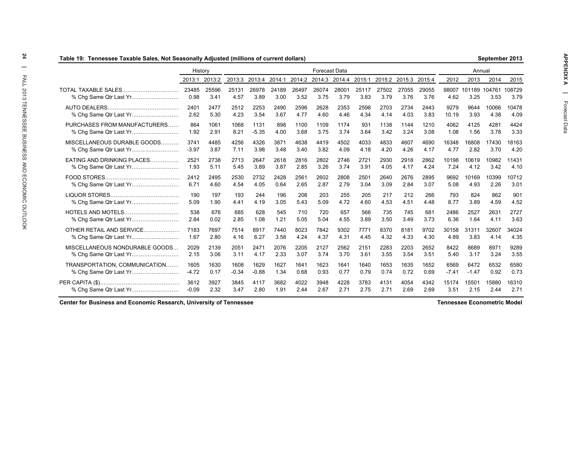| Table 19: Tennessee Taxable Sales, Not Seasonally Adjusted (millions of current dollars) |               |               |               |               |               |               |                      |               |               |               |               |               |               |                | September 2013 |                |
|------------------------------------------------------------------------------------------|---------------|---------------|---------------|---------------|---------------|---------------|----------------------|---------------|---------------|---------------|---------------|---------------|---------------|----------------|----------------|----------------|
|                                                                                          | History       |               |               |               |               |               | <b>Forecast Data</b> |               |               |               |               |               |               | Annual         |                |                |
|                                                                                          | 2013:1        | 2013:2        | 2013:3        | 2013:4        | 2014:1        | 2014:2        | 2014:3               | 2014:4        | 2015:1        | 2015:2        | 2015:3        | 2015:4        | 2012          | 2013           | 2014           | 2015           |
| <b>TOTAL TAXABLE SALES</b>                                                               | 23485<br>0.98 | 25596<br>3.41 | 25131<br>4.57 | 26978<br>3.89 | 24189<br>3.00 | 26497<br>3.52 | 26074<br>3.75        | 28001<br>3.79 | 25117<br>3.83 | 27502<br>3.79 | 27055<br>3.76 | 29055<br>3.76 | 98007<br>4.62 | 101189<br>3.25 | 104761<br>3.53 | 108729<br>3.79 |
|                                                                                          | 2401          | 2477          | 2512          | 2253          | 2490          | 2596          | 2628                 | 2353          | 2598          | 2703          | 2734          | 2443          | 9279          | 9644           | 10066          | 10478          |
|                                                                                          | 2.62          | 5.30          | 4.23          | 3.54          | 3.67          | 4.77          | 4.60                 | 4.46          | 4.34          | 4.14          | 4.03          | 3.83          | 10.19         | 3.93           | 4.38           | 4.09           |
| PURCHASES FROM MANUFACTURERS                                                             | 864           | 1061          | 1068          | 1131          | 898           | 1100          | 1109                 | 1174          | 931           | 1138          | 1144          | 1210          | 4062          | 4125           | 4281           | 4424           |
|                                                                                          | 1.92          | 2.91          | 8.21          | $-5.35$       | 4.00          | 3.68          | 3.75                 | 3.74          | 3.64          | 3.42          | 3.24          | 3.08          | 1.08          | 1.56           | 3.78           | 3.33           |
| MISCELLANEOUS DURABLE GOODS                                                              | 3741          | 4485          | 4256          | 4326          | 3871          | 4638          | 4419                 | 4502          | 4033          | 4833          | 4607          | 4690          | 16348         | 16808          | 17430          | 18163          |
|                                                                                          | $-3.97$       | 3.87          | 7.11          | 3.98          | 3.48          | 3.40          | 3.82                 | 4.09          | 4.18          | 4.20          | 4.26          | 4.17          | 4.77          | 2.82           | 3.70           | 4.20           |
| EATING AND DRINKING PLACES                                                               | 2521          | 2738          | 2713          | 2647          | 2618          | 2816          | 2802                 | 2746          | 2721          | 2930          | 2918          | 2862          | 10198         | 10619          | 10982          | 11431          |
| % Chg Same Qtr Last Yr                                                                   | 1.93          | 5.11          | 5.45          | 3.89          | 3.87          | 2.85          | 3.26                 | 3.74          | 3.91          | 4.05          | 4.17          | 4.24          | 7.24          | 4.12           | 3.42           | 4.10           |
|                                                                                          | 2412          | 2495          | 2530          | 2732          | 2428          | 2561          | 2602                 | 2808          | 2501          | 2640          | 2676          | 2895          | 9692          | 10169          | 10399          | 10712          |
|                                                                                          | 6.71          | 4.60          | 4.54          | 4.05          | 0.64          | 2.65          | 2.87                 | 2.79          | 3.04          | 3.09          | 2.84          | 3.07          | 5.08          | 4.93           | 2.26           | 3.01           |
|                                                                                          | 190           | 197           | 193           | 244           | 196           | 208           | 203                  | 255           | 205           | 217           | 212           | 266           | 793           | 824            | 862            | 901            |
|                                                                                          | 5.09          | 1.90          | 4.41          | 4.19          | 3.05          | 5.43          | 5.09                 | 4.72          | 4.60          | 4.53          | 4.51          | 4.48          | 8.77          | 3.89           | 4.59           | 4.52           |
| <b>HOTELS AND MOTELS</b>                                                                 | 538           | 676           | 685           | 628           | 545           | 710           | 720                  | 657           | 566           | 735           | 745           | 681           | 2486          | 2527           | 2631           | 2727           |
|                                                                                          | 2.84          | 0.02          | 2.85          | 1.08          | 1.21          | 5.05          | 5.04                 | 4.55          | 3.89          | 3.50          | 3.49          | 3.73          | 6.36          | 1.64           | 4.11           | 3.63           |
| OTHER RETAIL AND SERVICE                                                                 | 7183          | 7697          | 7514          | 8917          | 7440          | 8023          | 7842                 | 9302          | 7771          | 8370          | 8181          | 9702          | 30158         | 31311          | 32607          | 34024          |
| % Chg Same Qtr Last Yr                                                                   | 1.67          | 2.80          | 4.16          | 6.27          | 3.58          | 4.24          | 4.37                 | 4.31          | 4.45          | 4.32          | 4.33          | 4.30          | 4.89          | 3.83           | 4.14           | 4.35           |
| MISCELLANEOUS NONDURABLE GOODS                                                           | 2029          | 2139          | 2051          | 2471          | 2076          | 2205          | 2127                 | 2562          | 2151          | 2283          | 2203          | 2652          | 8422          | 8689           | 8971           | 9289           |
| % Chg Same Qtr Last Yr                                                                   | 2.15          | 3.06          | 3.11          | 4.17          | 2.33          | 3.07          | 3.74                 | 3.70          | 3.61          | 3.55          | 3.54          | 3.51          | 5.40          | 3.17           | 3.24           | 3.55           |
| TRANSPORTATION, COMMUNICATION                                                            | 1605          | 1630          | 1608          | 1629          | 1627          | 1641          | 1623                 | 1641          | 1640          | 1653          | 1635          | 1652          | 6569          | 6472           | 6532           | 6580           |
| % Chg Same Qtr Last Yr                                                                   | $-4.72$       | 0.17          | $-0.34$       | $-0.88$       | 1.34          | 0.68          | 0.93                 | 0.77          | 0.79          | 0.74          | 0.72          | 0.69          | $-7.41$       | $-1.47$        | 0.92           | 0.73           |
|                                                                                          | 3612          | 3927          | 3845          | 4117          | 3682          | 4022          | 3948                 | 4228          | 3783          | 4131          | 4054          | 4342          | 15174         | 15501          | 15880          | 16310          |
|                                                                                          | $-0.09$       | 2.32          | 3.47          | 2.80          | 1.91          | 2.44          | 2.67                 | 2.71          | 2.75          | 2.71          | 2.69          | 2.69          | 3.51          | 2.15           | 2.44           | 2.71           |

**Center for Business and Economic Research, University of Tennessee**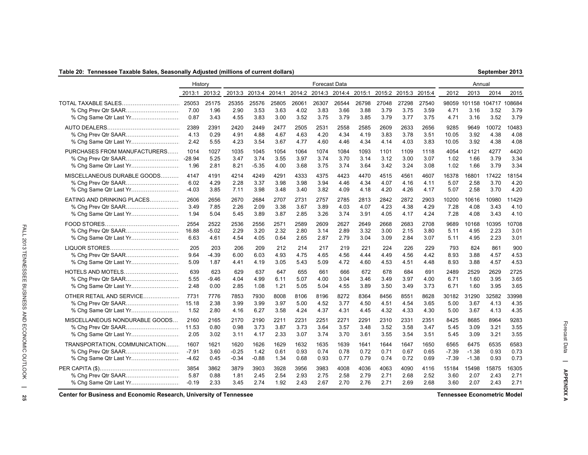### **Table 20: Tennessee Taxable Sales, Seasonally Adjusted (millions of current dollars)**

| September 2013 |  |
|----------------|--|
|----------------|--|

|                                | History      |                       |                       |                       |                       |                       | Forecast Data         |                       |                       |                       |                       |                       |              | Annual       |                                            |              |
|--------------------------------|--------------|-----------------------|-----------------------|-----------------------|-----------------------|-----------------------|-----------------------|-----------------------|-----------------------|-----------------------|-----------------------|-----------------------|--------------|--------------|--------------------------------------------|--------------|
|                                |              | 2013:1 2013:2         |                       | 2013:3 2013:4 2014:1  |                       | 2014:2                | 2014:3 2014:4         |                       | 2015:1                |                       | 2015:2 2015:3 2015:4  |                       | 2012         | 2013         | 2014                                       | 2015         |
| % Chg Same Qtr Last Yr         | 7.00<br>0.87 | 25175<br>1.96<br>3.43 | 25355<br>2.90<br>4.55 | 25576<br>3.53<br>3.83 | 25805<br>3.63<br>3.00 | 26061<br>4.02<br>3.52 | 26307<br>3.83<br>3.75 | 26544<br>3.66<br>3.79 | 26798<br>3.88<br>3.85 | 27048<br>3.79<br>3.79 | 27298<br>3.75<br>3.77 | 27540<br>3.59<br>3.75 | 4.71<br>4.71 | 3.16<br>3.16 | 98059 101158 104717 108684<br>3.52<br>3.52 | 3.79<br>3.79 |
|                                | 2389         | 2391                  | 2420                  | 2449                  | 2477                  | 2505                  | 2531                  | 2558                  | 2585                  | 2609                  | 2633                  | 2656                  | 9285         | 9649         | 10072                                      | 10483        |
|                                | 4.13         | 0.29                  | 4.91                  | 4.88                  | 4.67                  | 4.63                  | 4.20                  | 4.34                  | 4.19                  | 3.83                  | 3.78                  | 3.51                  | 10.05        | 3.92         | 4.38                                       | 4.08         |
| % Chg Same Qtr Last Yr         | 2.42         | 5.55                  | 4.23                  | 3.54                  | 3.67                  | 4.77                  | 4.60                  | 4.46                  | 4.34                  | 4.14                  | 4.03                  | 3.83                  | 10.05        | 3.92         | 4.38                                       | 4.08         |
| PURCHASES FROM MANUFACTURERS   | 1014         | 1027                  | 1035                  | 1045                  | 1054                  | 1064                  | 1074                  | 1084                  | 1093                  | 1101                  | 1109                  | 1118                  | 4054         | 4121         | 4277                                       | 4420         |
|                                | $-28.94$     | 5.25                  | 3.47                  | 3.74                  | 3.55                  | 3.97                  | 3.74                  | 3.70                  | 3.14                  | 3.12                  | 3.00                  | 3.07                  | 1.02         | 1.66         | 3.79                                       | 3.34         |
|                                | 1.96         | 2.81                  | 8.21                  | $-5.35$               | 4.00                  | 3.68                  | 3.75                  | 3.74                  | 3.64                  | 3.42                  | 3.24                  | 3.08                  | 1.02         | 1.66         | 3.79                                       | 3.34         |
| MISCELLANEOUS DURABLE GOODS    | 4147         | 4191                  | 4214                  | 4249                  | 4291                  | 4333                  | 4375                  | 4423                  | 4470                  | 4515                  | 4561                  | 4607                  | 16378        | 16801        | 17422                                      | 18154        |
|                                | 6.02         | 4.29                  | 2.28                  | 3.37                  | 3.98                  | 3.98                  | 3.94                  | 4.46                  | 4.34                  | 4.07                  | 4.16                  | 4.11                  | 5.07         | 2.58         | 3.70                                       | 4.20         |
|                                | $-4.03$      | 3.85                  | 7.11                  | 3.98                  | 3.48                  | 3.40                  | 3.82                  | 4.09                  | 4.18                  | 4.20                  | 4.26                  | 4.17                  | 5.07         | 2.58         | 3.70                                       | 4.20         |
| EATING AND DRINKING PLACES     | 2606         | 2656                  | 2670                  | 2684                  | 2707                  | 2731                  | 2757                  | 2785                  | 2813                  | 2842                  | 2872                  | 2903                  | 10200        | 10616        | 10980                                      | 11429        |
|                                | 3.49         | 7.85                  | 2.26                  | 2.09                  | 3.38                  | 3.67                  | 3.89                  | 4.03                  | 4.07                  | 4.23                  | 4.38                  | 4.29                  | 7.28         | 4.08         | 3.43                                       | 4.10         |
| % Chg Same Qtr Last Yr         | 1.94         | 5.04                  | 5.45                  | 3.89                  | 3.87                  | 2.85                  | 3.26                  | 3.74                  | 3.91                  | 4.05                  | 4.17                  | 4.24                  | 7.28         | 4.08         | 3.43                                       | 4.10         |
|                                | 2554         | 2522                  | 2536                  | 2556                  | 2571                  | 2589                  | 2609                  | 2627                  | 2649                  | 2668                  | 2683                  | 2708                  | 9689         | 10168        | 10395                                      | 10708        |
|                                | 16.88        | $-5.02$               | 2.29                  | 3.20                  | 2.32                  | 2.80                  | 3.14                  | 2.89                  | 3.32                  | 3.00                  | 2.15                  | 3.80                  | 5.11         | 4.95         | 2.23                                       | 3.01         |
|                                | 6.63         | 4.61                  | 4.54                  | 4.05                  | 0.64                  | 2.65                  | 2.87                  | 2.79                  | 3.04                  | 3.09                  | 2.84                  | 3.07                  | 5.11         | 4.95         | 2.23                                       | 3.01         |
|                                | 205          | 203                   | 206                   | 209                   | 212                   | 214                   | 217                   | 219                   | 221                   | 224                   | 226                   | 229                   | 793          | 824          | 861                                        | 900          |
|                                | 9.64         | $-4.39$               | 6.00                  | 6.03                  | 4.93                  | 4.75                  | 4.65                  | 4.56                  | 4.44                  | 4.49                  | 4.56                  | 4.42                  | 8.93         | 3.88         | 4.57                                       | 4.53         |
| % Chg Same Qtr Last Yr         | 5.09         | 1.87                  | 4.41                  | 4.19                  | 3.05                  | 5.43                  | 5.09                  | 4.72                  | 4.60                  | 4.53                  | 4.51                  | 4.48                  | 8.93         | 3.88         | 4.57                                       | 4.53         |
| HOTELS AND MOTELS              | 639          | 623                   | 629                   | 637                   | 647                   | 655                   | 661                   | 666                   | 672                   | 678                   | 684                   | 691                   | 2489         | 2529         | 2629                                       | 2725         |
| % Chg Prev Qtr SAAR            | 5.55         | -9.46                 | 4.04                  | 4.99                  | 6.11                  | 5.07                  | 4.00                  | 3.04                  | 3.46                  | 3.49                  | 3.97                  | 4.00                  | 6.71         | 1.60         | 3.95                                       | 3.65         |
|                                | 2.48         | 0.00                  | 2.85                  | 1.08                  | 1.21                  | 5.05                  | 5.04                  | 4.55                  | 3.89                  | 3.50                  | 3.49                  | 3.73                  | 6.71         | 1.60         | 3.95                                       | 3.65         |
| OTHER RETAIL AND SERVICE       | 7731         | 7776                  | 7853                  | 7930                  | 8008                  | 8106                  | 8196                  | 8272                  | 8364                  | 8456                  | 8551                  | 8628                  | 30182        | 31290        | 32582                                      | 33998        |
|                                | 15.18        | 2.38                  | 3.99                  | 3.99                  | 3.97                  | 5.00                  | 4.52                  | 3.77                  | 4.50                  | 4.51                  | 4.54                  | 3.65                  | 5.00         | 3.67         | 4.13                                       | 4.35         |
|                                | 1.52         | 2.80                  | 4.16                  | 6.27                  | 3.58                  | 4.24                  | 4.37                  | 4.31                  | 4.45                  | 4.32                  | 4.33                  | 4.30                  | 5.00         | 3.67         | 4.13                                       | 4.35         |
| MISCELLANEOUS NONDURABLE GOODS | 2160         | 2165                  | 2170                  | 2190                  | 2211                  | 2231                  | 2251                  | 2271                  | 2291                  | 2310                  | 2331                  | 2351                  | 8425         | 8685         | 8964                                       | 9283         |
|                                | 11.53        | 0.80                  | 0.98                  | 3.73                  | 3.87                  | 3.73                  | 3.64                  | 3.57                  | 3.48                  | 3.52                  | 3.58                  | 3.47                  | 5.45         | 3.09         | 3.21                                       | 3.55         |
|                                | 2.05         | 3.02                  | 3.11                  | 4.17                  | 2.33                  | 3.07                  | 3.74                  | 3.70                  | 3.61                  | 3.55                  | 3.54                  | 3.51                  | 5.45         | 3.09         | 3.21                                       | 3.55         |
| TRANSPORTATION, COMMUNICATION  | 1607         | 1621                  | 1620                  | 1626                  | 1629                  | 1632                  | 1635                  | 1639                  | 1641                  | 1644                  | 1647                  | 1650                  | 6565         | 6475         | 6535                                       | 6583         |
| % Chg Prev Qtr SAAR            | $-7.91$      | 3.60                  | $-0.25$               | 1.42                  | 0.61                  | 0.93                  | 0.74                  | 0.78                  | 0.72                  | 0.71                  | 0.67                  | 0.65                  | $-7.39$      | $-1.38$      | 0.93                                       | 0.73         |
|                                | $-4.62$      | 0.45                  | $-0.34$               | $-0.88$               | 1.34                  | 0.68                  | 0.93                  | 0.77                  | 0.79                  | 0.74                  | 0.72                  | 0.69                  | $-7.39$      | $-1.38$      | 0.93                                       | 0.73         |
|                                | 3854         | 3862                  | 3879                  | 3903                  | 3928                  | 3956                  | 3983                  | 4008                  | 4036                  | 4063                  | 4090                  | 4116                  | 15184        | 15498        | 15875                                      | 16305        |
|                                | 5.87         | 0.88                  | 1.81                  | 2.45                  | 2.54                  | 2.93                  | 2.75                  | 2.58                  | 2.79                  | 2.71                  | 2.68                  | 2.52                  | 3.60         | 2.07         | 2.43                                       | 2.71         |
| % Chg Same Qtr Last Yr         | $-0.19$      | 2.33                  | 3.45                  | 2.74                  | 1.92                  | 2.43                  | 2.67                  | 2.70                  | 2.76                  | 2.71                  | 2.69                  | 2.68                  | 3.60         | 2.07         | 2.43                                       | 2.71         |

**Center for Business and Economic Research, University of Tennessee Tennessee Econometric Model**

Forecast Data **| APPENDIX A**

Forecast Data | APPENDIX A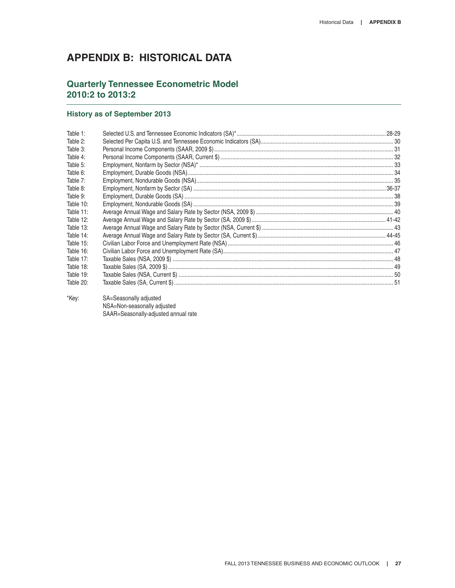# **APPENDIX B: HISTORICAL DATA**

# **Quarterly Tennessee Econometric Model 2010:2 to 2013:2**

### **History as of September 2013**

| Table 1:  |  |
|-----------|--|
| Table 2:  |  |
| Table 3:  |  |
| Table 4:  |  |
| Table 5:  |  |
| Table 6:  |  |
| Table 7:  |  |
| Table 8:  |  |
| Table 9:  |  |
| Table 10: |  |
| Table 11: |  |
| Table 12: |  |
| Table 13: |  |
| Table 14: |  |
| Table 15: |  |
| Table 16: |  |
| Table 17: |  |
| Table 18: |  |
| Table 19: |  |
| Table 20: |  |

\*Key: SA=Seasonally adjusted NSA=Non-seasonally adjusted SAAR=Seasonally-adjusted annual rate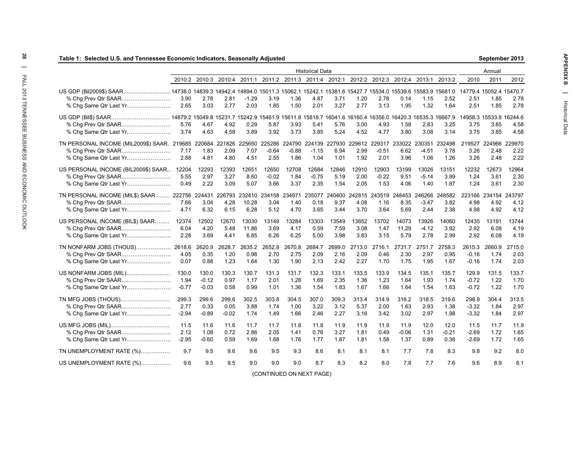| Table 1: Selected U.S. and Tennessee Economic Indicators, Seasonally Adjusted                                                                          |         |         |         |         |                                                                                            |         |                        |        |                             |               |         |         |               |         | September 2013          |        |
|--------------------------------------------------------------------------------------------------------------------------------------------------------|---------|---------|---------|---------|--------------------------------------------------------------------------------------------|---------|------------------------|--------|-----------------------------|---------------|---------|---------|---------------|---------|-------------------------|--------|
|                                                                                                                                                        |         |         |         |         |                                                                                            |         | <b>Historical Data</b> |        |                             |               |         |         |               |         | Annual                  |        |
|                                                                                                                                                        |         |         |         |         | 2010:2 2010:3 2010:4 2011:1 2011:2 2011:3 2011:4 2012:1 2012:2 2012:3 2012:4 2013:1 2013:2 |         |                        |        |                             |               |         |         |               | 2010    | 2011                    | 2012   |
| US GDP (Bil2009\$) SAAR14738.0 14839.3 14942.4 14894.0 15011.3 15062.1 15242.1 15381.6 15427.7 15534.0 15539.6 15583.9 15681.0 14779.4 15052.4 15470.7 |         |         |         |         |                                                                                            |         |                        |        |                             |               |         |         |               |         |                         |        |
|                                                                                                                                                        | 3.90    | 2.78    | 2.81    | $-1.29$ | 3.19                                                                                       | 1.36    | 4.87                   | 3.71   | 1.20                        | 2.78          | 0.14    | 1.15    | 2.52          | 2.51    | 1.85                    | 2.78   |
|                                                                                                                                                        | 2.65    | 3.03    | 2.77    | 2.03    | 1.85                                                                                       | 1.50    | 2.01                   | 3.27   | 2.77                        | 3.13          | 1.95    | 1.32    | 1.64          | 2.51    | 1.85                    | 2.78   |
|                                                                                                                                                        |         |         |         |         |                                                                                            |         |                        |        |                             |               |         |         |               |         | 14958.3 15533.8 16244.6 |        |
|                                                                                                                                                        | 5.76    | 4.67    | 4.92    | 0.29    | 5.87                                                                                       | 3.93    | 5.41                   | 5.76   | 3.00                        | 4.93          | 1.58    | 2.83    | 3.25          | 3.75    | 3.85                    | 4.58   |
|                                                                                                                                                        | 3.74    | 4.63    | 4.58    | 3.89    | 3.92                                                                                       | 3.73    | 3.85                   | 5.24   | 4.52                        | 4.77          | 3.80    | 3.08    | 3.14          | 3.75    | 3.85                    | 4.58   |
| TN PERSONAL INCOME (MIL2009\$) SAAR. 219685                                                                                                            |         | 220684  | 221826  |         | 225650 225286 224790 224139                                                                |         |                        | 227930 |                             | 229612 229317 | 233022  | 230351  | 232498        | 219527  | 224966 229970           |        |
| % Chg Prev Qtr SAAR                                                                                                                                    | 7.17    | 1.83    | 2.09    | 7.07    | $-0.64$                                                                                    | $-0.88$ | $-1.15$                | 6.94   | 2.99                        | $-0.51$       | 6.62    | $-4.51$ | 3.78          | 3.26    | 2.48                    | 2.22   |
| % Chg Same Qtr Last Yr                                                                                                                                 | 2.88    | 4.81    | 4.80    | 4.51    | 2.55                                                                                       | 1.86    | 1.04                   | 1.01   | 1.92                        | 2.01          | 3.96    | 1.06    | 1.26          | 3.26    | 2.48                    | 2.22   |
| US PERSONAL INCOME (BIL2009\$) SAAR                                                                                                                    | 12204   | 12293   | 12393   | 12651   | 12650                                                                                      | 12708   | 12684                  | 12846  | 12910                       | 12903         | 13199   | 13026   | 13151         | 12232   | 12673                   | 12964  |
| % Chg Prev Qtr SAAR                                                                                                                                    | 5.55    | 2.97    | 3.27    | 8.60    | $-0.02$                                                                                    | 1.84    | $-0.75$                | 5.19   | 2.00                        | $-0.22$       | 9.51    | $-5.14$ | 3.89          | 1.24    | 3.61                    | 2.30   |
| % Chg Same Qtr Last Yr                                                                                                                                 | 0.49    | 2.22    | 3.09    | 5.07    | 3.66                                                                                       | 3.37    | 2.35                   | 1.54   | 2.05                        | 1.53          | 4.06    | 1.40    | 1.87          | 1.24    | 3.61                    | 2.30   |
| TN PERSONAL INCOME (MIL\$) SAAR 222756 224431 226793                                                                                                   |         |         |         |         | 232410 234158 234971 235077                                                                |         |                        |        | 240400 242815 243519 248453 |               |         |         | 246266 248582 |         | 223166 234154 243797    |        |
|                                                                                                                                                        | 7.66    | 3.04    | 4.28    | 10.28   | 3.04                                                                                       | 1.40    | 0.18                   | 9.37   | 4.08                        | 1.16          | 8.35    | $-3.47$ | 3.82          | 4.98    | 4.92                    | 4.12   |
|                                                                                                                                                        | 4.71    | 6.32    | 6.15    | 6.28    | 5.12                                                                                       | 4.70    | 3.65                   | 3.44   | 3.70                        | 3.64          | 5.69    | 2.44    | 2.38          | 4.98    | 4.92                    | 4.12   |
| US PERSONAL INCOME (BIL\$) SAAR                                                                                                                        | 12374   | 12502   | 12670   | 13030   | 13149                                                                                      | 13284   | 13303                  | 13549  | 13652                       | 13702         | 14073   | 13926   | 14060         | 12435   | 13191                   | 13744  |
|                                                                                                                                                        | 6.04    | 4.20    | 5.48    | 11.86   | 3.69                                                                                       | 4.17    | 0.59                   | 7.59   | 3.08                        | 1.47          | 11.29   | $-4.12$ | 3.92          | 2.92    | 6.08                    | 4.19   |
|                                                                                                                                                        | 2.28    | 3.69    | 4.41    | 6.85    | 6.26                                                                                       | 6.25    | 5.00                   | 3.98   | 3.83                        | 3.15          | 5.79    | 2.78    | 2.99          | 2.92    | 6.08                    | 4.19   |
|                                                                                                                                                        |         | 2620.9  | 2628.7  |         | 2635.2 2652.8                                                                              | 2670.8  | 2684.7                 | 2699.0 | 2713.0                      | 2716.1        | 2731.7  | 2751.7  | 2758.3        | 2615.3  | 2660.9                  | 2715.0 |
| % Chg Prev Qtr SAAR                                                                                                                                    | 4.05    | 0.35    | 1.20    | 0.98    | 2.70                                                                                       | 2.75    | 2.09                   | 2.16   | 2.09                        | 0.46          | 2.30    | 2.97    | 0.95          | $-0.16$ | 1.74                    | 2.03   |
| % Chg Same Qtr Last Yr                                                                                                                                 | 0.07    | 0.88    | 1.23    | 1.64    | 1.30                                                                                       | 1.90    | 2.13                   | 2.42   | 2.27                        | 1.70          | 1.75    | 1.95    | 1.67          | $-0.16$ | 1.74                    | 2.03   |
| US NONFARM JOBS (MIL)                                                                                                                                  | 130.0   | 130.0   | 130.3   | 130.7   | 131.3                                                                                      | 131.7   | 132.3                  | 133.1  | 133.5                       | 133.9         | 134.5   | 135.1   | 135.7         | 129.9   | 131.5                   | 133.7  |
|                                                                                                                                                        | 1.94    | $-0.12$ | 0.97    | 1.17    | 2.01                                                                                       | 1.28    | 1.69                   | 2.35   | 1.36                        | 1.23          | 1.64    | 1.93    | 1.74          | $-0.72$ | 1.22                    | 1.70   |
|                                                                                                                                                        | $-0.77$ | $-0.03$ | 0.58    | 0.99    | 1.01                                                                                       | 1.36    | 1.54                   | 1.83   | 1.67                        | 1.66          | 1.64    | 1.54    | 1.63          | $-0.72$ | 1.22                    | 1.70   |
| TN MFG JOBS (THOUS)                                                                                                                                    | 299.3   | 299.6   | 299.6   | 302.5   | 303.8                                                                                      | 304.5   | 307.0                  | 309.3  | 313.4                       | 314.9         | 316.2   | 318.5   | 319.6         | 298.9   | 304.4                   | 313.5  |
|                                                                                                                                                        | 2.77    | 0.33    | 0.05    | 3.88    | 1.74                                                                                       | 1.00    | 3.22                   | 3.12   | 5.37                        | 2.00          | 1.63    | 2.93    | 1.38          | $-3.32$ | 1.84                    | 2.97   |
|                                                                                                                                                        | $-2.94$ | $-0.89$ | $-0.02$ | 1.74    | 1.49                                                                                       | 1.66    | 2.46                   | 2.27   | 3.16                        | 3.42          | 3.02    | 2.97    | 1.98          | $-3.32$ | 1.84                    | 2.97   |
|                                                                                                                                                        | 11.5    | 11.6    | 11.6    | 11.7    | 11.7                                                                                       | 11.8    | 11.8                   | 11.9   | 11.9                        | 11.9          | 11.9    | 12.0    | 12.0          | 11.5    | 11.7                    | 11.9   |
| % Chg Prev Qtr SAAR                                                                                                                                    | 2.12    | 1.08    | 0.72    | 2.86    | 2.05                                                                                       | 1.41    | 0.76                   | 3.27   | 1.81                        | 0.49          | $-0.06$ | 1.31    | $-0.21$       | $-2.69$ | 1.72                    | 1.65   |
| % Chg Same Qtr Last Yr                                                                                                                                 | -2.95   | $-0.60$ | 0.59    | 1.69    | 1.68                                                                                       | 1.76    | 1.77                   | 1.87   | 1.81                        | 1.58          | 1.37    | 0.89    | 0.38          | $-2.69$ | 1.72                    | 1.65   |
| TN UNEMPLOYMENT RATE (%)                                                                                                                               | 9.7     | 9.5     | 9.6     | 9.6     | 9.5                                                                                        | 9.3     | 8.6                    | 8.1    | 8.1                         | 8.1           | 7.7     | 7.8     | 8.3           | 9.8     | 9.2                     | 8.0    |
| US UNEMPLOYMENT RATE (%)                                                                                                                               | 9.6     | 9.5     | 9.5     | 9.0     | 9.0                                                                                        | 9.0     | 8.7                    | 8.3    | 8.2                         | 8.0           | 7.8     | 7.7     | 7.6           | 9.6     | 8.9                     | 8.1    |
|                                                                                                                                                        |         |         |         |         |                                                                                            |         |                        |        |                             |               |         |         |               |         |                         |        |

(CONTINUED ON NEXT PAGE)

**September 2013**

28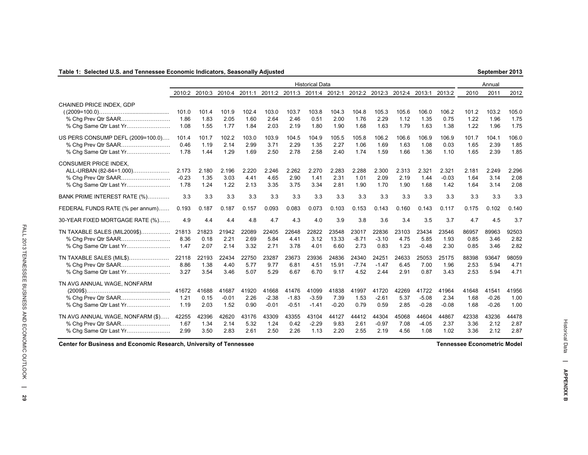### **Table 1: Selected U.S. and Tennessee Economic Indicators, Seasonally Adjusted**

| September 2013 |  |
|----------------|--|
|----------------|--|

|                                                                                                          |                          |                       |                          |                       |                             |                             | <b>Historical Data</b>      |                          |                          |                          |                       |                             |                          |                       | Annual                      |                       |
|----------------------------------------------------------------------------------------------------------|--------------------------|-----------------------|--------------------------|-----------------------|-----------------------------|-----------------------------|-----------------------------|--------------------------|--------------------------|--------------------------|-----------------------|-----------------------------|--------------------------|-----------------------|-----------------------------|-----------------------|
|                                                                                                          | 2010:2                   | 2010:3                | 2010:4                   | 2011:1                | 2011:2                      |                             | 2011:3 2011:4 2012:1        |                          | 2012:2                   | 2012:3                   | 2012:4                | 2013:1                      | 2013:2                   | 2010                  | 2011                        | 2012                  |
| CHAINED PRICE INDEX, GDP<br>% Chg Prev Qtr SAAR<br>% Chq Same Qtr Last Yr                                | 101.0<br>1.86<br>1.08    | 101.4<br>1.83<br>1.55 | 101.9<br>2.05<br>1.77    | 102.4<br>1.60<br>1.84 | 103.0<br>2.64<br>2.03       | 103.7<br>2.46<br>2.19       | 103.8<br>0.51<br>1.80       | 104.3<br>2.00<br>1.90    | 104.8<br>1.76<br>1.68    | 105.3<br>2.29<br>1.63    | 105.6<br>1.12<br>1.79 | 106.0<br>1.35<br>1.63       | 106.2<br>0.75<br>1.38    | 101.2<br>1.22<br>1.22 | 103.2<br>1.96<br>1.96       | 105.0<br>1.75<br>1.75 |
| US PERS CONSUMP DEFL (2009=100.0)<br>% Chq Same Qtr Last Yr                                              | 101.4<br>0.46<br>1.78    | 101.7<br>1.19<br>1.44 | 102.2<br>2.14<br>1.29    | 103.0<br>2.99<br>1.69 | 103.9<br>3.71<br>2.50       | 104.5<br>2.29<br>2.78       | 104.9<br>1.35<br>2.58       | 105.5<br>2.27<br>2.40    | 105.8<br>1.06<br>1.74    | 106.2<br>1.69<br>1.59    | 106.6<br>1.63<br>1.66 | 106.9<br>1.08<br>1.36       | 106.9<br>0.03<br>1.10    | 101.7<br>1.65<br>1.65 | 104.1<br>2.39<br>2.39       | 106.0<br>1.85<br>1.85 |
| <b>CONSUMER PRICE INDEX.</b><br>ALL-URBAN (82-84=1.000)<br>% Chg Prev Qtr SAAR<br>% Chg Same Qtr Last Yr | 2.173<br>$-0.23$<br>1.78 | 2.180<br>1.35<br>1.24 | 2.196<br>3.03<br>1.22    | 2.220<br>4.41<br>2.13 | 2.246<br>4.65<br>3.35       | 2.262<br>2.90<br>3.75       | 2.270<br>1.41<br>3.34       | 2.283<br>2.31<br>2.81    | 2.288<br>1.01<br>1.90    | 2.300<br>2.09<br>1.70    | 2.313<br>2.19<br>1.90 | 2.321<br>1.44<br>1.68       | 2.321<br>$-0.03$<br>1.42 | 2.181<br>1.64<br>1.64 | 2.249<br>3.14<br>3.14       | 2.296<br>2.08<br>2.08 |
| BANK PRIME INTEREST RATE (%)                                                                             | 3.3                      | 3.3                   | 3.3                      | 3.3                   | 3.3                         | 3.3                         | 3.3                         | 3.3                      | 3.3                      | 3.3                      | 3.3                   | 3.3                         | 3.3                      | 3.3                   | 3.3                         | 3.3                   |
| FEDERAL FUNDS RATE (% per annum)                                                                         | 0.193                    | 0.187                 | 0.187                    | 0.157                 | 0.093                       | 0.083                       | 0.073                       | 0.103                    | 0.153                    | 0.143                    | 0.160                 | 0.143                       | 0.117                    | 0.175                 | 0.102                       | 0.140                 |
| 30-YEAR FIXED MORTGAGE RATE (%)                                                                          | 4.9                      | 4.4                   | 4.4                      | 4.8                   | 4.7                         | 4.3                         | 4.0                         | 3.9                      | 3.8                      | 3.6                      | 3.4                   | 3.5                         | 3.7                      | 4.7                   | 4.5                         | 3.7                   |
| TN TAXABLE SALES (MIL2009\$)<br>% Cha Prev Qtr SAAR                                                      | 21813<br>8.36<br>1.47    | 21823<br>0.18<br>2.07 | 21942<br>2.21<br>2.14    | 22089<br>2.69<br>3.32 | 22405<br>5.84<br>2.71       | 22648<br>4.41<br>3.78       | 22822<br>3.12<br>4.01       | 23548<br>13.33<br>6.60   | 23017<br>$-8.71$<br>2.73 | 22836<br>$-3.10$<br>0.83 | 23103<br>4.75<br>1.23 | 23434<br>5.85<br>$-0.48$    | 23546<br>1.93<br>2.30    | 86957<br>0.85<br>0.85 | 89963<br>3.46<br>3.46       | 92503<br>2.82<br>2.82 |
| TN TAXABLE SALES (MIL\$)<br>% Chg Same Qtr Last Yr                                                       | 22118<br>8.86<br>3.27    | 22193<br>1.38<br>3.54 | 22434<br>4.40<br>3.46    | 22750<br>5.77<br>5.07 | 23287<br>9.77<br>5.29       | 23673<br>6.81<br>6.67       | 23936<br>4.51<br>6.70       | 24836<br>15.91<br>9.17   | 24340<br>$-7.74$<br>4.52 | 24251<br>$-1.47$<br>2.44 | 24633<br>6.45<br>2.91 | 25053<br>7.00<br>0.87       | 25175<br>1.96<br>3.43    | 88398<br>2.53<br>2.53 | 93647<br>5.94<br>5.94       | 98059<br>4.71<br>4.71 |
| TN AVG ANNUAL WAGE, NONFARM                                                                              | 41672<br>1.21<br>1.19    | 41688<br>0.15<br>2.03 | 41687<br>$-0.01$<br>1.52 | 41920<br>2.26<br>0.90 | 41668<br>$-2.38$<br>$-0.01$ | 41476<br>$-1.83$<br>$-0.51$ | 41099<br>$-3.59$<br>$-1.41$ | 41838<br>7.39<br>$-0.20$ | 41997<br>1.53<br>0.79    | 41720<br>$-2.61$<br>0.59 | 42269<br>5.37<br>2.85 | 41722<br>$-5.08$<br>$-0.28$ | 41964<br>2.34<br>$-0.08$ | 41648<br>1.68<br>1.68 | 41541<br>$-0.26$<br>$-0.26$ | 41956<br>1.00<br>1.00 |
| TN AVG ANNUAL WAGE, NONFARM (\$)<br>% Chg Same Qtr Last Yr                                               | 42255<br>1.67<br>2.99    | 42396<br>1.34<br>3.50 | 42620<br>2.14<br>2.83    | 43176<br>5.32<br>2.61 | 43309<br>1.24<br>2.50       | 43355<br>0.42<br>2.26       | 43104<br>$-2.29$<br>1.13    | 44127<br>9.83<br>2.20    | 44412<br>2.61<br>2.55    | 44304<br>$-0.97$<br>2.19 | 45068<br>7.08<br>4.56 | 44604<br>$-4.05$<br>1.08    | 44867<br>2.37<br>1.02    | 42338<br>3.36<br>3.36 | 43236<br>2.12<br>2.12       | 44478<br>2.87<br>2.87 |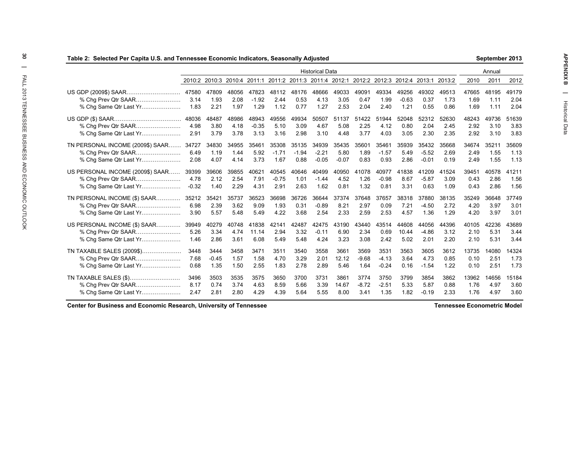| Table 2: Selected Per Capita U.S. and Tennessee Economic Indicators, Seasonally Adjusted |         |         |       |         |         |         |                        |         |         |         |         |                                                                                            |       |       | September 2013 |       |
|------------------------------------------------------------------------------------------|---------|---------|-------|---------|---------|---------|------------------------|---------|---------|---------|---------|--------------------------------------------------------------------------------------------|-------|-------|----------------|-------|
|                                                                                          |         |         |       |         |         |         | <b>Historical Data</b> |         |         |         |         |                                                                                            |       |       | Annual         |       |
|                                                                                          |         |         |       |         |         |         |                        |         |         |         |         | 2010:2 2010:3 2010:4 2011:1 2011:2 2011:3 2011:4 2012:1 2012:2 2012:3 2012:4 2013:1 2013:2 |       | 2010  | 2011           | 2012  |
| US GDP (2009\$) SAAR                                                                     | 47580   | 47809   | 48056 | 47823   | 48112   | 48176   | 48666                  | 49033   | 49091   | 49334   | 49256   | 49302                                                                                      | 49513 | 47665 | 48195          | 49179 |
| % Chg Prev Qtr SAAR                                                                      | 3.14    | 1.93    | 2.08  | $-1.92$ | 2.44    | 0.53    | 4.13                   | 3.05    | 0.47    | 1.99    | $-0.63$ | 0.37                                                                                       | 1.73  | 1.69  | 1.11           | 2.04  |
| % Chg Same Qtr Last Yr                                                                   | 1.83    | 2.21    | 1.97  | 1.29    | 1.12    | 0.77    | 1.27                   | 2.53    | 2.04    | 2.40    | 1.21    | 0.55                                                                                       | 0.86  | 1.69  | 1.11           | 2.04  |
|                                                                                          | 48036   | 48487   | 48986 | 48943   | 49556   | 49934   | 50507                  | 51137   | 51422   | 51944   | 52048   | 52312                                                                                      | 52630 | 48243 | 49736          | 51639 |
| % Chg Prev Qtr SAAR                                                                      | 4.98    | 3.80    | 4.18  | $-0.35$ | 5.10    | 3.09    | 4.67                   | 5.08    | 2.25    | 4.12    | 0.80    | 2.04                                                                                       | 2.45  | 2.92  | 3.10           | 3.83  |
|                                                                                          | 2.91    | 3.79    | 3.78  | 3.13    | 3.16    | 2.98    | 3.10                   | 4.48    | 3.77    | 4.03    | 3.05    | 2.30                                                                                       | 2.35  | 2.92  | 3.10           | 3.83  |
| TN PERSONAL INCOME (2009\$) SAAR 34727                                                   |         | 34830   | 34955 | 35461   | 35308   | 35135   | 34939                  | 35435   | 35601   | 35461   | 35939   | 35432                                                                                      | 35668 | 34674 | 35211          | 35609 |
| % Chg Prev Qtr SAAR                                                                      | 6.49    | 1.19    | 1.44  | 5.92    | $-1.71$ | $-1.94$ | $-2.21$                | 5.80    | 1.89    | $-1.57$ | 5.49    | $-5.52$                                                                                    | 2.69  | 2.49  | 1.55           | 1.13  |
| % Chg Same Qtr Last Yr                                                                   | 2.08    | 4.07    | 4.14  | 3.73    | 1.67    | 0.88    | $-0.05$                | $-0.07$ | 0.83    | 0.93    | 2.86    | $-0.01$                                                                                    | 0.19  | 2.49  | 1.55           | 1.13  |
| US PERSONAL INCOME (2009\$) SAAR 39399                                                   |         | 39606   | 39855 | 40621   | 40545   | 40646   | 40499                  | 40950   | 41078   | 40977   | 41838   | 41209                                                                                      | 41524 | 39451 | 40578          | 41211 |
| % Cha Prev Qtr SAAR                                                                      | 4.78    | 2.12    | 2.54  | 7.91    | $-0.75$ | 1.01    | $-1.44$                | 4.52    | 1.26    | $-0.98$ | 8.67    | $-5.87$                                                                                    | 3.09  | 0.43  | 2.86           | 1.56  |
| % Chg Same Qtr Last Yr                                                                   | $-0.32$ | 1.40    | 2.29  | 4.31    | 2.91    | 2.63    | 1.62                   | 0.81    | 1.32    | 0.81    | 3.31    | 0.63                                                                                       | 1.09  | 0.43  | 2.86           | 1.56  |
| TN PERSONAL INCOME (\$) SAAR 35212                                                       |         | 35421   | 35737 | 36523   | 36698   | 36726   | 36644                  | 37374   | 37648   | 37657   | 38318   | 37880                                                                                      | 38135 | 35249 | 36648          | 37749 |
| % Chg Prev Qtr SAAR                                                                      | 6.98    | 2.39    | 3.62  | 9.09    | 1.93    | 0.31    | $-0.89$                | 8.21    | 2.97    | 0.09    | 7.21    | $-4.50$                                                                                    | 2.72  | 4.20  | 3.97           | 3.01  |
| % Chg Same Qtr Last Yr                                                                   | 3.90    | 5.57    | 5.48  | 5.49    | 4.22    | 3.68    | 2.54                   | 2.33    | 2.59    | 2.53    | 4.57    | 1.36                                                                                       | 1.29  | 4.20  | 3.97           | 3.01  |
| US PERSONAL INCOME (\$) SAAR 39949                                                       |         | 40279   | 40748 | 41838   | 42141   | 42487   | 42475                  | 43190   | 43440   | 43514   | 44608   | 44056                                                                                      | 44396 | 40105 | 42236          | 43689 |
| % Chg Prev Qtr SAAR                                                                      | 5.26    | 3.34    | 4.74  | 11.14   | 2.94    | 3.32    | $-0.11$                | 6.90    | 2.34    | 0.69    | 10.44   | $-4.86$                                                                                    | 3.12  | 2.10  | 5.31           | 3.44  |
|                                                                                          | 1.46    | 2.86    | 3.61  | 6.08    | 5.49    | 5.48    | 4.24                   | 3.23    | 3.08    | 2.42    | 5.02    | 2.01                                                                                       | 2.20  | 2.10  | 5.31           | 3.44  |
| TN TAXABLE SALES (2009\$)                                                                | 3448    | 3444    | 3458  | 3471    | 3511    | 3540    | 3558                   | 3661    | 3569    | 3531    | 3563    | 3605                                                                                       | 3612  | 13735 | 14080          | 14324 |
| % Chg Prev Qtr SAAR                                                                      | 7.68    | $-0.45$ | 1.57  | 1.58    | 4.70    | 3.29    | 2.01                   | 12.12   | $-9.68$ | $-4.13$ | 3.64    | 4.73                                                                                       | 0.85  | 0.10  | 2.51           | 1.73  |
| % Chg Same Qtr Last Yr                                                                   | 0.68    | 1.35    | 1.50  | 2.55    | 1.83    | 2.78    | 2.89                   | 5.46    | 1.64    | $-0.24$ | 0.16    | $-1.54$                                                                                    | 1.22  | 0.10  | 2.51           | 1.73  |
| TN TAXABLE SALES (\$)                                                                    | 3496    | 3503    | 3535  | 3575    | 3650    | 3700    | 3731                   | 3861    | 3774    | 3750    | 3799    | 3854                                                                                       | 3862  | 13962 | 14656          | 15184 |
|                                                                                          | 8.17    | 0.74    | 3.74  | 4.63    | 8.59    | 5.66    | 3.39                   | 14.67   | $-8.72$ | $-2.51$ | 5.33    | 5.87                                                                                       | 0.88  | 1.76  | 4.97           | 3.60  |
| % Chg Same Qtr Last Yr                                                                   | 2.47    | 2.81    | 2.80  | 4.29    | 4.39    | 5.64    | 5.55                   | 8.00    | 3.41    | 1.35    | 1.82    | $-0.19$                                                                                    | 2.33  | 1.76  | 4.97           | 3.60  |
|                                                                                          |         |         |       |         |         |         |                        |         |         |         |         |                                                                                            |       |       |                |       |

**Center for Business and Economic Research, University of Tennessee**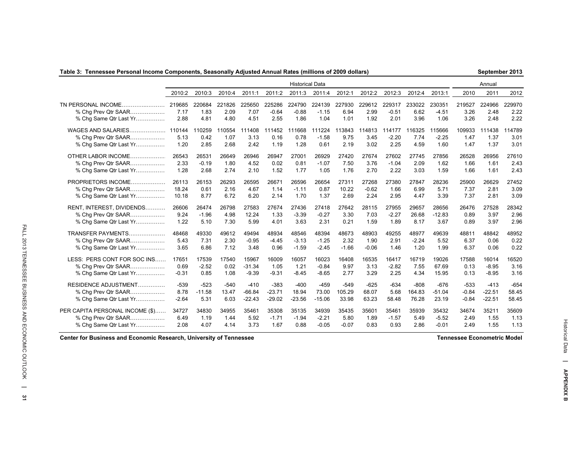### **Table 3: Tennessee Personal Income Components, Seasonally Adjusted Annual Rates (millions of 2009 dollars)**

**September 2013**

|                                                                           |                        |                        |                        |                        |                           | <b>Historical Data</b>    |                           |                        |                        |                           |                        |                           |                        | Annual                 |                        |
|---------------------------------------------------------------------------|------------------------|------------------------|------------------------|------------------------|---------------------------|---------------------------|---------------------------|------------------------|------------------------|---------------------------|------------------------|---------------------------|------------------------|------------------------|------------------------|
|                                                                           | 2010:2                 | 2010:3                 | 2010:4                 | 2011:1                 | 2011:2                    | 2011:3                    | 2011:4                    | 2012:1                 | 2012:2                 | 2012:3                    | 2012:4                 | 2013:1                    | 2010                   | 2011                   | 2012                   |
| TN PERSONAL INCOME.<br>.<br>% Chg Prev Qtr SAAR<br>% Chg Same Qtr Last Yr | 219685<br>7.17<br>2.88 | 220684<br>1.83<br>4.81 | 221826<br>2.09<br>4.80 | 225650<br>7.07<br>4.51 | 225286<br>$-0.64$<br>2.55 | 224790<br>$-0.88$<br>1.86 | 224139<br>$-1.15$<br>1.04 | 227930<br>6.94<br>1.01 | 229612<br>2.99<br>1.92 | 229317<br>$-0.51$<br>2.01 | 233022<br>6.62<br>3.96 | 230351<br>$-4.51$<br>1.06 | 219527<br>3.26<br>3.26 | 224966<br>2.48<br>2.48 | 229970<br>2.22<br>2.22 |
| WAGES AND SALARIES                                                        | 110144                 | 110259                 | 10554                  | 111408                 | 111452                    | 111668                    | 111224                    | 113843                 | 114813                 | 114177                    | 116325                 | 115666                    | 109933                 | 111438                 | 114789                 |
| % Chg Prev Qtr SAAR                                                       | 5.13                   | 0.42                   | 1.07                   | 3.13                   | 0.16                      | 0.78                      | $-1.58$                   | 9.75                   | 3.45                   | $-2.20$                   | 7.74                   | $-2.25$                   | 1.47                   | 1.37                   | 3.01                   |
| % Chg Same Qtr Last Yr                                                    | 1.20                   | 2.85                   | 2.68                   | 2.42                   | 1.19                      | 1.28                      | 0.61                      | 2.19                   | 3.02                   | 2.25                      | 4.59                   | 1.60                      | 1.47                   | 1.37                   | 3.01                   |
| OTHER LABOR INCOME                                                        | 26543                  | 26531                  | 26649                  | 26946                  | 26947                     | 27001                     | 26929                     | 27420                  | 27674                  | 27602                     | 27745                  | 27856                     | 26528                  | 26956                  | 27610                  |
| % Cha Prev Qtr SAAR                                                       | 2.33                   | $-0.19$                | 1.80                   | 4.52                   | 0.02                      | 0.81                      | $-1.07$                   | 7.50                   | 3.76                   | $-1.04$                   | 2.09                   | 1.62                      | 1.66                   | 1.61                   | 2.43                   |
| % Chq Same Qtr Last Yr                                                    | 1.28                   | 2.68                   | 2.74                   | 2.10                   | 1.52                      | 1.77                      | 1.05                      | 1.76                   | 2.70                   | 2.22                      | 3.03                   | 1.59                      | 1.66                   | 1.61                   | 2.43                   |
| PROPRIETORS INCOME                                                        | 26113                  | 26153                  | 26293                  | 26595                  | 26671                     | 26596                     | 26654                     | 27311                  | 27268                  | 27380                     | 27847                  | 28236                     | 25900                  | 26629                  | 27452                  |
| % Chg Prev Qtr SAAR                                                       | 18.24                  | 0.61                   | 2.16                   | 4.67                   | 1.14                      | $-1.11$                   | 0.87                      | 10.22                  | $-0.62$                | 1.66                      | 6.99                   | 5.71                      | 7.37                   | 2.81                   | 3.09                   |
| % Chg Same Qtr Last Yr                                                    | 10.18                  | 8.77                   | 6.72                   | 6.20                   | 2.14                      | 1.70                      | 1.37                      | 2.69                   | 2.24                   | 2.95                      | 4.47                   | 3.39                      | 7.37                   | 2.81                   | 3.09                   |
| RENT, INTEREST, DIVIDENDS                                                 | 26606                  | 26474                  | 26798                  | 27583                  | 27674                     | 27436                     | 27418                     | 27642                  | 28115                  | 27955                     | 29657                  | 28656                     | 26476                  | 27528                  | 28342                  |
| % Cha Prev Qtr SAAR                                                       | 9.24                   | $-1.96$                | 4.98                   | 12.24                  | 1.33                      | $-3.39$                   | $-0.27$                   | 3.30                   | 7.03                   | $-2.27$                   | 26.68                  | $-12.83$                  | 0.89                   | 3.97                   | 2.96                   |
| % Cha Same Qtr Last Yr                                                    | 1.22                   | 5.10                   | 7.30                   | 5.99                   | 4.01                      | 3.63                      | 2.31                      | 0.21                   | 1.59                   | 1.89                      | 8.17                   | 3.67                      | 0.89                   | 3.97                   | 2.96                   |
| TRANSFER PAYMENTS                                                         | 48468                  | 49330                  | 49612                  | 49494                  | 48934                     | 48546                     | 48394                     | 48673                  | 48903                  | 49255                     | 48977                  | 49639                     | 48811                  | 48842                  | 48952                  |
| % Cha Prev Qtr SAAR                                                       | 5.43                   | 7.31                   | 2.30                   | $-0.95$                | $-4.45$                   | $-3.13$                   | $-1.25$                   | 2.32                   | 1.90                   | 2.91                      | $-2.24$                | 5.52                      | 6.37                   | 0.06                   | 0.22                   |
| % Chg Same Qtr Last Yr                                                    | 3.65                   | 6.86                   | 7.12                   | 3.48                   | 0.96                      | $-1.59$                   | $-2.45$                   | $-1.66$                | $-0.06$                | 1.46                      | 1.20                   | 1.99                      | 6.37                   | 0.06                   | 0.22                   |
| LESS: PERS CONT FOR SOC INS                                               | 17651                  | 17539                  | 17540                  | 15967                  | 16009                     | 16057                     | 16023                     | 16408                  | 16535                  | 16417                     | 16719                  | 19026                     | 17588                  | 16014                  | 16520                  |
| % Cha Prev Qtr SAAR                                                       | 0.69                   | $-2.52$                | 0.02                   | $-31.34$               | 1.05                      | 1.21                      | $-0.84$                   | 9.97                   | 3.13                   | $-2.82$                   | 7.55                   | 67.69                     | 0.13                   | $-8.95$                | 3.16                   |
| % Chq Same Qtr Last Yr                                                    | $-0.31$                | 0.85                   | 1.08                   | $-9.39$                | $-9.31$                   | $-8.45$                   | $-8.65$                   | 2.77                   | 3.29                   | 2.25                      | 4.34                   | 15.95                     | 0.13                   | $-8.95$                | 3.16                   |
| RESIDENCE ADJUSTMENT                                                      | $-539$                 | $-523$                 | $-540$                 | $-410$                 | $-383$                    | $-400$                    | $-459$                    | $-549$                 | $-625$                 | $-634$                    | $-808$                 | $-676$                    | $-533$                 | $-413$                 | $-654$                 |
| % Cha Prev Qtr SAAR                                                       | 8.78                   | $-11.58$               | 13.47                  | $-66.84$               | $-23.71$                  | 18.94                     | 73.00                     | 105.29                 | 68.07                  | 5.68                      | 164.83                 | $-51.04$                  | $-0.84$                | $-22.51$               | 58.45                  |
| % Cha Same Qtr Last Yr                                                    | $-2.64$                | 5.31                   | 6.03                   | $-22.43$               | $-29.02$                  | $-23.56$                  | $-15.06$                  | 33.98                  | 63.23                  | 58.48                     | 76.28                  | 23.19                     | $-0.84$                | $-22.51$               | 58.45                  |
| PER CAPITA PERSONAL INCOME (\$)                                           | 34727                  | 34830                  | 34955                  | 35461                  | 35308                     | 35135                     | 34939                     | 35435                  | 35601                  | 35461                     | 35939                  | 35432                     | 34674                  | 35211                  | 35609                  |
| % Cha Prev Qtr SAAR                                                       | 6.49                   | 1.19                   | 1.44                   | 5.92                   | $-1.71$                   | $-1.94$                   | $-2.21$                   | 5.80                   | 1.89                   | $-1.57$                   | 5.49                   | $-5.52$                   | 2.49                   | 1.55                   | 1.13                   |
| % Cha Same Qtr Last Yr                                                    | 2.08                   | 4.07                   | 4.14                   | 3.73                   | 1.67                      | 0.88                      | $-0.05$                   | $-0.07$                | 0.83                   | 0.93                      | 2.86                   | $-0.01$                   | 2.49                   | 1.55                   | 1.13                   |

**Center for Business and Economic Research, University of Tennessee**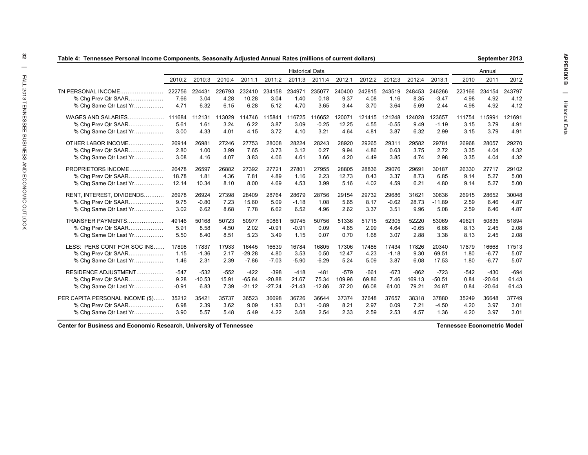| Table 4: Tennessee Personal Income Components, Seasonally Adjusted Annual Rates (millions of current dollars) |         |          |        |          |          |                        |          |        |        |         |         |          |        | September 2013 |        |
|---------------------------------------------------------------------------------------------------------------|---------|----------|--------|----------|----------|------------------------|----------|--------|--------|---------|---------|----------|--------|----------------|--------|
|                                                                                                               |         |          |        |          |          | <b>Historical Data</b> |          |        |        |         |         |          |        | Annual         |        |
|                                                                                                               | 2010:2  | 2010:3   | 2010:4 | 2011:1   | 2011:2   | 2011:3                 | 2011:4   | 2012:1 | 2012:2 | 2012:3  | 2012:4  | 2013:1   | 2010   | 2011           | 2012   |
| TN PERSONAL INCOME.                                                                                           | 222756  | 224431   | 226793 | 232410   | 234158   | 234971                 | 235077   | 240400 | 242815 | 243519  | 248453  | 246266   | 223166 | 234154         | 243797 |
| % Chg Prev Qtr SAAR                                                                                           | 7.66    | 3.04     | 4.28   | 10.28    | 3.04     | 1.40                   | 0.18     | 9.37   | 4.08   | 1.16    | 8.35    | $-3.47$  | 4.98   | 4.92           | 4.12   |
| % Chg Same Qtr Last Yr                                                                                        | 4.71    | 6.32     | 6.15   | 6.28     | 5.12     | 4.70                   | 3.65     | 3.44   | 3.70   | 3.64    | 5.69    | 2.44     | 4.98   | 4.92           | 4.12   |
| WAGES AND SALARIES                                                                                            | 111684  | 112131   | 113029 | 114746   | 115841   | 116725                 | 116652   | 120071 | 121415 | 121248  | 124028  | 123657   | 111754 | 115991         | 121691 |
| % Chg Prev Qtr SAAR                                                                                           | 5.61    | 1.61     | 3.24   | 6.22     | 3.87     | 3.09                   | $-0.25$  | 12.25  | 4.55   | $-0.55$ | 9.49    | $-1.19$  | 3.15   | 3.79           | 4.91   |
| % Chg Same Qtr Last Yr                                                                                        | 3.00    | 4.33     | 4.01   | 4.15     | 3.72     | 4.10                   | 3.21     | 4.64   | 4.81   | 3.87    | 6.32    | 2.99     | 3.15   | 3.79           | 4.91   |
| OTHER LABOR INCOME                                                                                            | 26914   | 26981    | 27246  | 27753    | 28008    | 28224                  | 28243    | 28920  | 29265  | 29311   | 29582   | 29781    | 26968  | 28057          | 29270  |
| % Cha Prev Qtr SAAR                                                                                           | 2.80    | 1.00     | 3.99   | 7.65     | 3.73     | 3.12                   | 0.27     | 9.94   | 4.86   | 0.63    | 3.75    | 2.72     | 3.35   | 4.04           | 4.32   |
| % Chg Same Qtr Last Yr                                                                                        | 3.08    | 4.16     | 4.07   | 3.83     | 4.06     | 4.61                   | 3.66     | 4.20   | 4.49   | 3.85    | 4.74    | 2.98     | 3.35   | 4.04           | 4.32   |
| PROPRIETORS INCOME                                                                                            | 26478   | 26597    | 26882  | 27392    | 27721    | 27801                  | 27955    | 28805  | 28836  | 29076   | 29691   | 30187    | 26330  | 27717          | 29102  |
| % Chg Prev Qtr SAAR                                                                                           | 18.78   | 1.81     | 4.36   | 7.81     | 4.89     | 1.16                   | 2.23     | 12.73  | 0.43   | 3.37    | 8.73    | 6.85     | 9.14   | 5.27           | 5.00   |
| % Chg Same Qtr Last Yr                                                                                        | 12.14   | 10.34    | 8.10   | 8.00     | 4.69     | 4.53                   | 3.99     | 5.16   | 4.02   | 4.59    | 6.21    | 4.80     | 9.14   | 5.27           | 5.00   |
| RENT, INTEREST, DIVIDENDS                                                                                     | 26978   | 26924    | 27398  | 28409    | 28764    | 28679                  | 28756    | 29154  | 29732  | 29686   | 31621   | 30636    | 26915  | 28652          | 30048  |
| % Chg Prev Qtr SAAR                                                                                           | 9.75    | $-0.80$  | 7.23   | 15.60    | 5.09     | $-1.18$                | 1.08     | 5.65   | 8.17   | $-0.62$ | 28.73   | $-11.89$ | 2.59   | 6.46           | 4.87   |
| % Chg Same Qtr Last Yr                                                                                        | 3.02    | 6.62     | 8.68   | 7.78     | 6.62     | 6.52                   | 4.96     | 2.62   | 3.37   | 3.51    | 9.96    | 5.08     | 2.59   | 6.46           | 4.87   |
| TRANSFER PAYMENTS                                                                                             | 49146   | 50168    | 50723  | 50977    | 50861    | 50745                  | 50756    | 51336  | 51715  | 52305   | 52220   | 53069    | 49621  | 50835          | 51894  |
| % Chg Prev Qtr SAAR                                                                                           | 5.91    | 8.58     | 4.50   | 2.02     | $-0.91$  | $-0.91$                | 0.09     | 4.65   | 2.99   | 4.64    | $-0.65$ | 6.66     | 8.13   | 2.45           | 2.08   |
| % Chg Same Qtr Last Yr                                                                                        | 5.50    | 8.40     | 8.51   | 5.23     | 3.49     | 1.15                   | 0.07     | 0.70   | 1.68   | 3.07    | 2.88    | 3.38     | 8.13   | 2.45           | 2.08   |
| LESS: PERS CONT FOR SOC INS                                                                                   | 17898   | 17837    | 17933  | 16445    | 16639    | 16784                  | 16805    | 17306  | 17486  | 17434   | 17826   | 20340    | 17879  | 16668          | 17513  |
| % Chg Prev Qtr SAAR                                                                                           | 1.15    | $-1.36$  | 2.17   | $-29.28$ | 4.80     | 3.53                   | 0.50     | 12.47  | 4.23   | $-1.18$ | 9.30    | 69.51    | 1.80   | $-6.77$        | 5.07   |
| % Chg Same Qtr Last Yr                                                                                        | 1.46    | 2.31     | 2.39   | $-7.86$  | $-7.03$  | $-5.90$                | $-6.29$  | 5.24   | 5.09   | 3.87    | 6.08    | 17.53    | 1.80   | $-6.77$        | 5.07   |
| RESIDENCE ADJUSTMENT                                                                                          | $-547$  | $-532$   | $-552$ | $-422$   | $-398$   | $-418$                 | $-481$   | $-579$ | $-661$ | $-673$  | $-862$  | $-723$   | $-542$ | $-430$         | $-694$ |
| % Chg Prev Qtr SAAR                                                                                           | 9.28    | $-10.53$ | 15.91  | $-65.84$ | $-20.88$ | 21.67                  | 75.34    | 109.96 | 69.86  | 7.46    | 169.13  | $-50.51$ | 0.84   | $-20.64$       | 61.43  |
| % Chg Same Qtr Last Yr                                                                                        | $-0.91$ | 6.83     | 7.39   | $-21.12$ | $-27.24$ | $-21.43$               | $-12.86$ | 37.20  | 66.08  | 61.00   | 79.21   | 24.87    | 0.84   | $-20.64$       | 61.43  |
| PER CAPITA PERSONAL INCOME (\$)                                                                               | 35212   | 35421    | 35737  | 36523    | 36698    | 36726                  | 36644    | 37374  | 37648  | 37657   | 38318   | 37880    | 35249  | 36648          | 37749  |
| % Cha Prev Qtr SAAR                                                                                           | 6.98    | 2.39     | 3.62   | 9.09     | 1.93     | 0.31                   | $-0.89$  | 8.21   | 2.97   | 0.09    | 7.21    | $-4.50$  | 4.20   | 3.97           | 3.01   |
| % Chg Same Qtr Last Yr                                                                                        | 3.90    | 5.57     | 5.48   | 5.49     | 4.22     | 3.68                   | 2.54     | 2.33   | 2.59   | 2.53    | 4.57    | 1.36     | 4.20   | 3.97           | 3.01   |

**Center for Business and Economic Research, University of Tennessee**

**Tennessee Econometric Model**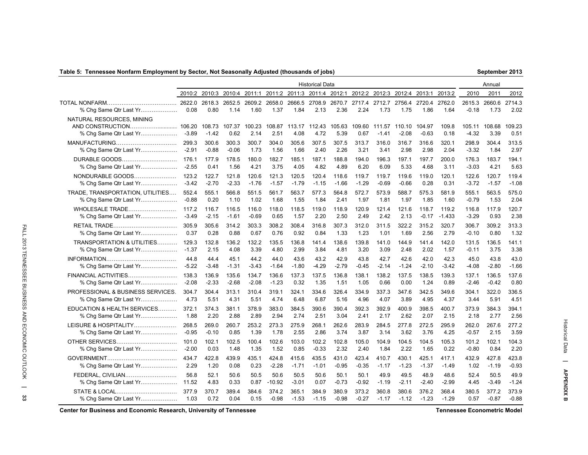### **Table 5: Tennessee Nonfarm Employment by Sector, Not Seasonally Adjusted (thousands of jobs)**

| September 2013 |  |
|----------------|--|
|----------------|--|

|                                                     |         |                   |                |                |                |         | <b>Historical Data</b>              |                |                |                   |                      |                   |                |                   | Annual         |                |
|-----------------------------------------------------|---------|-------------------|----------------|----------------|----------------|---------|-------------------------------------|----------------|----------------|-------------------|----------------------|-------------------|----------------|-------------------|----------------|----------------|
|                                                     |         | 2010:2 2010:3     | 2010:4 2011:1  |                |                |         | 2011:2 2011:3 2011:4 2012:1         |                |                |                   | 2012:2 2012:3 2012:4 | 2013:1            | 2013:2         | 2010              | 2011           | 2012           |
| % Chq Same Qtr Last Yr                              | 0.08    | 2618.3<br>0.80    | 2652.5<br>1.14 | 2609.2<br>1.60 | 2658.0<br>1.37 | 1.84    | 2666.5 2708.9<br>2.13               | 2670.7<br>2.36 | 2717.4<br>2.24 | 2712.7<br>1.73    | 2756.4<br>1.75       | 2720.4<br>1.86    | 2762.0<br>1.64 | 2615.3<br>$-0.18$ | 2660.6<br>1.73 | 2714.3<br>2.02 |
| NATURAL RESOURCES. MINING<br>% Chg Same Qtr Last Yr | $-3.89$ | 108.73<br>$-1.42$ | 107.37<br>0.62 | 100.23<br>2.14 | 2.51           | 4.08    | 108.87 113.17 112.43 105.63<br>4.72 | 5.39           | 109.60<br>0.67 | 111.57<br>$-1.41$ | 110.10<br>$-2.08$    | 104.97<br>$-0.63$ | 109.8<br>0.18  | 105.11<br>$-4.32$ | 108.68<br>3.39 | 109.23<br>0.51 |
|                                                     | 299.3   | 300.6             | 300.3          | 300.7          | 304.0          | 305.6   | 307.5                               | 307.5          | 313.7          | 316.0             | 316.7                | 316.6             | 320.1          | 298.9             | 304.4          | 313.5          |
| % Chg Same Qtr Last Yr                              | $-2.91$ | $-0.88$           | $-0.06$        | 1.73           | 1.56           | 1.66    | 2.40                                | 2.26           | 3.21           | 3.41              | 2.98                 | 2.98              | 2.04           | $-3.32$           | 1.84           | 2.97           |
| DURABLE GOODS                                       | 176.1   | 177.9             | 178.5          | 180.0          | 182.7          | 185.1   | 187.1                               | 188.8          | 194.0          | 196.3             | 197.1                | 197.7             | 200.0          | 176.3             | 183.7          | 194.1          |
| % Chg Same Qtr Last Yr                              | $-2.55$ | 0.41              | 1.56           | 4.21           | 3.75           | 4.05    | 4.82                                | 4.89           | 6.20           | 6.09              | 5.33                 | 4.68              | 3.11           | $-3.03$           | 4.21           | 5.63           |
| NONDURABLE GOODS                                    | 123.2   | 122.7             | 121.8          | 120.6          | 121.3          | 120.5   | 120.4                               | 118.6          | 119.7          | 119.7             | 119.6                | 119.0             | 120.1          | 122.6             | 120.7          | 119.4          |
| % Chg Same Qtr Last Yr                              | $-3.42$ | $-2.70$           | $-2.33$        | $-1.76$        | $-1.57$        | $-1.79$ | $-1.15$                             | $-1.66$        | $-1.29$        | $-0.69$           | $-0.66$              | 0.28              | 0.31           | $-3.72$           | $-1.57$        | $-1.08$        |
| TRADE, TRANSPORTATION, UTILITIES                    | 552.4   | 555.1             | 566.8          | 551.5          | 561.7          | 563.7   | 577.3                               | 564.8          | 572.7          | 573.9             | 588.7                | 575.3             | 581.9          | 555.1             | 563.5          | 575.0          |
| % Chg Same Qtr Last Yr                              | $-0.88$ | 0.20              | 1.10           | 1.02           | 1.68           | 1.55    | 1.84                                | 2.41           | 1.97           | 1.81              | 1.97                 | 1.85              | 1.60           | $-0.79$           | 1.53           | 2.04           |
| WHOLESALE TRADE                                     | 117.2   | 116.7             | 116.5          | 116.0          | 118.0          | 118.5   | 119.0                               | 118.9          | 120.9          | 121.4             | 121.6                | 118.7             | 119.2          | 116.8             | 117.9          | 120.7          |
| % Chg Same Qtr Last Yr                              | $-3.49$ | $-2.15$           | $-1.61$        | $-0.69$        | 0.65           | 1.57    | 2.20                                | 2.50           | 2.49           | 2.42              | 2.13                 | $-0.17$           | $-1.433$       | $-3.29$           | 0.93           | 2.38           |
|                                                     | 305.9   | 305.6             | 314.2          | 303.3          | 308.2          | 308.4   | 316.8                               | 307.3          | 312.0          | 311.5             | 322.2                | 315.2             | 320.7          | 306.7             | 309.2          | 313.3          |
| % Chg Same Qtr Last Yr                              | 0.37    | 0.28              | 0.88           | 0.67           | 0.76           | 0.92    | 0.84                                | 1.33           | 1.23           | 1.01              | 1.69                 | 2.56              | 2.79           | $-0.10$           | 0.80           | 1.32           |
| <b>TRANSPORTATION &amp; UTILITIES</b>               | 129.3   | 132.8             | 136.2          | 132.2          | 135.5          | 136.8   | 141.4                               | 138.6          | 139.8          | 141.0             | 144.9                | 141.4             | 142.0          | 131.5             | 136.5          | 141.1          |
| % Chg Same Qtr Last Yr                              | $-1.37$ | 2.15              | 4.08           | 3.39           | 4.80           | 2.99    | 3.84                                | 4.81           | 3.20           | 3.09              | 2.48                 | 2.02              | 1.57           | $-0.11$           | 3.75           | 3.38           |
|                                                     | 44.8    | 44.4              | 45.1           | 44.2           | 44.0           | 43.6    | 43.2                                | 42.9           | 43.8           | 42.7              | 42.6                 | 42.0              | 42.3           | 45.0              | 43.8           | 43.0           |
| % Chg Same Qtr Last Yr                              | $-5.22$ | $-3.48$           | $-1.31$        | $-3.43$        | $-1.64$        | $-1.80$ | $-4.29$                             | $-2.79$        | $-0.45$        | $-2.14$           | $-1.24$              | $-2.10$           | $-3.42$        | $-4.08$           | $-2.80$        | $-1.66$        |
| FINANCIAL ACTIVITIES                                | 138.3   | 136.9             | 135.6          | 134.7          | 136.6          | 137.3   | 137.5                               | 136.8          | 138.1          | 138.2             | 137.5                | 138.5             | 139.3          | 137.1             | 136.5          | 137.6          |
| % Chg Same Qtr Last Yr                              | $-2.08$ | $-2.33$           | $-2.68$        | $-2.08$        | $-1.23$        | 0.32    | 1.35                                | 1.51           | 1.05           | 0.66              | 0.00                 | 1.24              | 0.89           | $-2.46$           | $-0.42$        | 0.80           |
| PROFESSIONAL & BUSINESS SERVICES.                   | 304.7   | 304.4             | 313.1          | 310.4          | 319.1          | 324.1   | 334.6                               | 326.4          | 334.9          | 337.3             | 347.6                | 342.5             | 349.6          | 304.1             | 322.0          | 336.5          |
| % Chg Same Qtr Last Yr                              | 4.73    | 5.51              | 4.31           | 5.51           | 4.74           | 6.48    | 6.87                                | 5.16           | 4.96           | 4.07              | 3.89                 | 4.95              | 4.37           | 3.44              | 5.91           | 4.51           |
| EDUCATION & HEALTH SERVICES                         | 372.1   | 374.3             | 381.1          | 378.9          | 383.0          | 384.5   | 390.6                               | 390.4          | 392.3          | 392.9             | 400.9                | 398.5             | 400.7          | 373.9             | 384.3          | 394.1          |
| % Chg Same Qtr Last Yr                              | 1.88    | 2.20              | 2.88           | 2.89           | 2.94           | 2.74    | 2.51                                | 3.04           | 2.41           | 2.17              | 2.62                 | 2.07              | 2.15           | 2.18              | 2.77           | 2.56           |
| LEISURE & HOSPITALITY                               | 268.5   | 269.0             | 260.7          | 253.2          | 273.3          | 275.9   | 268.1                               | 262.6          | 283.9          | 284.5             | 277.8                | 272.5             | 295.9          | 262.0             | 267.6          | 277.2          |
| % Chg Same Qtr Last Yr                              | $-0.95$ | $-0.10$           | 0.85           | 1.39           | 1.78           | 2.55    | 2.86                                | 3.74           | 3.87           | 3.14              | 3.62                 | 3.76              | 4.25           | $-0.57$           | 2.15           | 3.59           |
| OTHER SERVICES                                      | 101.0   | 102.1             | 102.5          | 100.4          | 102.6          | 103.0   | 102.2                               | 102.8          | 105.0          | 104.9             | 104.5                | 104.5             | 105.3          | 101.2             | 102.1          | 104.3          |
| % Chg Same Qtr Last Yr                              | $-2.00$ | 0.03              | 1.48           | 1.35           | 1.52           | 0.85    | $-0.33$                             | 2.32           | 2.40           | 1.84              | 2.22                 | 1.65              | 0.22           | $-0.80$           | 0.84           | 2.20           |
|                                                     | 434.7   | 422.8             | 439.9          | 435.1          | 424.8          | 415.6   | 435.5                               | 431.0          | 423.4          | 410.7             | 430.1                | 425.1             | 417.1          | 432.9             | 427.8          | 423.8          |
| % Chg Same Qtr Last Yr                              | 2.29    | 1.20              | 0.08           | 0.23           | $-2.28$        | $-1.71$ | $-1.01$                             | $-0.95$        | $-0.35$        | $-1.17$           | $-1.23$              | $-1.37$           | $-1.49$        | 1.02              | $-1.19$        | $-0.93$        |
| FEDERAL, CIVILIAN                                   | 56.8    | 52.1              | 50.6           | 50.5           | 50.6           | 50.5    | 50.6                                | 50.1           | 50.1           | 49.9              | 49.5                 | 48.9              | 48.6           | 52.4              | 50.5           | 49.9           |
| % Chg Same Qtr Last Yr                              | 11.52   | 4.83              | 0.33           | 0.87           | $-10.92$       | $-3.01$ | 0.07                                | $-0.73$        | $-0.92$        | $-1.19$           | $-2.11$              | $-2.40$           | $-2.99$        | 4.45              | $-3.49$        | $-1.24$        |
| STATE & LOCAL                                       | 377.9   | 370.7             | 389.4          | 384.6          | 374.2          | 365.1   | 384.9                               | 380.9          | 373.2          | 360.8             | 380.6                | 376.2             | 368.4          | 380.5             | 377.2          | 373.9          |
| % Chg Same Qtr Last Yr                              | 1.03    | 0.72              | 0.04           | 0.15           | $-0.98$        | $-1.53$ | $-1.15$                             | $-0.98$        | $-0.27$        | $-1.17$           | $-1.12$              | $-1.23$           | $-1.29$        | 0.57              | $-0.87$        | $-0.88$        |

**Center for Business and Economic Research, University of Tennessee Tennessee Econometric Model**

Historical Data

**| APPENDIX B**

Historical Data | APPENDIX B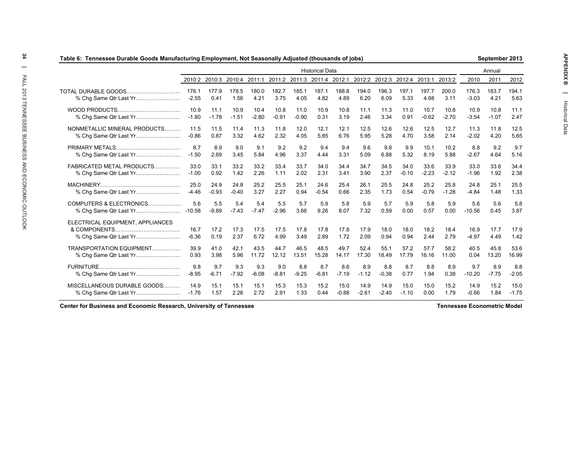|                                  |                  |               |               |               |               |               | <b>Historical Data</b>                                                              |               |               |               |               |               |               |                  | Annual        |               |
|----------------------------------|------------------|---------------|---------------|---------------|---------------|---------------|-------------------------------------------------------------------------------------|---------------|---------------|---------------|---------------|---------------|---------------|------------------|---------------|---------------|
|                                  |                  |               |               |               |               |               | 2010:2 2010:3 2010:4 2011:1 2011:2 2011:3 2011:4 2012:1 2012:2 2012:3 2012:4 2013:1 |               |               |               |               |               | 2013:2        | 2010             | 2011          | 2012          |
| TOTAL DURABLE GOODS.             | 176.1<br>$-2.55$ | 177.9<br>0.41 | 178.5<br>1.56 | 180.0<br>4.21 | 182.7<br>3.75 | 185.1<br>4.05 | 187.1<br>4.82                                                                       | 188.8<br>4.89 | 194.0<br>6.20 | 196.3<br>6.09 | 197.1<br>5.33 | 197.7<br>4.68 | 200.0<br>3.11 | 176.3<br>$-3.03$ | 183.7<br>4.21 | 194.1<br>5.63 |
|                                  | 10.9             | 11.1          | 10.9          | 10.4          | 10.8          | 11.0          | 10.9                                                                                | 10.8          | 11.1          | 11.3          | 11.0          | 10.7          | 10.8          | 10.9             | 10.8          | 11.1          |
|                                  | $-1.80$          | $-1.78$       | $-1.51$       | $-2.80$       | $-0.91$       | $-0.90$       | 0.31                                                                                | 3.19          | 2.46          | 3.34          | 0.91          | $-0.62$       | $-2.70$       | $-3.54$          | $-1.07$       | 2.47          |
| NONMETALLIC MINERAL PRODUCTS     | 11.5             | 11.5          | 11.4          | 11.3          | 11.8          | 12.0          | 12.1                                                                                | 12.1          | 12.5          | 12.6          | 12.6          | 12.5          | 12.7          | 11.3             | 11.8          | 12.5          |
| % Chg Same Qtr Last Yr           | $-0.86$          | 0.87          | 3.32          | 4.62          | 2.32          | 4.05          | 5.85                                                                                | 6.76          | 5.95          | 5.28          | 4.70          | 3.58          | 2.14          | $-2.02$          | 4.20          | 5.65          |
|                                  | 8.7              | 8.9           | 9.0           | 9.1           | 9.2           | 9.2           | 9.4                                                                                 | 9.4           | 9.6           | 9.8           | 9.9           | 10.1          | 10.2          | 8.8              | 9.2           | 9.7           |
|                                  | $-1.50$          | 2.69          | 3.45          | 5.84          | 4.96          | 3.37          | 4.44                                                                                | 3.31          | 5.09          | 6.88          | 5.32          | 8.19          | 5.88          | $-2.67$          | 4.64          | 5.16          |
| FABRICATED METAL PRODUCTS        | 33.0             | 33.1          | 33.2          | 33.2          | 33.4          | 33.7          | 34.0                                                                                | 34.4          | 34.7          | 34.5          | 34.0          | 33.6          | 33.9          | 33.0             | 33.6          | 34.4          |
|                                  | $-1.00$          | 0.92          | 1.42          | 2.26          | 1.11          | 2.02          | 2.31                                                                                | 3.41          | 3.90          | 2.37          | $-0.10$       | $-2.23$       | $-2.12$       | $-1.96$          | 1.92          | 2.38          |
|                                  | 25.0             | 24.9          | 24.8          | 25.2          | 25.5          | 25.1          | 24.6                                                                                | 25.4          | 26.1          | 25.5          | 24.8          | 25.2          | 25.8          | 24.8             | 25.1          | 25.5          |
|                                  | $-4.46$          | $-0.93$       | $-0.40$       | 3.27          | 2.27          | 0.94          | $-0.54$                                                                             | 0.66          | 2.35          | 1.73          | 0.54          | $-0.79$       | $-1.28$       | $-4.84$          | 1.48          | 1.33          |
| COMPUTERS & ELECTRONICS          | 5.6              | 5.5           | 5.4           | 5.4           | 5.5           | 5.7           | 5.9                                                                                 | 5.8           | 5.9           | 5.7           | 5.9           | 5.8           | 5.9           | 5.6              | 5.6           | 5.8           |
|                                  | $-10.58$         | $-9.89$       | $-7.43$       | $-7.47$       | $-2.96$       | 3.66          | 9.26                                                                                | 8.07          | 7.32          | 0.59          | 0.00          | 0.57          | 0.00          | $-10.56$         | 0.45          | 3.87          |
| ELECTRICAL EQUIPMENT, APPLIANCES | 16.7<br>$-6.36$  | 17.2<br>0.19  | 17.3<br>2.37  | 17.5<br>6.72  | 17.5<br>4.99  | 17.8<br>3.49  | 17.8<br>2.89                                                                        | 17.8<br>1.72  | 17.9<br>2.09  | 18.0<br>0.94  | 18.0<br>0.94  | 18.2<br>2.44  | 18.4<br>2.79  | 16.9<br>$-4.97$  | 17.7<br>4.49  | 17.9<br>1.42  |
| TRANSPORTATION EQUIPMENT         | 39.9             | 41.0          | 42.1          | 43.5          | 44.7          | 46.5          | 48.5                                                                                | 49.7          | 52.4          | 55.1          | 57.2          | 57.7          | 58.2          | 40.5             | 45.8          | 53.6          |
|                                  | 0.93             | 3.98          | 5.96          | 11.72         | 12.12         | 13.51         | 15.28                                                                               | 14.17         | 17.30         | 18.49         | 17.79         | 16.16         | 11.00         | 0.04             | 13.20         | 16.99         |
|                                  | 9.8              | 9.7           | 9.3           | 9.3           | 9.0           | 8.8           | 8.7                                                                                 | 8.6           | 8.9           | 8.8           | 8.7           | 8.8           | 8.9           | 9.7              | 8.9           | 8.8           |
|                                  | $-8.95$          | $-6.71$       | $-7.92$       | $-6.08$       | $-8.81$       | $-9.25$       | $-6.81$                                                                             | $-7.19$       | $-1.12$       | $-0.38$       | 0.77          | 1.94          | 0.38          | $-10.20$         | $-7.75$       | $-2.05$       |
| MISCELLANEOUS DURABLE GOODS      | 14.9             | 15.1          | 15.1          | 15.1          | 15.3          | 15.3          | 15.2                                                                                | 15.0          | 14.9          | 14.9          | 15.0          | 15.0          | 15.2          | 14.9             | 15.2          | 15.0          |
|                                  | $-1.76$          | 1.57          | 2.26          | 2.72          | 2.91          | 1.33          | 0.44                                                                                | $-0.88$       | $-2.61$       | $-2.40$       | $-1.10$       | 0.00          | 1.79          | $-0.66$          | 1.84          | $-1.75$       |

**Center for Business and Economic Research, University of Tennessee**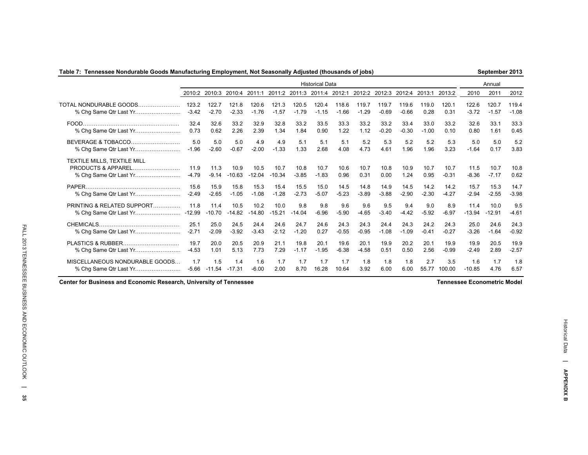### **Table 7: Tennessee Nondurable Goods Manufacturing Employment, Not Seasonally Adjusted (thousands of jobs)**

**September 2013**

|                                                   |                 |                 |                  |                  |                  |                 | <b>Historical Data</b>      |              |              |                             |              |              |                 |                 | Annual          |              |
|---------------------------------------------------|-----------------|-----------------|------------------|------------------|------------------|-----------------|-----------------------------|--------------|--------------|-----------------------------|--------------|--------------|-----------------|-----------------|-----------------|--------------|
|                                                   | 2010:2          | 2010:3          | 2010:4 2011:1    |                  |                  |                 | 2011:2 2011:3 2011:4 2012:1 |              |              | 2012:2 2012:3 2012:4 2013:1 |              |              | 2013:2          | 2010            | 2011            | 2012         |
| TOTAL NONDURABLE GOODS.                           | 123.2           | 122.7           | 121.8            | 120.6            | 121.3            | 120.5           | 120.4                       | 118.6        | 119.7        | 119.7                       | 119.6        | 119.0        | 120.1           | 122.6           | 120.7           | 119.4        |
| % Chg Same Qtr Last Yr                            | $-3.42$         | $-2.70$         | $-2.33$          | $-1.76$          | $-1.57$          | $-1.79$         | $-1.15$                     | $-1.66$      | $-1.29$      | $-0.69$                     | $-0.66$      | 0.28         | 0.31            | $-3.72$         | $-1.57$         | $-1.08$      |
|                                                   | 32.4            | 32.6            | 33.2             | 32.9             | 32.8             | 33.2            | 33.5                        | 33.3         | 33.2         | 33.2                        | 33.4         | 33.0         | 33.2            | 32.6            | 33.1            | 33.3         |
|                                                   | 0.73            | 0.62            | 2.26             | 2.39             | 1.34             | 1.84            | 0.90                        | 1.22         | 1.12         | $-0.20$                     | $-0.30$      | $-1.00$      | 0.10            | 0.80            | 1.61            | 0.45         |
| BEVERAGE & TOBACCO                                | 5.0             | 5.0             | 5.0              | 4.9              | 4.9              | 5.1             | 5.1                         | 5.1          | 5.2          | 5.3                         | 5.2          | 5.2          | 5.3             | 5.0             | 5.0             | 5.2          |
|                                                   | $-1.96$         | $-2.60$         | $-0.67$          | $-2.00$          | $-1.33$          | 1.33            | 2.68                        | 4.08         | 4.73         | 4.61                        | 1.96         | 1.96         | 3.23            | $-1.64$         | 0.17            | 3.83         |
| TEXTILE MILLS, TEXTILE MILL<br>PRODUCTS & APPAREL | 11.9<br>$-4.79$ | 11.3<br>$-9.14$ | 10.9<br>$-10.63$ | 10.5<br>$-12.04$ | 10.7<br>$-10.34$ | 10.8<br>$-3.85$ | 10.7<br>$-1.83$             | 10.6<br>0.96 | 10.7<br>0.31 | 10.8<br>0.00                | 10.9<br>1.24 | 10.7<br>0.95 | 10.7<br>$-0.31$ | 11.5<br>$-8.36$ | 10.7<br>$-7.17$ | 10.8<br>0.62 |
|                                                   | 15.6            | 15.9            | 15.8             | 15.3             | 15.4             | 15.5            | 15.0                        | 14.5         | 14.8         | 14.9                        | 14.5         | 14.2         | 14.2            | 15.7            | 15.3            | 14.7         |
|                                                   | $-2.49$         | $-2.65$         | $-1.05$          | $-1.08$          | $-1.28$          | $-2.73$         | $-5.07$                     | $-5.23$      | $-3.89$      | $-3.88$                     | $-2.90$      | $-2.30$      | $-4.27$         | $-2.94$         | $-2.55$         | $-3.98$      |
| PRINTING & RELATED SUPPORT                        | 11.8            | 11.4            | 10.5             | 10.2             | 10.0             | 9.8             | 9.8                         | 9.6          | 9.6          | 9.5                         | 9.4          | 9.0          | 8.9             | 11.4            | 10.0            | 9.5          |
|                                                   |                 | $-10.70$        | $-14.82$         | $-14.80$         | $-15.21$         | $-14.04$        | $-6.96$                     | $-5.90$      | $-4.65$      | $-3.40$                     | $-4.42$      | $-5.92$      | $-6.97$         | $-13.94$        | $-12.91$        | $-4.61$      |
|                                                   | 25.1            | 25.0            | 24.5             | 24.4             | 24.6             | 24.7            | 24.6                        | 24.3         | 24.3         | 24.4                        | 24.3         | 24.2         | 24.3            | 25.0            | 24.6            | 24.3         |
|                                                   | $-2.71$         | $-2.09$         | $-3.92$          | $-3.43$          | $-2.12$          | $-1.20$         | 0.27                        | $-0.55$      | $-0.95$      | $-1.08$                     | $-1.09$      | $-0.41$      | $-0.27$         | $-3.26$         | $-1.64$         | $-0.92$      |
|                                                   | 19.7            | 20.0            | 20.5             | 20.9             | 21.1             | 19.8            | 20.1                        | 19.6         | 20.1         | 19.9                        | 20.2         | 20.1         | 19.9            | 19.9            | 20.5            | 19.9         |
|                                                   | $-4.53$         | 1.01            | 5.13             | 7.73             | 7.29             | $-1.17$         | $-1.95$                     | $-6.38$      | $-4.58$      | 0.51                        | 0.50         | 2.56         | $-0.99$         | $-2.49$         | 2.89            | $-2.57$      |
| MISCELLANEOUS NONDURABLE GOODS                    | 1.7             | 1.5             | 1.4              | 1.6              | 1.7              | 1.7             | 1.7                         | 1.7          | 1.8          | 1.8                         | 1.8          | 2.7          | 3.5             | 1.6             | 1.7             | 1.8          |
|                                                   | $-5.66$         | $-11.54$        | $-17.31$         | $-6.00$          | 2.00             | 8.70            | 16.28                       | 10.64        | 3.92         | 6.00                        | 6.00         | 55.77        | 100.00          | $-10.85$        | 4.76            | 6.57         |

**Center for Business and Economic Research, University of Tennessee**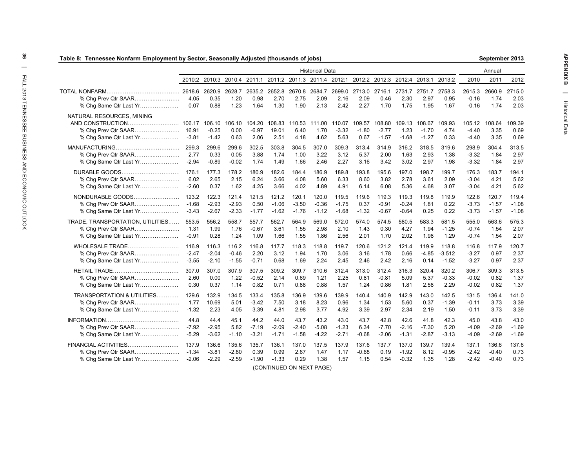| Table 8: Tennessee Nonfarm Employment by Sector, Seasonally Adjusted (thousands of jobs) |                  |                              |                                                                                            |                           |                         |                        |                               |                           |                           |                                      |                           |                              |                        |                            | September 2013         |                        |
|------------------------------------------------------------------------------------------|------------------|------------------------------|--------------------------------------------------------------------------------------------|---------------------------|-------------------------|------------------------|-------------------------------|---------------------------|---------------------------|--------------------------------------|---------------------------|------------------------------|------------------------|----------------------------|------------------------|------------------------|
|                                                                                          |                  |                              |                                                                                            |                           |                         |                        | <b>Historical Data</b>        |                           |                           |                                      |                           |                              |                        |                            | Annual                 |                        |
|                                                                                          |                  |                              | 2010:2 2010:3 2010:4 2011:1 2011:2 2011:3 2011:4 2012:1 2012:2 2012:3 2012:4 2013:1 2013:2 |                           |                         |                        |                               |                           |                           |                                      |                           |                              |                        | 2010                       | 2011                   | 2012                   |
| % Chg Same Qtr Last Yr                                                                   | 4.05<br>0.07     | 2620.9<br>0.35<br>0.88       | 2628.7<br>1.20<br>1.23                                                                     | 2635.2<br>0.98<br>1.64    | 2652.8<br>2.70<br>1.30  | 2.75<br>1.90           | 2670.8 2684.7<br>2.09<br>2.13 | 2.16<br>2.42              | 2.09<br>2.27              | 2699.0 2713.0 2716.1<br>0.46<br>1.70 | 2731.7<br>2.30<br>1.75    | 2751.7<br>2.97<br>1.95       | 2758.3<br>0.95<br>1.67 | 2615.3<br>-0.16<br>$-0.16$ | 2660.9<br>1.74<br>1.74 | 2715.0<br>2.03<br>2.03 |
| NATURAL RESOURCES, MINING<br>% Chg Prev Qtr SAAR<br>% Chg Same Qtr Last Yr               | 16.91<br>$-3.81$ | 106.10<br>$-0.25$<br>$-1.42$ | 106.10<br>0.00<br>0.63                                                                     | 104.20<br>$-6.97$<br>2.06 | 108.83<br>19.01<br>2.51 | 110.53<br>6.40<br>4.18 | 111.00<br>1.70<br>4.62        | 110.07<br>$-3.32$<br>5.63 | 109.57<br>$-1.80$<br>0.67 | 108.80<br>$-2.77$<br>$-1.57$         | 109.13<br>1.23<br>$-1.68$ | 108.67<br>$-1.70$<br>$-1.27$ | 109.93<br>4.74<br>0.33 | 105.12<br>-4.40<br>-4.40   | 108.64<br>3.35<br>3.35 | 109.39<br>0.69<br>0.69 |
|                                                                                          | 299.3            | 299.6                        | 299.6                                                                                      | 302.5                     | 303.8                   | 304.5                  | 307.0                         | 309.3                     | 313.4                     | 314.9                                | 316.2                     | 318.5                        | 319.6                  | 298.9                      | 304.4                  | 313.5                  |
|                                                                                          | 2.77             | 0.33                         | 0.05                                                                                       | 3.88                      | 1.74                    | 1.00                   | 3.22                          | 3.12                      | 5.37                      | 2.00                                 | 1.63                      | 2.93                         | 1.38                   | $-3.32$                    | 1.84                   | 2.97                   |
| % Chg Same Qtr Last Yr                                                                   | $-2.94$          | $-0.89$                      | $-0.02$                                                                                    | 1.74                      | 1.49                    | 1.66                   | 2.46                          | 2.27                      | 3.16                      | 3.42                                 | 3.02                      | 2.97                         | 1.98                   | $-3.32$                    | 1.84                   | 2.97                   |
| DURABLE GOODS                                                                            | 176.1            | 177.3                        | 178.2                                                                                      | 180.9                     | 182.6                   | 184.4                  | 186.9                         | 189.8                     | 193.8                     | 195.6                                | 197.0                     | 198.7                        | 199.7                  | 176.3                      | 183.7                  | 194.1                  |
|                                                                                          | 6.02             | 2.65                         | 2.15                                                                                       | 6.24                      | 3.66                    | 4.08                   | 5.60                          | 6.33                      | 8.60                      | 3.82                                 | 2.78                      | 3.61                         | 2.09                   | -3.04                      | 4.21                   | 5.62                   |
| % Chg Same Qtr Last Yr                                                                   | $-2.60$          | 0.37                         | 1.62                                                                                       | 4.25                      | 3.66                    | 4.02                   | 4.89                          | 4.91                      | 6.14                      | 6.08                                 | 5.36                      | 4.68                         | 3.07                   | $-3.04$                    | 4.21                   | 5.62                   |
| NONDURABLE GOODS                                                                         | 123.2            | 122.3                        | 121.4                                                                                      | 121.5                     | 121.2                   | 120.1                  | 120.0                         | 119.5                     | 119.6                     | 119.3                                | 119.3                     | 119.8                        | 119.9                  | 122.6                      | 120.7                  | 119.4                  |
| % Chg Prev Qtr SAAR                                                                      | $-1.68$          | $-2.93$                      | $-2.93$                                                                                    | 0.50                      | $-1.06$                 | $-3.50$                | $-0.36$                       | $-1.75$                   | 0.37                      | $-0.91$                              | $-0.24$                   | 1.81                         | 0.22                   | $-3.73$                    | $-1.57$                | $-1.08$                |
| % Chg Same Qtr Last Yr                                                                   | $-3.43$          | $-2.67$                      | $-2.33$                                                                                    | $-1.77$                   | $-1.62$                 | -1.76                  | $-1.12$                       | $-1.68$                   | $-1.32$                   | $-0.67$                              | $-0.64$                   | 0.25                         | 0.22                   | $-3.73$                    | $-1.57$                | $-1.08$                |
| TRADE, TRANSPORTATION, UTILITIES                                                         | 553.5            | 556.2                        | 558.7                                                                                      | 557.7                     | 562.7                   | 564.9                  | 569.0                         | 572.0                     | 574.0                     | 574.5                                | 580.5                     | 583.3                        | 581.5                  | 555.0                      | 563.6                  | 575.3                  |
| % Chg Prev Qtr SAAR                                                                      | 1.31             | 1.99                         | 1.76                                                                                       | $-0.67$                   | 3.61                    | 1.55                   | 2.98                          | 2.10                      | 1.43                      | 0.30                                 | 4.27                      | 1.94                         | $-1.25$                | $-0.74$                    | 1.54                   | 2.07                   |
| % Chg Same Qtr Last Yr                                                                   | $-0.91$          | 0.28                         | 1.24                                                                                       | 1.09                      | 1.66                    | 1.55                   | 1.86                          | 2.56                      | 2.01                      | 1.70                                 | 2.02                      | 1.98                         | 1.29                   | $-0.74$                    | 1.54                   | 2.07                   |
| WHOLESALE TRADE                                                                          | 116.9            | 116.3                        | 116.2                                                                                      | 116.8                     | 117.7                   | 118.3                  | 118.8                         | 119.7                     | 120.6                     | 121.2                                | 121.4                     | 119.9                        | 118.8                  | 116.8                      | 117.9                  | 120.7                  |
|                                                                                          | $-2.47$          | $-2.04$                      | $-0.46$                                                                                    | 2.20                      | 3.12                    | 1.94                   | 1.70                          | 3.06                      | 3.16                      | 1.78                                 | 0.66                      | $-4.85$                      | $-3.512$               | $-3.27$                    | 0.97                   | 2.37                   |
| % Chg Same Qtr Last Yr                                                                   | $-3.55$          | $-2.10$                      | $-1.55$                                                                                    | $-0.71$                   | 0.68                    | 1.69                   | 2.24                          | 2.45                      | 2.46                      | 2.42                                 | 2.16                      | 0.14                         | $-1.52$                | $-3.27$                    | 0.97                   | 2.37                   |
|                                                                                          | 307.0            | 307.0                        | 307.9                                                                                      | 307.5                     | 309.2                   | 309.7                  | 310.6                         | 312.4                     | 313.0                     | 312.4                                | 316.3                     | 320.4                        | 320.2                  | 306.7                      | 309.3                  | 313.5                  |
| % Chg Prev Qtr SAAR                                                                      | 2.60             | 0.00                         | 1.22                                                                                       | $-0.52$                   | 2.14                    | 0.69                   | 1.21                          | 2.25                      | 0.81                      | $-0.81$                              | 5.09                      | 5.37                         | $-0.33$                | $-0.02$                    | 0.82                   | 1.37                   |
| % Chg Same Qtr Last Yr                                                                   | 0.30             | 0.37                         | 1.14                                                                                       | 0.82                      | 0.71                    | 0.88                   | 0.88                          | 1.57                      | 1.24                      | 0.86                                 | 1.81                      | 2.58                         | 2.29                   | $-0.02$                    | 0.82                   | 1.37                   |
| TRANSPORTATION & UTILITIES                                                               | 129.6            | 132.9                        | 134.5                                                                                      | 133.4                     | 135.8                   | 136.9                  | 139.6                         | 139.9                     | 140.4                     | 140.9                                | 142.9                     | 143.0                        | 142.5                  | 131.5                      | 136.4                  | 141.0                  |
|                                                                                          | 1.77             | 10.69                        | 5.01                                                                                       | $-3.42$                   | 7.50                    | 3.18                   | 8.23                          | 0.96                      | 1.34                      | 1.53                                 | 5.60                      | 0.37                         | $-1.39$                | -0.11                      | 3.73                   | 3.39                   |
| % Chg Same Qtr Last Yr                                                                   | $-1.32$          | 2.23                         | 4.05                                                                                       | 3.39                      | 4.81                    | 2.98                   | 3.77                          | 4.92                      | 3.39                      | 2.97                                 | 2.34                      | 2.19                         | 1.50                   | -0.11                      | 3.73                   | 3.39                   |
|                                                                                          | 44.8             | 44.4                         | 45.1                                                                                       | 44.2                      | 44.0                    | 43.7                   | 43.2                          | 43.0                      | 43.7                      | 42.8                                 | 42.6                      | 41.8                         | 42.3                   | 45.0                       | 43.8                   | 43.0                   |
|                                                                                          | $-7.92$          | $-2.95$                      | 5.82                                                                                       | $-7.19$                   | $-2.09$                 | $-2.40$                | $-5.08$                       | $-1.23$                   | 6.34                      | $-7.70$                              | $-2.16$                   | $-7.30$                      | 5.20                   | $-4.09$                    | $-2.69$                | $-1.69$                |
| % Chg Same Qtr Last Yr                                                                   | $-5.29$          | $-3.62$                      | $-1.10$                                                                                    | $-3.21$                   | $-1.71$                 | $-1.58$                | $-4.22$                       | $-2.71$                   | $-0.68$                   | $-2.06$                              | $-1.31$                   | $-2.87$                      | $-3.13$                | $-4.09$                    | $-2.69$                | $-1.69$                |
| FINANCIAL ACTIVITIES                                                                     | 137.9            | 136.6                        | 135.6                                                                                      | 135.7                     | 136.1                   | 137.0                  | 137.5                         | 137.9                     | 137.6                     | 137.7                                | 137.0                     | 139.7                        | 139.4                  | 137.1                      | 136.6                  | 137.6                  |
|                                                                                          | $-1.34$          | $-3.81$                      | $-2.80$                                                                                    | 0.39                      | 0.99                    | 2.67                   | 1.47                          | 1.17                      | $-0.68$                   | 0.19                                 | $-1.92$                   | 8.12                         | $-0.95$                | $-2.42$                    | $-0.40$                | 0.73                   |
| % Chg Same Qtr Last Yr                                                                   | $-2.06$          | $-2.29$                      | $-2.59$                                                                                    | $-1.90$                   | $-1.33$                 | 0.29                   | 1.38                          | 1.57                      | 1.15                      | 0.54                                 | $-0.32$                   | 1.35                         | 1.28                   | $-2.42$                    | $-0.40$                | 0.73                   |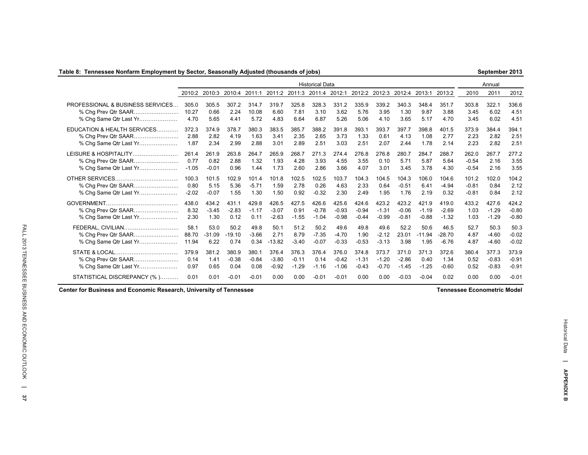### **Table 8: Tennessee Nonfarm Employment by Sector, Seasonally Adjusted (thousands of jobs)**

**September 2013**

|                                                             |                       |                          |                          |                          |                             |                          | <b>Historical Data</b>      |                             |                             |                             |                             |                             |                             |                       | Annual                      |                             |
|-------------------------------------------------------------|-----------------------|--------------------------|--------------------------|--------------------------|-----------------------------|--------------------------|-----------------------------|-----------------------------|-----------------------------|-----------------------------|-----------------------------|-----------------------------|-----------------------------|-----------------------|-----------------------------|-----------------------------|
|                                                             | 2010:2                | 2010:3                   | 2010:4                   | 2011:1                   | 2011:2 2011:3               |                          | 2011:4                      | 2012:1                      | 2012:2                      | 2012:3                      | 2012:4                      | 2013:1                      | 2013:2                      | 2010                  | 2011                        | 2012                        |
| PROFESSIONAL & BUSINESS SERVICES                            | 305.0                 | 305.5                    | 307.2                    | 314.7                    | 319.7                       | 325.8                    | 328.3                       | 331.2                       | 335.9                       | 339.2                       | 340.3                       | 348.4                       | 351.7                       | 303.8                 | 322.1                       | 336.6                       |
|                                                             | 10.27                 | 0.66                     | 2.24                     | 10.08                    | 6.60                        | 7.81                     | 3.10                        | 3.62                        | 5.76                        | 3.95                        | 1.30                        | 9.87                        | 3.88                        | 3.45                  | 6.02                        | 4.51                        |
| % Cha Same Qtr Last Yr                                      | 4.70                  | 5.65                     | 4.41                     | 5.72                     | 4.83                        | 6.64                     | 6.87                        | 5.26                        | 5.06                        | 4.10                        | 3.65                        | 5.17                        | 4.70                        | 3.45                  | 6.02                        | 4.51                        |
| EDUCATION & HEALTH SERVICES                                 | 372.3                 | 374.9                    | 378.7                    | 380.3                    | 383.5                       | 385.7                    | 388.2                       | 391.8                       | 393.1                       | 393.7                       | 397.7                       | 398.8                       | 401.5                       | 373.9                 | 384.4                       | 394.1                       |
| % Chg Prev Qtr SAAR                                         | 2.88                  | 2.82                     | 4.19                     | 1.63                     | 3.41                        | 2.35                     | 2.65                        | 3.73                        | 1.33                        | 0.61                        | 4.13                        | 1.08                        | 2.77                        | 2.23                  | 2.82                        | 2.51                        |
| % Chg Same Qtr Last Yr                                      | 1.87                  | 2.34                     | 2.99                     | 2.88                     | 3.01                        | 2.89                     | 2.51                        | 3.03                        | 2.51                        | 2.07                        | 2.44                        | 1.78                        | 2.14                        | 2.23                  | 2.82                        | 2.51                        |
| LEISURE & HOSPITALITY                                       | 261.4                 | 261.9                    | 263.8                    | 264.7                    | 265.9                       | 268.7                    | 271.3                       | 274.4                       | 276.8                       | 276.8                       | 280.7                       | 284.7                       | 288.7                       | 262.0                 | 267.7                       | 277.2                       |
|                                                             | 0.77                  | 0.82                     | 2.88                     | 1.32                     | 1.93                        | 4.28                     | 3.93                        | 4.55                        | 3.55                        | 0.10                        | 5.71                        | 5.87                        | 5.64                        | $-0.54$               | 2.16                        | 3.55                        |
| % Chq Same Qtr Last Yr                                      | $-1.05$               | $-0.01$                  | 0.96                     | 1.44                     | 1.73                        | 2.60                     | 2.86                        | 3.66                        | 4.07                        | 3.01                        | 3.45                        | 3.78                        | 4.30                        | $-0.54$               | 2.16                        | 3.55                        |
|                                                             | 100.3                 | 101.5                    | 102.9                    | 101.4                    | 101.8                       | 102.5                    | 102.5                       | 103.7                       | 104.3                       | 104.5                       | 104.3                       | 106.0                       | 104.6                       | 101.2                 | 102.0                       | 104.2                       |
| % Cha Prev Qtr SAAR                                         | 0.80                  | 5.15                     | 5.36                     | $-5.71$                  | 1.59                        | 2.78                     | 0.26                        | 4.63                        | 2.33                        | 0.64                        | $-0.51$                     | 6.41                        | $-4.94$                     | $-0.81$               | 0.84                        | 2.12                        |
| % Chq Same Qtr Last Yr                                      | $-2.02$               | $-0.07$                  | 1.55                     | 1.30                     | 1.50                        | 0.92                     | $-0.32$                     | 2.30                        | 2.49                        | 1.95                        | 1.76                        | 2.19                        | 0.32                        | $-0.81$               | 0.84                        | 2.12                        |
| GOVERNMENT<br>% Chg Prev Qtr SAAR<br>% Chg Same Qtr Last Yr | 438.0<br>8.32<br>2.30 | 434.2<br>$-3.45$<br>1.30 | 431.1<br>$-2.83$<br>0.12 | 429.8<br>$-1.17$<br>0.11 | 426.5<br>$-3.07$<br>$-2.63$ | 427.5<br>0.91<br>$-1.55$ | 426.6<br>$-0.78$<br>$-1.04$ | 425.6<br>$-0.93$<br>$-0.98$ | 424.6<br>$-0.94$<br>$-0.44$ | 423.2<br>$-1.31$<br>$-0.99$ | 423.2<br>$-0.06$<br>$-0.81$ | 421.9<br>$-1.19$<br>$-0.88$ | 419.0<br>$-2.69$<br>$-1.32$ | 433.2<br>1.03<br>1.03 | 427.6<br>$-1.29$<br>$-1.29$ | 424.2<br>$-0.80$<br>$-0.80$ |
| FEDERAL. CIVILIAN                                           | 58.1                  | 53.0                     | 50.2                     | 49.8                     | 50.1                        | 51.2                     | 50.2                        | 49.6                        | 49.8                        | 49.6                        | 52.2                        | 50.6                        | 46.5                        | 52.7                  | 50.3                        | 50.3                        |
| % Cha Prev Qtr SAAR                                         | 88.70                 | $-31.09$                 | $-19.10$                 | $-3.66$                  | 2.71                        | 8.79                     | $-7.35$                     | $-4.70$                     | 1.90                        | $-2.12$                     | 23.01                       | $-11.94$                    | $-28.70$                    | 4.87                  | $-4.60$                     | $-0.02$                     |
| % Chq Same Qtr Last Yr                                      | 11.94                 | 6.22                     | 0.74                     | 0.34                     | $-13.82$                    | $-3.40$                  | $-0.07$                     | $-0.33$                     | $-0.53$                     | $-3.13$                     | 3.98                        | 1.95                        | $-6.76$                     | 4.87                  | $-4.60$                     | $-0.02$                     |
| STATE & LOCAL                                               | 379.9                 | 381.2                    | 380.9                    | 380.1                    | 376.4                       | 376.3                    | 376.4                       | 376.0                       | 374.8                       | 373.7                       | 371.0                       | 371.3                       | 372.6                       | 380.4                 | 377.3                       | 373.9                       |
| % Chg Prev Qtr SAAR                                         | 0.14                  | 1.41                     | $-0.38$                  | $-0.84$                  | $-3.80$                     | $-0.11$                  | 0.14                        | $-0.42$                     | $-1.31$                     | $-1.20$                     | $-2.86$                     | 0.40                        | 1.34                        | 0.52                  | $-0.83$                     | $-0.91$                     |
| % Chg Same Qtr Last Yr                                      | 0.97                  | 0.65                     | 0.04                     | 0.08                     | $-0.92$                     | $-1.29$                  | $-1.16$                     | $-1.06$                     | $-0.43$                     | $-0.70$                     | $-1.45$                     | $-1.25$                     | $-0.60$                     | 0.52                  | $-0.83$                     | $-0.91$                     |
| STATISTICAL DISCREPANCY (%)                                 | 0.01                  | 0.01                     | $-0.01$                  | $-0.01$                  | 0.00                        | 0.00                     | $-0.01$                     | $-0.01$                     | 0.00                        | 0.00                        | $-0.03$                     | $-0.04$                     | 0.02                        | 0.00                  | 0.00                        | $-0.01$                     |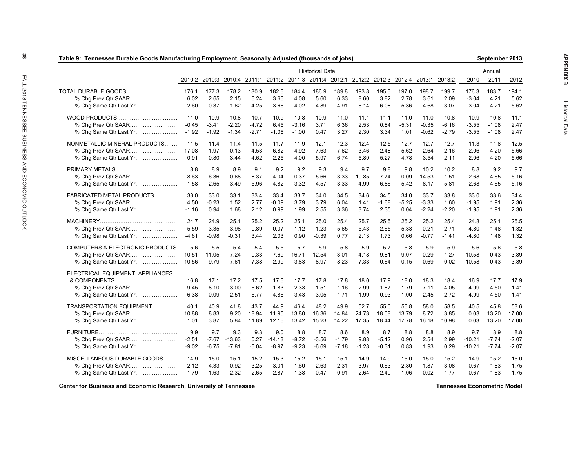|                                  | Table 9: Tennessee Durable Goods Manufacturing Employment, Seasonally Adjusted (thousands of jobs)<br>September 2013 |          |          |         |          |         |                        |         |         |         |                                                                                     |         |         |          |         |         |
|----------------------------------|----------------------------------------------------------------------------------------------------------------------|----------|----------|---------|----------|---------|------------------------|---------|---------|---------|-------------------------------------------------------------------------------------|---------|---------|----------|---------|---------|
|                                  |                                                                                                                      |          |          |         |          |         | <b>Historical Data</b> |         |         |         |                                                                                     |         |         |          | Annual  |         |
|                                  |                                                                                                                      |          |          |         |          |         |                        |         |         |         | 2010:2 2010:3 2010:4 2011:1 2011:2 2011:3 2011:4 2012:1 2012:2 2012:3 2012:4 2013:1 |         | 2013:2  | 2010     | 2011    | 2012    |
| TOTAL DURABLE GOODS              | 176.1                                                                                                                | 177.3    | 178.2    | 180.9   | 182.6    | 184.4   | 186.9                  | 189.8   | 193.8   | 195.6   | 197.0                                                                               | 198.7   | 199.7   | 176.3    | 183.7   | 194.1   |
| % Chg Prev Qtr SAAR              | 6.02                                                                                                                 | 2.65     | 2.15     | 6.24    | 3.66     | 4.08    | 5.60                   | 6.33    | 8.60    | 3.82    | 2.78                                                                                | 3.61    | 2.09    | $-3.04$  | 4.21    | 5.62    |
| % Chg Same Qtr Last Yr           | $-2.60$                                                                                                              | 0.37     | 1.62     | 4.25    | 3.66     | 4.02    | 4.89                   | 4.91    | 6.14    | 6.08    | 5.36                                                                                | 4.68    | 3.07    | $-3.04$  | 4.21    | 5.62    |
| WOOD PRODUCTS                    | 11.0                                                                                                                 | 10.9     | 10.8     | 10.7    | 10.9     | 10.8    | 10.9                   | 11.0    | 11.1    | 11.1    | 11.0                                                                                | 11.0    | 10.8    | 10.9     | 10.8    | 11.1    |
|                                  | $-0.45$                                                                                                              | $-3.41$  | $-2.20$  | $-4.72$ | 6.45     | $-3.16$ | 3.71                   | 6.36    | 2.53    | 0.84    | $-5.31$                                                                             | $-0.35$ | $-6.16$ | $-3.55$  | $-1.08$ | 2.47    |
| % Chg Same Qtr Last Yr           | $-1.92$                                                                                                              | $-1.92$  | $-1.34$  | $-2.71$ | $-1.06$  | $-1.00$ | 0.47                   | 3.27    | 2.30    | 3.34    | 1.01                                                                                | $-0.62$ | $-2.79$ | $-3.55$  | $-1.08$ | 2.47    |
| NONMETALLIC MINERAL PRODUCTS     | 11.5                                                                                                                 | 11.4     | 11.4     | 11.5    | 11.7     | 11.9    | 12.1                   | 12.3    | 12.4    | 12.5    | 12.7                                                                                | 12.7    | 12.7    | 11.3     | 11.8    | 12.5    |
|                                  | 17.08                                                                                                                | $-1.97$  | $-0.13$  | 4.53    | 6.82     | 4.92    | 7.63                   | 7.62    | 3.46    | 2.48    | 5.62                                                                                | 2.64    | $-2.16$ | $-2.06$  | 4.20    | 5.66    |
| % Chg Same Qtr Last Yr           | $-0.91$                                                                                                              | 0.80     | 3.44     | 4.62    | 2.25     | 4.00    | 5.97                   | 6.74    | 5.89    | 5.27    | 4.78                                                                                | 3.54    | 2.11    | $-2.06$  | 4.20    | 5.66    |
| PRIMARY METALS                   | 8.8                                                                                                                  | 8.9      | 8.9      | 9.1     | 9.2      | 9.2     | 9.3                    | 9.4     | 9.7     | 9.8     | 9.8                                                                                 | 10.2    | 10.2    | 8.8      | 9.2     | 9.7     |
|                                  | 8.63                                                                                                                 | 6.36     | 0.68     | 8.37    | 4.04     | 0.37    | 5.66                   | 3.33    | 10.85   | 7.74    | 0.09                                                                                | 14.53   | 1.51    | $-2.68$  | 4.65    | 5.16    |
| % Chg Same Qtr Last Yr           | $-1.58$                                                                                                              | 2.65     | 3.49     | 5.96    | 4.82     | 3.32    | 4.57                   | 3.33    | 4.99    | 6.86    | 5.42                                                                                | 8.17    | 5.81    | $-2.68$  | 4.65    | 5.16    |
| FABRICATED METAL PRODUCTS        | 33.0                                                                                                                 | 33.0     | 33.1     | 33.4    | 33.4     | 33.7    | 34.0                   | 34.5    | 34.6    | 34.5    | 34.0                                                                                | 33.7    | 33.8    | 33.0     | 33.6    | 34.4    |
|                                  | 4.50                                                                                                                 | $-0.23$  | 1.52     | 2.77    | $-0.09$  | 3.79    | 3.79                   | 6.04    | 1.41    | $-1.68$ | $-5.25$                                                                             | $-3.33$ | 1.60    | $-1.95$  | 1.91    | 2.36    |
| % Chg Same Qtr Last Yr           | $-1.16$                                                                                                              | 0.94     | 1.68     | 2.12    | 0.99     | 1.99    | 2.55                   | 3.36    | 3.74    | 2.35    | 0.04                                                                                | $-2.24$ | $-2.20$ | $-1.95$  | 1.91    | 2.36    |
|                                  | 24.7                                                                                                                 | 24.9     | 25.1     | 25.2    | 25.2     | 25.1    | 25.0                   | 25.4    | 25.7    | 25.5    | 25.2                                                                                | 25.2    | 25.4    | 24.8     | 25.1    | 25.5    |
|                                  | 5.59                                                                                                                 | 3.35     | 3.98     | 0.89    | $-0.07$  | $-1.12$ | $-1.23$                | 5.65    | 5.43    | $-2.65$ | $-5.33$                                                                             | $-0.21$ | 2.71    | $-4.80$  | 1.48    | 1.32    |
| % Chg Same Qtr Last Yr           | $-4.61$                                                                                                              | $-0.98$  | $-0.31$  | 3.44    | 2.03     | 0.90    | $-0.39$                | 0.77    | 2.13    | 1.73    | 0.66                                                                                | $-0.77$ | $-1.41$ | $-4.80$  | 1.48    | 1.32    |
| COMPUTERS & ELECTRONIC PRODUCTS. | 5.6                                                                                                                  | 5.5      | 5.4      | 5.4     | 5.5      | 5.7     | 5.9                    | 5.8     | 5.9     | 5.7     | 5.8                                                                                 | 5.9     | 5.9     | 5.6      | 5.6     | 5.8     |
| % Chg Prev Qtr SAAR              | $-10.51$                                                                                                             | $-11.05$ | $-7.24$  | $-0.33$ | 7.69     | 16.71   | 12.54                  | $-3.01$ | 4.18    | $-9.81$ | 9.07                                                                                | 0.29    | 1.27    | $-10.58$ | 0.43    | 3.89    |
|                                  |                                                                                                                      | $-9.79$  | $-7.61$  | $-7.38$ | $-2.99$  | 3.83    | 8.97                   | 8.23    | 7.33    | 0.64    | $-0.15$                                                                             | 0.69    | $-0.02$ | $-10.58$ | 0.43    | 3.89    |
| ELECTRICAL EQUIPMENT, APPLIANCES |                                                                                                                      |          |          |         |          |         |                        |         |         |         |                                                                                     |         |         |          |         |         |
|                                  | 16.8                                                                                                                 | 17.1     | 17.2     | 17.5    | 17.6     | 17.7    | 17.8                   | 17.8    | 18.0    | 17.9    | 18.0                                                                                | 18.3    | 18.4    | 16.9     | 17.7    | 17.9    |
|                                  | 9.45                                                                                                                 | 8.10     | 3.00     | 6.62    | 1.83     | 2.33    | 1.51                   | 1.16    | 2.99    | $-1.87$ | 1.79                                                                                | 7.11    | 4.05    | $-4.99$  | 4.50    | 1.41    |
| % Chg Same Qtr Last Yr           | $-6.38$                                                                                                              | 0.09     | 2.51     | 6.77    | 4.86     | 3.43    | 3.05                   | 1.71    | 1.99    | 0.93    | 1.00                                                                                | 2.45    | 2.72    | -4.99    | 4.50    | 1.41    |
| TRANSPORTATION EQUIPMENT         | 40.1                                                                                                                 | 40.9     | 41.8     | 43.7    | 44.9     | 46.4    | 48.2                   | 49.9    | 52.7    | 55.0    | 56.8                                                                                | 58.0    | 58.5    | 40.5     | 45.8    | 53.6    |
|                                  | 10.88                                                                                                                | 8.83     | 9.20     | 18.94   | 11.95    | 13.80   | 16.36                  | 14.84   | 24.73   | 18.08   | 13.79                                                                               | 8.72    | 3.85    | 0.03     | 13.20   | 17.00   |
| % Chg Same Qtr Last Yr           | 1.01                                                                                                                 | 3.87     | 5.84     | 11.89   | 12.16    | 13.42   | 15.23                  | 14.22   | 17.35   | 18.44   | 17.78                                                                               | 16.18   | 10.98   | 0.03     | 13.20   | 17.00   |
|                                  | 9.9                                                                                                                  | 9.7      | 9.3      | 9.3     | 9.0      | 8.8     | 8.7                    | 8.6     | 8.9     | 8.7     | 8.8                                                                                 | 8.8     | 8.9     | 9.7      | 8.9     | 8.8     |
|                                  | $-2.51$                                                                                                              | $-7.67$  | $-13.63$ | 0.27    | $-14.13$ | $-8.72$ | $-3.56$                | $-1.79$ | 9.88    | $-5.12$ | 0.96                                                                                | 2.54    | 2.99    | -10.21   | $-7.74$ | $-2.07$ |
| % Chg Same Qtr Last Yr           | $-9.02$                                                                                                              | $-6.75$  | $-7.81$  | $-6.04$ | $-8.97$  | $-9.23$ | $-6.69$                | $-7.18$ | $-1.28$ | $-0.31$ | 0.83                                                                                | 1.93    | 0.29    | $-10.21$ | $-7.74$ | $-2.07$ |
| MISCELLANEOUS DURABLE GOODS      | 14.9                                                                                                                 | 15.0     | 15.1     | 15.2    | 15.3     | 15.2    | 15.1                   | 15.1    | 14.9    | 14.9    | 15.0                                                                                | 15.0    | 15.2    | 14.9     | 15.2    | 15.0    |
|                                  | 2.12                                                                                                                 | 4.33     | 0.92     | 3.25    | 3.01     | $-1.60$ | $-2.63$                | $-2.31$ | $-3.97$ | $-0.63$ | 2.80                                                                                | 1.87    | 3.08    | $-0.67$  | 1.83    | $-1.75$ |
| % Chg Same Qtr Last Yr           | $-1.79$                                                                                                              | 1.63     | 2.32     | 2.65    | 2.87     | 1.38    | 0.47                   | $-0.91$ | $-2.64$ | $-2.40$ | $-1.06$                                                                             | $-0.02$ | 1.77    | $-0.67$  | 1.83    | $-1.75$ |

**Center for Business and Economic Research, University of Tennessee**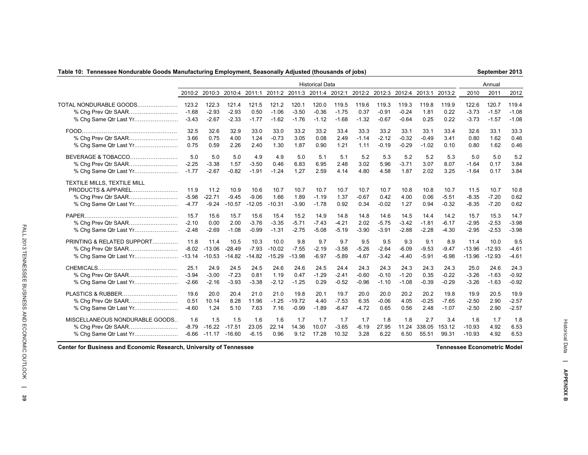### **Table 10: Tennessee Nondurable Goods Manufacturing Employment, Seasonally Adjusted (thousands of jobs)**

**September 2013**

|                                                                                                     |                            |                              |                              |                             |                              |                            | <b>Historical Data</b>      |                           |                           |                           |                           |                           |                            |                              | Annual                       |                           |
|-----------------------------------------------------------------------------------------------------|----------------------------|------------------------------|------------------------------|-----------------------------|------------------------------|----------------------------|-----------------------------|---------------------------|---------------------------|---------------------------|---------------------------|---------------------------|----------------------------|------------------------------|------------------------------|---------------------------|
|                                                                                                     | 2010:2                     | 2010:3                       | 2010:4 2011:1                |                             |                              |                            | 2011:2 2011:3 2011:4 2012:1 |                           | 2012:2 2012:3 2012:4      |                           |                           | 2013:1                    | 2013:2                     | 2010                         | 2011                         | 2012                      |
| TOTAL NONDURABLE GOODS                                                                              | 123.2                      | 122.3                        | 121.4                        | 121.5                       | 121.2                        | 120.1                      | 120.0                       | 119.5                     | 119.6                     | 119.3                     | 119.3                     | 119.8                     | 119.9                      | 122.6                        | 120.7                        | 119.4                     |
|                                                                                                     | $-1.68$                    | $-2.93$                      | $-2.93$                      | 0.50                        | $-1.06$                      | $-3.50$                    | $-0.36$                     | $-1.75$                   | 0.37                      | $-0.91$                   | $-0.24$                   | 1.81                      | 0.22                       | $-3.73$                      | $-1.57$                      | $-1.08$                   |
| % Chg Same Qtr Last Yr                                                                              | $-3.43$                    | $-2.67$                      | $-2.33$                      | $-1.77$                     | $-1.62$                      | $-1.76$                    | $-1.12$                     | $-1.68$                   | $-1.32$                   | $-0.67$                   | $-0.64$                   | 0.25                      | 0.22                       | $-3.73$                      | $-1.57$                      | $-1.08$                   |
|                                                                                                     | 32.5                       | 32.6                         | 32.9                         | 33.0                        | 33.0                         | 33.2                       | 33.2                        | 33.4                      | 33.3                      | 33.2                      | 33.1                      | 33.1                      | 33.4                       | 32.6                         | 33.1                         | 33.3                      |
|                                                                                                     | 3.66                       | 0.75                         | 4.00                         | 1.24                        | $-0.73$                      | 3.05                       | 0.08                        | 2.49                      | $-1.14$                   | $-2.12$                   | $-0.32$                   | $-0.49$                   | 3.41                       | 0.80                         | 1.62                         | 0.46                      |
|                                                                                                     | 0.75                       | 0.59                         | 2.26                         | 2.40                        | 1.30                         | 1.87                       | 0.90                        | 1.21                      | 1.11                      | $-0.19$                   | $-0.29$                   | $-1.02$                   | 0.10                       | 0.80                         | 1.62                         | 0.46                      |
| BEVERAGE & TOBACCO                                                                                  | 5.0                        | 5.0                          | 5.0                          | 4.9                         | 4.9                          | 5.0                        | 5.1                         | 5.1                       | 5.2                       | 5.3                       | 5.2                       | 5.2                       | 5.3                        | 5.0                          | 5.0                          | 5.2                       |
|                                                                                                     | $-2.25$                    | $-3.38$                      | 1.57                         | $-3.50$                     | 0.46                         | 6.83                       | 6.95                        | 2.48                      | 3.02                      | 5.96                      | $-3.71$                   | 3.07                      | 8.07                       | $-1.64$                      | 0.17                         | 3.84                      |
| % Chq Same Qtr Last Yr                                                                              | $-1.77$                    | $-2.67$                      | $-0.82$                      | $-1.91$                     | $-1.24$                      | 1.27                       | 2.59                        | 4.14                      | 4.80                      | 4.58                      | 1.87                      | 2.02                      | 3.25                       | $-1.64$                      | 0.17                         | 3.84                      |
| TEXTILE MILLS, TEXTILE MILL<br>PRODUCTS & APPAREL.<br>% Chg Prev Qtr SAAR<br>% Chg Same Qtr Last Yr | 11.9<br>$-5.98$<br>$-4.77$ | 11.2<br>$-22.71$<br>$-9.24$  | 10.9<br>$-9.45$<br>$-10.57$  | 10.6<br>$-9.06$<br>$-12.05$ | 10.7<br>1.66<br>$-10.31$     | 10.7<br>1.89<br>$-3.90$    | 10.7<br>$-1.19$<br>$-1.78$  | 10.7<br>1.37<br>0.92      | 10.7<br>$-0.67$<br>0.34   | 10.7<br>0.42<br>$-0.02$   | 10.8<br>4.00<br>1.27      | 10.8<br>0.06<br>0.94      | 10.7<br>$-5.51$<br>$-0.32$ | 11.5<br>$-8.35$<br>$-8.35$   | 10.7<br>$-7.20$<br>$-7.20$   | 10.8<br>0.62<br>0.62      |
|                                                                                                     | 15.7                       | 15.6                         | 15.7                         | 15.6                        | 15.4                         | 15.2                       | 14.9                        | 14.8                      | 14.8                      | 14.6                      | 14.5                      | 14.4                      | 14.2                       | 15.7                         | 15.3                         | 14.7                      |
| % Chg Prev Qtr SAAR                                                                                 | $-2.10$                    | 0.00                         | 2.00                         | $-3.76$                     | $-3.35$                      | $-5.71$                    | $-7.43$                     | $-4.21$                   | 2.02                      | $-5.75$                   | $-3.42$                   | $-1.81$                   | $-6.17$                    | $-2.95$                      | $-2.53$                      | $-3.98$                   |
| % Chg Same Qtr Last Yr                                                                              | $-2.48$                    | $-2.69$                      | $-1.08$                      | $-0.99$                     | $-1.31$                      | $-2.75$                    | $-5.08$                     | $-5.19$                   | $-3.90$                   | $-3.91$                   | $-2.88$                   | $-2.28$                   | $-4.30$                    | $-2.95$                      | $-2.53$                      | $-3.98$                   |
| PRINTING & RELATED SUPPORT<br>% Chg Prev Qtr SAAR                                                   | 11.8<br>$-8.02$            | 11.4<br>$-13.06$<br>$-10.53$ | 10.5<br>$-28.49$<br>$-14.82$ | 10.3<br>$-7.93$<br>$-14.82$ | 10.0<br>$-10.02$<br>$-15.29$ | 9.8<br>$-7.55$<br>$-13.98$ | 9.7<br>$-2.19$<br>$-6.97$   | 9.7<br>$-3.58$<br>$-5.89$ | 9.5<br>$-5.26$<br>$-4.67$ | 9.5<br>$-2.64$<br>$-3.42$ | 9.3<br>$-6.09$<br>$-4.40$ | 9.1<br>$-9.53$<br>$-5.91$ | 8.9<br>$-9.47$<br>$-6.98$  | 11.4<br>$-13.96$<br>$-13.96$ | 10.0<br>$-12.93$<br>$-12.93$ | 9.5<br>$-4.61$<br>$-4.61$ |
|                                                                                                     | 25.1                       | 24.9                         | 24.5                         | 24.5                        | 24.6                         | 24.6                       | 24.5                        | 24.4                      | 24.3                      | 24.3                      | 24.3                      | 24.3                      | 24.3                       | 25.0                         | 24.6                         | 24.3                      |
|                                                                                                     | $-3.94$                    | $-3.00$                      | $-7.23$                      | 0.81                        | 1.19                         | 0.47                       | $-1.29$                     | $-2.41$                   | $-0.60$                   | $-0.10$                   | $-1.20$                   | 0.35                      | $-0.22$                    | $-3.26$                      | $-1.63$                      | $-0.92$                   |
| % Chg Same Qtr Last Yr                                                                              | $-2.66$                    | $-2.16$                      | $-3.93$                      | $-3.38$                     | $-2.12$                      | $-1.25$                    | 0.29                        | $-0.52$                   | $-0.96$                   | $-1.10$                   | $-1.08$                   | $-0.39$                   | $-0.29$                    | $-3.26$                      | $-1.63$                      | $-0.92$                   |
| PLASTICS & RUBBER                                                                                   | 19.6                       | 20.0                         | 20.4                         | 21.0                        | 21.0                         | 19.8                       | 20.1                        | 19.7                      | 20.0                      | 20.0                      | 20.2                      | 20.2                      | 19.8                       | 19.9                         | 20.5                         | 19.9                      |
|                                                                                                     | 0.51                       | 10.14                        | 8.28                         | 11.96                       | $-1.25$                      | $-19.72$                   | 4.40                        | $-7.53$                   | 6.35                      | $-0.06$                   | 4.05                      | $-0.25$                   | $-7.65$                    | $-2.50$                      | 2.90                         | $-2.57$                   |
| % Chg Same Qtr Last Yr                                                                              | $-4.60$                    | 1.24                         | 5.10                         | 7.63                        | 7.16                         | $-0.99$                    | $-1.89$                     | $-6.47$                   | $-4.72$                   | 0.65                      | 0.56                      | 2.48                      | $-1.07$                    | $-2.50$                      | 2.90                         | $-2.57$                   |
| MISCELLANEOUS NONDURABLE GOODS                                                                      | 1.6                        | 1.5                          | 1.5                          | 1.6                         | 1.6                          | 1.7                        | 1.7                         | 1.7                       | 1.7                       | 1.8                       | 1.8                       | 2.7                       | 3.4                        | 1.6                          | 1.7                          | 1.8                       |
|                                                                                                     | $-8.79$                    | $-16.22$                     | $-17.51$                     | 23.05                       | 22.14                        | 14.36                      | 10.07                       | $-3.65$                   | $-6.19$                   | 27.95                     | 11.24                     | 338.05                    | 153.12                     | $-10.93$                     | 4.92                         | 6.53                      |
| % Chg Same Qtr Last Yr                                                                              | $-6.66$                    | $-11.17$                     | $-16.60$                     | $-6.15$                     | 0.96                         | 9.12                       | 17.28                       | 10.32                     | 3.28                      | 6.22                      | 6.50                      | 55.51                     | 99.31                      | $-10.93$                     | 4.92                         | 6.53                      |

**Center for Business and Economic Research, University of Tennessee**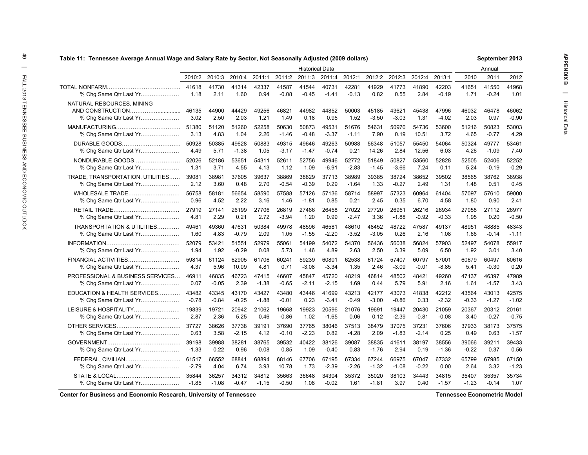|                                                                         | Table 11:  Tennessee Average Annual Wage and Salary Rate by Sector, Not Seasonally Adjusted (2009 dollars)<br>September 2013 |               |               |               |               |                        |               |               |                  |                  |               |                  |               |               |                  |
|-------------------------------------------------------------------------|------------------------------------------------------------------------------------------------------------------------------|---------------|---------------|---------------|---------------|------------------------|---------------|---------------|------------------|------------------|---------------|------------------|---------------|---------------|------------------|
|                                                                         |                                                                                                                              |               |               |               |               | <b>Historical Data</b> |               |               |                  |                  |               |                  |               | Annual        |                  |
|                                                                         | 2010:2                                                                                                                       | 2010:3        | 2010:4        | 2011:1        | 2011:2        | 2011:3                 | 2011:4        | 2012:1        | 2012:2           | 2012:3           | 2012:4        | 2013:1           | 2010          | 2011          | 2012             |
|                                                                         | 41618                                                                                                                        | 41730         | 41314         | 42337         | 41587         | 41544                  | 40731         | 42281         | 41929            | 41773            | 41890         | 42203            | 41651         | 41550         | 41968            |
| % Chg Same Qtr Last Yr                                                  | 1.18                                                                                                                         | 2.11          | 1.60          | 0.94          | $-0.08$       | $-0.45$                | $-1.41$       | $-0.13$       | 0.82             | 0.55             | 2.84          | $-0.19$          | 1.71          | $-0.24$       | 1.01             |
| NATURAL RESOURCES, MINING<br>AND CONSTRUCTION<br>% Chg Same Qtr Last Yr | 46135<br>3.02                                                                                                                | 44900<br>2.50 | 44429<br>2.03 | 49256<br>1.21 | 46821<br>1.49 | 44982<br>0.18          | 44852<br>0.95 | 50003<br>1.52 | 45185<br>$-3.50$ | 43621<br>$-3.03$ | 45438<br>1.31 | 47996<br>$-4.02$ | 46032<br>2.03 | 46478<br>0.97 | 46062<br>$-0.90$ |
|                                                                         | 51380                                                                                                                        | 51120         | 51260         | 52258         | 50630         | 50873                  | 49531         | 51676         | 54631            | 50970            | 54736         | 53600            | 51216         | 50823         | 53003            |
| % Chg Same Qtr Last Yr                                                  | 3.13                                                                                                                         | 4.83          | 1.04          | 2.26          | $-1.46$       | $-0.48$                | $-3.37$       | $-1.11$       | 7.90             | 0.19             | 10.51         | 3.72             | 4.65          | $-0.77$       | 4.29             |
| DURABLE GOODS                                                           | 50928                                                                                                                        | 50385         | 49628         | 50883         | 49315         | 49646                  | 49263         | 50988         | 56348            | 51057            | 55450         | 54064            | 50324         | 49777         | 53461            |
| % Chg Same Qtr Last Yr                                                  | 4.49                                                                                                                         | 5.71          | $-1.38$       | 1.05          | $-3.17$       | $-1.47$                | $-0.74$       | 0.21          | 14.26            | 2.84             | 12.56         | 6.03             | 4.26          | $-1.09$       | 7.40             |
| NONDURABLE GOODS                                                        | 52026                                                                                                                        | 52186         | 53651         | 54311         | 52611         | 52756                  | 49946         | 52772         | 51849            | 50827            | 53560         | 52828            | 52505         | 52406         | 52252            |
| % Chg Same Qtr Last Yr                                                  | 1.31                                                                                                                         | 3.71          | 4.55          | 4.13          | 1.12          | 1.09                   | $-6.91$       | $-2.83$       | $-1.45$          | $-3.66$          | 7.24          | 0.11             | 5.24          | $-0.19$       | $-0.29$          |
| TRADE, TRANSPORTATION, UTILITIES                                        | 39081                                                                                                                        | 38981         | 37605         | 39637         | 38869         | 38829                  | 37713         | 38989         | 39385            | 38724            | 38652         | 39502            | 38565         | 38762         | 38938            |
| % Chg Same Qtr Last Yr                                                  | 2.12                                                                                                                         | 3.60          | 0.48          | 2.70          | $-0.54$       | $-0.39$                | 0.29          | $-1.64$       | 1.33             | $-0.27$          | 2.49          | 1.31             | 1.48          | 0.51          | 0.45             |
| WHOLESALE TRADE                                                         | 56758                                                                                                                        | 58181         | 56654         | 58590         | 57588         | 57126                  | 57136         | 58714         | 58997            | 57323            | 60964         | 61404            | 57097         | 57610         | 59000            |
| % Chg Same Qtr Last Yr                                                  | 0.96                                                                                                                         | 4.52          | 2.22          | 3.16          | 1.46          | $-1.81$                | 0.85          | 0.21          | 2.45             | 0.35             | 6.70          | 4.58             | 1.80          | 0.90          | 2.41             |
|                                                                         | 27919                                                                                                                        | 27141         | 26199         | 27706         | 26819         | 27466                  | 26458         | 27022         | 27720            | 26951            | 26216         | 26934            | 27058         | 27112         | 26977            |
| % Chg Same Qtr Last Yr                                                  | 4.81                                                                                                                         | 2.29          | 0.21          | 2.72          | $-3.94$       | 1.20                   | 0.99          | $-2.47$       | 3.36             | $-1.88$          | $-0.92$       | $-0.33$          | 1.95          | 0.20          | $-0.50$          |
| TRANSPORTATION & UTILITIES                                              | 49461                                                                                                                        | 49360         | 47631         | 50384         | 49978         | 48596                  | 46581         | 48610         | 48452            | 48722            | 47587         | 49137            | 48951         | 48885         | 48343            |
| % Chg Same Qtr Last Yr                                                  | 1.60                                                                                                                         | 4.83          | $-0.79$       | 2.09          | 1.05          | $-1.55$                | $-2.20$       | $-3.52$       | $-3.05$          | 0.26             | 2.16          | 1.08             | 1.66          | $-0.14$       | $-1.11$          |
|                                                                         | 52079                                                                                                                        | 53421         | 51551         | 52979         | 55061         | 54199                  | 54072         | 54370         | 56436            | 56038            | 56824         | 57903            | 52497         | 54078         | 55917            |
| % Chg Same Qtr Last Yr                                                  | 1.94                                                                                                                         | 1.92          | $-0.29$       | 0.08          | 5.73          | 1.46                   | 4.89          | 2.63          | 2.50             | 3.39             | 5.09          | 6.50             | 1.92          | 3.01          | 3.40             |
| FINANCIAL ACTIVITIES                                                    | 59814                                                                                                                        | 61124         | 62905         | 61706         | 60241         | 59239                  | 60801         | 62538         | 61724            | 57407            | 60797         | 57001            | 60679         | 60497         | 60616            |
| % Chg Same Qtr Last Yr                                                  | 4.37                                                                                                                         | 5.96          | 10.09         | 4.81          | 0.71          | $-3.08$                | $-3.34$       | 1.35          | 2.46             | $-3.09$          | $-0.01$       | $-8.85$          | 5.41          | $-0.30$       | 0.20             |
| PROFESSIONAL & BUSINESS SERVICES                                        | 46911                                                                                                                        | 46835         | 46723         | 47415         | 46607         | 45847                  | 45720         | 48219         | 46814            | 48502            | 48421         | 49260            | 47137         | 46397         | 47989            |
| % Chg Same Qtr Last Yr                                                  | 0.07                                                                                                                         | $-0.05$       | 2.39          | $-1.38$       | $-0.65$       | $-2.11$                | $-2.15$       | 1.69          | 0.44             | 5.79             | 5.91          | 2.16             | 1.61          | $-1.57$       | 3.43             |
| EDUCATION & HEALTH SERVICES                                             | 43482                                                                                                                        | 43345         | 43170         | 43427         | 43480         | 43446                  | 41699         | 43213         | 42177            | 43073            | 41838         | 42212            | 43564         | 43013         | 42575            |
| % Chg Same Qtr Last Yr                                                  | $-0.78$                                                                                                                      | $-0.84$       | $-0.25$       | $-1.88$       | $-0.01$       | 0.23                   | $-3.41$       | $-0.49$       | $-3.00$          | $-0.86$          | 0.33          | $-2.32$          | $-0.33$       | $-1.27$       | $-1.02$          |
| LEISURE & HOSPITALITY                                                   | 19839                                                                                                                        | 19721         | 20942         | 21062         | 19668         | 19923                  | 20596         | 21076         | 19691            | 19447            | 20430         | 21059            | 20367         | 20312         | 20161            |
| % Chg Same Qtr Last Yr                                                  | 2.87                                                                                                                         | 2.36          | 5.25          | 0.46          | $-0.86$       | 1.02                   | $-1.65$       | 0.06          | 0.12             | $-2.39$          | $-0.81$       | $-0.08$          | 3.40          | $-0.27$       | $-0.75$          |
|                                                                         | 37727                                                                                                                        | 38626         | 37738         | 39191         | 37690         | 37765                  | 38046         | 37513         | 38479            | 37075            | 37231         | 37606            | 37933         | 38173         | 37575            |
| % Chg Same Qtr Last Yr                                                  | 0.63                                                                                                                         | 3.58          | $-2.15$       | 4.12          | $-0.10$       | $-2.23$                | 0.82          | $-4.28$       | 2.09             | $-1.83$          | $-2.14$       | 0.25             | 0.49          | 0.63          | $-1.57$          |
|                                                                         | 39198                                                                                                                        | 39988         | 38281         | 38765         | 39532         | 40422                  | 38126         | 39087         | 38835            | 41611            | 38197         | 38556            | 39066         | 39211         | 39433            |
| % Chg Same Qtr Last Yr                                                  | $-1.33$                                                                                                                      | 0.22          | 0.96          | $-0.08$       | 0.85          | 1.09                   | $-0.40$       | 0.83          | $-1.76$          | 2.94             | 0.19          | $-1.36$          | $-0.22$       | 0.37          | 0.56             |
| FEDERAL, CIVILIAN                                                       | 61517                                                                                                                        | 66552         | 68841         | 68894         | 68146         | 67706                  | 67195         | 67334         | 67244            | 66975            | 67047         | 67332            | 65799         | 67985         | 67150            |
| % Chg Same Qtr Last Yr                                                  | $-2.79$                                                                                                                      | 4.04          | 6.74          | 3.93          | 10.78         | 1.73                   | $-2.39$       | $-2.26$       | $-1.32$          | $-1.08$          | $-0.22$       | 0.00             | 2.64          | 3.32          | $-1.23$          |
|                                                                         | 35844                                                                                                                        | 36257         | 34312         | 34812         | 35663         | 36648                  | 34304         | 35372         | 35020            | 38103            | 34443         | 34815            | 35407         | 35357         | 35734            |
| % Chg Same Qtr Last Yr                                                  | $-1.85$                                                                                                                      | $-1.08$       | $-0.47$       | $-1.15$       | $-0.50$       | 1.08                   | $-0.02$       | 1.61          | $-1.81$          | 3.97             | 0.40          | $-1.57$          | $-1.23$       | $-0.14$       | 1.07             |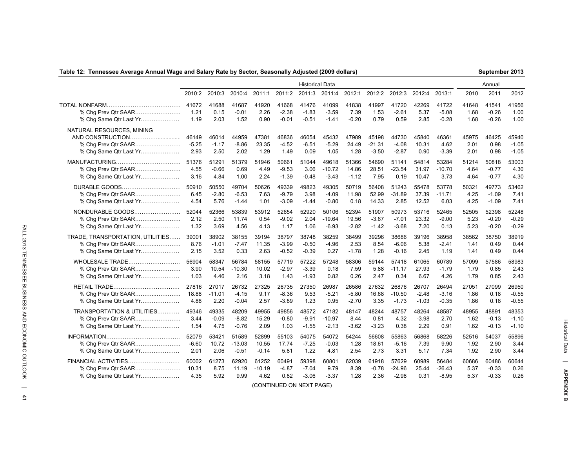### **Table 12: Tennessee Average Annual Wage and Salary Rate by Sector, Seasonally Adjusted (2009 dollars)**

**September 2013**

|                                                                            |                          |                        |                          |                        |                          | <b>Historical Data</b>   |                          |                        |                              |                             |                        |                          |                       | Annual                |                             |
|----------------------------------------------------------------------------|--------------------------|------------------------|--------------------------|------------------------|--------------------------|--------------------------|--------------------------|------------------------|------------------------------|-----------------------------|------------------------|--------------------------|-----------------------|-----------------------|-----------------------------|
|                                                                            | 2010:2                   | 2010:3                 | 2010:4                   | 2011:1                 | 2011:2                   | 2011:3                   | 2011:4                   | 2012:1                 | 2012:2                       | 2012:3                      | 2012:4                 | 2013:1                   | 2010                  | 2011                  | 2012                        |
|                                                                            | 41672                    | 41688                  | 41687                    | 41920                  | 41668                    | 41476                    | 41099                    | 41838                  | 41997                        | 41720                       | 42269                  | 41722                    | 41648                 | 41541                 | 41956                       |
| % Chg Prev Qtr SAAR                                                        | 1.21                     | 0.15                   | $-0.01$                  | 2.26                   | $-2.38$                  | $-1.83$                  | $-3.59$                  | 7.39                   | 1.53                         | $-2.61$                     | 5.37                   | $-5.08$                  | 1.68                  | $-0.26$               | 1.00                        |
| % Chg Same Qtr Last Yr                                                     | 1.19                     | 2.03                   | 1.52                     | 0.90                   | $-0.01$                  | $-0.51$                  | $-1.41$                  | $-0.20$                | 0.79                         | 0.59                        | 2.85                   | $-0.28$                  | 1.68                  | $-0.26$               | 1.00                        |
| NATURAL RESOURCES, MINING<br>% Chg Prev Qtr SAAR<br>% Chg Same Qtr Last Yr | 46149<br>$-5.25$<br>2.93 | 46014<br>-1.17<br>2.50 | 44959<br>$-8.86$<br>2.02 | 47381<br>23.35<br>1.29 | 46836<br>$-4.52$<br>1.49 | 46054<br>$-6.51$<br>0.09 | 45432<br>$-5.29$<br>1.05 | 47989<br>24.49<br>1.28 | 45198<br>$-21.31$<br>$-3.50$ | 44730<br>$-4.08$<br>$-2.87$ | 45840<br>10.31<br>0.90 | 46361<br>4.62<br>$-3.39$ | 45975<br>2.01<br>2.01 | 46425<br>0.98<br>0.98 | 45940<br>$-1.05$<br>$-1.05$ |
|                                                                            | 51376                    | 51291                  | 51379                    | 51946                  | 50661                    | 51044                    | 49618                    | 51366                  | 54690                        | 51141                       | 54814                  | 53284                    | 51214                 | 50818                 | 53003                       |
| % Chg Prev Qtr SAAR                                                        | 4.55                     | $-0.66$                | 0.69                     | 4.49                   | $-9.53$                  | 3.06                     | $-10.72$                 | 14.86                  | 28.51                        | $-23.54$                    | 31.97                  | $-10.70$                 | 4.64                  | $-0.77$               | 4.30                        |
| % Chg Same Qtr Last Yr                                                     | 3.16                     | 4.84                   | 1.00                     | 2.24                   | $-1.39$                  | $-0.48$                  | $-3.43$                  | $-1.12$                | 7.95                         | 0.19                        | 10.47                  | 3.73                     | 4.64                  | $-0.77$               | 4.30                        |
| DURABLE GOODS                                                              | 50910                    | 50550                  | 49704                    | 50626                  | 49339                    | 49823                    | 49305                    | 50719                  | 56408                        | 51243                       | 55478                  | 53778                    | 50321                 | 49773                 | 53462                       |
| % Chg Prev Qtr SAAR                                                        | 6.45                     | $-2.80$                | $-6.53$                  | 7.63                   | $-9.79$                  | 3.98                     | $-4.09$                  | 11.98                  | 52.99                        | $-31.89$                    | 37.39                  | $-11.71$                 | 4.25                  | $-1.09$               | 7.41                        |
| % Chg Same Qtr Last Yr                                                     | 4.54                     | 5.76                   | $-1.44$                  | 1.01                   | $-3.09$                  | $-1.44$                  | $-0.80$                  | 0.18                   | 14.33                        | 2.85                        | 12.52                  | 6.03                     | 4.25                  | $-1.09$               | 7.41                        |
| NONDURABLE GOODS                                                           | 52044                    | 52366                  | 53839                    | 53912                  | 52654                    | 52920                    | 50106                    | 52394                  | 51907                        | 50973                       | 53716                  | 52465                    | 52505                 | 52398                 | 52248                       |
| % Chg Prev Qtr SAAR                                                        | 2.12                     | 2.50                   | 11.74                    | 0.54                   | $-9.02$                  | 2.04                     | $-19.64$                 | 19.56                  | $-3.67$                      | $-7.01$                     | 23.32                  | $-9.00$                  | 5.23                  | $-0.20$               | $-0.29$                     |
| % Chg Same Qtr Last Yr                                                     | 1.32                     | 3.69                   | 4.56                     | 4.13                   | 1.17                     | 1.06                     | $-6.93$                  | $-2.82$                | $-1.42$                      | $-3.68$                     | 7.20                   | 0.13                     | 5.23                  | $-0.20$               | $-0.29$                     |
| TRADE, TRANSPORTATION, UTILITIES                                           | 39001                    | 38902                  | 38155                    | 39194                  | 38797                    | 38748                    | 38259                    | 38499                  | 39296                        | 38686                       | 39196                  | 38958                    | 38562                 | 38750                 | 38919                       |
| % Chg Prev Qtr SAAR                                                        | 8.76                     | $-1.01$                | $-7.47$                  | 11.35                  | $-3.99$                  | $-0.50$                  | $-4.96$                  | 2.53                   | 8.54                         | $-6.06$                     | 5.38                   | $-2.41$                  | 1.41                  | 0.49                  | 0.44                        |
| % Chg Same Qtr Last Yr                                                     | 2.15                     | 3.52                   | 0.33                     | 2.63                   | $-0.52$                  | $-0.39$                  | 0.27                     | $-1.78$                | 1.28                         | $-0.16$                     | 2.45                   | 1.19                     | 1.41                  | 0.49                  | 0.44                        |
| WHOLESALE TRADE                                                            | 56904                    | 58347                  | 56784                    | 58155                  | 57719                    | 57222                    | 57248                    | 58306                  | 59144                        | 57418                       | 61065                  | 60789                    | 57099                 | 57586                 | 58983                       |
| % Chg Prev Qtr SAAR                                                        | 3.90                     | 10.54                  | $-10.30$                 | 10.02                  | $-2.97$                  | $-3.39$                  | 0.18                     | 7.59                   | 5.88                         | $-11.17$                    | 27.93                  | $-1.79$                  | 1.79                  | 0.85                  | 2.43                        |
| % Chg Same Qtr Last Yr                                                     | 1.03                     | 4.46                   | 2.16                     | 3.18                   | 1.43                     | $-1.93$                  | 0.82                     | 0.26                   | 2.47                         | 0.34                        | 6.67                   | 4.26                     | 1.79                  | 0.85                  | 2.43                        |
|                                                                            | 27816                    | 27017                  | 26732                    | 27325                  | 26735                    | 27350                    | 26987                    | 26586                  | 27632                        | 26876                       | 26707                  | 26494                    | 27051                 | 27099                 | 26950                       |
| % Chg Prev Qtr SAAR                                                        | 18.88                    | $-11.01$               | $-4.15$                  | 9.17                   | $-8.36$                  | 9.53                     | $-5.21$                  | $-5.80$                | 16.68                        | $-10.50$                    | $-2.48$                | $-3.16$                  | 1.86                  | 0.18                  | $-0.55$                     |
| % Chg Same Qtr Last Yr                                                     | 4.88                     | 2.20                   | $-0.04$                  | 2.57                   | $-3.89$                  | 1.23                     | 0.95                     | $-2.70$                | 3.35                         | $-1.73$                     | $-1.03$                | $-0.35$                  | 1.86                  | 0.18                  | $-0.55$                     |
| TRANSPORTATION & UTILITIES                                                 | 49346                    | 49335                  | 48209                    | 49955                  | 49856                    | 48572                    | 47182                    | 48147                  | 48244                        | 48757                       | 48264                  | 48587                    | 48955                 | 48891                 | 48353                       |
| % Chg Prev Qtr SAAR                                                        | 3.44                     | $-0.09$                | $-8.82$                  | 15.29                  | $-0.80$                  | $-9.91$                  | $-10.97$                 | 8.44                   | 0.81                         | 4.32                        | $-3.98$                | 2.70                     | 1.62                  | $-0.13$               | $-1.10$                     |
| % Chg Same Qtr Last Yr                                                     | 1.54                     | 4.75                   | $-0.76$                  | 2.09                   | 1.03                     | $-1.55$                  | $-2.13$                  | -3.62                  | -3.23                        | 0.38                        | 2.29                   | 0.91                     | 1.62                  | $-0.13$               | $-1.10$                     |
|                                                                            | 52079                    | 53421                  | 51589                    | 52899                  | 55103                    | 54075                    | 54072                    | 54244                  | 56608                        | 55863                       | 56868                  | 58226                    | 52516                 | 54037                 | 55896                       |
| % Chg Prev Qtr SAAR                                                        | $-6.60$                  | 10.72                  | $-13.03$                 | 10.55                  | 17.74                    | $-7.25$                  | $-0.03$                  | 1.28                   | 18.61                        | $-5.16$                     | 7.39                   | 9.90                     | 1.92                  | 2.90                  | 3.44                        |
| % Chg Same Qtr Last Yr                                                     | 2.01                     | 2.06                   | $-0.51$                  | $-0.14$                | 5.81                     | 1.22                     | 4.81                     | 2.54                   | 2.73                         | 3.31                        | 5.17                   | 7.34                     | 1.92                  | 2.90                  | 3.44                        |
| FINANCIAL ACTIVITIES                                                       | 60002                    | 61273                  | 62920                    | 61252                  | 60491                    | 59398                    | 60801                    | 62039                  | 61918                        | 57629                       | 60989                  | 56484                    | 60686                 | 60486                 | 60644                       |
|                                                                            | 10.31                    | 8.75                   | 11.19                    | $-10.19$               | $-4.87$                  | $-7.04$                  | 9.79                     | 8.39                   | $-0.78$                      | $-24.96$                    | 25.44                  | $-26.43$                 | 5.37                  | $-0.33$               | 0.26                        |
| % Chg Same Qtr Last Yr                                                     | 4.35                     | 5.92                   | 9.99                     | 4.62                   | 0.82                     | $-3.06$                  | $-3.37$                  | 1.28                   | 2.36                         | $-2.98$                     | 0.31                   | $-8.95$                  | 5.37                  | $-0.33$               | 0.26                        |

(CONTINUED ON NEXT PAGE)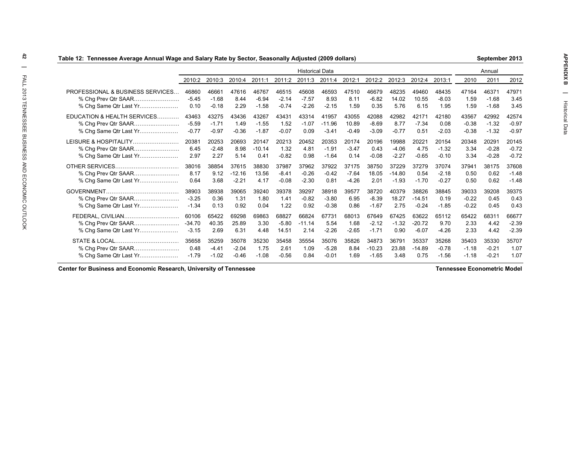|                                  | Table 12:  Tennessee Average Annual Wage and Salary Rate by Sector, Seasonally Adjusted (2009 dollars)<br>September 2013 |         |          |          |         |                        |          |         |          |          |          |         |         |         |         |
|----------------------------------|--------------------------------------------------------------------------------------------------------------------------|---------|----------|----------|---------|------------------------|----------|---------|----------|----------|----------|---------|---------|---------|---------|
|                                  |                                                                                                                          |         |          |          |         | <b>Historical Data</b> |          |         |          |          |          |         |         | Annual  |         |
|                                  | 2010:2                                                                                                                   | 2010:3  | 2010:4   | 2011:1   | 2011:2  | 2011:3                 | 2011:4   | 2012:1  | 2012:2   | 2012:3   | 2012:4   | 2013:1  | 2010    | 2011    | 2012    |
| PROFESSIONAL & BUSINESS SERVICES | 46860                                                                                                                    | 46661   | 47616    | 46767    | 46515   | 45608                  | 46593    | 47510   | 46679    | 48235    | 49460    | 48435   | 47164   | 46371   | 47971   |
| % Chg Prev Qtr SAAR              | $-5.45$                                                                                                                  | $-1.68$ | 8.44     | $-6.94$  | $-2.14$ | $-7.57$                | 8.93     | 8.11    | $-6.82$  | 14.02    | 10.55    | $-8.03$ | 1.59    | $-1.68$ | 3.45    |
| % Chg Same Qtr Last Yr           | 0.10                                                                                                                     | $-0.18$ | 2.29     | $-1.58$  | $-0.74$ | $-2.26$                | $-2.15$  | 1.59    | 0.35     | 5.76     | 6.15     | 1.95    | 1.59    | $-1.68$ | 3.45    |
| EDUCATION & HEALTH SERVICES      | 43463                                                                                                                    | 43275   | 43436    | 43267    | 43431   | 43314                  | 41957    | 43055   | 42088    | 42982    | 42171    | 42180   | 43567   | 42992   | 42574   |
|                                  | $-5.59$                                                                                                                  | $-1.71$ | 1.49     | $-1.55$  | 1.52    | $-1.07$                | $-11.96$ | 10.89   | $-8.69$  | 8.77     | $-7.34$  | 0.08    | $-0.38$ | $-1.32$ | $-0.97$ |
| % Chg Same Qtr Last Yr           | $-0.77$                                                                                                                  | $-0.97$ | $-0.36$  | $-1.87$  | $-0.07$ | 0.09                   | $-3.41$  | $-0.49$ | $-3.09$  | $-0.77$  | 0.51     | $-2.03$ | $-0.38$ | $-1.32$ | $-0.97$ |
| LEISURE & HOSPITALITY            | 20381                                                                                                                    | 20253   | 20693    | 20147    | 20213   | 20452                  | 20353    | 20174   | 20196    | 19988    | 20221    | 20154   | 20348   | 20291   | 20145   |
| % Chg Prev Qtr SAAR              | 6.45                                                                                                                     | $-2.48$ | 8.98     | $-10.14$ | 1.32    | 4.81                   | $-1.91$  | $-3.47$ | 0.43     | $-4.06$  | 4.75     | $-1.32$ | 3.34    | $-0.28$ | $-0.72$ |
| % Cha Same Qtr Last Yr           | 2.97                                                                                                                     | 2.27    | 5.14     | 0.41     | $-0.82$ | 0.98                   | $-1.64$  | 0.14    | $-0.08$  | $-2.27$  | $-0.65$  | $-0.10$ | 3.34    | $-0.28$ | $-0.72$ |
|                                  | 38016                                                                                                                    | 38854   | 37615    | 38830    | 37987   | 37962                  | 37922    | 37175   | 38750    | 37229    | 37279    | 37074   | 37941   | 38175   | 37608   |
| % Chg Prev Qtr SAAR              | 8.17                                                                                                                     | 9.12    | $-12.16$ | 13.56    | $-8.41$ | $-0.26$                | $-0.42$  | $-7.64$ | 18.05    | $-14.80$ | 0.54     | $-2.18$ | 0.50    | 0.62    | $-1.48$ |
| % Chg Same Qtr Last Yr           | 0.64                                                                                                                     | 3.68    | $-2.21$  | 4.17     | $-0.08$ | $-2.30$                | 0.81     | $-4.26$ | 2.01     | $-1.93$  | $-1.70$  | $-0.27$ | 0.50    | 0.62    | $-1.48$ |
|                                  | 38903                                                                                                                    | 38938   | 39065    | 39240    | 39378   | 39297                  | 38918    | 39577   | 38720    | 40379    | 38826    | 38845   | 39033   | 39208   | 39375   |
| % Chg Prev Qtr SAAR              | $-3.25$                                                                                                                  | 0.36    | 1.31     | 1.80     | 1.41    | $-0.82$                | $-3.80$  | 6.95    | $-8.39$  | 18.27    | $-14.51$ | 0.19    | $-0.22$ | 0.45    | 0.43    |
| % Chg Same Qtr Last Yr           | $-1.34$                                                                                                                  | 0.13    | 0.92     | 0.04     | 1.22    | 0.92                   | $-0.38$  | 0.86    | $-1.67$  | 2.75     | $-0.24$  | $-1.85$ | $-0.22$ | 0.45    | 0.43    |
| FEDERAL, CIVILIAN                | 60106                                                                                                                    | 65422   | 69298    | 69863    | 68827   | 66824                  | 67731    | 68013   | 67649    | 67425    | 63622    | 65112   | 65422   | 68311   | 66677   |
| % Chg Prev Qtr SAAR              | -34.70                                                                                                                   | 40.35   | 25.89    | 3.30     | $-5.80$ | $-11.14$               | 5.54     | 1.68    | $-2.12$  | $-1.32$  | $-20.72$ | 9.70    | 2.33    | 4.42    | $-2.39$ |
| % Chg Same Qtr Last Yr           | $-3.15$                                                                                                                  | 2.69    | 6.31     | 4.48     | 14.51   | 2.14                   | $-2.26$  | $-2.65$ | $-1.71$  | 0.90     | $-6.07$  | $-4.26$ | 2.33    | 4.42    | $-2.39$ |
|                                  | 35658                                                                                                                    | 35259   | 35078    | 35230    | 35458   | 35554                  | 35076    | 35826   | 34873    | 36791    | 35337    | 35268   | 35403   | 35330   | 35707   |
| % Chg Prev Qtr SAAR              | 0.48                                                                                                                     | $-4.41$ | $-2.04$  | 1.75     | 2.61    | 1.09                   | $-5.28$  | 8.84    | $-10.23$ | 23.88    | $-14.89$ | $-0.78$ | $-1.18$ | $-0.21$ | 1.07    |
| % Cha Same Qtr Last Yr           | $-1.79$                                                                                                                  | $-1.02$ | $-0.46$  | $-1.08$  | $-0.56$ | 0.84                   | $-0.01$  | 1.69    | $-1.65$  | 3.48     | 0.75     | $-1.56$ | $-1.18$ | $-0.21$ | 1.07    |
|                                  |                                                                                                                          |         |          |          |         |                        |          |         |          |          |          |         |         |         |         |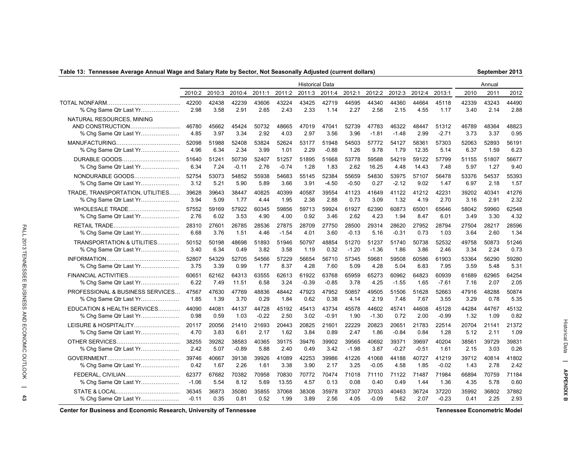### **Table 13: Tennessee Average Annual Wage and Salary Rate by Sector, Not Seasonally Adjusted (current dollars)**

| September 2013 |  |
|----------------|--|
|----------------|--|

|                                                     | <b>Historical Data</b> |               |               |               |               |               |               |               |                  |                  |               |                  |               | Annual        |               |
|-----------------------------------------------------|------------------------|---------------|---------------|---------------|---------------|---------------|---------------|---------------|------------------|------------------|---------------|------------------|---------------|---------------|---------------|
|                                                     | 2010:2                 | 2010:3        | 2010:4        | 2011:1        | 2011:2        | 2011:3        | 2011:4        | 2012:1        | 2012:2           | 2012:3           | 2012:4        | 2013:1           | 2010          | 2011          | 2012          |
|                                                     | 42200                  | 42438         | 42239         | 43606         | 43224         | 43425         | 42719         | 44595         | 44340            | 44360            | 44664         | 45118            | 42339         | 43243         | 44490         |
| % Chq Same Qtr Last Yr                              | 2.98                   | 3.58          | 2.91          | 2.65          | 2.43          | 2.33          | 1.14          | 2.27          | 2.58             | 2.15             | 4.55          | 1.17             | 3.40          | 2.14          | 2.88          |
| NATURAL RESOURCES. MINING<br>% Chg Same Qtr Last Yr | 46780<br>4.85          | 45662<br>3.97 | 45424<br>3.34 | 50732<br>2.92 | 48665<br>4.03 | 47019<br>2.97 | 47041<br>3.56 | 52739<br>3.96 | 47783<br>$-1.81$ | 46322<br>$-1.48$ | 48447<br>2.99 | 51312<br>$-2.71$ | 46789<br>3.73 | 48364<br>3.37 | 48823<br>0.95 |
|                                                     | 52098                  | 51988         | 52408         | 53824         | 52624         | 53177         | 51948         | 54503         | 57772            | 54127            | 58361         | 57303            | 52063         | 52893         | 56191         |
| % Chg Same Qtr Last Yr                              | 4.96                   | 6.34          | 2.34          | 3.99          | 1.01          | 2.29          | $-0.88$       | 1.26          | 9.78             | 1.79             | 12.35         | 5.14             | 6.37          | 1.59          | 6.23          |
| DURABLE GOODS                                       | 51640                  | 51241         | 50739         | 52407         | 51257         | 51895         | 51668         | 53778         | 59588            | 54219            | 59122         | 57799            | 51155         | 51807         | 56677         |
| % Chg Same Qtr Last Yr                              | 6.34                   | 7.24          | $-0.11$       | 2.76          | $-0.74$       | 1.28          | 1.83          | 2.62          | 16.25            | 4.48             | 14.43         | 7.48             | 5.97          | 1.27          | 9.40          |
| NONDURABLE GOODS                                    | 52754                  | 53073         | 54852         | 55938         | 54683         | 55145         | 52384         | 55659         | 54830            | 53975            | 57107         | 56478            | 53376         | 54537         | 55393         |
| % Chg Same Qtr Last Yr                              | 3.12                   | 5.21          | 5.90          | 5.89          | 3.66          | 3.91          | $-4.50$       | $-0.50$       | 0.27             | $-2.12$          | 9.02          | 1.47             | 6.97          | 2.18          | 1.57          |
| TRADE, TRANSPORTATION, UTILITIES                    | 39628                  | 39643         | 38447         | 40825         | 40399         | 40587         | 39554         | 41123         | 41649            | 41122            | 41212         | 42231            | 39202         | 40341         | 41276         |
| % Chg Same Qtr Last Yr                              | 3.94                   | 5.09          | 1.77          | 4.44          | 1.95          | 2.38          | 2.88          | 0.73          | 3.09             | 1.32             | 4.19          | 2.70             | 3.16          | 2.91          | 2.32          |
| WHOLESALE TRADE                                     | 57552                  | 59169         | 57922         | 60345         | 59856         | 59713         | 59924         | 61927         | 62390            | 60873            | 65001         | 65646            | 58042         | 59960         | 62548         |
| % Chg Same Qtr Last Yr                              | 2.76                   | 6.02          | 3.53          | 4.90          | 4.00          | 0.92          | 3.46          | 2.62          | 4.23             | 1.94             | 8.47          | 6.01             | 3.49          | 3.30          | 4.32          |
|                                                     | 28310                  | 27601         | 26785         | 28536         | 27875         | 28709         | 27750         | 28500         | 29314            | 28620            | 27952         | 28794            | 27504         | 28217         | 28596         |
| % Chg Same Qtr Last Yr                              | 6.68                   | 3.76          | 1.51          | 4.46          | $-1.54$       | 4.01          | 3.60          | $-0.13$       | 5.16             | $-0.31$          | 0.73          | 1.03             | 3.64          | 2.60          | 1.34          |
| TRANSPORTATION & UTILITIES                          | 50152                  | 50198         | 48698         | 51893         | 51946         | 50797         | 48854         | 51270         | 51237            | 51740            | 50738         | 52532            | 49758         | 50873         | 51246         |
| % Chg Same Qtr Last Yr                              | 3.40                   | 6.34          | 0.49          | 3.82          | 3.58          | 1.19          | 0.32          | $-1.20$       | $-1.36$          | 1.86             | 3.86          | 2.46             | 3.34          | 2.24          | 0.73          |
|                                                     | 52807                  | 54329         | 52705         | 54566         | 57229         | 56654         | 56710         | 57345         | 59681            | 59508            | 60586         | 61903            | 53364         | 56290         | 59280         |
| % Chg Same Qtr Last Yr                              | 3.75                   | 3.39          | 0.99          | 1.77          | 8.37          | 4.28          | 7.60          | 5.09          | 4.28             | 5.04             | 6.83          | 7.95             | 3.59          | 5.48          | 5.31          |
| FINANCIAL ACTIVITIES                                | 60651                  | 62162         | 64313         | 63555         | 62613         | 61922         | 63768         | 65959         | 65273            | 60962            | 64823         | 60939            | 61689         | 62965         | 64254         |
| % Chg Same Qtr Last Yr                              | 6.22                   | 7.49          | 11.51         | 6.58          | 3.24          | $-0.39$       | $-0.85$       | 3.78          | 4.25             | $-1.55$          | 1.65          | $-7.61$          | 7.16          | 2.07          | 2.05          |
| PROFESSIONAL & BUSINESS SERVICES                    | 47567                  | 47630         | 47769         | 48836         | 48442         | 47923         | 47952         | 50857         | 49505            | 51506            | 51628         | 52663            | 47916         | 48288         | 50874         |
| % Chg Same Qtr Last Yr                              | 1.85                   | 1.39          | 3.70          | 0.29          | 1.84          | 0.62          | 0.38          | 4.14          | 2.19             | 7.48             | 7.67          | 3.55             | 3.29          | 0.78          | 5.35          |
| EDUCATION & HEALTH SERVICES                         | 44090                  | 44081         | 44137         | 44728         | 45192         | 45413         | 43734         | 45578         | 44602            | 45741            | 44608         | 45128            | 44284         | 44767         | 45132         |
| % Chg Same Qtr Last Yr                              | 0.98                   | 0.59          | 1.03          | $-0.22$       | 2.50          | 3.02          | $-0.91$       | 1.90          | $-1.30$          | 0.72             | 2.00          | $-0.99$          | 1.32          | 1.09          | 0.82          |
| LEISURE & HOSPITALITY                               | 20117                  | 20056         | 21410         | 21693         | 20443         | 20825         | 21601         | 22229         | 20823            | 20651            | 21783         | 22514            | 20704         | 21141         | 21372         |
| % Chg Same Qtr Last Yr                              | 4.70                   | 3.83          | 6.61          | 2.17          | 1.62          | 3.84          | 0.89          | 2.47          | 1.86             | $-0.84$          | 0.84          | 1.28             | 5.12          | 2.11          | 1.09          |
|                                                     | 38255                  | 39282         | 38583         | 40365         | 39175         | 39476         | 39902         | 39565         | 40692            | 39371            | 39697         | 40204            | 38561         | 39729         | 39831         |
| % Chg Same Qtr Last Yr                              | 2.42                   | 5.07          | $-0.89$       | 5.88          | 2.40          | 0.49          | 3.42          | $-1.98$       | 3.87             | $-0.27$          | $-0.51$       | 1.61             | 2.15          | 3.03          | 0.26          |
|                                                     | 39746                  | 40667         | 39138         | 39926         | 41089         | 42253         | 39986         | 41226         | 41068            | 44188            | 40727         | 41219            | 39712         | 40814         | 41802         |
| % Chg Same Qtr Last Yr                              | 0.42                   | 1.67          | 2.26          | 1.61          | 3.38          | 3.90          | 2.17          | 3.25          | $-0.05$          | 4.58             | 1.85          | $-0.02$          | 1.43          | 2.78          | 2.42          |
| FEDERAL, CIVILIAN                                   | 62377                  | 67682         | 70382         | 70958         | 70830         | 70772         | 70474         | 71018         | 71110            | 71122            | 71487         | 71984            | 66894         | 70759         | 71184         |
| % Chg Same Qtr Last Yr                              | $-1.06$                | 5.54          | 8.12          | 5.69          | 13.55         | 4.57          | 0.13          | 0.08          | 0.40             | 0.49             | 1.44          | 1.36             | 4.35          | 5.78          | 0.60          |
|                                                     | 36345                  | 36873         | 35080         | 35855         | 37068         | 38308         | 35978         | 37307         | 37033            | 40463            | 36724         | 37220            | 35992         | 36802         | 37882         |
| % Chg Same Qtr Last Yr                              | $-0.11$                | 0.35          | 0.81          | 0.52          | 1.99          | 3.89          | 2.56          | 4.05          | $-0.09$          | 5.62             | 2.07          | $-0.23$          | 0.41          | 2.25          | 2.93          |

**Center for Business and Economic Research, University of Tennessee Tennessee Econometric Model**

Historical Data

**| APPENDIX B**

Historical Data | APPENDIX B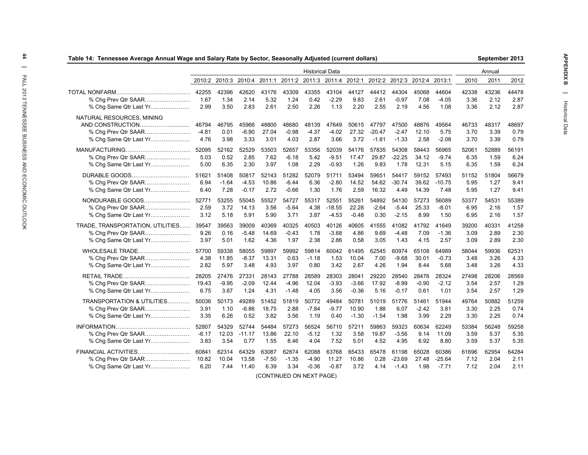| Table 14:  Tennessee Average Annual Wage and Salary Rate by Sector, Seasonally Adjusted (current dollars) |              |                                                         |              |              |              |                        |                 |              |                             |                 |              |                 |              | September 2013 |              |
|-----------------------------------------------------------------------------------------------------------|--------------|---------------------------------------------------------|--------------|--------------|--------------|------------------------|-----------------|--------------|-----------------------------|-----------------|--------------|-----------------|--------------|----------------|--------------|
|                                                                                                           |              |                                                         |              |              |              | <b>Historical Data</b> |                 |              |                             |                 |              |                 |              | Annual         |              |
|                                                                                                           |              | 2010:2 2010:3 2010:4 2011:1 2011:2 2011:3 2011:4 2012:1 |              |              |              |                        |                 |              | 2012:2 2012:3 2012:4 2013:1 |                 |              |                 | 2010         | 2011           | 2012         |
|                                                                                                           | 42255        | 42396                                                   | 42620        | 43176        | 43309        | 43355                  | 43104           | 44127        | 44412                       | 44304           | 45068        | 44604           | 42338        | 43236          | 44478        |
| % Chg Prev Qtr SAAR<br>% Chg Same Qtr Last Yr                                                             | 1.67<br>2.99 | 1.34<br>3.50                                            | 2.14<br>2.83 | 5.32<br>2.61 | 1.24<br>2.50 | 0.42<br>2.26           | $-2.29$<br>1.13 | 9.83<br>2.20 | 2.61<br>2.55                | $-0.97$<br>2.19 | 7.08<br>4.56 | $-4.05$<br>1.08 | 3.36<br>3.36 | 2.12<br>2.12   | 2.87<br>2.87 |
| NATURAL RESOURCES, MINING                                                                                 |              |                                                         |              |              |              |                        |                 |              |                             |                 |              |                 |              |                |              |
|                                                                                                           | 46794        | 46795                                                   | 45966        | 48800        | 48680        | 48139                  | 47649           | 50615        | 47797                       | 47500           | 48876        | 49564           | 46733        | 48317          | 48697        |
| % Chg Prev Qtr SAAR                                                                                       | $-4.81$      | 0.01                                                    | $-6.90$      | 27.04        | $-0.98$      | $-4.37$                | $-4.02$         | 27.32        | $-20.47$                    | $-2.47$         | 12.10        | 5.75            | 3.70         | 3.39           | 0.79         |
| % Chg Same Qtr Last Yr                                                                                    | 4.76         | 3.98                                                    | 3.33         | 3.01         | 4.03         | 2.87                   | 3.66            | 3.72         | $-1.81$                     | $-1.33$         | 2.58         | $-2.08$         | 3.70         | 3.39           | 0.79         |
|                                                                                                           | 52095        | 52162                                                   | 52529        | 53503        | 52657        | 53356                  | 52039           | 54176        | 57835                       | 54308           | 58443        | 56965           | 52061        | 52889          | 56191        |
| % Chg Prev Qtr SAAR                                                                                       | 5.03         | 0.52                                                    | 2.85         | 7.62         | $-6.18$      | 5.42                   | $-9.51$         | 17.47        | 29.87                       | $-22.25$        | 34.12        | $-9.74$         | 6.35         | 1.59           | 6.24         |
| % Chg Same Qtr Last Yr                                                                                    | 5.00         | 6.35                                                    | 2.30         | 3.97         | 1.08         | 2.29                   | $-0.93$         | 1.26         | 9.83                        | 1.78            | 12.31        | 5.15            | 6.35         | 1.59           | 6.24         |
| DURABLE GOODS                                                                                             | 51621        | 51408                                                   | 50817        | 52143        | 51282        | 52079                  | 51711           | 53494        | 59651                       | 54417           | 59152        | 57493           | 51152        | 51804          | 56679        |
| % Chg Prev Qtr SAAR                                                                                       | 6.94         | $-1.64$                                                 | $-4.53$      | 10.86        | $-6.44$      | 6.36                   | $-2.80$         | 14.52        | 54.62                       | $-30.74$        | 39.62        | $-10.75$        | 5.95         | 1.27           | 9.41         |
| % Chg Same Qtr Last Yr                                                                                    | 6.40         | 7.28                                                    | $-0.17$      | 2.72         | $-0.66$      | 1.30                   | 1.76            | 2.59         | 16.32                       | 4.49            | 14.39        | 7.48            | 5.95         | 1.27           | 9.41         |
| NONDURABLE GOODS                                                                                          | 52771        | 53255                                                   | 55045        | 55527        | 54727        | 55317                  | 52551           | 55261        | 54892                       | 54130           | 57273        | 56089           | 53377        | 54531          | 55389        |
| % Chg Prev Qtr SAAR                                                                                       | 2.59         | 3.72                                                    | 14.13        | 3.56         | $-5.64$      | 4.38                   | $-18.55$        | 22.28        | $-2.64$                     | $-5.44$         | 25.33        | $-8.01$         | 6.95         | 2.16           | 1.57         |
| % Chg Same Qtr Last Yr                                                                                    | 3.12         | 5.18                                                    | 5.91         | 5.90         | 3.71         | 3.87                   | $-4.53$         | $-0.48$      | 0.30                        | $-2.15$         | 8.99         | 1.50            | 6.95         | 2.16           | 1.57         |
| TRADE, TRANSPORTATION, UTILITIES 39547                                                                    |              | 39563                                                   | 39009        | 40369        | 40325        | 40503                  | 40126           | 40605        | 41555                       | 41082           | 41792        | 41649           | 39200        | 40331          | 41258        |
| % Chg Prev Qtr SAAR                                                                                       | 9.26         | 0.16                                                    | $-5.48$      | 14.69        | $-0.43$      | 1.78                   | $-3.68$         | 4.86         | 9.69                        | $-4.48$         | 7.09         | $-1.36$         | 3.09         | 2.89           | 2.30         |
| % Chg Same Qtr Last Yr                                                                                    | 3.97         | 5.01                                                    | 1.62         | 4.36         | 1.97         | 2.38                   | 2.86            | 0.58         | 3.05                        | 1.43            | 4.15         | 2.57            | 3.09         | 2.89           | 2.30         |
| WHOLESALE TRADE                                                                                           | 57700        | 59338                                                   | 58055        | 59897        | 59992        | 59814                  | 60042           | 61495        | 62545                       | 60974           | 65108        | 64989           | 58044        | 59936          | 62531        |
| % Chg Prev Qtr SAAR                                                                                       | 4.38         | 11.85                                                   | $-8.37$      | 13.31        | 0.63         | $-1.18$                | 1.53            | 10.04        | 7.00                        | $-9.68$         | 30.01        | $-0.73$         | 3.48         | 3.26           | 4.33         |
| % Chg Same Qtr Last Yr                                                                                    | 2.82         | 5.97                                                    | 3.48         | 4.93         | 3.97         | 0.80                   | 3.42            | 2.67         | 4.26                        | 1.94            | 8.44         | 5.68            | 3.48         | 3.26           | 4.33         |
|                                                                                                           | 28205        | 27476                                                   | 27331        | 28143        | 27788        | 28589                  | 28303           | 28041        | 29220                       | 28540           | 28476        | 28324           | 27498        | 28206          | 28569        |
|                                                                                                           | 19.43        | $-9.95$                                                 | $-2.09$      | 12.44        | $-4.96$      | 12.04                  | $-3.93$         | $-3.66$      | 17.92                       | $-8.99$         | $-0.90$      | $-2.12$         | 3.54         | 2.57           | 1.29         |
| % Chg Same Qtr Last Yr                                                                                    | 6.75         | 3.67                                                    | 1.24         | 4.31         | $-1.48$      | 4.05                   | 3.56            | $-0.36$      | 5.16                        | $-0.17$         | 0.61         | 1.01            | 3.54         | 2.57           | 1.29         |
| TRANSPORTATION & UTILITIES                                                                                | 50036        | 50173                                                   | 49289        | 51452        | 51819        | 50772                  | 49484           | 50781        | 51019                       | 51776           | 51461        | 51944           | 49764        | 50882          | 51259        |
|                                                                                                           | 3.91         | 1.10                                                    | $-6.86$      | 18.75        | 2.88         | $-7.84$                | $-9.77$         | 10.90        | 1.88                        | 6.07            | $-2.42$      | 3.81            | 3.30         | 2.25           | 0.74         |
| % Chg Same Qtr Last Yr                                                                                    | 3.35         | 6.26                                                    | 0.52         | 3.82         | 3.56         | 1.19                   | 0.40            | $-1.30$      | $-1.54$                     | 1.98            | 3.99         | 2.29            | 3.30         | 2.25           | 0.74         |
|                                                                                                           | 52807        | 54329                                                   | 52744        | 54484        | 57273        | 56524                  | 56710           | 57211        | 59863                       | 59323           | 60634        | 62249           | 53384        | 56248          | 59258        |
|                                                                                                           | $-6.17$      | 12.03                                                   | $-11.17$     | 13.86        | 22.10        | $-5.12$                | 1.32            | 3.58         | 19.87                       | $-3.56$         | 9.14         | 11.09           | 3.59         | 5.37           | 5.35         |
| % Chg Same Qtr Last Yr                                                                                    | 3.83         | 3.54                                                    | 0.77         | 1.55         | 8.46         | 4.04                   | 7.52            | 5.01         | 4.52                        | 4.95            | 6.92         | 8.80            | 3.59         | 5.37           | 5.35         |
| FINANCIAL ACTIVITIES                                                                                      | 60841        | 62314                                                   | 64329        | 63087        | 62874        | 62088                  | 63768           | 65433        | 65478                       | 61198           | 65028        | 60386           | 61696        | 62954          | 64284        |
| % Chg Prev Qtr SAAR                                                                                       | 10.82        | 10.04                                                   | 13.58        | $-7.50$      | $-1.35$      | $-4.90$                | 11.27           | 10.86        | 0.28                        | -23.69          | 27.48        | $-25.64$        | 7.12         | 2.04           | 2.11         |
| % Chg Same Qtr Last Yr                                                                                    | 6.20         | 7.44                                                    | 11.40        | 6.39         | 3.34         | $-0.36$                | $-0.87$         | 3.72         | 4.14                        | $-1.43$         | 1.98         | $-7.71$         | 7.12         | 2.04           | 2.11         |

(CONTINUED ON NEXT PAGE)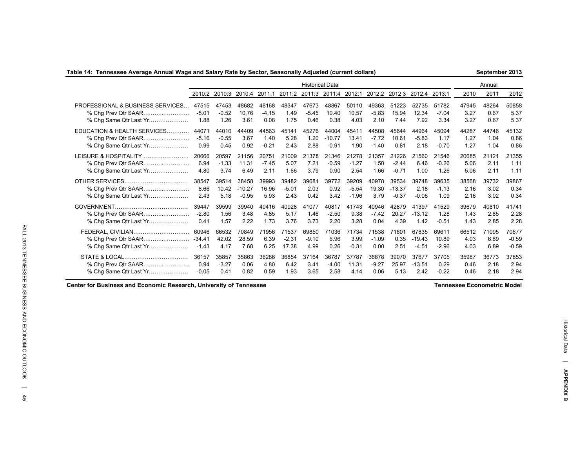### **Table 14: Tennessee Average Annual Wage and Salary Rate by Sector, Seasonally Adjusted (current dollars)**

**September 2013**

|                                  |          |         |          |         |         | <b>Historical Data</b> |               |         |         |                      |          |         |       | Annual |         |
|----------------------------------|----------|---------|----------|---------|---------|------------------------|---------------|---------|---------|----------------------|----------|---------|-------|--------|---------|
|                                  | 2010:2   | 2010:3  | 2010:4   | 2011:1  |         | 2011:2 2011:3          | 2011:4 2012:1 |         |         | 2012:2 2012:3 2012:4 |          | 2013:1  | 2010  | 2011   | 2012    |
| PROFESSIONAL & BUSINESS SERVICES | 47515    | 47453   | 48682    | 48168   | 48347   | 47673                  | 48867         | 50110   | 49363   | 51223                | 52735    | 51782   | 47945 | 48264  | 50858   |
| % Chg Prev Qtr SAAR              | $-5.01$  | $-0.52$ | 10.76    | $-4.15$ | 1.49    | $-5.45$                | 10.40         | 10.57   | $-5.83$ | 15.94                | 12.34    | $-7.04$ | 3.27  | 0.67   | 5.37    |
| % Chg Same Qtr Last Yr           | 1.88     | 1.26    | 3.61     | 0.08    | 1.75    | 0.46                   | 0.38          | 4.03    | 2.10    | 7.44                 | 7.92     | 3.34    | 3.27  | 0.67   | 5.37    |
| EDUCATION & HEALTH SERVICES      | 44071    | 44010   | 44409    | 44563   | 45141   | 45276                  | 44004         | 45411   | 44508   | 45644                | 44964    | 45094   | 44287 | 44746  | 45132   |
| % Chg Prev Qtr SAAR              | $-5.16$  | $-0.55$ | 3.67     | 1.40    | 5.28    | 1.20                   | $-10.77$      | 13.41   | $-7.72$ | 10.61                | $-5.83$  | 1.17    | 1.27  | 1.04   | 0.86    |
| % Chg Same Qtr Last Yr           | 0.99     | 0.45    | 0.92     | $-0.21$ | 2.43    | 2.88                   | $-0.91$       | 1.90    | $-1.40$ | 0.81                 | 2.18     | $-0.70$ | 1.27  | 1.04   | 0.86    |
| LEISURE & HOSPITALITY            | 20666    | 20597   | 21156    | 20751   | 21009   | 21378                  | 21346         | 21278   | 21357   | 21226                | 21560    | 21546   | 20685 | 21121  | 21355   |
|                                  | 6.94     | $-1.33$ | 11.31    | $-7.45$ | 5.07    | 7.21                   | $-0.59$       | $-1.27$ | 1.50    | $-2.44$              | 6.46     | $-0.26$ | 5.06  | 2.11   | 1.11    |
| % Chg Same Qtr Last Yr           | 4.80     | 3.74    | 6.49     | 2.11    | 1.66    | 3.79                   | 0.90          | 2.54    | 1.66    | $-0.71$              | 1.00     | 1.26    | 5.06  | 2.11   | 1.11    |
|                                  | 38547    | 39514   | 38458    | 39993   | 39482   | 39681                  | 39772         | 39209   | 40978   | 39534                | 39748    | 39635   | 38568 | 39732  | 39867   |
| % Chg Prev Qtr SAAR              | 8.66     | 10.42   | $-10.27$ | 16.96   | $-5.01$ | 2.03                   | 0.92          | $-5.54$ | 19.30   | $-13.37$             | 2.18     | $-1.13$ | 2.16  | 3.02   | 0.34    |
| % Chg Same Qtr Last Yr           | 2.43     | 5.18    | $-0.95$  | 5.93    | 2.43    | 0.42                   | 3.42          | $-1.96$ | 3.79    | $-0.37$              | $-0.06$  | 1.09    | 2.16  | 3.02   | 0.34    |
|                                  | 39447    | 39599   | 39940    | 40416   | 40928   | 41077                  | 40817         | 41743   | 40946   | 42879                | 41397    | 41529   | 39679 | 40810  | 41741   |
| % Chg Prev Qtr SAAR              | $-2.80$  | 1.56    | 3.48     | 4.85    | 5.17    | 1.46                   | $-2.50$       | 9.38    | $-7.42$ | 20.27                | $-13.12$ | 1.28    | 1.43  | 2.85   | 2.28    |
| % Chg Same Qtr Last Yr           | 0.41     | 1.57    | 2.22     | 1.73    | 3.76    | 3.73                   | 2.20          | 3.28    | 0.04    | 4.39                 | 1.42     | $-0.51$ | 1.43  | 2.85   | 2.28    |
| FEDERAL, CIVILIAN                | 60946    | 66532   | 70849    | 71956   | 71537   | 69850                  | 71036         | 71734   | 71538   | 71601                | 67835    | 69611   | 66512 | 71095  | 70677   |
|                                  | $-34.41$ | 42.02   | 28.59    | 6.39    | $-2.31$ | $-9.10$                | 6.96          | 3.99    | $-1.09$ | 0.35                 | $-19.43$ | 10.89   | 4.03  | 6.89   | $-0.59$ |
| % Chg Same Qtr Last Yr           | -1.43    | 4.17    | 7.68     | 6.25    | 17.38   | 4.99                   | 0.26          | $-0.31$ | 0.00    | 2.51                 | $-4.51$  | $-2.96$ | 4.03  | 6.89   | $-0.59$ |
|                                  | 36157    | 35857   | 35863    | 36286   | 36854   | 37164                  | 36787         | 37787   | 36878   | 39070                | 37677    | 37705   | 35987 | 36773  | 37853   |
| % Chg Prev Qtr SAAR              | 0.94     | $-3.27$ | 0.06     | 4.80    | 6.42    | 3.41                   | $-4.00$       | 11.31   | $-9.27$ | 25.97                | $-13.51$ | 0.29    | 0.46  | 2.18   | 2.94    |
| % Chg Same Qtr Last Yr           | $-0.05$  | 0.41    | 0.82     | 0.59    | 1.93    | 3.65                   | 2.58          | 4.14    | 0.06    | 5.13                 | 2.42     | $-0.22$ | 0.46  | 2.18   | 2.94    |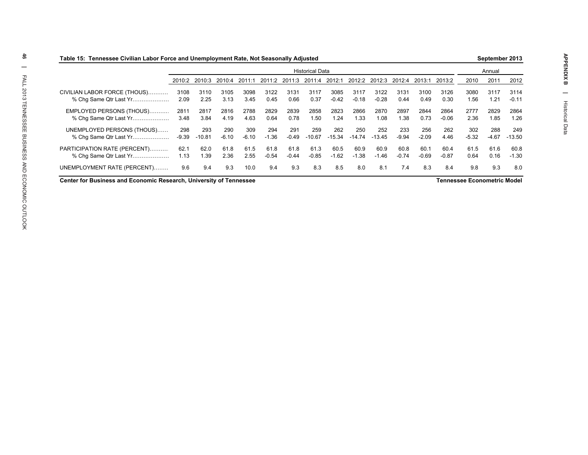| Table 15: Tennessee Civilian Labor Force and Unemployment Rate, Not Seasonally Adjusted |         |          |         |         |         |            |                        |          |          |          |         |         |         |         |                                                                                                                                                                                                   |  |
|-----------------------------------------------------------------------------------------|---------|----------|---------|---------|---------|------------|------------------------|----------|----------|----------|---------|---------|---------|---------|---------------------------------------------------------------------------------------------------------------------------------------------------------------------------------------------------|--|
|                                                                                         |         |          |         |         |         |            | <b>Historical Data</b> |          |          |          |         |         |         |         | September 2013<br>Annual<br>2011<br>2012<br>3117<br>3114<br>1.21<br>$-0.11$<br>2829<br>2864<br>1.26<br>1.85<br>249<br>288<br>$-4.67$<br>$-13.50$<br>61.6<br>60.8<br>0.16<br>$-1.30$<br>9.3<br>8.0 |  |
|                                                                                         | 2010:2  | 2010:3   | 2010:4  | 2011:1  | 2011:2  | 201<br>113 | 201<br>:4              | 2012:1   | 2012:2   | 2012:3   | 2012:4  | 2013:1  | 2013:2  | 2010    |                                                                                                                                                                                                   |  |
| CIVILIAN LABOR FORCE (THOUS)                                                            | 3108    | 3110     | 3105    | 3098    | 3122    | 3131       | 3117                   | 3085     | 3117     | 3122     | 3131    | 3100    | 3126    | 3080    |                                                                                                                                                                                                   |  |
| % Chq Same Qtr Last Yr                                                                  | 2.09    | 2.25     | 3.13    | 3.45    | 0.45    | 0.66       | 0.37                   | $-0.42$  | $-0.18$  | $-0.28$  | 0.44    | 0.49    | 0.30    | 1.56    |                                                                                                                                                                                                   |  |
| EMPLOYED PERSONS (THOUS)                                                                | 2811    | 2817     | 2816    | 2788    | 2829    | 2839       | 2858                   | 2823     | 2866     | 2870     | 2897    | 2844    | 2864    | 2777    |                                                                                                                                                                                                   |  |
| % Chg Same Qtr Last Yr                                                                  | 3.48    | 3.84     | 4.19    | 4.63    | 0.64    | 0.78       | 1.50                   | 1.24     | 1.33     | 1.08     | 1.38    | 0.73    | $-0.06$ | 2.36    |                                                                                                                                                                                                   |  |
| UNEMPLOYED PERSONS (THOUS)                                                              | 298     | 293      | 290     | 309     | 294     | 291        | 259                    | 262      | 250      | 252      | 233     | 256     | 262     | 302     |                                                                                                                                                                                                   |  |
| % Cha Same Qtr Last Yr                                                                  | $-9.39$ | $-10.81$ | $-6.10$ | $-6.10$ | $-1.36$ | $-0.49$    | $-10.67$               | $-15.34$ | $-14.74$ | $-13.45$ | $-9.94$ | $-2.09$ | 4.46    | $-5.32$ |                                                                                                                                                                                                   |  |
| PARTICIPATION RATE (PERCENT)                                                            | 62.1    | 62.0     | 61.8    | 61.5    | 61.8    | 61.8       | 61.3                   | 60.5     | 60.9     | 60.9     | 60.8    | 60.1    | 60.4    | 61.5    |                                                                                                                                                                                                   |  |
| % Cha Same Qtr Last Yr                                                                  | 1.13    | 1.39     | 2.36    | 2.55    | $-0.54$ | $-0.44$    | $-0.85$                | $-1.62$  | $-1.38$  | $-1.46$  | $-0.74$ | $-0.69$ | $-0.87$ | 0.64    |                                                                                                                                                                                                   |  |
| UNEMPLOYMENT RATE (PERCENT)                                                             | 9.6     | 9.4      | 9.3     | 10.0    | 9.4     | 9.3        | 8.3                    | 8.5      | 8.0      | 8.1      | 7.4     | 8.3     | 8.4     | 9.8     |                                                                                                                                                                                                   |  |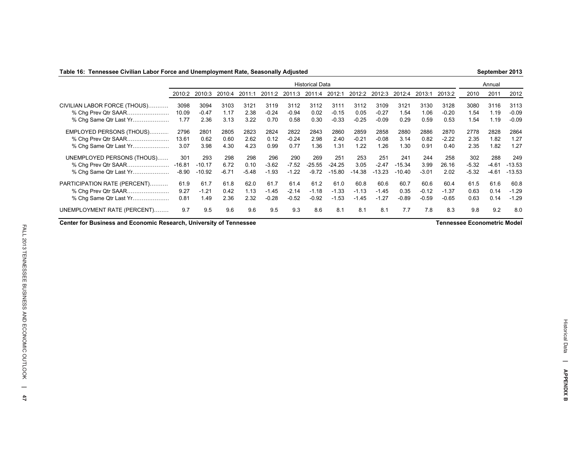### **Table 16: Tennessee Civilian Labor Force and Unemployment Rate, Seasonally Adjusted**

**September 2013**

|                                                                               |                            |                             |                        |                        |                            |                            | <b>Historical Data</b>     |                                |                            |                            |                             |                            |                            |                           | Annual                    |                             |
|-------------------------------------------------------------------------------|----------------------------|-----------------------------|------------------------|------------------------|----------------------------|----------------------------|----------------------------|--------------------------------|----------------------------|----------------------------|-----------------------------|----------------------------|----------------------------|---------------------------|---------------------------|-----------------------------|
|                                                                               | 2010:2                     | 2010:3                      | 2010:4                 | 2011:1                 | 2011:2                     | 2011:3                     | 2011:4                     | 2012:1                         | 2012:2                     | 2012:3                     | 2012:4                      | 2013:1                     | 2013:2                     | 2010                      | 2011                      | 2012                        |
| CIVILIAN LABOR FORCE (THOUS)<br>% Cha Prev Qtr SAAR<br>% Chq Same Qtr Last Yr | 3098<br>10.09<br>1.77      | 3094<br>$-0.47$<br>2.36     | 3103<br>1.17<br>3.13   | 3121<br>2.38<br>3.22   | 3119<br>$-0.24$<br>0.70    | 3112<br>$-0.94$<br>0.58    | 3112<br>0.02<br>0.30       | 3111<br>$-0.15$<br>$-0.33$     | 3112<br>0.05<br>$-0.25$    | 3109<br>$-0.27$<br>$-0.09$ | 3121<br>1.54<br>0.29        | 3130<br>1.06<br>0.59       | 3128<br>$-0.20$<br>0.53    | 3080<br>1.54<br>1.54      | 3116<br>1.19<br>1.19      | 3113<br>$-0.09$<br>$-0.09$  |
| EMPLOYED PERSONS (THOUS)<br>% Chg Prev Qtr SAAR<br>% Chq Same Qtr Last Yr     | 2796<br>13.61<br>3.07      | 2801<br>0.62<br>3.98        | 2805<br>0.60<br>4.30   | 2823<br>2.62<br>4.23   | 2824<br>0.12<br>0.99       | 2822<br>$-0.24$<br>0.77    | 2843<br>2.98<br>1.36       | 2860<br>2.40<br>.31            | 2859<br>$-0.21$<br>1.22    | 2858<br>$-0.08$<br>1.26    | 2880<br>3.14<br>1.30        | 2886<br>0.82<br>0.91       | 2870<br>$-2.22$<br>0.40    | 2778<br>2.35<br>2.35      | 2828<br>1.82<br>1.82      | 2864<br>1.27<br>1.27        |
| UNEMPLOYED PERSONS (THOUS)<br>% Chg Prev Qtr SAAR<br>% Chg Same Qtr Last Yr   | 301<br>$-16.81$<br>$-8.90$ | 293<br>$-10.17$<br>$-10.92$ | 298<br>6.72<br>$-6.71$ | 298<br>0.10<br>$-5.48$ | 296<br>$-3.62$<br>$-1.93$  | 290<br>$-7.52$<br>$-1.22$  | 269<br>$-25.55$<br>$-9.72$ | 251<br>$-24.25$<br>$-15.80$    | 253<br>3.05<br>$-14.38$    | 251<br>$-2.47$<br>$-13.23$ | 241<br>$-15.34$<br>$-10.40$ | 244<br>3.99<br>$-3.01$     | 258<br>26.16<br>2.02       | 302<br>$-5.32$<br>$-5.32$ | 288<br>$-4.61$<br>$-4.61$ | 249<br>$-13.53$<br>$-13.53$ |
| PARTICIPATION RATE (PERCENT)<br>% Chg Prev Qtr SAAR<br>% Chg Same Qtr Last Yr | 61.9<br>9.27<br>0.81       | 61.7<br>$-1.21$<br>l.49     | 61.8<br>0.42<br>2.36   | 62.0<br>1.13<br>2.32   | 61.7<br>$-1.45$<br>$-0.28$ | 61.4<br>$-2.14$<br>$-0.52$ | 61.2<br>$-1.18$<br>$-0.92$ | 61.0<br>$-1.33$<br>.53<br>$-1$ | 60.8<br>$-1.13$<br>$-1.45$ | 60.6<br>$-1.45$<br>$-1.27$ | 60.7<br>0.35<br>$-0.89$     | 60.6<br>$-0.12$<br>$-0.59$ | 60.4<br>$-1.37$<br>$-0.65$ | 61.5<br>0.63<br>0.63      | 61.6<br>0.14<br>0.14      | 60.8<br>$-1.29$<br>$-1.29$  |
| UNEMPLOYMENT RATE (PERCENT)                                                   | 9.7                        | 9.5                         | 9.6                    | 9.6                    | 9.5                        | 9.3                        | 8.6                        | 8.1                            | 8.1                        | 8.1                        | 7.7                         | 7.8                        | 8.3                        | 9.8                       | 9.2                       | 8.0                         |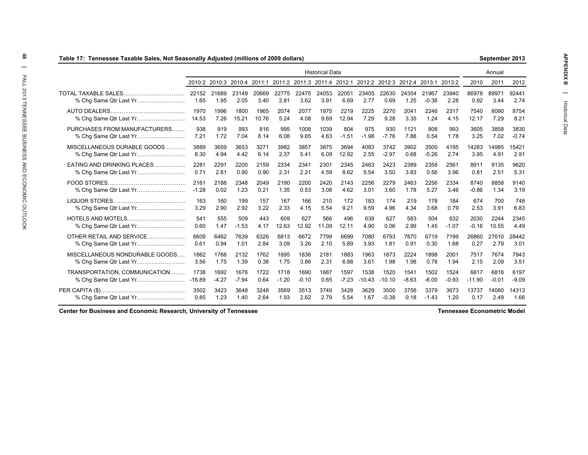| Table 17: Tennessee Taxable Sales, Not Seasonally Adjusted (millions of 2009 dollars) |               |                             |               |               |               |                             |                        |               |               |               |               |                      |               |               | September 2013 |               |
|---------------------------------------------------------------------------------------|---------------|-----------------------------|---------------|---------------|---------------|-----------------------------|------------------------|---------------|---------------|---------------|---------------|----------------------|---------------|---------------|----------------|---------------|
|                                                                                       |               |                             |               |               |               |                             | <b>Historical Data</b> |               |               |               |               |                      |               |               | Annual         |               |
|                                                                                       |               | 2010:2 2010:3 2010:4 2011:1 |               |               |               | 2011:2 2011:3 2011:4 2012:1 |                        |               | 2012:2        |               |               | 2012:3 2012:4 2013:1 | 2013:2        | 2010          | 2011           | 2012          |
| TOTAL TAXABLE SALES<br>% Cha Same Qtr Last Yr                                         | 22152<br>1.65 | 21689<br>1.95               | 23149<br>2.05 | 20669<br>3.40 | 22775<br>2.81 | 22475<br>3.62               | 24053<br>3.91          | 22051<br>6.69 | 23405<br>2.77 | 22630<br>0.69 | 24354<br>1.25 | 21967<br>$-0.38$     | 23940<br>2.28 | 86978<br>0.92 | 89971<br>3.44  | 92441<br>2.74 |
|                                                                                       | 1970          | 1996                        | 1800          | 1965          | 2074          | 2077                        | 1975                   | 2219          | 2225          | 2270          | 2041          | 2246                 | 2317          | 7540          | 8090           | 8754          |
|                                                                                       | 14.53         | 7.26                        | 15.21         | 10.76         | 5.24          | 4.08                        | 9.69                   | 12.94         | 7.29          | 9.28          | 3.35          | 1.24                 | 4.15          | 12.17         | 7.29           | 8.21          |
| PURCHASES FROM MANUFACTURERS                                                          | 938           | 919                         | 993           | 816           | 995           | 1008                        | 1039                   | 804           | 975           | 930           | 1121          | 808                  | 993           | 3605          | 3858           | 3830          |
|                                                                                       | 7.21          | 1.72                        | 7.04          | 8.14          | 6.08          | 9.65                        | 4.63                   | $-1.51$       | $-1.98$       | $-7.76$       | 7.88          | 0.54                 | 1.78          | 3.25          | 7.02           | $-0.74$       |
| MISCELLANEOUS DURABLE GOODS                                                           | 3889          | 3659                        | 3653          | 3271          | 3982          | 3857                        | 3875                   | 3694          | 4083          | 3742          | 3902          | 3500                 | 4195          | 14283         | 14985          | 15421         |
|                                                                                       | 8.30          | 4.94                        | 4.42          | 6.14          | 2.37          | 5.41                        | 6.09                   | 12.92         | 2.55          | $-2.97$       | 0.68          | $-5.26$              | 2.74          | 3.95          | 4.91           | 2.91          |
| EATING AND DRINKING PLACES                                                            | 2281          | 2291                        | 2200          | 2159          | 2334          | 2341                        | 2301                   | 2345          | 2463          | 2423          | 2389          | 2358                 | 2561          | 8911          | 9135           | 9620          |
|                                                                                       | 0.71          | 2.81                        | 0.90          | 0.90          | 2.31          | 2.21                        | 4.59                   | 8.62          | 5.54          | 3.50          | 3.83          | 0.56                 | 3.96          | 0.81          | 2.51           | 5.31          |
|                                                                                       | 2161          | 2188                        | 2348          | 2049          | 2190          | 2200                        | 2420                   | 2143          | 2256          | 2279          | 2463          | 2256                 | 2334          | 8740          | 8858           | 9140          |
| % Chg Same Qtr Last Yr                                                                | $-1.28$       | 0.02                        | 1.23          | 0.21          | 1.35          | 0.53                        | 3.08                   | 4.62          | 3.01          | 3.60          | 1.78          | 5.27                 | 3.46          | $-0.86$       | 1.34           | 3.19          |
|                                                                                       | 163           | 160                         | 199           | 157           | 167           | 166                         | 210                    | 172           | 183           | 174           | 219           | 178                  | 184           | 674           | 700            | 748           |
|                                                                                       | 3.29          | 2.90                        | 2.92          | 3.22          | 2.33          | 4.15                        | 5.54                   | 9.21          | 9.59          | 4.96          | 4.34          | 3.68                 | 0.79          | 2.53          | 3.91           | 6.83          |
|                                                                                       | 541           | 555                         | 509           | 443           | 609           | 627                         | 566                    | 496           | 639           | 627           | 583           | 504                  | 632           | 2030          | 2244           | 2345          |
|                                                                                       | 0.60          | 1.47                        | $-1.53$       | 4.17          | 12.63         | 12.92                       | 11.09                  | 12.11         | 4.90          | 0.06          | 2.99          | 1.45                 | $-1.07$       | $-0.16$       | 10.55          | 4.49          |
| OTHER RETAIL AND SERVICE                                                              | 6609          | 6462                        | 7639          | 6326          | 6813          | 6672                        | 7799                   | 6699          | 7080          | 6793          | 7870          | 6719                 | 7199          | 26860         | 27610          | 28442         |
| % Chg Same Qtr Last Yr                                                                | 0.61          | 0.94                        | 1.01          | 2.84          | 3.09          | 3.26                        | 2.10                   | 5.89          | 3.93          | 1.81          | 0.91          | 0.30                 | 1.68          | 0.27          | 2.79           | 3.01          |
| MISCELLANEOUS NONDURABLE GOODS                                                        | 1862          | 1768                        | 2132          | 1762          | 1895          | 1836                        | 2181                   | 1883          | 1963          | 1873          | 2224          | 1898                 | 2001          | 7517          | 7674           | 7943          |
|                                                                                       | 3.56          | 1.75                        | 1.39          | 0.38          | 1.75          | 3.86                        | 2.31                   | 6.88          | 3.61          | 1.98          | 1.98          | 0.78                 | 1.94          | 2.15          | 2.09           | 3.51          |
| TRANSPORTATION, COMMUNICATION                                                         | 1738          | 1692                        | 1676          | 1722          | 1718          | 1690                        | 1687                   | 1597          | 1538          | 1520          | 1541          | 1502                 | 1524          | 6817          | 6816           | 6197          |
|                                                                                       | $-16.89$      | $-4.27$                     | $-7.94$       | 0.64          | $-1.20$       | $-0.10$                     | 0.65                   | $-7.23$       | $-10.43$      | $-10.10$      | $-8.63$       | $-6.00$              | $-0.93$       | $-11.90$      | $-0.01$        | $-9.09$       |
|                                                                                       | 3502          | 3423                        | 3648          | 3248          | 3569          | 3513                        | 3749                   | 3428          | 3629          | 3500          | 3756          | 3379                 | 3673          | 13737         | 14080          | 14313         |
|                                                                                       | 0.85          | 1.23                        | 1.40          | 2.64          | 1.93          | 2.62                        | 2.79                   | 5.54          | 1.67          | $-0.38$       | 0.18          | $-1.43$              | 1.20          | 0.17          | 2.49           | 1.66          |

## **Center for Business and Economic Research, University of Tennessee**

**Tennessee Econometric Model**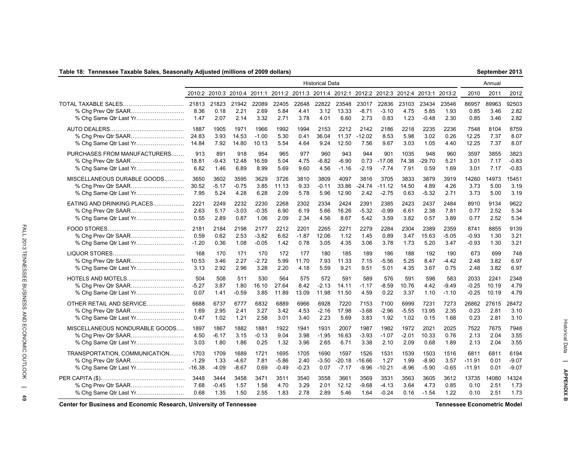### **Table 18: Tennessee Taxable Sales, Seasonally Adjusted (millions of 2009 dollars)**

| September 2013 |  |
|----------------|--|
|----------------|--|

|                                                      |                 |                         |                        |                      |                            |                         | <b>Historical Data</b> |                             |                           |                                                                                            |                       |                            |                         |                              | Annual               |                            |
|------------------------------------------------------|-----------------|-------------------------|------------------------|----------------------|----------------------------|-------------------------|------------------------|-----------------------------|---------------------------|--------------------------------------------------------------------------------------------|-----------------------|----------------------------|-------------------------|------------------------------|----------------------|----------------------------|
|                                                      |                 |                         |                        |                      |                            |                         |                        |                             |                           | 2010:2 2010:3 2010:4 2011:1 2011:2 2011:3 2011:4 2012:1 2012:2 2012:3 2012:4 2013:1 2013:2 |                       |                            |                         | 2010                         | 2011                 | 2012                       |
| TOTAL TAXABLE SALES                                  | 21813           | 21823                   | 21942                  | 22089                | 22405                      | 22648                   | 22822                  | 23548                       | 23017                     | 22836                                                                                      | 23103                 | 23434                      | 23546                   | 86957                        | 89963                | 92503                      |
|                                                      | 8.36            | 0.18                    | 2.21                   | 2.69                 | 5.84                       | 4.41                    | 3.12                   | 13.33                       | $-8.71$                   | $-3.10$                                                                                    | 4.75                  | 5.85                       | 1.93                    | 0.85                         | 3.46                 | 2.82                       |
|                                                      | 1.47            | 2.07                    | 2.14                   | 3.32                 | 2.71                       | 3.78                    | 4.01                   | 6.60                        | 2.73                      | 0.83                                                                                       | 1.23                  | $-0.48$                    | 2.30                    | 0.85                         | 3.46                 | 2.82                       |
|                                                      | 1887            | 1905                    | 1971                   | 1966                 | 1992                       | 1994                    | 2153                   | 2212                        | 2142                      | 2186                                                                                       | 2218                  | 2235                       | 2236                    | 7548                         | 8104                 | 8759                       |
|                                                      | 24.83           | 3.93                    | 14.53                  | $-1.00$              | 5.30                       | 0.41                    | 36.04                  | 11.37                       | $-12.02$                  | 8.53                                                                                       | 5.98                  | 3.02                       | 0.26                    | 12.25                        | 7.37                 | 8.07                       |
|                                                      | 14.84           | 7.92                    | 14.80                  | 10.13                | 5.54                       | 4.64                    | 9.24                   | 12.50                       | 7.56                      | 9.67                                                                                       | 3.03                  | 1.05                       | 4.40                    | 12.25                        | 7.37                 | 8.07                       |
| PURCHASES FROM MANUFACTURERS                         | 913             | 891                     | 918                    | 954                  | 965                        | 977                     | 960                    | 943                         | 944                       | 901                                                                                        | 1035                  | 948                        | 960                     | 3597                         | 3855                 | 3823                       |
|                                                      | 18.81           | $-9.43$                 | 12.48                  | 16.59                | 5.04                       | 4.75                    | $-6.82$                | $-6.90$                     | 0.73                      | $-17.08$                                                                                   | 74.38                 | $-29.70$                   | 5.21                    | 3.01                         | 7.17                 | $-0.83$                    |
| % Chg Same Qtr Last Yr                               | 6.82            | 1.46                    | 6.89                   | 8.99                 | 5.69                       | 9.60                    | 4.56                   | $-1.16$                     | $-2.19$                   | $-7.74$                                                                                    | 7.91                  | 0.59                       | 1.69                    | 3.01                         | 7.17                 | $-0.83$                    |
| MISCELLANEOUS DURABLE GOODS                          | 3650            | 3602                    | 3595                   | 3629                 | 3726                       | 3810                    | 3809                   | 4097                        | 3816                      | 3705                                                                                       | 3833                  | 3879                       | 3919                    | 14260                        | 14973                | 15451                      |
|                                                      | 30.52           | $-5.17$                 | -0.75                  | 3.85                 | 11.13                      | 9.33                    | $-0.11$                | 33.86                       | $-24.74$                  | $-11.12$                                                                                   | 14.50                 | 4.89                       | 4.26                    | 3.73                         | 5.00                 | 3.19                       |
| % Chg Same Qtr Last Yr                               | 7.95            | 5.24                    | 4.28                   | 6.28                 | 2.09                       | 5.78                    | 5.96                   | 12.90                       | 2.42                      | $-2.75$                                                                                    | 0.63                  | $-5.32$                    | 2.71                    | 3.73                         | 5.00                 | 3.19                       |
| EATING AND DRINKING PLACES                           | 2221            | 2249                    | 2232                   | 2230                 | 2268                       | 2302                    | 2334                   | 2424                        | 2391                      | 2385                                                                                       | 2423                  | 2437                       | 2484                    | 8910                         | 9134                 | 9622                       |
|                                                      | 2.63            | 5.17                    | -3.03                  | $-0.35$              | 6.90                       | 6.19                    | 5.66                   | 16.26                       | $-5.32$                   | $-0.99$                                                                                    | 6.61                  | 2.38                       | 7.81                    | 0.77                         | 2.52                 | 5.34                       |
| % Chg Same Qtr Last Yr                               | 0.55            | 2.89                    | 0.87                   | 1.06                 | 2.09                       | 2.34                    | 4.56                   | 8.67                        | 5.42                      | 3.59                                                                                       | 3.82                  | 0.57                       | 3.89                    | 0.77                         | 2.52                 | 5.34                       |
|                                                      | 2181            | 2184                    | 2198                   | 2177                 | 2212                       | 2201                    | 2265                   | 2271                        | 2279                      | 2284                                                                                       | 2304                  | 2389                       | 2359                    | 8741                         | 8855                 | 9139                       |
|                                                      | 0.59            | 0.62                    | 2.53                   | $-3.82$              | 6.62                       | $-1.87$                 | 12.06                  | 1.12                        | 1.45                      | 0.89                                                                                       | 3.47                  | 15.63                      | -5.05                   | -0.93                        | 1.30                 | 3.21                       |
| % Chg Same Qtr Last Yr                               | $-1.20$         | 0.36                    | 1.08                   | $-0.05$              | 1.42                       | 0.78                    | 3.05                   | 4.35                        | 3.06                      | 3.78                                                                                       | 1.73                  | 5.20                       | 3.47                    | -0.93                        | 1.30                 | 3.21                       |
|                                                      | 168             | 170                     | 171                    | 170                  | 172                        | 177                     | 180                    | 185                         | 189                       | 186                                                                                        | 188                   | 192                        | 190                     | 673                          | 699                  | 748                        |
|                                                      | 10.53           | 3.46                    | 2.27                   | $-2.72$              | 5.99                       | 11.70                   | 7.93                   | 11.33                       | 7.15                      | $-5.56$                                                                                    | 5.25                  | 8.47                       | -4.42                   | 2.48                         | 3.82                 | 6.97                       |
|                                                      | 3.13            | 2.92                    | 2.96                   | 3.28                 | 2.20                       | 4.18                    | 5.59                   | 9.21                        | 9.51                      | 5.01                                                                                       | 4.35                  | 3.67                       | 0.75                    | 2.48                         | 3.82                 | 6.97                       |
| HOTELS AND MOTELS                                    | 504             | 508                     | 511                    | 530                  | 564                        | 575                     | 572                    | 591                         | 589                       | 576                                                                                        | 591                   | 598                        | 583                     | 2033                         | 2241                 | 2348                       |
|                                                      | $-5.27$         | 3.87                    | 1.80                   | 16.10                | 27.64                      | 8.42                    | $-2.13$                | 14.11                       | $-1.17$                   | -8.59                                                                                      | 10.76                 | 4.42                       | $-9.49$                 | $-0.25$                      | 10.19                | 4.79                       |
|                                                      | 0.07            | 1.41                    | -0.59                  | 3.85                 | 11.89                      | 13.09                   | 11.98                  | 11.50                       | 4.59                      | 0.22                                                                                       | 3.37                  | 1.10                       | $-1.10$                 | $-0.25$                      | 10.19                | 4.79                       |
| OTHER RETAIL AND SERVICE                             | 6688            | 6737                    | 6777                   | 6832                 | 6889                       | 6966                    | 6928                   | 7220                        | 7153                      | 7100                                                                                       | 6999                  | 7231                       | 7273                    | 26862                        | 27615                | 28472                      |
| % Chg Prev Qtr SAAR                                  | 1.69            | 2.95                    | 2.41                   | 3.27                 | 3.42                       | 4.53                    | $-2.16$                | 17.98                       | $-3.68$                   | $-2.96$                                                                                    | $-5.55$               | 13.95                      | 2.35                    | 0.23                         | 2.81                 | 3.10                       |
|                                                      | 0.47            | 1.02                    | 1.21                   | 2.58                 | 3.01                       | 3.40                    | 2.23                   | 5.69                        | 3.83                      | 1.92                                                                                       | 1.02                  | 0.15                       | 1.68                    | 0.23                         | 2.81                 | 3.10                       |
| MISCELLANEOUS NONDURABLE GOODS                       | 1897            | 1867                    | 1882                   | 1881                 | 1922                       | 1941                    | 1931                   | 2007                        | 1987                      | 1982                                                                                       | 1972                  | 2021                       | 2025                    | 7522                         | 7675                 | 7948                       |
|                                                      | 4.50            | $-6.17$                 | 3.15                   | $-0.13$              | 9.04                       | 3.98                    | -1.95                  | 16.63                       | $-3.93$                   | $-1.07$                                                                                    | $-2.01$               | 10.33                      | 0.76                    | 2.13                         | 2.04                 | 3.55                       |
| % Chg Same Qtr Last Yr                               | 3.03            | 1.80                    | 1.86                   | 0.25                 | 1.32                       | 3.96                    | 2.65                   | 6.71                        | 3.38                      | 2.10                                                                                       | 2.09                  | 0.68                       | 1.89                    | 2.13                         | 2.04                 | 3.55                       |
| TRANSPORTATION, COMMUNICATION<br>% Chg Prev Qtr SAAR | 1703<br>$-1.29$ | 1709<br>1.33<br>$-4.09$ | 1689<br>-4.67<br>-8.67 | 1721<br>7.81<br>0.69 | 1695<br>$-5.86$<br>$-0.49$ | 1705<br>2.40<br>$-0.23$ | 1690<br>-3.50<br>0.07  | 1597<br>$-20.18$<br>$-7.17$ | 1526<br>$-16.66$<br>-9.96 | 1531<br>1.27<br>$-10.21$                                                                   | 1539<br>1.99<br>-8.96 | 1503<br>$-8.90$<br>$-5.90$ | 1516<br>3.57<br>$-0.65$ | 6811<br>$-11.91$<br>$-11.91$ | 6811<br>0.01<br>0.01 | 6194<br>$-9.07$<br>$-9.07$ |
|                                                      | 3448            | 3444                    | 3458                   | 3471                 | 3511                       | 3540                    | 3558                   | 3661                        | 3569                      | 3531                                                                                       | 3563                  | 3605                       | 3612                    | 13735                        | 14080                | 14324                      |
|                                                      | 7.68            | $-0.45$                 | 1.57                   | 1.58                 | 4.70                       | 3.29                    | 2.01                   | 12.12                       | $-9.68$                   | $-4.13$                                                                                    | 3.64                  | 4.73                       | 0.85                    | 0.10                         | 2.51                 | 1.73                       |
|                                                      | 0.68            | 1.35                    | 1.50                   | 2.55                 | 1.83                       | 2.78                    | 2.89                   | 5.46                        | 1.64                      | $-0.24$                                                                                    | 0.16                  | $-1.54$                    | 1.22                    | 0.10                         | 2.51                 | 1.73                       |

**Center for Business and Economic Research, University of Tennessee Tennessee Econometric Model**

Historical Data

**| APPENDIX B**

Historical Data | APPENDIX B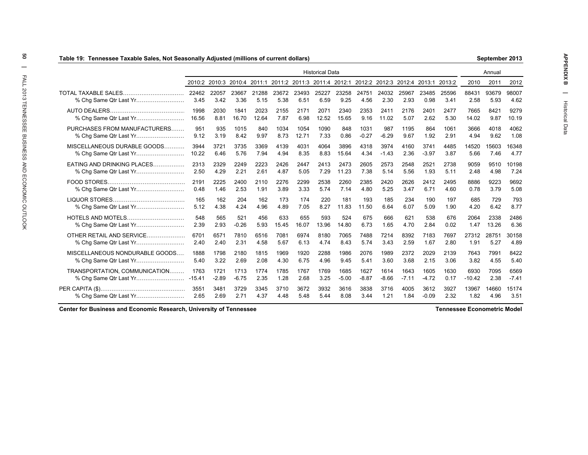| Table 19: Tennessee Taxable Sales, Not Seasonally Adjusted (millions of current dollars) |               |               |               |               |               |               |                             |               |               |               |               |               |               |               | September 2013 |               |
|------------------------------------------------------------------------------------------|---------------|---------------|---------------|---------------|---------------|---------------|-----------------------------|---------------|---------------|---------------|---------------|---------------|---------------|---------------|----------------|---------------|
|                                                                                          |               |               |               |               |               |               | <b>Historical Data</b>      |               |               |               |               |               |               |               | Annual         |               |
|                                                                                          | 2010:2        | 2010:3        | 2010:4        | 2011:1        |               |               | 2011:2 2011:3 2011:4 2012:1 |               | 2012:2        | 2012:3        | 2012:4        | 2013:1        | 2013:2        | 2010          | 2011           | 2012          |
| TOTAL TAXABLE SALES<br>% Chq Same Qtr Last Yr                                            | 22462<br>3.45 | 22057<br>3.42 | 23667<br>3.36 | 21288<br>5.15 | 23672<br>5.38 | 23493<br>6.51 | 25227<br>6.59               | 23258<br>9.25 | 24751<br>4.56 | 24032<br>2.30 | 25967<br>2.93 | 23485<br>0.98 | 25596<br>3.41 | 88431<br>2.58 | 93679<br>5.93  | 98007<br>4.62 |
|                                                                                          | 1998          | 2030          | 1841          | 2023          | 2155          | 2171          | 2071                        | 2340          | 2353          | 2411          | 2176          | 2401          | 2477          | 7665          | 8421           | 9279          |
| % Chg Same Qtr Last Yr                                                                   | 16.56         | 8.81          | 16.70         | 12.64         | 7.87          | 6.98          | 12.52                       | 15.65         | 9.16          | 11.02         | 5.07          | 2.62          | 5.30          | 14.02         | 9.87           | 10.19         |
| PURCHASES FROM MANUFACTURERS                                                             | 951           | 935           | 1015          | 840           | 1034          | 1054          | 1090                        | 848           | 1031          | 987           | 1195          | 864           | 1061          | 3666          | 4018           | 4062          |
|                                                                                          | 9.12          | 3.19          | 8.42          | 9.97          | 8.73          | 12.71         | 7.33                        | 0.86          | $-0.27$       | $-6.29$       | 9.67          | 1.92          | 2.91          | 4.94          | 9.62           | 1.08          |
| MISCELLANEOUS DURABLE GOODS                                                              | 3944          | 3721          | 3735          | 3369          | 4139          | 4031          | 4064                        | 3896          | 4318          | 3974          | 4160          | 3741          | 4485          | 14520         | 15603          | 16348         |
| % Chg Same Qtr Last Yr                                                                   | 10.22         | 6.46          | 5.76          | 7.94          | 4.94          | 8.35          | 8.83                        | 15.64         | 4.34          | $-1.43$       | 2.36          | $-3.97$       | 3.87          | 5.66          | 7.46           | 4.77          |
| EATING AND DRINKING PLACES                                                               | 2313          | 2329          | 2249          | 2223          | 2426          | 2447          | 2413                        | 2473          | 2605          | 2573          | 2548          | 2521          | 2738          | 9059          | 9510           | 10198         |
| % Chg Same Qtr Last Yr                                                                   | 2.50          | 4.29          | 2.21          | 2.61          | 4.87          | 5.05          | 7.29                        | 11.23         | 7.38          | 5.14          | 5.56          | 1.93          | 5.11          | 2.48          | 4.98           | 7.24          |
|                                                                                          | 2191          | 2225          | 2400          | 2110          | 2276          | 2299          | 2538                        | 2260          | 2385          | 2420          | 2626          | 2412          | 2495          | 8886          | 9223           | 9692          |
| % Chg Same Qtr Last Yr                                                                   | 0.48          | 1.46          | 2.53          | 1.91          | 3.89          | 3.33          | 5.74                        | 7.14          | 4.80          | 5.25          | 3.47          | 6.71          | 4.60          | 0.78          | 3.79           | 5.08          |
|                                                                                          | 165           | 162           | 204           | 162           | 173           | 174           | 220                         | 181           | 193           | 185           | 234           | 190           | 197           | 685           | 729            | 793           |
|                                                                                          | 5.12          | 4.38          | 4.24          | 4.96          | 4.89          | 7.05          | 8.27                        | 11.83         | 11.50         | 6.64          | 6.07          | 5.09          | 1.90          | 4.20          | 6.42           | 8.77          |
| HOTELS AND MOTELS                                                                        | 548           | 565           | 521           | 456           | 633           | 655           | 593                         | 524           | 675           | 666           | 621           | 538           | 676           | 2064          | 2338           | 2486          |
|                                                                                          | 2.39          | 2.93          | $-0.26$       | 5.93          | 15.45         | 16.07         | 13.96                       | 14.80         | 6.73          | 1.65          | 4.70          | 2.84          | 0.02          | 1.47          | 13.26          | 6.36          |
| OTHER RETAIL AND SERVICE                                                                 | 6701          | 6571          | 7810          | 6516          | 7081          | 6974          | 8180                        | 7065          | 7488          | 7214          | 8392          | 7183          | 7697          | 27312         | 28751          | 30158         |
|                                                                                          | 2.40          | 2.40          | 2.31          | 4.58          | 5.67          | 6.13          | 4.74                        | 8.43          | 5.74          | 3.43          | 2.59          | 1.67          | 2.80          | 1.91          | 5.27           | 4.89          |
| MISCELLANEOUS NONDURABLE GOODS                                                           | 1888          | 1798          | 2180          | 1815          | 1969          | 1920          | 2288                        | 1986          | 2076          | 1989          | 2372          | 2029          | 2139          | 7643          | 7991           | 8422          |
| % Chg Same Qtr Last Yr                                                                   | 5.40          | 3.22          | 2.69          | 2.08          | 4.30          | 6.75          | 4.96                        | 9.45          | 5.41          | 3.60          | 3.68          | 2.15          | 3.06          | 3.82          | 4.55           | 5.40          |
| TRANSPORTATION, COMMUNICATION                                                            | 1763          | 1721          | 1713          | 1774          | 1785          | 1767          | 1769                        | 1685          | 1627          | 1614          | 1643          | 1605          | 1630          | 6930          | 7095           | 6569          |
|                                                                                          | -15.41        | $-2.89$       | $-6.75$       | 2.35          | 1.28          | 2.68          | 3.25                        | $-5.00$       | $-8.87$       | $-8.66$       | $-7.11$       | $-4.72$       | 0.17          | $-10.42$      | 2.38           | $-7.41$       |
|                                                                                          | 3551          | 3481          | 3729          | 3345          | 3710          | 3672          | 3932                        | 3616          | 3838          | 3716          | 4005          | 3612          | 3927          | 13967         | 14660          | 15174         |
|                                                                                          | 2.65          | 2.69          | 2.71          | 4.37          | 4.48          | 5.48          | 5.44                        | 8.08          | 3.44          | 1.21          | 1.84          | $-0.09$       | 2.32          | 1.82          | 4.96           | 3.51          |

**Center for Business and Economic Research, University of Tennessee**